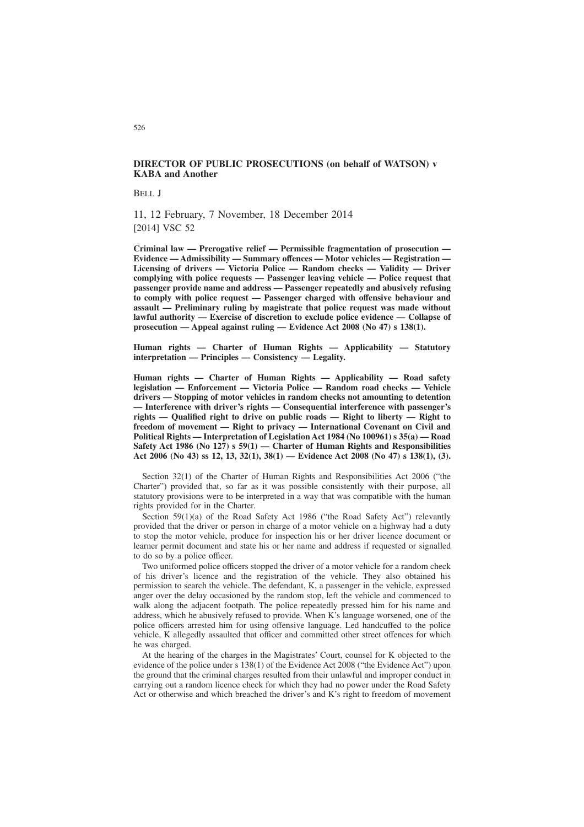# **DIRECTOR OF PUBLIC PROSECUTIONS (on behalf of WATSON) v KABA and Another**

BELL J

11, 12 February, 7 November, 18 December 2014 [2014] VSC 52

**Criminal law — Prerogative relief — Permissible fragmentation of prosecution — Evidence — Admissibility — Summary offences — Motor vehicles — Registration — Licensing of drivers — Victoria Police — Random checks — Validity — Driver complying with police requests — Passenger leaving vehicle — Police request that passenger provide name and address — Passenger repeatedly and abusively refusing to comply with police request — Passenger charged with offensive behaviour and assault — Preliminary ruling by magistrate that police request was made without lawful authority — Exercise of discretion to exclude police evidence — Collapse of prosecution — Appeal against ruling — Evidence Act 2008 (No 47) s 138(1).**

**Human rights — Charter of Human Rights — Applicability — Statutory interpretation — Principles — Consistency — Legality.**

**Human rights — Charter of Human Rights — Applicability — Road safety legislation — Enforcement — Victoria Police — Random road checks — Vehicle drivers — Stopping of motor vehicles in random checks not amounting to detention — Interference with driver's rights — Consequential interference with passenger's rights — Qualified right to drive on public roads — Right to liberty — Right to freedom of movement — Right to privacy — International Covenant on Civil and Political Rights — Interpretation of Legislation Act 1984 (No 100961) s 35(a) — Road Safety Act 1986 (No 127) s 59(1) — Charter of Human Rights and Responsibilities Act 2006 (No 43) ss 12, 13, 32(1), 38(1) — Evidence Act 2008 (No 47) s 138(1), (3).**

Section 32(1) of the Charter of Human Rights and Responsibilities Act 2006 ("the Charter") provided that, so far as it was possible consistently with their purpose, all statutory provisions were to be interpreted in a way that was compatible with the human rights provided for in the Charter.

Section 59(1)(a) of the Road Safety Act 1986 ("the Road Safety Act") relevantly provided that the driver or person in charge of a motor vehicle on a highway had a duty to stop the motor vehicle, produce for inspection his or her driver licence document or learner permit document and state his or her name and address if requested or signalled to do so by a police officer.

Two uniformed police officers stopped the driver of a motor vehicle for a random check of his driver's licence and the registration of the vehicle. They also obtained his permission to search the vehicle. The defendant, K, a passenger in the vehicle, expressed anger over the delay occasioned by the random stop, left the vehicle and commenced to walk along the adjacent footpath. The police repeatedly pressed him for his name and address, which he abusively refused to provide. When K's language worsened, one of the police officers arrested him for using offensive language. Led handcuffed to the police vehicle, K allegedly assaulted that officer and committed other street offences for which he was charged.

At the hearing of the charges in the Magistrates' Court, counsel for K objected to the evidence of the police under s 138(1) of the Evidence Act 2008 ("the Evidence Act") upon the ground that the criminal charges resulted from their unlawful and improper conduct in carrying out a random licence check for which they had no power under the Road Safety Act or otherwise and which breached the driver's and K's right to freedom of movement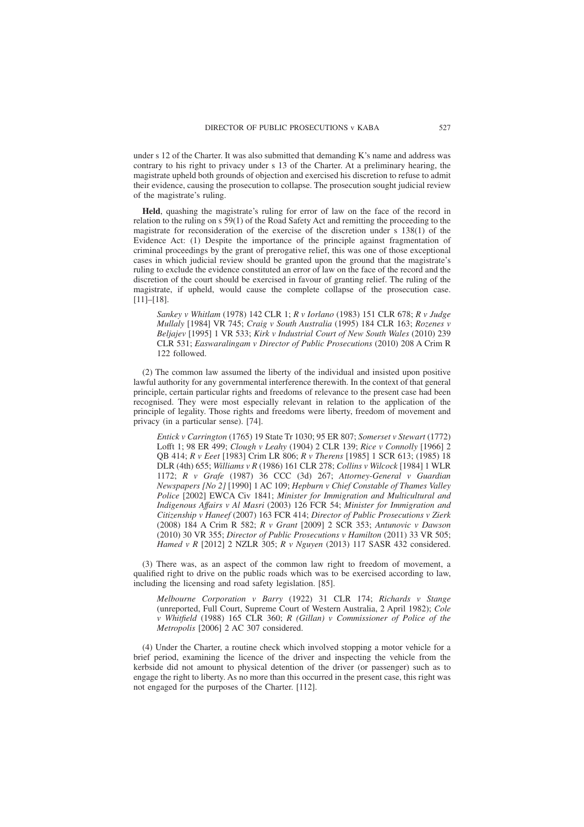under s 12 of the Charter. It was also submitted that demanding K's name and address was contrary to his right to privacy under s 13 of the Charter. At a preliminary hearing, the magistrate upheld both grounds of objection and exercised his discretion to refuse to admit their evidence, causing the prosecution to collapse. The prosecution sought judicial review of the magistrate's ruling.

**Held**, quashing the magistrate's ruling for error of law on the face of the record in relation to the ruling on s 59(1) of the Road Safety Act and remitting the proceeding to the magistrate for reconsideration of the exercise of the discretion under s 138(1) of the Evidence Act: (1) Despite the importance of the principle against fragmentation of criminal proceedings by the grant of prerogative relief, this was one of those exceptional cases in which judicial review should be granted upon the ground that the magistrate's ruling to exclude the evidence constituted an error of law on the face of the record and the discretion of the court should be exercised in favour of granting relief. The ruling of the magistrate, if upheld, would cause the complete collapse of the prosecution case. [11]–[18].

*Sankey v Whitlam* (1978) 142 CLR 1; *R v Iorlano* (1983) 151 CLR 678; *R v Judge Mullaly* [1984] VR 745; *Craig v South Australia* (1995) 184 CLR 163; *Rozenes v Beljajev* [1995] 1 VR 533; *Kirk v Industrial Court of New South Wales* (2010) 239 CLR 531; *Easwaralingam v Director of Public Prosecutions* (2010) 208 A Crim R 122 followed.

(2) The common law assumed the liberty of the individual and insisted upon positive lawful authority for any governmental interference therewith. In the context of that general principle, certain particular rights and freedoms of relevance to the present case had been recognised. They were most especially relevant in relation to the application of the principle of legality. Those rights and freedoms were liberty, freedom of movement and privacy (in a particular sense). [74].

*Entick v Carrington* (1765) 19 State Tr 1030; 95 ER 807; *Somerset v Stewart* (1772) Lofft 1; 98 ER 499; *Clough v Leahy* (1904) 2 CLR 139; *Rice v Connolly* [1966] 2 QB 414; *R v Eeet* [1983] Crim LR 806; *R v Therens* [1985] 1 SCR 613; (1985) 18 DLR (4th) 655; *Williams v R* (1986) 161 CLR 278; *Collins v Wilcock* [1984] 1 WLR 1172; *R v Grafe* (1987) 36 CCC (3d) 267; *Attorney-General v Guardian Newspapers [No 2]* [1990] 1 AC 109; *Hepburn v Chief Constable of Thames Valley Police* [2002] EWCA Civ 1841; *Minister for Immigration and Multicultural and Indigenous Affairs v Al Masri* (2003) 126 FCR 54; *Minister for Immigration and Citizenship v Haneef* (2007) 163 FCR 414; *Director of Public Prosecutions v Zierk* (2008) 184 A Crim R 582; *R v Grant* [2009] 2 SCR 353; *Antunovic v Dawson* (2010) 30 VR 355; *Director of Public Prosecutions v Hamilton* (2011) 33 VR 505; *Hamed v R* [2012] 2 NZLR 305; *R v Nguyen* (2013) 117 SASR 432 considered.

(3) There was, as an aspect of the common law right to freedom of movement, a qualified right to drive on the public roads which was to be exercised according to law, including the licensing and road safety legislation. [85].

*Melbourne Corporation v Barry* (1922) 31 CLR 174; *Richards v Stange* (unreported, Full Court, Supreme Court of Western Australia, 2 April 1982); *Cole v Whitfield* (1988) 165 CLR 360; *R (Gillan) v Commissioner of Police of the Metropolis* [2006] 2 AC 307 considered.

(4) Under the Charter, a routine check which involved stopping a motor vehicle for a brief period, examining the licence of the driver and inspecting the vehicle from the kerbside did not amount to physical detention of the driver (or passenger) such as to engage the right to liberty. As no more than this occurred in the present case, this right was not engaged for the purposes of the Charter. [112].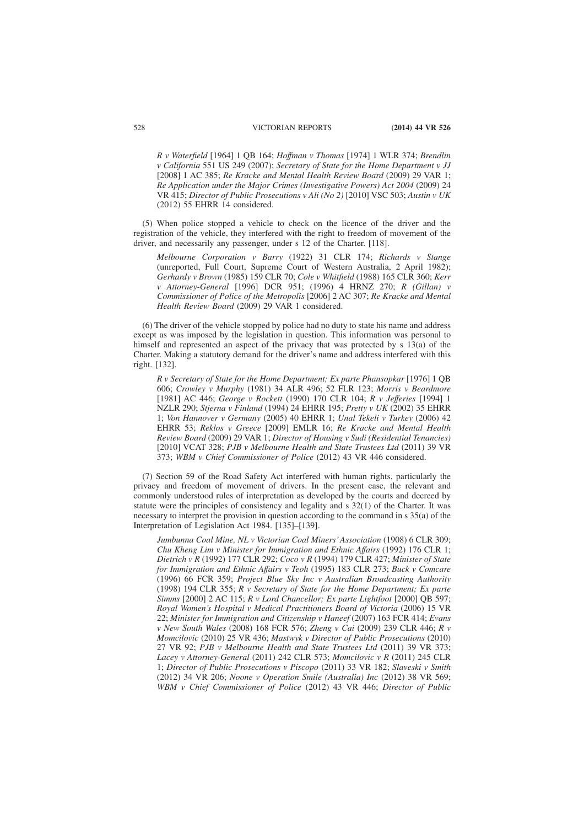*R v Waterfield* [1964] 1 QB 164; *Hoffman v Thomas* [1974] 1 WLR 374; *Brendlin v California* 551 US 249 (2007); *Secretary of State for the Home Department v JJ* [2008] 1 AC 385; *Re Kracke and Mental Health Review Board* (2009) 29 VAR 1; *Re Application under the Major Crimes (Investigative Powers) Act 2004* (2009) 24 VR 415; *Director of Public Prosecutions v Ali (No 2)* [2010] VSC 503; *Austin v UK* (2012) 55 EHRR 14 considered.

(5) When police stopped a vehicle to check on the licence of the driver and the registration of the vehicle, they interfered with the right to freedom of movement of the driver, and necessarily any passenger, under s 12 of the Charter. [118].

*Melbourne Corporation v Barry* (1922) 31 CLR 174; *Richards v Stange* (unreported, Full Court, Supreme Court of Western Australia, 2 April 1982); *Gerhardy v Brown* (1985) 159 CLR 70; *Cole v Whitfield* (1988) 165 CLR 360; *Kerr v Attorney-General* [1996] DCR 951; (1996) 4 HRNZ 270; *R (Gillan) v Commissioner of Police of the Metropolis* [2006] 2 AC 307; *Re Kracke and Mental Health Review Board* (2009) 29 VAR 1 considered.

(6) The driver of the vehicle stopped by police had no duty to state his name and address except as was imposed by the legislation in question. This information was personal to himself and represented an aspect of the privacy that was protected by s 13(a) of the Charter. Making a statutory demand for the driver's name and address interfered with this right. [132].

*R v Secretary of State for the Home Department; Ex parte Phansopkar* [1976] 1 QB 606; *Crowley v Murphy* (1981) 34 ALR 496; 52 FLR 123; *Morris v Beardmore* [1981] AC 446; *George v Rockett* (1990) 170 CLR 104; *R v Jefferies* [1994] 1 NZLR 290; *Stjerna v Finland* (1994) 24 EHRR 195; *Pretty v UK* (2002) 35 EHRR 1; *Von Hannover v Germany* (2005) 40 EHRR 1; *Unal Tekeli v Turkey* (2006) 42 EHRR 53; *Reklos v Greece* [2009] EMLR 16; *Re Kracke and Mental Health Review Board* (2009) 29 VAR 1; *Director of Housing v Sudi (Residential Tenancies)* [2010] VCAT 328; *PJB v Melbourne Health and State Trustees Ltd* (2011) 39 VR 373; *WBM v Chief Commissioner of Police* (2012) 43 VR 446 considered.

(7) Section 59 of the Road Safety Act interfered with human rights, particularly the privacy and freedom of movement of drivers. In the present case, the relevant and commonly understood rules of interpretation as developed by the courts and decreed by statute were the principles of consistency and legality and s 32(1) of the Charter. It was necessary to interpret the provision in question according to the command in s 35(a) of the Interpretation of Legislation Act 1984. [135]–[139].

*Jumbunna Coal Mine, NL v Victorian Coal Miners'Association* (1908) 6 CLR 309; *Chu Kheng Lim v Minister for Immigration and Ethnic Affairs* (1992) 176 CLR 1; *Dietrich v R* (1992) 177 CLR 292; *Coco v R* (1994) 179 CLR 427; *Minister of State for Immigration and Ethnic Affairs v Teoh* (1995) 183 CLR 273; *Buck v Comcare* (1996) 66 FCR 359; *Project Blue Sky Inc v Australian Broadcasting Authority* (1998) 194 CLR 355; *R v Secretary of State for the Home Department; Ex parte Simms* [2000] 2 AC 115; *R v Lord Chancellor; Ex parte Lightfoot* [2000] QB 597; *Royal Women's Hospital v Medical Practitioners Board of Victoria* (2006) 15 VR 22; *Minister for Immigration and Citizenship v Haneef* (2007) 163 FCR 414; *Evans v New South Wales* (2008) 168 FCR 576; *Zheng v Cai* (2009) 239 CLR 446; *R v Momcilovic* (2010) 25 VR 436; *Mastwyk v Director of Public Prosecutions* (2010) 27 VR 92; *PJB v Melbourne Health and State Trustees Ltd* (2011) 39 VR 373; *Lacey v Attorney-General* (2011) 242 CLR 573; *Momcilovic v R* (2011) 245 CLR 1; *Director of Public Prosecutions v Piscopo* (2011) 33 VR 182; *Slaveski v Smith* (2012) 34 VR 206; *Noone v Operation Smile (Australia) Inc* (2012) 38 VR 569; *WBM v Chief Commissioner of Police* (2012) 43 VR 446; *Director of Public*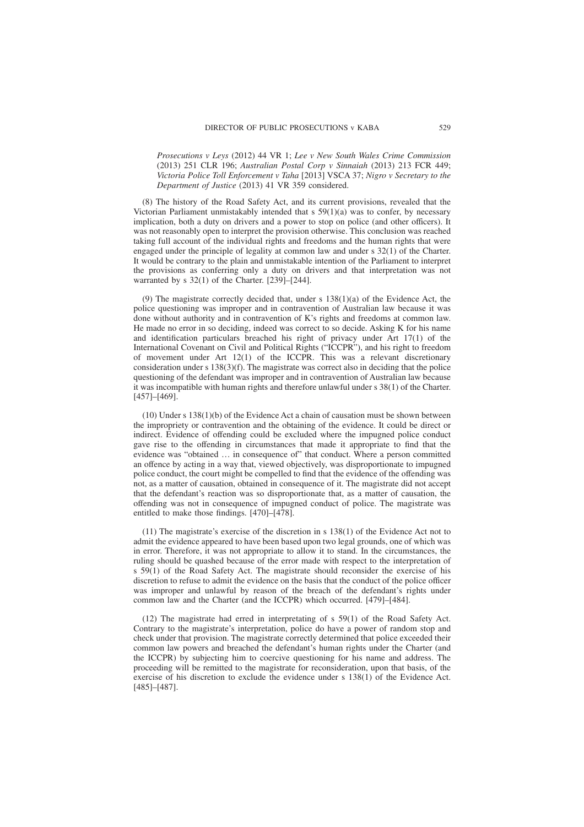*Prosecutions v Leys* (2012) 44 VR 1; *Lee v New South Wales Crime Commission* (2013) 251 CLR 196; *Australian Postal Corp v Sinnaiah* (2013) 213 FCR 449; *Victoria Police Toll Enforcement v Taha* [2013] VSCA 37; *Nigro v Secretary to the Department of Justice* (2013) 41 VR 359 considered.

(8) The history of the Road Safety Act, and its current provisions, revealed that the Victorian Parliament unmistakably intended that  $s$  59(1)(a) was to confer, by necessary implication, both a duty on drivers and a power to stop on police (and other officers). It was not reasonably open to interpret the provision otherwise. This conclusion was reached taking full account of the individual rights and freedoms and the human rights that were engaged under the principle of legality at common law and under s 32(1) of the Charter. It would be contrary to the plain and unmistakable intention of the Parliament to interpret the provisions as conferring only a duty on drivers and that interpretation was not warranted by s 32(1) of the Charter. [239]–[244].

(9) The magistrate correctly decided that, under s 138(1)(a) of the Evidence Act, the police questioning was improper and in contravention of Australian law because it was done without authority and in contravention of K's rights and freedoms at common law. He made no error in so deciding, indeed was correct to so decide. Asking K for his name and identification particulars breached his right of privacy under Art 17(1) of the International Covenant on Civil and Political Rights ("ICCPR"), and his right to freedom of movement under Art 12(1) of the ICCPR. This was a relevant discretionary consideration under s 138(3)(f). The magistrate was correct also in deciding that the police questioning of the defendant was improper and in contravention of Australian law because it was incompatible with human rights and therefore unlawful under s 38(1) of the Charter. [457]–[469].

(10) Under s 138(1)(b) of the Evidence Act a chain of causation must be shown between the impropriety or contravention and the obtaining of the evidence. It could be direct or indirect. Evidence of offending could be excluded where the impugned police conduct gave rise to the offending in circumstances that made it appropriate to find that the evidence was "obtained … in consequence of" that conduct. Where a person committed an offence by acting in a way that, viewed objectively, was disproportionate to impugned police conduct, the court might be compelled to find that the evidence of the offending was not, as a matter of causation, obtained in consequence of it. The magistrate did not accept that the defendant's reaction was so disproportionate that, as a matter of causation, the offending was not in consequence of impugned conduct of police. The magistrate was entitled to make those findings. [470]–[478].

(11) The magistrate's exercise of the discretion in s 138(1) of the Evidence Act not to admit the evidence appeared to have been based upon two legal grounds, one of which was in error. Therefore, it was not appropriate to allow it to stand. In the circumstances, the ruling should be quashed because of the error made with respect to the interpretation of s 59(1) of the Road Safety Act. The magistrate should reconsider the exercise of his discretion to refuse to admit the evidence on the basis that the conduct of the police officer was improper and unlawful by reason of the breach of the defendant's rights under common law and the Charter (and the ICCPR) which occurred. [479]–[484].

(12) The magistrate had erred in interpretating of s 59(1) of the Road Safety Act. Contrary to the magistrate's interpretation, police do have a power of random stop and check under that provision. The magistrate correctly determined that police exceeded their common law powers and breached the defendant's human rights under the Charter (and the ICCPR) by subjecting him to coercive questioning for his name and address. The proceeding will be remitted to the magistrate for reconsideration, upon that basis, of the exercise of his discretion to exclude the evidence under s 138(1) of the Evidence Act. [485]–[487].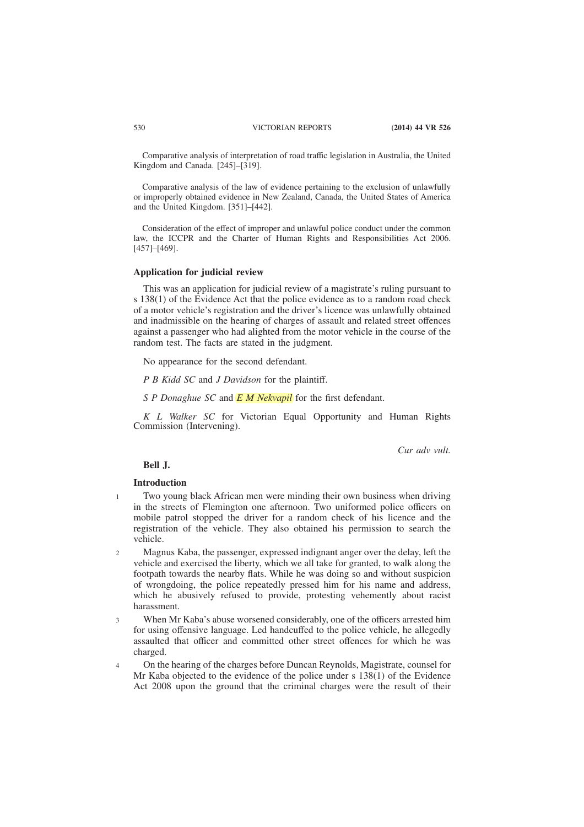Comparative analysis of interpretation of road traffic legislation in Australia, the United Kingdom and Canada. [245]–[319].

Comparative analysis of the law of evidence pertaining to the exclusion of unlawfully or improperly obtained evidence in New Zealand, Canada, the United States of America and the United Kingdom. [351]–[442].

Consideration of the effect of improper and unlawful police conduct under the common law, the ICCPR and the Charter of Human Rights and Responsibilities Act 2006. [457]–[469].

# **Application for judicial review**

This was an application for judicial review of a magistrate's ruling pursuant to s 138(1) of the Evidence Act that the police evidence as to a random road check of a motor vehicle's registration and the driver's licence was unlawfully obtained and inadmissible on the hearing of charges of assault and related street offences against a passenger who had alighted from the motor vehicle in the course of the random test. The facts are stated in the judgment.

No appearance for the second defendant.

*P B Kidd SC* and *J Davidson* for the plaintiff.

*S P Donaghue SC* and *E M Nekvapil* for the first defendant.

*K L Walker SC* for Victorian Equal Opportunity and Human Rights Commission (Intervening).

*Cur adv vult.*

#### **Bell J.**

# **Introduction**

1

- Two young black African men were minding their own business when driving in the streets of Flemington one afternoon. Two uniformed police officers on mobile patrol stopped the driver for a random check of his licence and the registration of the vehicle. They also obtained his permission to search the vehicle.
- Magnus Kaba, the passenger, expressed indignant anger over the delay, left the vehicle and exercised the liberty, which we all take for granted, to walk along the footpath towards the nearby flats. While he was doing so and without suspicion of wrongdoing, the police repeatedly pressed him for his name and address, which he abusively refused to provide, protesting vehemently about racist harassment.  $\mathcal{L}$
- When Mr Kaba's abuse worsened considerably, one of the officers arrested him for using offensive language. Led handcuffed to the police vehicle, he allegedly assaulted that officer and committed other street offences for which he was charged. 3
- On the hearing of the charges before Duncan Reynolds, Magistrate, counsel for Mr Kaba objected to the evidence of the police under s 138(1) of the Evidence Act 2008 upon the ground that the criminal charges were the result of their 4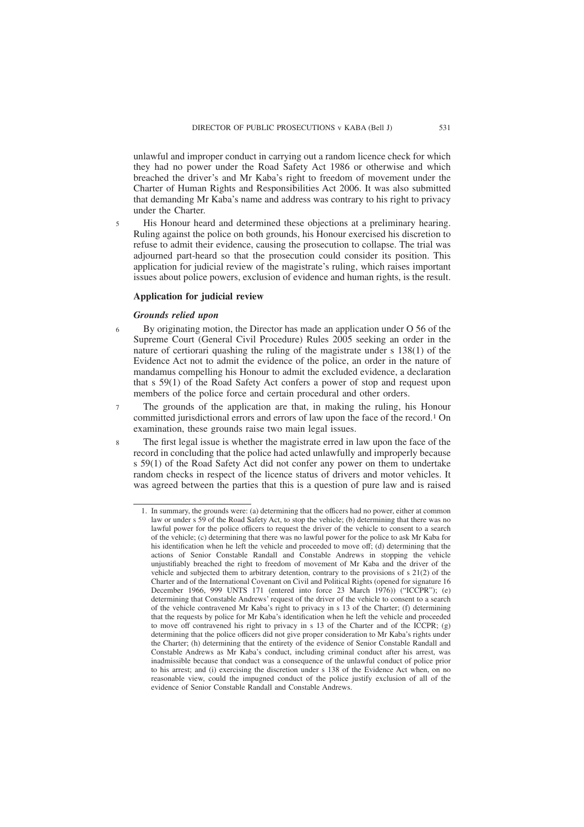unlawful and improper conduct in carrying out a random licence check for which they had no power under the Road Safety Act 1986 or otherwise and which breached the driver's and Mr Kaba's right to freedom of movement under the Charter of Human Rights and Responsibilities Act 2006. It was also submitted that demanding Mr Kaba's name and address was contrary to his right to privacy under the Charter.

His Honour heard and determined these objections at a preliminary hearing. Ruling against the police on both grounds, his Honour exercised his discretion to refuse to admit their evidence, causing the prosecution to collapse. The trial was adjourned part-heard so that the prosecution could consider its position. This application for judicial review of the magistrate's ruling, which raises important issues about police powers, exclusion of evidence and human rights, is the result.

# **Application for judicial review**

# *Grounds relied upon*

5

7

8

- By originating motion, the Director has made an application under O 56 of the Supreme Court (General Civil Procedure) Rules 2005 seeking an order in the nature of certiorari quashing the ruling of the magistrate under s 138(1) of the Evidence Act not to admit the evidence of the police, an order in the nature of mandamus compelling his Honour to admit the excluded evidence, a declaration that s 59(1) of the Road Safety Act confers a power of stop and request upon members of the police force and certain procedural and other orders. 6
	- The grounds of the application are that, in making the ruling, his Honour committed jurisdictional errors and errors of law upon the face of the record.1 On examination, these grounds raise two main legal issues.
	- The first legal issue is whether the magistrate erred in law upon the face of the record in concluding that the police had acted unlawfully and improperly because s 59(1) of the Road Safety Act did not confer any power on them to undertake random checks in respect of the licence status of drivers and motor vehicles. It was agreed between the parties that this is a question of pure law and is raised

<sup>1.</sup> In summary, the grounds were: (a) determining that the officers had no power, either at common law or under s 59 of the Road Safety Act, to stop the vehicle; (b) determining that there was no lawful power for the police officers to request the driver of the vehicle to consent to a search of the vehicle; (c) determining that there was no lawful power for the police to ask Mr Kaba for his identification when he left the vehicle and proceeded to move off; (d) determining that the actions of Senior Constable Randall and Constable Andrews in stopping the vehicle unjustifiably breached the right to freedom of movement of Mr Kaba and the driver of the vehicle and subjected them to arbitrary detention, contrary to the provisions of s 21(2) of the Charter and of the International Covenant on Civil and Political Rights (opened for signature 16 December 1966, 999 UNTS 171 (entered into force 23 March 1976)) ("ICCPR"); (e) determining that Constable Andrews' request of the driver of the vehicle to consent to a search of the vehicle contravened Mr Kaba's right to privacy in s 13 of the Charter; (f) determining that the requests by police for Mr Kaba's identification when he left the vehicle and proceeded to move off contravened his right to privacy in s 13 of the Charter and of the ICCPR; (g) determining that the police officers did not give proper consideration to Mr Kaba's rights under the Charter; (h) determining that the entirety of the evidence of Senior Constable Randall and Constable Andrews as Mr Kaba's conduct, including criminal conduct after his arrest, was inadmissible because that conduct was a consequence of the unlawful conduct of police prior to his arrest; and (i) exercising the discretion under s 138 of the Evidence Act when, on no reasonable view, could the impugned conduct of the police justify exclusion of all of the evidence of Senior Constable Randall and Constable Andrews.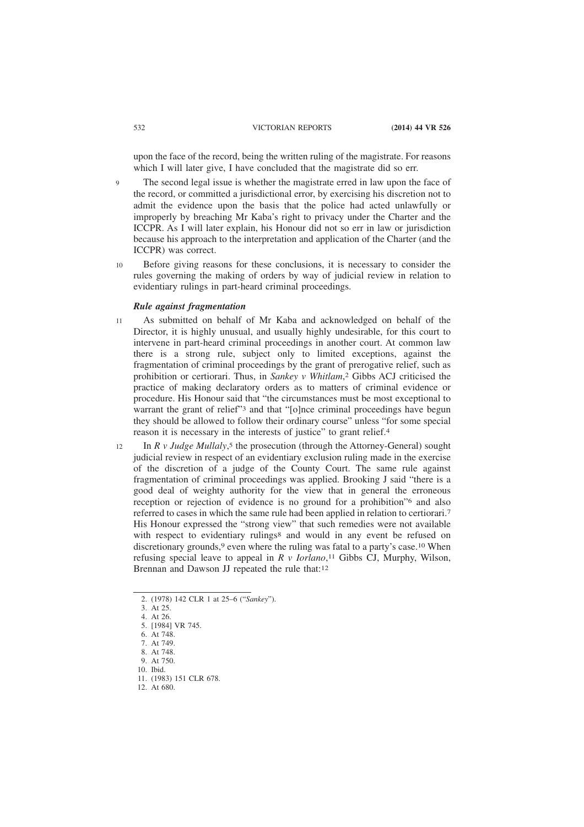upon the face of the record, being the written ruling of the magistrate. For reasons which I will later give. I have concluded that the magistrate did so err.

- The second legal issue is whether the magistrate erred in law upon the face of the record, or committed a jurisdictional error, by exercising his discretion not to admit the evidence upon the basis that the police had acted unlawfully or improperly by breaching Mr Kaba's right to privacy under the Charter and the ICCPR. As I will later explain, his Honour did not so err in law or jurisdiction because his approach to the interpretation and application of the Charter (and the ICCPR) was correct. 9
- Before giving reasons for these conclusions, it is necessary to consider the rules governing the making of orders by way of judicial review in relation to evidentiary rulings in part-heard criminal proceedings. 10

### *Rule against fragmentation*

- As submitted on behalf of Mr Kaba and acknowledged on behalf of the Director, it is highly unusual, and usually highly undesirable, for this court to intervene in part-heard criminal proceedings in another court. At common law there is a strong rule, subject only to limited exceptions, against the fragmentation of criminal proceedings by the grant of prerogative relief, such as prohibition or certiorari. Thus, in *Sankey v Whitlam*, 2 Gibbs ACJ criticised the practice of making declaratory orders as to matters of criminal evidence or procedure. His Honour said that "the circumstances must be most exceptional to warrant the grant of relief"<sup>3</sup> and that "[o]nce criminal proceedings have begun they should be allowed to follow their ordinary course" unless "for some special reason it is necessary in the interests of justice" to grant relief.4 11
- In *R v Judge Mullaly*, 5 the prosecution (through the Attorney-General) sought judicial review in respect of an evidentiary exclusion ruling made in the exercise of the discretion of a judge of the County Court. The same rule against fragmentation of criminal proceedings was applied. Brooking J said "there is a good deal of weighty authority for the view that in general the erroneous reception or rejection of evidence is no ground for a prohibition<sup>"6</sup> and also referred to cases in which the same rule had been applied in relation to certiorari.7 His Honour expressed the "strong view" that such remedies were not available with respect to evidentiary rulings<sup>8</sup> and would in any event be refused on discretionary grounds,<sup>9</sup> even where the ruling was fatal to a party's case.<sup>10</sup> When refusing special leave to appeal in *R v Iorlano*, 11 Gibbs CJ, Murphy, Wilson, Brennan and Dawson JJ repeated the rule that:12 12

<sup>2. (1978) 142</sup> CLR 1 at 25–6 ("*Sankey*").

<sup>3.</sup> At 25.

<sup>4.</sup> At 26. 5. [1984] VR 745.

<sup>6.</sup> At 748. 7. At 749.

<sup>8.</sup> At 748. 9. At 750.

<sup>10.</sup> Ibid.

<sup>11. (1983) 151</sup> CLR 678.

<sup>12.</sup> At 680.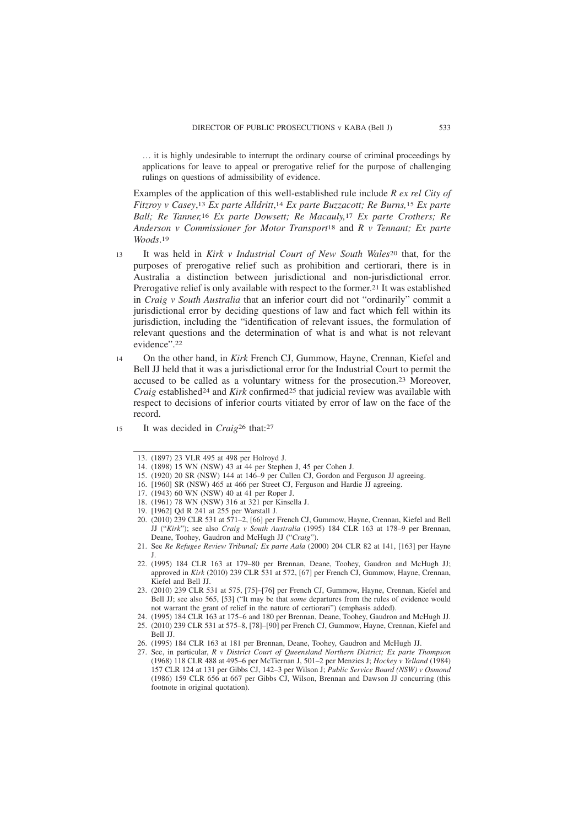… it is highly undesirable to interrupt the ordinary course of criminal proceedings by applications for leave to appeal or prerogative relief for the purpose of challenging rulings on questions of admissibility of evidence.

Examples of the application of this well-established rule include *R ex rel City of Fitzroy v Casey*, 13 *Ex parte Alldritt*, 14 *Ex parte Buzzacott; Re Burns,*15 *Ex parte Ball; Re Tanner,*16 *Ex parte Dowsett; Re Macauly,*17 *Ex parte Crothers; Re Anderson v Commissioner for Motor Transport*18 and *R v Tennant; Ex parte Woods*. 19

- It was held in *Kirk v Industrial Court of New South Wales*20 that, for the purposes of prerogative relief such as prohibition and certiorari, there is in Australia a distinction between jurisdictional and non-jurisdictional error. Prerogative relief is only available with respect to the former.<sup>21</sup> It was established in *Craig v South Australia* that an inferior court did not "ordinarily" commit a jurisdictional error by deciding questions of law and fact which fell within its jurisdiction, including the "identification of relevant issues, the formulation of relevant questions and the determination of what is and what is not relevant evidence".22 13
- On the other hand, in *Kirk* French CJ, Gummow, Hayne, Crennan, Kiefel and Bell JJ held that it was a jurisdictional error for the Industrial Court to permit the accused to be called as a voluntary witness for the prosecution.23 Moreover, *Craig* established<sup>24</sup> and *Kirk* confirmed<sup>25</sup> that judicial review was available with respect to decisions of inferior courts vitiated by error of law on the face of the record. 14
- It was decided in *Craig*26 that:27 15

- 15. (1920) 20 SR (NSW) 144 at 146–9 per Cullen CJ, Gordon and Ferguson JJ agreeing.
- 16. [1960] SR (NSW) 465 at 466 per Street CJ, Ferguson and Hardie JJ agreeing.
- 17. (1943) 60 WN (NSW) 40 at 41 per Roper J.
- 18. (1961) 78 WN (NSW) 316 at 321 per Kinsella J.
- 19. [1962] Qd R 241 at 255 per Warstall J.
- 20. (2010) 239 CLR 531 at 571–2, [66] per French CJ, Gummow, Hayne, Crennan, Kiefel and Bell JJ ("*Kirk*"); see also *Craig v South Australia* (1995) 184 CLR 163 at 178–9 per Brennan, Deane, Toohey, Gaudron and McHugh JJ ("*Craig*").
- 21. See *Re Refugee Review Tribunal; Ex parte Aala* (2000) 204 CLR 82 at 141, [163] per Hayne J.
- 22. (1995) 184 CLR 163 at 179–80 per Brennan, Deane, Toohey, Gaudron and McHugh JJ; approved in *Kirk* (2010) 239 CLR 531 at 572, [67] per French CJ, Gummow, Hayne, Crennan, Kiefel and Bell JJ.
- 23. (2010) 239 CLR 531 at 575, [75]–[76] per French CJ, Gummow, Hayne, Crennan, Kiefel and Bell JJ; see also 565, [53] ("It may be that *some* departures from the rules of evidence would not warrant the grant of relief in the nature of certiorari") (emphasis added).
- 24. (1995) 184 CLR 163 at 175–6 and 180 per Brennan, Deane, Toohey, Gaudron and McHugh JJ.
- 25. (2010) 239 CLR 531 at 575–8, [78]–[90] per French CJ, Gummow, Hayne, Crennan, Kiefel and Bell JJ.
- 26. (1995) 184 CLR 163 at 181 per Brennan, Deane, Toohey, Gaudron and McHugh JJ.
- 27. See, in particular, *R v District Court of Queensland Northern District; Ex parte Thompson* (1968) 118 CLR 488 at 495–6 per McTiernan J, 501–2 per Menzies J; *Hockey v Yelland* (1984) 157 CLR 124 at 131 per Gibbs CJ, 142–3 per Wilson J; *Public Service Board (NSW) v Osmond* (1986) 159 CLR 656 at 667 per Gibbs CJ, Wilson, Brennan and Dawson JJ concurring (this footnote in original quotation).

<sup>13. (1897) 23</sup> VLR 495 at 498 per Holroyd J.

<sup>14. (1898) 15</sup> WN (NSW) 43 at 44 per Stephen J, 45 per Cohen J.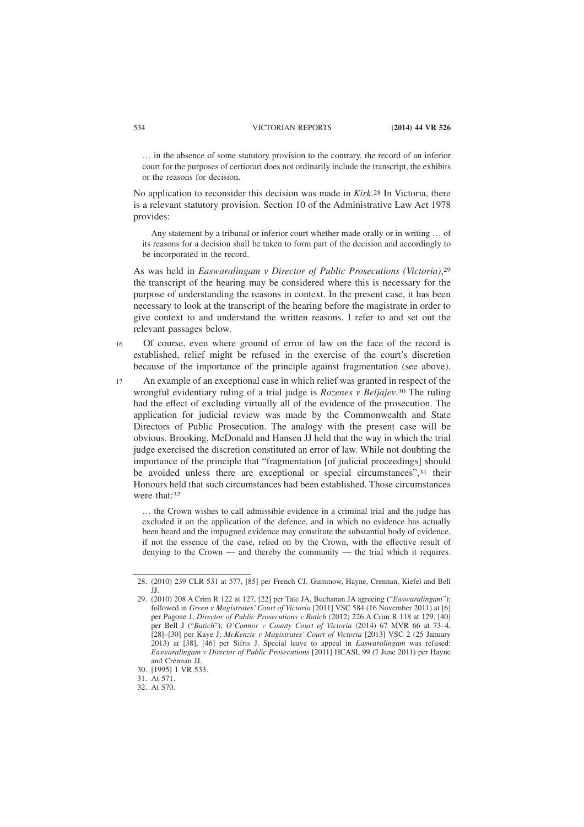… in the absence of some statutory provision to the contrary, the record of an inferior court for the purposes of certiorari does not ordinarily include the transcript, the exhibits or the reasons for decision.

No application to reconsider this decision was made in *Kirk*. 28 In Victoria, there is a relevant statutory provision. Section 10 of the Administrative Law Act 1978 provides:

Any statement by a tribunal or inferior court whether made orally or in writing … of its reasons for a decision shall be taken to form part of the decision and accordingly to be incorporated in the record.

As was held in *Easwaralingam v Director of Public Prosecutions (Victoria)*, 29 the transcript of the hearing may be considered where this is necessary for the purpose of understanding the reasons in context. In the present case, it has been necessary to look at the transcript of the hearing before the magistrate in order to give context to and understand the written reasons. I refer to and set out the relevant passages below.

- Of course, even where ground of error of law on the face of the record is established, relief might be refused in the exercise of the court's discretion because of the importance of the principle against fragmentation (see above). 16
- An example of an exceptional case in which relief was granted in respect of the wrongful evidentiary ruling of a trial judge is *Rozenes v Beljajev*. 30 The ruling had the effect of excluding virtually all of the evidence of the prosecution. The application for judicial review was made by the Commonwealth and State Directors of Public Prosecution. The analogy with the present case will be obvious. Brooking, McDonald and Hansen JJ held that the way in which the trial judge exercised the discretion constituted an error of law. While not doubting the importance of the principle that "fragmentation [of judicial proceedings] should be avoided unless there are exceptional or special circumstances",31 their Honours held that such circumstances had been established. Those circumstances were that:32 17

… the Crown wishes to call admissible evidence in a criminal trial and the judge has excluded it on the application of the defence, and in which no evidence has actually been heard and the impugned evidence may constitute the substantial body of evidence, if not the essence of the case, relied on by the Crown, with the effective result of denying to the Crown — and thereby the community — the trial which it requires.

<sup>28. (2010) 239</sup> CLR 531 at 577, [85] per French CJ, Gummow, Hayne, Crennan, Kiefel and Bell JJ.

<sup>29. (2010) 208</sup> A Crim R 122 at 127, [22] per Tate JA, Buchanan JA agreeing ("*Easwaralingam*"); followed in *Green v Magistrates' Court of Victoria* [2011] VSC 584 (16 November 2011) at [6] per Pagone J; *Director of Public Prosecutions v Batich* (2012) 226 A Crim R 118 at 129, [40] per Bell J ("*Batich*"); *O'Connor v County Court of Victoria* (2014) 67 MVR 66 at 73–4, [28]–[30] per Kaye J; *McKenzie v Magistrates' Court of Victoria* [2013] VSC 2 (25 January 2013) at [38], [46] per Sifris J. Special leave to appeal in *Easwaralingam* was refused: *Easwaralingam v Director of Public Prosecutions* [2011] HCASL 99 (7 June 2011) per Hayne and Crennan JJ.

<sup>30. [1995] 1</sup> VR 533.

<sup>31.</sup> At 571.

<sup>32.</sup> At 570.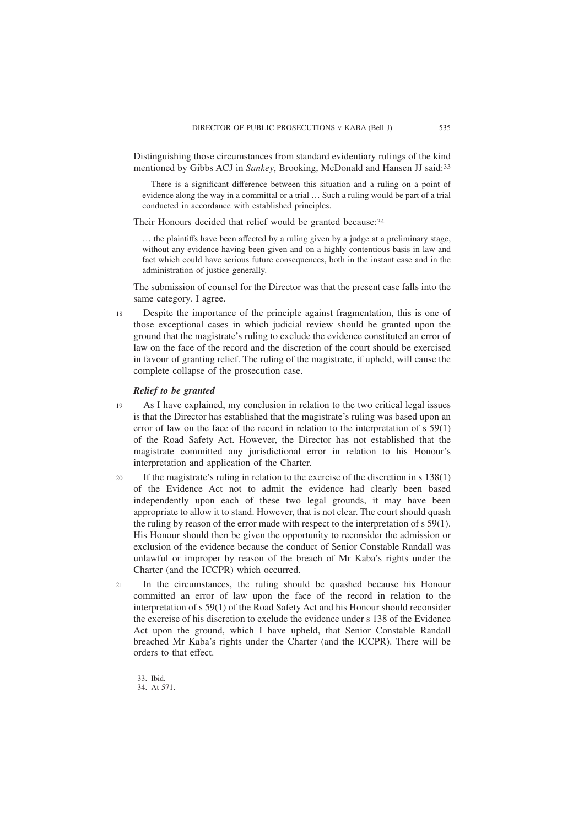Distinguishing those circumstances from standard evidentiary rulings of the kind mentioned by Gibbs ACJ in *Sankey*, Brooking, McDonald and Hansen JJ said:33

There is a significant difference between this situation and a ruling on a point of evidence along the way in a committal or a trial … Such a ruling would be part of a trial conducted in accordance with established principles.

Their Honours decided that relief would be granted because:34

… the plaintiffs have been affected by a ruling given by a judge at a preliminary stage, without any evidence having been given and on a highly contentious basis in law and fact which could have serious future consequences, both in the instant case and in the administration of justice generally.

The submission of counsel for the Director was that the present case falls into the same category. I agree.

Despite the importance of the principle against fragmentation, this is one of those exceptional cases in which judicial review should be granted upon the ground that the magistrate's ruling to exclude the evidence constituted an error of law on the face of the record and the discretion of the court should be exercised in favour of granting relief. The ruling of the magistrate, if upheld, will cause the complete collapse of the prosecution case. 18

# *Relief to be granted*

As I have explained, my conclusion in relation to the two critical legal issues is that the Director has established that the magistrate's ruling was based upon an error of law on the face of the record in relation to the interpretation of s 59(1) of the Road Safety Act. However, the Director has not established that the magistrate committed any jurisdictional error in relation to his Honour's interpretation and application of the Charter. 19

- If the magistrate's ruling in relation to the exercise of the discretion in s 138(1) of the Evidence Act not to admit the evidence had clearly been based independently upon each of these two legal grounds, it may have been appropriate to allow it to stand. However, that is not clear. The court should quash the ruling by reason of the error made with respect to the interpretation of s 59(1). His Honour should then be given the opportunity to reconsider the admission or exclusion of the evidence because the conduct of Senior Constable Randall was unlawful or improper by reason of the breach of Mr Kaba's rights under the Charter (and the ICCPR) which occurred. 20
- In the circumstances, the ruling should be quashed because his Honour committed an error of law upon the face of the record in relation to the interpretation of s 59(1) of the Road Safety Act and his Honour should reconsider the exercise of his discretion to exclude the evidence under s 138 of the Evidence Act upon the ground, which I have upheld, that Senior Constable Randall breached Mr Kaba's rights under the Charter (and the ICCPR). There will be orders to that effect. 21

<sup>33.</sup> Ibid.

<sup>34.</sup> At 571.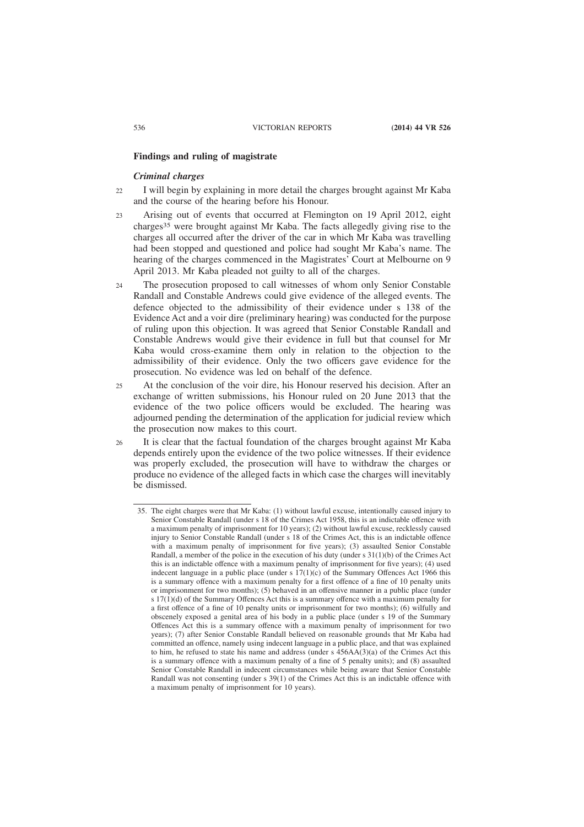#### **Findings and ruling of magistrate**

# *Criminal charges*

- I will begin by explaining in more detail the charges brought against Mr Kaba and the course of the hearing before his Honour.  $22$
- Arising out of events that occurred at Flemington on 19 April 2012, eight charges35 were brought against Mr Kaba. The facts allegedly giving rise to the charges all occurred after the driver of the car in which Mr Kaba was travelling had been stopped and questioned and police had sought Mr Kaba's name. The hearing of the charges commenced in the Magistrates' Court at Melbourne on 9 April 2013. Mr Kaba pleaded not guilty to all of the charges.  $23$
- The prosecution proposed to call witnesses of whom only Senior Constable Randall and Constable Andrews could give evidence of the alleged events. The defence objected to the admissibility of their evidence under s 138 of the Evidence Act and a voir dire (preliminary hearing) was conducted for the purpose of ruling upon this objection. It was agreed that Senior Constable Randall and Constable Andrews would give their evidence in full but that counsel for Mr Kaba would cross-examine them only in relation to the objection to the admissibility of their evidence. Only the two officers gave evidence for the prosecution. No evidence was led on behalf of the defence.  $24$
- At the conclusion of the voir dire, his Honour reserved his decision. After an exchange of written submissions, his Honour ruled on 20 June 2013 that the evidence of the two police officers would be excluded. The hearing was adjourned pending the determination of the application for judicial review which the prosecution now makes to this court. 25
- It is clear that the factual foundation of the charges brought against Mr Kaba depends entirely upon the evidence of the two police witnesses. If their evidence was properly excluded, the prosecution will have to withdraw the charges or produce no evidence of the alleged facts in which case the charges will inevitably be dismissed. 26

<sup>35.</sup> The eight charges were that Mr Kaba: (1) without lawful excuse, intentionally caused injury to Senior Constable Randall (under s 18 of the Crimes Act 1958, this is an indictable offence with a maximum penalty of imprisonment for 10 years); (2) without lawful excuse, recklessly caused injury to Senior Constable Randall (under s 18 of the Crimes Act, this is an indictable offence with a maximum penalty of imprisonment for five years); (3) assaulted Senior Constable Randall, a member of the police in the execution of his duty (under s 31(1)(b) of the Crimes Act this is an indictable offence with a maximum penalty of imprisonment for five years); (4) used indecent language in a public place (under s  $17(1)(c)$  of the Summary Offences Act 1966 this is a summary offence with a maximum penalty for a first offence of a fine of 10 penalty units or imprisonment for two months); (5) behaved in an offensive manner in a public place (under  $s$  17(1)(d) of the Summary Offences Act this is a summary offence with a maximum penalty for a first offence of a fine of 10 penalty units or imprisonment for two months); (6) wilfully and obscenely exposed a genital area of his body in a public place (under s 19 of the Summary Offences Act this is a summary offence with a maximum penalty of imprisonment for two years); (7) after Senior Constable Randall believed on reasonable grounds that Mr Kaba had committed an offence, namely using indecent language in a public place, and that was explained to him, he refused to state his name and address (under s 456AA(3)(a) of the Crimes Act this is a summary offence with a maximum penalty of a fine of 5 penalty units); and (8) assaulted Senior Constable Randall in indecent circumstances while being aware that Senior Constable Randall was not consenting (under s 39(1) of the Crimes Act this is an indictable offence with a maximum penalty of imprisonment for 10 years).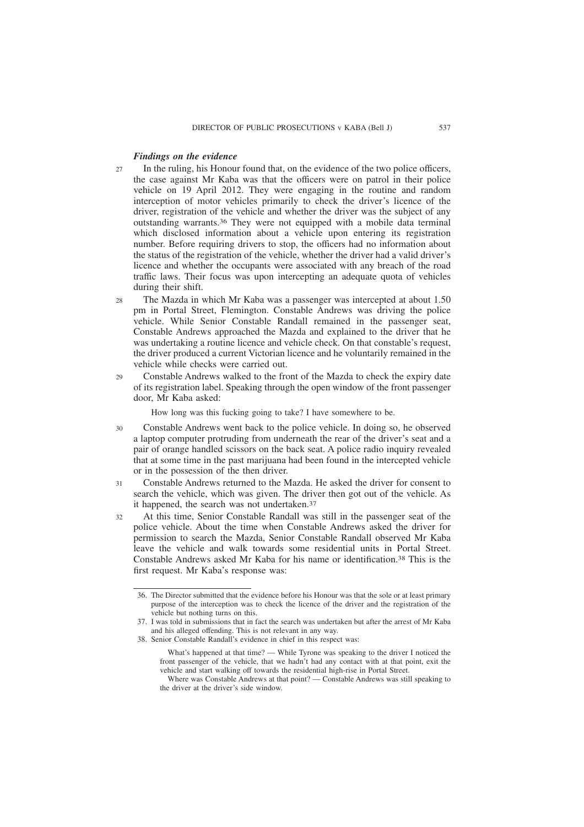### *Findings on the evidence*

- In the ruling, his Honour found that, on the evidence of the two police officers, the case against Mr Kaba was that the officers were on patrol in their police vehicle on 19 April 2012. They were engaging in the routine and random interception of motor vehicles primarily to check the driver's licence of the driver, registration of the vehicle and whether the driver was the subject of any outstanding warrants.36 They were not equipped with a mobile data terminal which disclosed information about a vehicle upon entering its registration number. Before requiring drivers to stop, the officers had no information about the status of the registration of the vehicle, whether the driver had a valid driver's licence and whether the occupants were associated with any breach of the road traffic laws. Their focus was upon intercepting an adequate quota of vehicles during their shift.  $27$
- The Mazda in which Mr Kaba was a passenger was intercepted at about 1.50 pm in Portal Street, Flemington. Constable Andrews was driving the police vehicle. While Senior Constable Randall remained in the passenger seat, Constable Andrews approached the Mazda and explained to the driver that he was undertaking a routine licence and vehicle check. On that constable's request, the driver produced a current Victorian licence and he voluntarily remained in the vehicle while checks were carried out.  $28$
- Constable Andrews walked to the front of the Mazda to check the expiry date of its registration label. Speaking through the open window of the front passenger door, Mr Kaba asked: 29

How long was this fucking going to take? I have somewhere to be.

- Constable Andrews went back to the police vehicle. In doing so, he observed a laptop computer protruding from underneath the rear of the driver's seat and a pair of orange handled scissors on the back seat. A police radio inquiry revealed that at some time in the past marijuana had been found in the intercepted vehicle or in the possession of the then driver.  $30$
- Constable Andrews returned to the Mazda. He asked the driver for consent to search the vehicle, which was given. The driver then got out of the vehicle. As it happened, the search was not undertaken.37 31
- At this time, Senior Constable Randall was still in the passenger seat of the police vehicle. About the time when Constable Andrews asked the driver for permission to search the Mazda, Senior Constable Randall observed Mr Kaba leave the vehicle and walk towards some residential units in Portal Street. Constable Andrews asked Mr Kaba for his name or identification.38 This is the first request. Mr Kaba's response was:  $32$

<sup>36.</sup> The Director submitted that the evidence before his Honour was that the sole or at least primary purpose of the interception was to check the licence of the driver and the registration of the vehicle but nothing turns on this.

<sup>37.</sup> I was told in submissions that in fact the search was undertaken but after the arrest of Mr Kaba and his alleged offending. This is not relevant in any way.

<sup>38.</sup> Senior Constable Randall's evidence in chief in this respect was:

What's happened at that time? — While Tyrone was speaking to the driver I noticed the front passenger of the vehicle, that we hadn't had any contact with at that point, exit the vehicle and start walking off towards the residential high-rise in Portal Street.

Where was Constable Andrews at that point? — Constable Andrews was still speaking to the driver at the driver's side window.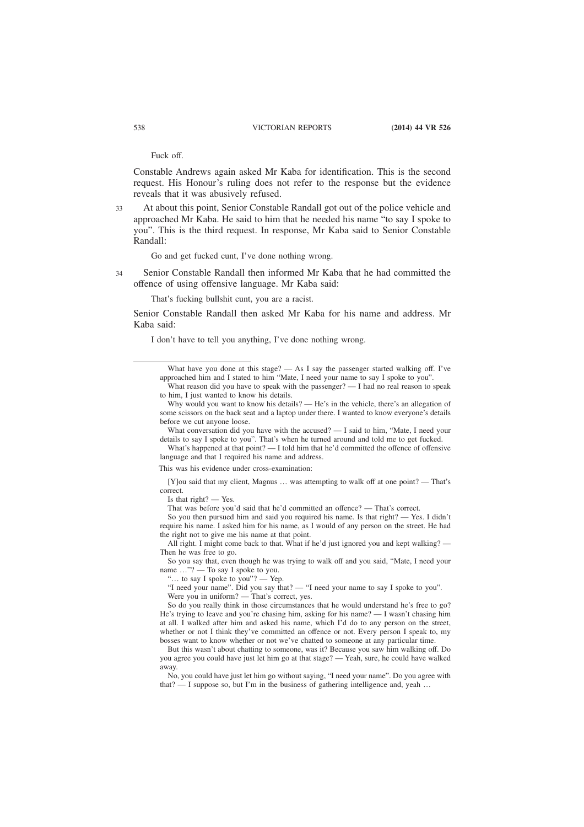Fuck off.

Constable Andrews again asked Mr Kaba for identification. This is the second request. His Honour's ruling does not refer to the response but the evidence reveals that it was abusively refused.

At about this point, Senior Constable Randall got out of the police vehicle and approached Mr Kaba. He said to him that he needed his name "to say I spoke to you". This is the third request. In response, Mr Kaba said to Senior Constable Randall: 33

Go and get fucked cunt, I've done nothing wrong.

Senior Constable Randall then informed Mr Kaba that he had committed the offence of using offensive language. Mr Kaba said: 34

That's fucking bullshit cunt, you are a racist.

Senior Constable Randall then asked Mr Kaba for his name and address. Mr Kaba said:

I don't have to tell you anything, I've done nothing wrong.

This was his evidence under cross-examination:

[Y]ou said that my client, Magnus … was attempting to walk off at one point? — That's correct.

Is that  $right?$  — Yes.

That was before you'd said that he'd committed an offence? — That's correct.

So you then pursued him and said you required his name. Is that right? — Yes. I didn't require his name. I asked him for his name, as I would of any person on the street. He had the right not to give me his name at that point.

All right. I might come back to that. What if he'd just ignored you and kept walking? — Then he was free to go.

So you say that, even though he was trying to walk off and you said, "Mate, I need your name …"? — To say I spoke to you.

"… to say I spoke to you"? — Yep.

"I need your name". Did you say that? — "I need your name to say I spoke to you". Were you in uniform? — That's correct, yes.

So do you really think in those circumstances that he would understand he's free to go? He's trying to leave and you're chasing him, asking for his name?  $- I$  wasn't chasing him at all. I walked after him and asked his name, which I'd do to any person on the street, whether or not I think they've committed an offence or not. Every person I speak to, my bosses want to know whether or not we've chatted to someone at any particular time.

But this wasn't about chatting to someone, was it? Because you saw him walking off. Do you agree you could have just let him go at that stage? — Yeah, sure, he could have walked away.

No, you could have just let him go without saying, "I need your name". Do you agree with that? — I suppose so, but I'm in the business of gathering intelligence and, yeah …

What have you done at this stage? — As I say the passenger started walking off. I've approached him and I stated to him "Mate, I need your name to say I spoke to you".

What reason did you have to speak with the passenger? — I had no real reason to speak to him, I just wanted to know his details.

Why would you want to know his details? — He's in the vehicle, there's an allegation of some scissors on the back seat and a laptop under there. I wanted to know everyone's details before we cut anyone loose.

What conversation did you have with the accused? — I said to him, "Mate, I need your details to say I spoke to you". That's when he turned around and told me to get fucked.

What's happened at that point? — I told him that he'd committed the offence of offensive language and that I required his name and address.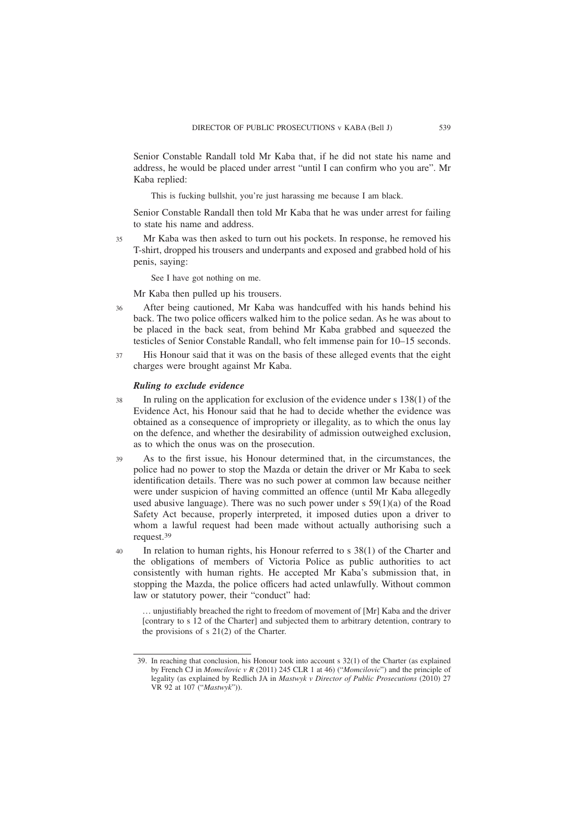Senior Constable Randall told Mr Kaba that, if he did not state his name and address, he would be placed under arrest "until I can confirm who you are". Mr Kaba replied:

This is fucking bullshit, you're just harassing me because I am black.

Senior Constable Randall then told Mr Kaba that he was under arrest for failing to state his name and address.

Mr Kaba was then asked to turn out his pockets. In response, he removed his T-shirt, dropped his trousers and underpants and exposed and grabbed hold of his penis, saying: 35

See I have got nothing on me.

Mr Kaba then pulled up his trousers.

- After being cautioned, Mr Kaba was handcuffed with his hands behind his back. The two police officers walked him to the police sedan. As he was about to be placed in the back seat, from behind Mr Kaba grabbed and squeezed the testicles of Senior Constable Randall, who felt immense pain for 10–15 seconds. 36
- His Honour said that it was on the basis of these alleged events that the eight charges were brought against Mr Kaba. 37

#### *Ruling to exclude evidence*

- In ruling on the application for exclusion of the evidence under s 138(1) of the Evidence Act, his Honour said that he had to decide whether the evidence was obtained as a consequence of impropriety or illegality, as to which the onus lay on the defence, and whether the desirability of admission outweighed exclusion, as to which the onus was on the prosecution. 38
- As to the first issue, his Honour determined that, in the circumstances, the police had no power to stop the Mazda or detain the driver or Mr Kaba to seek identification details. There was no such power at common law because neither were under suspicion of having committed an offence (until Mr Kaba allegedly used abusive language). There was no such power under s 59(1)(a) of the Road Safety Act because, properly interpreted, it imposed duties upon a driver to whom a lawful request had been made without actually authorising such a request.39 39
- In relation to human rights, his Honour referred to s 38(1) of the Charter and the obligations of members of Victoria Police as public authorities to act consistently with human rights. He accepted Mr Kaba's submission that, in stopping the Mazda, the police officers had acted unlawfully. Without common law or statutory power, their "conduct" had: 40

… unjustifiably breached the right to freedom of movement of [Mr] Kaba and the driver [contrary to s 12 of the Charter] and subjected them to arbitrary detention, contrary to the provisions of s 21(2) of the Charter.

<sup>39.</sup> In reaching that conclusion, his Honour took into account s 32(1) of the Charter (as explained by French CJ in *Momcilovic v R* (2011) 245 CLR 1 at 46) ("*Momcilovic*") and the principle of legality (as explained by Redlich JA in *Mastwyk v Director of Public Prosecutions* (2010) 27 VR 92 at 107 ("*Mastwyk*")).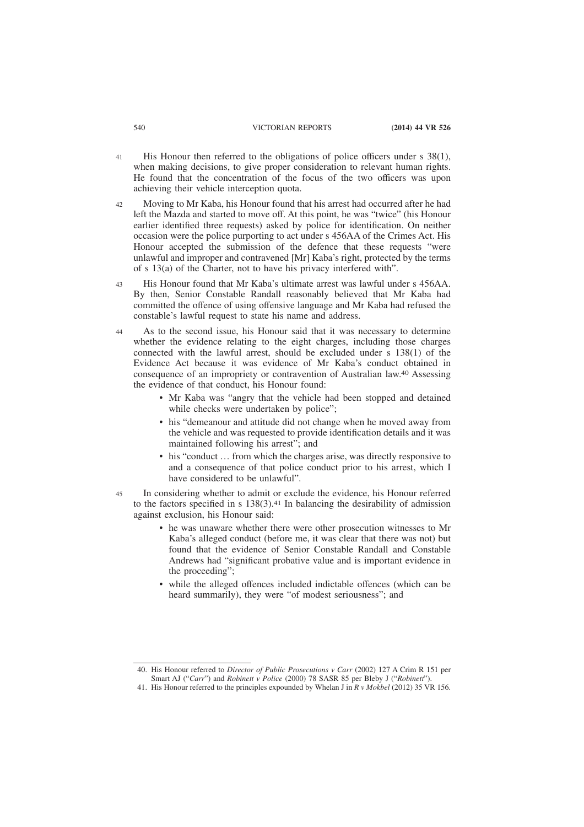- His Honour then referred to the obligations of police officers under s 38(1), when making decisions, to give proper consideration to relevant human rights. He found that the concentration of the focus of the two officers was upon achieving their vehicle interception quota. 41
- Moving to Mr Kaba, his Honour found that his arrest had occurred after he had left the Mazda and started to move off. At this point, he was "twice" (his Honour earlier identified three requests) asked by police for identification. On neither occasion were the police purporting to act under s 456AA of the Crimes Act. His Honour accepted the submission of the defence that these requests "were unlawful and improper and contravened [Mr] Kaba's right, protected by the terms of s 13(a) of the Charter, not to have his privacy interfered with".  $42$
- His Honour found that Mr Kaba's ultimate arrest was lawful under s 456AA. By then, Senior Constable Randall reasonably believed that Mr Kaba had committed the offence of using offensive language and Mr Kaba had refused the constable's lawful request to state his name and address. 43
- As to the second issue, his Honour said that it was necessary to determine whether the evidence relating to the eight charges, including those charges connected with the lawful arrest, should be excluded under s 138(1) of the Evidence Act because it was evidence of Mr Kaba's conduct obtained in consequence of an impropriety or contravention of Australian law.40 Assessing the evidence of that conduct, his Honour found: 44
	- Mr Kaba was "angry that the vehicle had been stopped and detained while checks were undertaken by police";
	- his "demeanour and attitude did not change when he moved away from the vehicle and was requested to provide identification details and it was maintained following his arrest"; and
	- his "conduct ... from which the charges arise, was directly responsive to and a consequence of that police conduct prior to his arrest, which I have considered to be unlawful".
- In considering whether to admit or exclude the evidence, his Honour referred to the factors specified in s  $138(3)$ .<sup>41</sup> In balancing the desirability of admission against exclusion, his Honour said: 45
	- he was unaware whether there were other prosecution witnesses to Mr Kaba's alleged conduct (before me, it was clear that there was not) but found that the evidence of Senior Constable Randall and Constable Andrews had "significant probative value and is important evidence in the proceeding";
	- while the alleged offences included indictable offences (which can be heard summarily), they were "of modest seriousness"; and

41. His Honour referred to the principles expounded by Whelan J in *R v Mokbel* (2012) 35 VR 156.

<sup>40.</sup> His Honour referred to *Director of Public Prosecutions v Carr* (2002) 127 A Crim R 151 per Smart AJ ("*Carr*") and *Robinett v Police* (2000) 78 SASR 85 per Bleby J ("*Robinett*").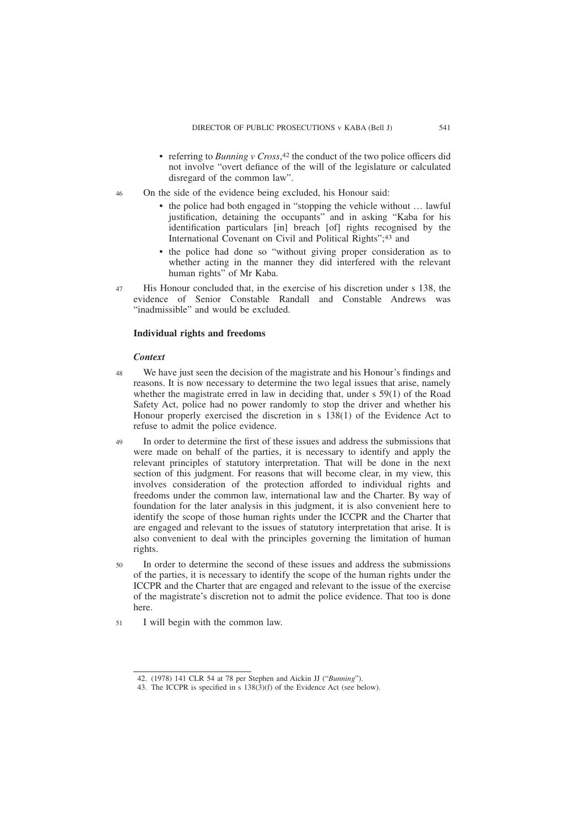- referring to *Bunning v Cross*, 42 the conduct of the two police officers did not involve "overt defiance of the will of the legislature or calculated disregard of the common law".
- On the side of the evidence being excluded, his Honour said: 46
	- the police had both engaged in "stopping the vehicle without ... lawful justification, detaining the occupants" and in asking "Kaba for his identification particulars [in] breach [of] rights recognised by the International Covenant on Civil and Political Rights";43 and
	- the police had done so "without giving proper consideration as to whether acting in the manner they did interfered with the relevant human rights" of Mr Kaba.
- His Honour concluded that, in the exercise of his discretion under s 138, the evidence of Senior Constable Randall and Constable Andrews was "inadmissible" and would be excluded. 47

# **Individual rights and freedoms**

#### *Context*

- We have just seen the decision of the magistrate and his Honour's findings and reasons. It is now necessary to determine the two legal issues that arise, namely whether the magistrate erred in law in deciding that, under s 59(1) of the Road Safety Act, police had no power randomly to stop the driver and whether his Honour properly exercised the discretion in s 138(1) of the Evidence Act to refuse to admit the police evidence. 48
- In order to determine the first of these issues and address the submissions that were made on behalf of the parties, it is necessary to identify and apply the relevant principles of statutory interpretation. That will be done in the next section of this judgment. For reasons that will become clear, in my view, this involves consideration of the protection afforded to individual rights and freedoms under the common law, international law and the Charter. By way of foundation for the later analysis in this judgment, it is also convenient here to identify the scope of those human rights under the ICCPR and the Charter that are engaged and relevant to the issues of statutory interpretation that arise. It is also convenient to deal with the principles governing the limitation of human rights. 49
- In order to determine the second of these issues and address the submissions of the parties, it is necessary to identify the scope of the human rights under the ICCPR and the Charter that are engaged and relevant to the issue of the exercise of the magistrate's discretion not to admit the police evidence. That too is done here. 50
- I will begin with the common law. 51

<sup>42. (1978) 141</sup> CLR 54 at 78 per Stephen and Aickin JJ ("*Bunning*").

<sup>43.</sup> The ICCPR is specified in s 138(3)(f) of the Evidence Act (see below).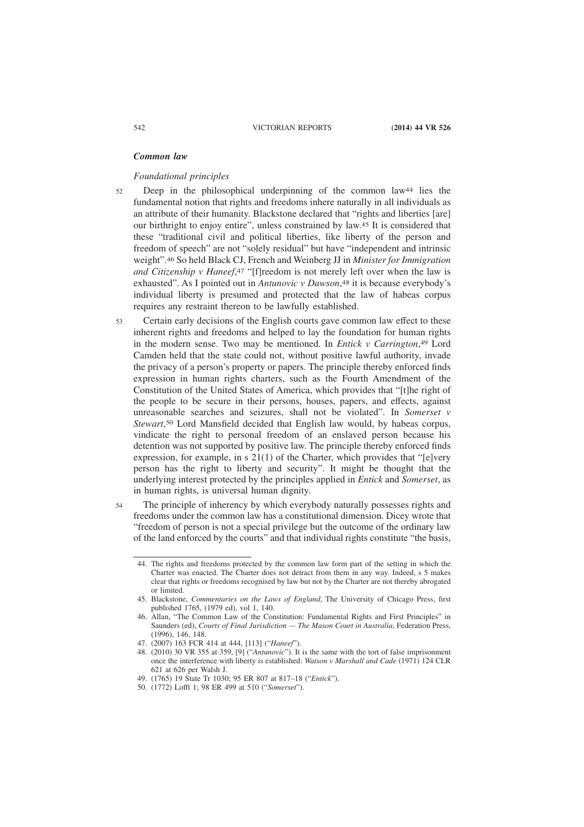### *Common law*

#### *Foundational principles*

- Deep in the philosophical underpinning of the common law44 lies the fundamental notion that rights and freedoms inhere naturally in all individuals as an attribute of their humanity. Blackstone declared that "rights and liberties [are] our birthright to enjoy entire", unless constrained by law.45 It is considered that these "traditional civil and political liberties, like liberty of the person and freedom of speech" are not "solely residual" but have "independent and intrinsic weight".46 So held Black CJ, French and Weinberg JJ in *Minister for Immigration and Citizenship v Haneef*, 47 "[f]reedom is not merely left over when the law is exhausted". As I pointed out in *Antunovic v Dawson*, 48 it is because everybody's individual liberty is presumed and protected that the law of habeas corpus requires any restraint thereon to be lawfully established. 52
- Certain early decisions of the English courts gave common law effect to these inherent rights and freedoms and helped to lay the foundation for human rights in the modern sense. Two may be mentioned. In *Entick v Carrington*, 49 Lord Camden held that the state could not, without positive lawful authority, invade the privacy of a person's property or papers. The principle thereby enforced finds expression in human rights charters, such as the Fourth Amendment of the Constitution of the United States of America, which provides that "[t]he right of the people to be secure in their persons, houses, papers, and effects, against unreasonable searches and seizures, shall not be violated". In *Somerset v Stewart*, 50 Lord Mansfield decided that English law would, by habeas corpus, vindicate the right to personal freedom of an enslaved person because his detention was not supported by positive law. The principle thereby enforced finds expression, for example, in s 21(1) of the Charter, which provides that "[e]very person has the right to liberty and security". It might be thought that the underlying interest protected by the principles applied in *Entick* and *Somerset*, as in human rights, is universal human dignity. 53
- The principle of inherency by which everybody naturally possesses rights and freedoms under the common law has a constitutional dimension. Dicey wrote that "freedom of person is not a special privilege but the outcome of the ordinary law of the land enforced by the courts" and that individual rights constitute "the basis, 54

<sup>44.</sup> The rights and freedoms protected by the common law form part of the setting in which the Charter was enacted. The Charter does not detract from them in any way. Indeed, s 5 makes clear that rights or freedoms recognised by law but not by the Charter are not thereby abrogated or limited.

<sup>45.</sup> Blackstone, *Commentaries on the Laws of England*, The University of Chicago Press, first published 1765, (1979 ed), vol 1, 140.

<sup>46.</sup> Allan, "The Common Law of the Constitution: Fundamental Rights and First Principles" in Saunders (ed), *Courts of Final Jurisdiction — The Mason Court in Australia*, Federation Press, (1996), 146, 148.

<sup>47. (2007) 163</sup> FCR 414 at 444, [113] ("*Haneef*").

<sup>48. (2010) 30</sup> VR 355 at 359, [9] ("*Antunovic*"). It is the same with the tort of false imprisonment once the interference with liberty is established: *Watson v Marshall and Cade* (1971) 124 CLR 621 at 626 per Walsh J.

<sup>49. (1765) 19</sup> State Tr 1030; 95 ER 807 at 817–18 ("*Entick*").

<sup>50. (1772)</sup> Lofft 1; 98 ER 499 at 510 ("*Somerset*").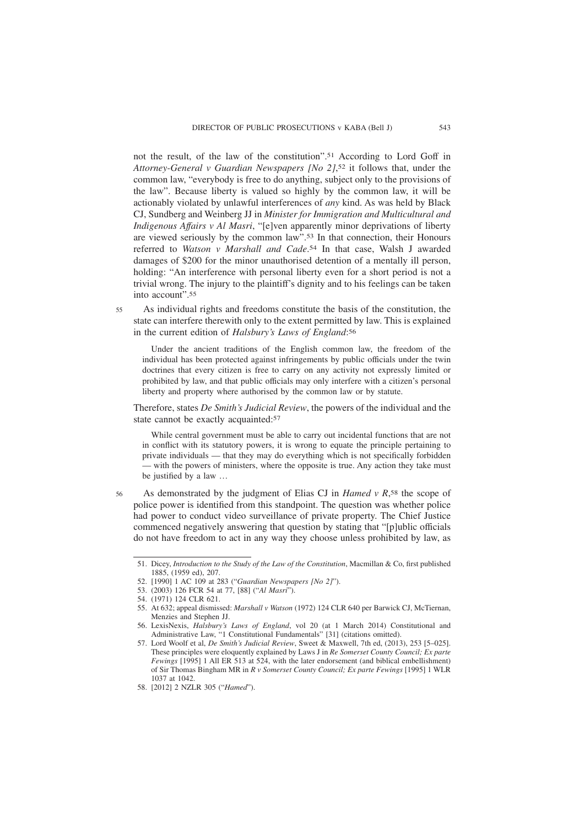not the result, of the law of the constitution".51 According to Lord Goff in *Attorney-General v Guardian Newspapers [No 2]*, 52 it follows that, under the common law, "everybody is free to do anything, subject only to the provisions of the law". Because liberty is valued so highly by the common law, it will be actionably violated by unlawful interferences of *any* kind. As was held by Black CJ, Sundberg and Weinberg JJ in *Minister for Immigration and Multicultural and Indigenous Affairs v Al Masri*, "[e]ven apparently minor deprivations of liberty are viewed seriously by the common law".53 In that connection, their Honours referred to *Watson v Marshall and Cade*. 54 In that case, Walsh J awarded damages of \$200 for the minor unauthorised detention of a mentally ill person, holding: "An interference with personal liberty even for a short period is not a trivial wrong. The injury to the plaintiff's dignity and to his feelings can be taken into account".55

As individual rights and freedoms constitute the basis of the constitution, the state can interfere therewith only to the extent permitted by law. This is explained in the current edition of *Halsbury's Laws of England*: 56

Under the ancient traditions of the English common law, the freedom of the individual has been protected against infringements by public officials under the twin doctrines that every citizen is free to carry on any activity not expressly limited or prohibited by law, and that public officials may only interfere with a citizen's personal liberty and property where authorised by the common law or by statute.

Therefore, states *De Smith's Judicial Review*, the powers of the individual and the state cannot be exactly acquainted:57

While central government must be able to carry out incidental functions that are not in conflict with its statutory powers, it is wrong to equate the principle pertaining to private individuals — that they may do everything which is not specifically forbidden — with the powers of ministers, where the opposite is true. Any action they take must be justified by a law …

As demonstrated by the judgment of Elias CJ in *Hamed v R*, 58 the scope of police power is identified from this standpoint. The question was whether police had power to conduct video surveillance of private property. The Chief Justice commenced negatively answering that question by stating that "[p]ublic officials do not have freedom to act in any way they choose unless prohibited by law, as 56

55

<sup>51.</sup> Dicey, *Introduction to the Study of the Law of the Constitution*, Macmillan & Co, first published 1885, (1959 ed), 207.

<sup>52. [1990] 1</sup> AC 109 at 283 ("*Guardian Newspapers [No 2]*").

<sup>53. (2003) 126</sup> FCR 54 at 77, [88] ("*Al Masri*").

<sup>54. (1971) 124</sup> CLR 621.

<sup>55.</sup> At 632; appeal dismissed: *Marshall v Watson* (1972) 124 CLR 640 per Barwick CJ, McTiernan, Menzies and Stephen JJ.

<sup>56.</sup> LexisNexis, *Halsbury's Laws of England*, vol 20 (at 1 March 2014) Constitutional and Administrative Law, "1 Constitutional Fundamentals" [31] (citations omitted).

<sup>57.</sup> Lord Woolf et al, *De Smith's Judicial Review*, Sweet & Maxwell, 7th ed, (2013), 253 [5–025]. These principles were eloquently explained by Laws J in *Re Somerset County Council; Ex parte Fewings* [1995] 1 All ER 513 at 524, with the later endorsement (and biblical embellishment) of Sir Thomas Bingham MR in *R v Somerset County Council; Ex parte Fewings* [1995] 1 WLR 1037 at 1042.

<sup>58. [2012] 2</sup> NZLR 305 ("*Hamed*").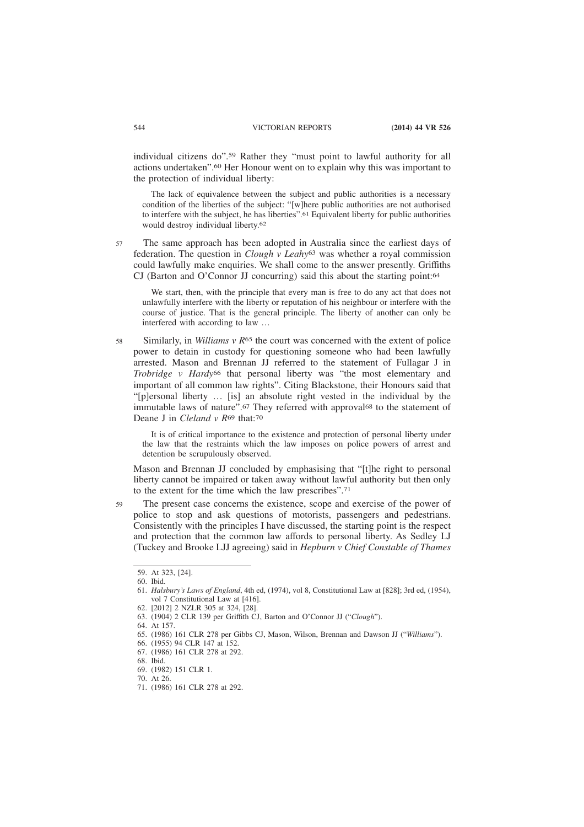individual citizens do".59 Rather they "must point to lawful authority for all actions undertaken".60 Her Honour went on to explain why this was important to the protection of individual liberty:

The lack of equivalence between the subject and public authorities is a necessary condition of the liberties of the subject: "[w]here public authorities are not authorised to interfere with the subject, he has liberties".61 Equivalent liberty for public authorities would destroy individual liberty.62

57

The same approach has been adopted in Australia since the earliest days of federation. The question in *Clough v Leahy*63 was whether a royal commission could lawfully make enquiries. We shall come to the answer presently. Griffiths CJ (Barton and O'Connor JJ concurring) said this about the starting point:64

We start, then, with the principle that every man is free to do any act that does not unlawfully interfere with the liberty or reputation of his neighbour or interfere with the course of justice. That is the general principle. The liberty of another can only be interfered with according to law …

Similarly, in *Williams v R*<sup>65</sup> the court was concerned with the extent of police power to detain in custody for questioning someone who had been lawfully arrested. Mason and Brennan JJ referred to the statement of Fullagar J in *Trobridge v Hardy*66 that personal liberty was "the most elementary and important of all common law rights". Citing Blackstone, their Honours said that "[p]ersonal liberty … [is] an absolute right vested in the individual by the immutable laws of nature".67 They referred with approval68 to the statement of Deane J in *Cleland v R*69 that:70 58

It is of critical importance to the existence and protection of personal liberty under the law that the restraints which the law imposes on police powers of arrest and detention be scrupulously observed.

Mason and Brennan JJ concluded by emphasising that "[t]he right to personal liberty cannot be impaired or taken away without lawful authority but then only to the extent for the time which the law prescribes".71

The present case concerns the existence, scope and exercise of the power of police to stop and ask questions of motorists, passengers and pedestrians. Consistently with the principles I have discussed, the starting point is the respect and protection that the common law affords to personal liberty. As Sedley LJ (Tuckey and Brooke LJJ agreeing) said in *Hepburn v Chief Constable of Thames*

59

<sup>59.</sup> At 323, [24].

<sup>60.</sup> Ibid.

<sup>61.</sup> *Halsbury's Laws of England*, 4th ed, (1974), vol 8, Constitutional Law at [828]; 3rd ed, (1954), vol 7 Constitutional Law at [416].

<sup>62. [2012] 2</sup> NZLR 305 at 324, [28].

<sup>63. (1904) 2</sup> CLR 139 per Griffith CJ, Barton and O'Connor JJ ("*Clough*").

<sup>64.</sup> At 157.

<sup>65. (1986) 161</sup> CLR 278 per Gibbs CJ, Mason, Wilson, Brennan and Dawson JJ ("*Williams*").

<sup>66. (1955) 94</sup> CLR 147 at 152.

<sup>67. (1986) 161</sup> CLR 278 at 292.

<sup>68.</sup> Ibid.

<sup>69. (1982) 151</sup> CLR 1.

<sup>70.</sup> At 26.

<sup>71. (1986) 161</sup> CLR 278 at 292.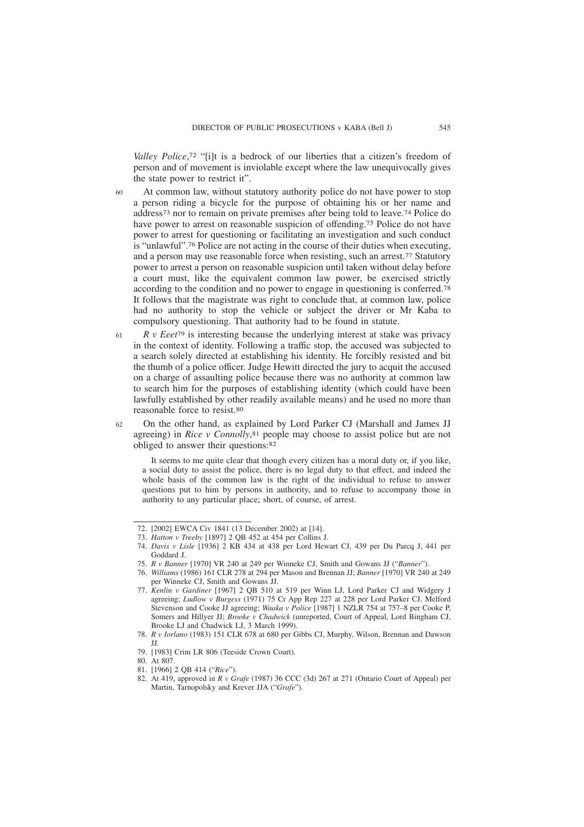*Valley Police*, 72 "[i]t is a bedrock of our liberties that a citizen's freedom of person and of movement is inviolable except where the law unequivocally gives the state power to restrict it".

- At common law, without statutory authority police do not have power to stop a person riding a bicycle for the purpose of obtaining his or her name and address73 nor to remain on private premises after being told to leave.74 Police do have power to arrest on reasonable suspicion of offending.75 Police do not have power to arrest for questioning or facilitating an investigation and such conduct is "unlawful".76 Police are not acting in the course of their duties when executing, and a person may use reasonable force when resisting, such an arrest.77 Statutory power to arrest a person on reasonable suspicion until taken without delay before a court must, like the equivalent common law power, be exercised strictly according to the condition and no power to engage in questioning is conferred.78 It follows that the magistrate was right to conclude that, at common law, police had no authority to stop the vehicle or subject the driver or Mr Kaba to compulsory questioning. That authority had to be found in statute. 60
- *R v Eeet*79 is interesting because the underlying interest at stake was privacy in the context of identity. Following a traffic stop, the accused was subjected to a search solely directed at establishing his identity. He forcibly resisted and bit the thumb of a police officer. Judge Hewitt directed the jury to acquit the accused on a charge of assaulting police because there was no authority at common law to search him for the purposes of establishing identity (which could have been lawfully established by other readily available means) and he used no more than reasonable force to resist.80 61
- On the other hand, as explained by Lord Parker CJ (Marshall and James JJ agreeing) in *Rice v Connolly*, 81 people may choose to assist police but are not obliged to answer their questions:82 62

It seems to me quite clear that though every citizen has a moral duty or, if you like, a social duty to assist the police, there is no legal duty to that effect, and indeed the whole basis of the common law is the right of the individual to refuse to answer questions put to him by persons in authority, and to refuse to accompany those in authority to any particular place; short, of course, of arrest.

<sup>72. [2002]</sup> EWCA Civ 1841 (13 December 2002) at [14].

<sup>73.</sup> *Hatton v Treeby* [1897] 2 QB 452 at 454 per Collins J.

<sup>74.</sup> *Davis v Lisle* [1936] 2 KB 434 at 438 per Lord Hewart CJ, 439 per Du Parcq J, 441 per Goddard J.

<sup>75.</sup> *R v Banner* [1970] VR 240 at 249 per Winneke CJ, Smith and Gowans JJ ("*Banner*").

<sup>76.</sup> *Williams* (1986) 161 CLR 278 at 294 per Mason and Brennan JJ; *Banner* [1970] VR 240 at 249 per Winneke CJ, Smith and Gowans JJ.

<sup>77.</sup> *Kenlin v Gardiner* [1967] 2 QB 510 at 519 per Winn LJ, Lord Parker CJ and Widgery J agreeing; *Ludlow v Burgess* (1971) 75 Cr App Rep 227 at 228 per Lord Parker CJ, Melford Stevenson and Cooke JJ agreeing; *Waaka v Police* [1987] 1 NZLR 754 at 757–8 per Cooke P, Somers and Hillyer JJ; *Brooke v Chadwick* (unreported, Court of Appeal, Lord Bingham CJ, Brooke LJ and Chadwick LJ, 3 March 1999).

<sup>78.</sup> *R v Iorlano* (1983) 151 CLR 678 at 680 per Gibbs CJ, Murphy, Wilson, Brennan and Dawson JJ.

<sup>79. [1983]</sup> Crim LR 806 (Teeside Crown Court).

<sup>80.</sup> At 807.

<sup>81. [1966] 2</sup> QB 414 ("*Rice*").

<sup>82.</sup> At 419, approved in *R v Grafe* (1987) 36 CCC (3d) 267 at 271 (Ontario Court of Appeal) per Martin, Tarnopolsky and Krever JJA ("*Grafe*").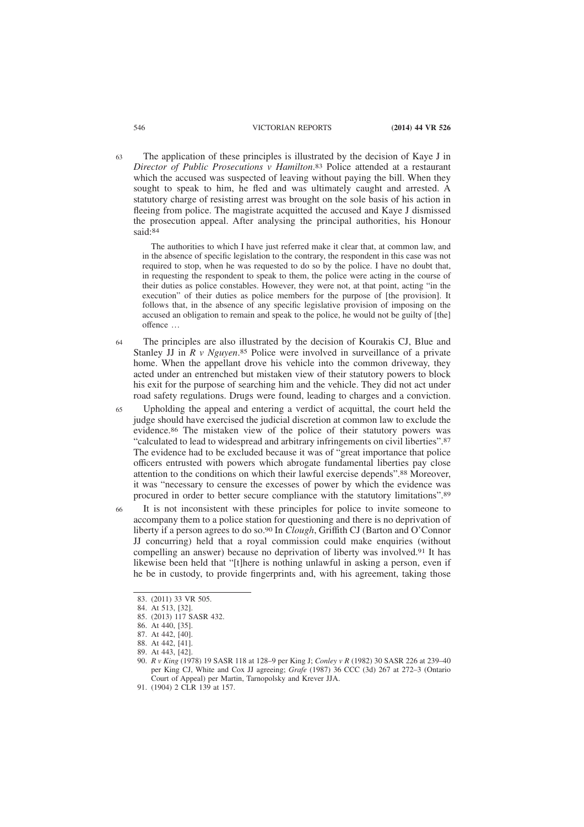The application of these principles is illustrated by the decision of Kaye J in *Director of Public Prosecutions v Hamilton*. 83 Police attended at a restaurant which the accused was suspected of leaving without paying the bill. When they sought to speak to him, he fled and was ultimately caught and arrested. A statutory charge of resisting arrest was brought on the sole basis of his action in fleeing from police. The magistrate acquitted the accused and Kaye J dismissed the prosecution appeal. After analysing the principal authorities, his Honour said:<sup>84</sup> 63

The authorities to which I have just referred make it clear that, at common law, and in the absence of specific legislation to the contrary, the respondent in this case was not required to stop, when he was requested to do so by the police. I have no doubt that, in requesting the respondent to speak to them, the police were acting in the course of their duties as police constables. However, they were not, at that point, acting "in the execution" of their duties as police members for the purpose of [the provision]. It follows that, in the absence of any specific legislative provision of imposing on the accused an obligation to remain and speak to the police, he would not be guilty of [the] offence …

- The principles are also illustrated by the decision of Kourakis CJ, Blue and Stanley JJ in *R v Nguyen*. 85 Police were involved in surveillance of a private home. When the appellant drove his vehicle into the common driveway, they acted under an entrenched but mistaken view of their statutory powers to block his exit for the purpose of searching him and the vehicle. They did not act under road safety regulations. Drugs were found, leading to charges and a conviction. 64
- Upholding the appeal and entering a verdict of acquittal, the court held the judge should have exercised the judicial discretion at common law to exclude the evidence.<sup>86</sup> The mistaken view of the police of their statutory powers was "calculated to lead to widespread and arbitrary infringements on civil liberties".87 The evidence had to be excluded because it was of "great importance that police officers entrusted with powers which abrogate fundamental liberties pay close attention to the conditions on which their lawful exercise depends".88 Moreover, it was "necessary to censure the excesses of power by which the evidence was procured in order to better secure compliance with the statutory limitations".89 65
- It is not inconsistent with these principles for police to invite someone to accompany them to a police station for questioning and there is no deprivation of liberty if a person agrees to do so.90 In *Clough*, Griffith CJ (Barton and O'Connor JJ concurring) held that a royal commission could make enquiries (without compelling an answer) because no deprivation of liberty was involved.91 It has likewise been held that "[t]here is nothing unlawful in asking a person, even if he be in custody, to provide fingerprints and, with his agreement, taking those 66

<sup>83. (2011) 33</sup> VR 505.

<sup>84.</sup> At 513, [32].

<sup>85. (2013) 117</sup> SASR 432.

<sup>86.</sup> At 440, [35].

<sup>87.</sup> At 442, [40].

<sup>88.</sup> At 442, [41].

<sup>89.</sup> At 443, [42].

<sup>90.</sup> *R v King* (1978) 19 SASR 118 at 128–9 per King J; *Conley v R* (1982) 30 SASR 226 at 239–40 per King CJ, White and Cox JJ agreeing; *Grafe* (1987) 36 CCC (3d) 267 at 272–3 (Ontario Court of Appeal) per Martin, Tarnopolsky and Krever JJA.

<sup>91. (1904) 2</sup> CLR 139 at 157.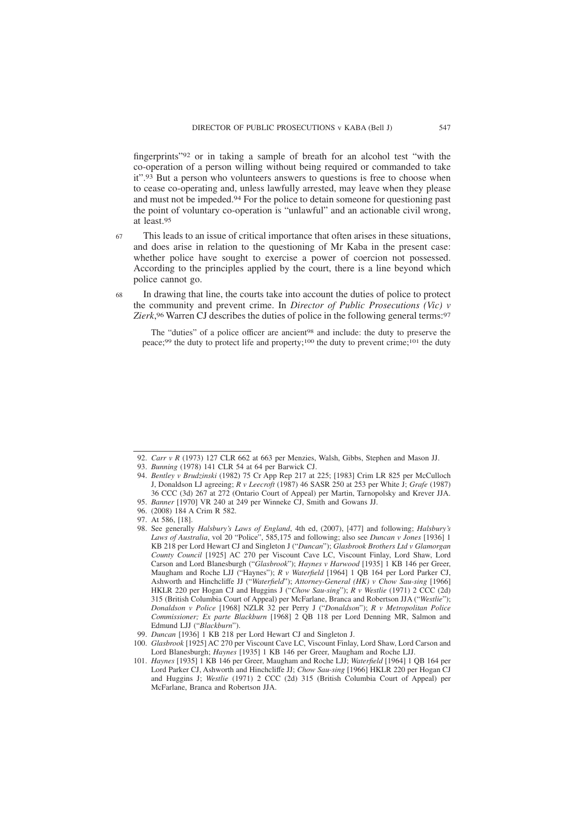fingerprints"92 or in taking a sample of breath for an alcohol test "with the co-operation of a person willing without being required or commanded to take it".93 But a person who volunteers answers to questions is free to choose when to cease co-operating and, unless lawfully arrested, may leave when they please and must not be impeded.94 For the police to detain someone for questioning past the point of voluntary co-operation is "unlawful" and an actionable civil wrong, at least.95

This leads to an issue of critical importance that often arises in these situations, and does arise in relation to the questioning of Mr Kaba in the present case: whether police have sought to exercise a power of coercion not possessed. According to the principles applied by the court, there is a line beyond which police cannot go. 67

68

In drawing that line, the courts take into account the duties of police to protect the community and prevent crime. In *Director of Public Prosecutions (Vic) v Zierk*, 96 Warren CJ describes the duties of police in the following general terms:97

The "duties" of a police officer are ancient<sup>98</sup> and include: the duty to preserve the peace;99 the duty to protect life and property;100 the duty to prevent crime;101 the duty

<sup>92.</sup> *Carr v R* (1973) 127 CLR 662 at 663 per Menzies, Walsh, Gibbs, Stephen and Mason JJ.

<sup>93.</sup> *Bunning* (1978) 141 CLR 54 at 64 per Barwick CJ.

<sup>94.</sup> *Bentley v Brudzinski* (1982) 75 Cr App Rep 217 at 225; [1983] Crim LR 825 per McCulloch J, Donaldson LJ agreeing; *R v Leecroft* (1987) 46 SASR 250 at 253 per White J; *Grafe* (1987) 36 CCC (3d) 267 at 272 (Ontario Court of Appeal) per Martin, Tarnopolsky and Krever JJA.

<sup>95.</sup> *Banner* [1970] VR 240 at 249 per Winneke CJ, Smith and Gowans JJ.

<sup>96. (2008) 184</sup> A Crim R 582.

<sup>97.</sup> At 586, [18].

<sup>98.</sup> See generally *Halsbury's Laws of England*, 4th ed, (2007), [477] and following; *Halsbury's Laws of Australia*, vol 20 "Police", 585,175 and following; also see *Duncan v Jones* [1936] 1 KB 218 per Lord Hewart CJ and Singleton J ("*Duncan*"); *Glasbrook Brothers Ltd v Glamorgan County Council* [1925] AC 270 per Viscount Cave LC, Viscount Finlay, Lord Shaw, Lord Carson and Lord Blanesburgh ("*Glasbrook*"); *Haynes v Harwood* [1935] 1 KB 146 per Greer, Maugham and Roche LJJ ("Haynes"); *R v Waterfield* [1964] 1 QB 164 per Lord Parker CJ, Ashworth and Hinchcliffe JJ ("*Waterfield*"); *Attorney-General (HK) v Chow Sau-sing* [1966] HKLR 220 per Hogan CJ and Huggins J ("*Chow Sau-sing*"); *R v Westlie* (1971) 2 CCC (2d) 315 (British Columbia Court of Appeal) per McFarlane, Branca and Robertson JJA ("*Westlie*"); *Donaldson v Police* [1968] NZLR 32 per Perry J ("*Donaldson*"); *R v Metropolitan Police Commissioner; Ex parte Blackburn* [1968] 2 QB 118 per Lord Denning MR, Salmon and Edmund LJJ ("*Blackburn*").

<sup>99.</sup> *Duncan* [1936] 1 KB 218 per Lord Hewart CJ and Singleton J.

<sup>100.</sup> *Glasbrook* [1925] AC 270 per Viscount Cave LC, Viscount Finlay, Lord Shaw, Lord Carson and Lord Blanesburgh; *Haynes* [1935] 1 KB 146 per Greer, Maugham and Roche LJJ.

<sup>101.</sup> *Haynes* [1935] 1 KB 146 per Greer, Maugham and Roche LJJ; *Waterfield* [1964] 1 QB 164 per Lord Parker CJ, Ashworth and Hinchcliffe JJ; *Chow Sau-sing* [1966] HKLR 220 per Hogan CJ and Huggins J; *Westlie* (1971) 2 CCC (2d) 315 (British Columbia Court of Appeal) per McFarlane, Branca and Robertson JJA.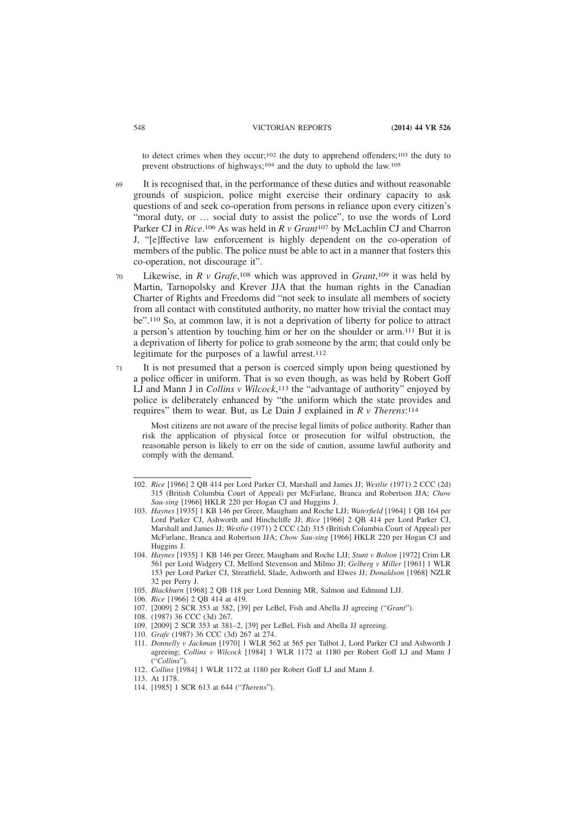to detect crimes when they occur;102 the duty to apprehend offenders;103 the duty to prevent obstructions of highways;104 and the duty to uphold the law.105

It is recognised that, in the performance of these duties and without reasonable grounds of suspicion, police might exercise their ordinary capacity to ask questions of and seek co-operation from persons in reliance upon every citizen's "moral duty, or … social duty to assist the police", to use the words of Lord Parker CJ in *Rice*. 106 As was held in *R v Grant*107 by McLachlin CJ and Charron J, "[e]ffective law enforcement is highly dependent on the co-operation of members of the public. The police must be able to act in a manner that fosters this co-operation, not discourage it". 69

- Likewise, in *R v Grafe*,<sup>108</sup> which was approved in *Grant*,<sup>109</sup> it was held by Martin, Tarnopolsky and Krever JJA that the human rights in the Canadian Charter of Rights and Freedoms did "not seek to insulate all members of society from all contact with constituted authority, no matter how trivial the contact may be".110 So, at common law, it is not a deprivation of liberty for police to attract a person's attention by touching him or her on the shoulder or arm.111 But it is a deprivation of liberty for police to grab someone by the arm; that could only be legitimate for the purposes of a lawful arrest.112 70
- It is not presumed that a person is coerced simply upon being questioned by a police officer in uniform. That is so even though, as was held by Robert Goff LJ and Mann J in *Collins v Wilcock*, 113 the "advantage of authority" enjoyed by police is deliberately enhanced by "the uniform which the state provides and requires" them to wear. But, as Le Dain J explained in *R v Therens*: 114 71

Most citizens are not aware of the precise legal limits of police authority. Rather than risk the application of physical force or prosecution for wilful obstruction, the reasonable person is likely to err on the side of caution, assume lawful authority and comply with the demand.

106. *Rice* [1966] 2 QB 414 at 419.

- 110. *Grafe* (1987) 36 CCC (3d) 267 at 274.
- 111. *Donnelly v Jackman* [1970] 1 WLR 562 at 565 per Talbot J, Lord Parker CJ and Ashworth J agreeing; *Collins v Wilcock* [1984] 1 WLR 1172 at 1180 per Robert Goff LJ and Mann J ("*Collins*").
- 112. *Collins* [1984] 1 WLR 1172 at 1180 per Robert Goff LJ and Mann J.

114. [1985] 1 SCR 613 at 644 ("*Therens*").

<sup>102.</sup> *Rice* [1966] 2 QB 414 per Lord Parker CJ, Marshall and James JJ; *Westlie* (1971) 2 CCC (2d) 315 (British Columbia Court of Appeal) per McFarlane, Branca and Robertson JJA; *Chow Sau-sing* [1966] HKLR 220 per Hogan CJ and Huggins J.

<sup>103.</sup> *Haynes* [1935] 1 KB 146 per Greer, Maugham and Roche LJJ; *Waterfield* [1964] 1 QB 164 per Lord Parker CJ, Ashworth and Hinchcliffe JJ; *Rice* [1966] 2 QB 414 per Lord Parker CJ, Marshall and James JJ; *Westlie* (1971) 2 CCC (2d) 315 (British Columbia Court of Appeal) per McFarlane, Branca and Robertson JJA; *Chow Sau-sing* [1966] HKLR 220 per Hogan CJ and Huggins J.

<sup>104.</sup> *Haynes* [1935] 1 KB 146 per Greer, Maugham and Roche LJJ; *Stunt v Bolton* [1972] Crim LR 561 per Lord Widgery CJ, Melford Stevenson and Milmo JJ; *Gelberg v Miller* [1961] 1 WLR 153 per Lord Parker CJ, Streatfield, Slade, Ashworth and Elwes JJ; *Donaldson* [1968] NZLR 32 per Perry J.

<sup>105.</sup> *Blackburn* [1968] 2 QB 118 per Lord Denning MR, Salmon and Edmund LJJ.

<sup>107. [2009] 2</sup> SCR 353 at 382, [39] per LeBel, Fish and Abella JJ agreeing ("*Grant*").

<sup>108. (1987) 36</sup> CCC (3d) 267.

<sup>109. [2009] 2</sup> SCR 353 at 381–2, [39] per LeBel, Fish and Abella JJ agreeing.

<sup>113.</sup> At 1178.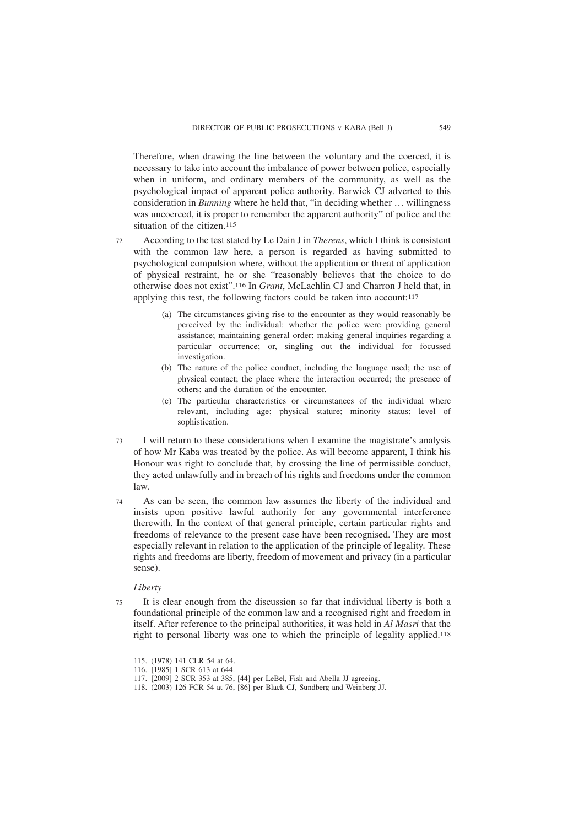Therefore, when drawing the line between the voluntary and the coerced, it is necessary to take into account the imbalance of power between police, especially when in uniform, and ordinary members of the community, as well as the psychological impact of apparent police authority. Barwick CJ adverted to this consideration in *Bunning* where he held that, "in deciding whether … willingness was uncoerced, it is proper to remember the apparent authority" of police and the situation of the citizen.<sup>115</sup>

- According to the test stated by Le Dain J in *Therens*, which I think is consistent with the common law here, a person is regarded as having submitted to psychological compulsion where, without the application or threat of application of physical restraint, he or she "reasonably believes that the choice to do otherwise does not exist".116 In *Grant*, McLachlin CJ and Charron J held that, in applying this test, the following factors could be taken into account: $117$ 72
	- (a) The circumstances giving rise to the encounter as they would reasonably be perceived by the individual: whether the police were providing general assistance; maintaining general order; making general inquiries regarding a particular occurrence; or, singling out the individual for focussed investigation.
	- (b) The nature of the police conduct, including the language used; the use of physical contact; the place where the interaction occurred; the presence of others; and the duration of the encounter.
	- (c) The particular characteristics or circumstances of the individual where relevant, including age; physical stature; minority status; level of sophistication.
- I will return to these considerations when I examine the magistrate's analysis of how Mr Kaba was treated by the police. As will become apparent, I think his Honour was right to conclude that, by crossing the line of permissible conduct, they acted unlawfully and in breach of his rights and freedoms under the common law. 73
- As can be seen, the common law assumes the liberty of the individual and insists upon positive lawful authority for any governmental interference therewith. In the context of that general principle, certain particular rights and freedoms of relevance to the present case have been recognised. They are most especially relevant in relation to the application of the principle of legality. These rights and freedoms are liberty, freedom of movement and privacy (in a particular sense). 74

# *Liberty*

It is clear enough from the discussion so far that individual liberty is both a foundational principle of the common law and a recognised right and freedom in itself. After reference to the principal authorities, it was held in *Al Masri* that the right to personal liberty was one to which the principle of legality applied.118 75

<sup>115. (1978) 141</sup> CLR 54 at 64.

<sup>116. [1985] 1</sup> SCR 613 at 644.

<sup>117. [2009] 2</sup> SCR 353 at 385, [44] per LeBel, Fish and Abella JJ agreeing.

<sup>118. (2003) 126</sup> FCR 54 at 76, [86] per Black CJ, Sundberg and Weinberg JJ.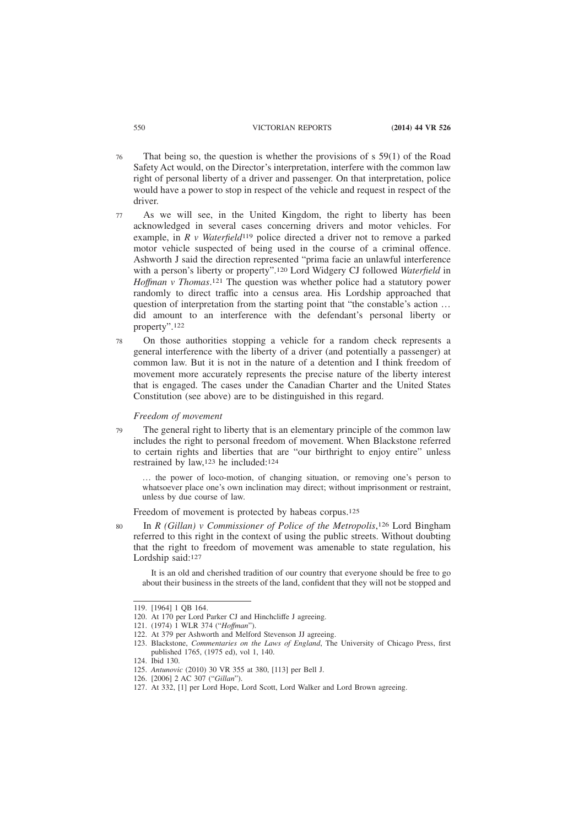- That being so, the question is whether the provisions of s 59(1) of the Road Safety Act would, on the Director's interpretation, interfere with the common law right of personal liberty of a driver and passenger. On that interpretation, police would have a power to stop in respect of the vehicle and request in respect of the driver. 76
- As we will see, in the United Kingdom, the right to liberty has been acknowledged in several cases concerning drivers and motor vehicles. For example, in *R v Waterfield*119 police directed a driver not to remove a parked motor vehicle suspected of being used in the course of a criminal offence. Ashworth J said the direction represented "prima facie an unlawful interference with a person's liberty or property".120 Lord Widgery CJ followed *Waterfield* in *Hoffman v Thomas*. 121 The question was whether police had a statutory power randomly to direct traffic into a census area. His Lordship approached that question of interpretation from the starting point that "the constable's action ... did amount to an interference with the defendant's personal liberty or property".122 77
- On those authorities stopping a vehicle for a random check represents a general interference with the liberty of a driver (and potentially a passenger) at common law. But it is not in the nature of a detention and I think freedom of movement more accurately represents the precise nature of the liberty interest that is engaged. The cases under the Canadian Charter and the United States Constitution (see above) are to be distinguished in this regard. 78

#### *Freedom of movement*

The general right to liberty that is an elementary principle of the common law includes the right to personal freedom of movement. When Blackstone referred to certain rights and liberties that are "our birthright to enjoy entire" unless restrained by law,123 he included:124 79

… the power of loco-motion, of changing situation, or removing one's person to whatsoever place one's own inclination may direct; without imprisonment or restraint, unless by due course of law.

Freedom of movement is protected by habeas corpus.125

In *R* (Gillan) v Commissioner of Police of the Metropolis,<sup>126</sup> Lord Bingham referred to this right in the context of using the public streets. Without doubting that the right to freedom of movement was amenable to state regulation, his Lordship said:127

It is an old and cherished tradition of our country that everyone should be free to go about their business in the streets of the land, confident that they will not be stopped and

122. At 379 per Ashworth and Melford Stevenson JJ agreeing.

80

<sup>119. [1964] 1</sup> QB 164.

<sup>120.</sup> At 170 per Lord Parker CJ and Hinchcliffe J agreeing.

<sup>121. (1974) 1</sup> WLR 374 ("*Hoffman*").

<sup>123.</sup> Blackstone, *Commentaries on the Laws of England*, The University of Chicago Press, first published 1765, (1975 ed), vol 1, 140.

<sup>124.</sup> Ibid 130.

<sup>125.</sup> *Antunovic* (2010) 30 VR 355 at 380, [113] per Bell J.

<sup>126. [2006] 2</sup> AC 307 ("*Gillan*").

<sup>127.</sup> At 332, [1] per Lord Hope, Lord Scott, Lord Walker and Lord Brown agreeing.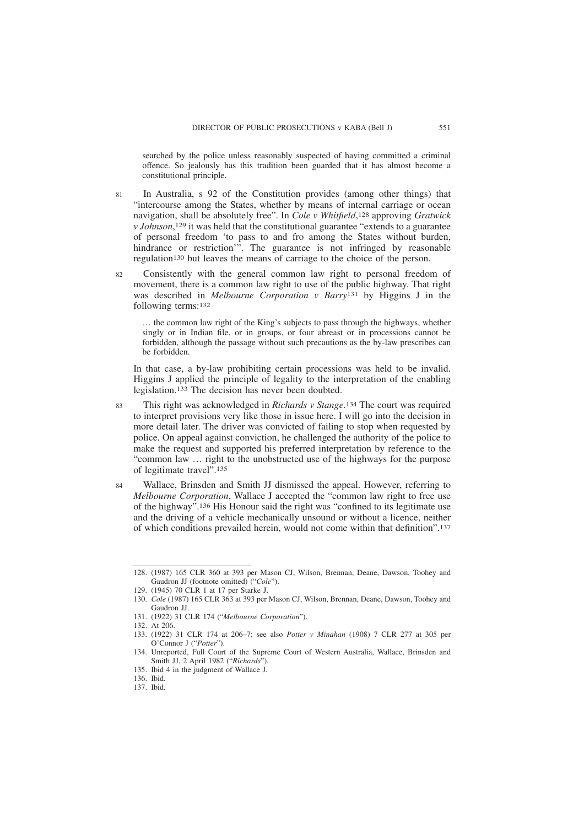searched by the police unless reasonably suspected of having committed a criminal offence. So jealously has this tradition been guarded that it has almost become a constitutional principle.

- In Australia, s 92 of the Constitution provides (among other things) that "intercourse among the States, whether by means of internal carriage or ocean navigation, shall be absolutely free". In *Cole v Whitfield*, 128 approving *Gratwick v Johnson*, 129 it was held that the constitutional guarantee "extends to a guarantee of personal freedom 'to pass to and fro among the States without burden, hindrance or restriction'". The guarantee is not infringed by reasonable regulation130 but leaves the means of carriage to the choice of the person. 81
- Consistently with the general common law right to personal freedom of movement, there is a common law right to use of the public highway. That right was described in *Melbourne Corporation v Barry*131 by Higgins J in the following terms:132 82

… the common law right of the King's subjects to pass through the highways, whether singly or in Indian file, or in groups, or four abreast or in processions cannot be forbidden, although the passage without such precautions as the by-law prescribes can be forbidden.

In that case, a by-law prohibiting certain processions was held to be invalid. Higgins J applied the principle of legality to the interpretation of the enabling legislation.133 The decision has never been doubted.

- This right was acknowledged in *Richards v Stange*. 134 The court was required to interpret provisions very like those in issue here. I will go into the decision in more detail later. The driver was convicted of failing to stop when requested by police. On appeal against conviction, he challenged the authority of the police to make the request and supported his preferred interpretation by reference to the "common law … right to the unobstructed use of the highways for the purpose of legitimate travel".135 83
- Wallace, Brinsden and Smith JJ dismissed the appeal. However, referring to *Melbourne Corporation*, Wallace J accepted the "common law right to free use of the highway".136 His Honour said the right was "confined to its legitimate use and the driving of a vehicle mechanically unsound or without a licence, neither of which conditions prevailed herein, would not come within that definition".137 84

<sup>128. (1987) 165</sup> CLR 360 at 393 per Mason CJ, Wilson, Brennan, Deane, Dawson, Toohey and Gaudron JJ (footnote omitted) ("*Cole*").

<sup>129. (1945) 70</sup> CLR 1 at 17 per Starke J.

<sup>130.</sup> *Cole* (1987) 165 CLR 363 at 393 per Mason CJ, Wilson, Brennan, Deane, Dawson, Toohey and Gaudron JJ.

<sup>131. (1922) 31</sup> CLR 174 ("*Melbourne Corporation*").

<sup>132.</sup> At 206.

<sup>133. (1922) 31</sup> CLR 174 at 206–7; see also *Potter v Minahan* (1908) 7 CLR 277 at 305 per O'Connor J ("*Potter*").

<sup>134.</sup> Unreported, Full Court of the Supreme Court of Western Australia, Wallace, Brinsden and Smith JJ, 2 April 1982 ("*Richards*").

<sup>135.</sup> Ibid 4 in the judgment of Wallace J.

<sup>136.</sup> Ibid.

<sup>137.</sup> Ibid.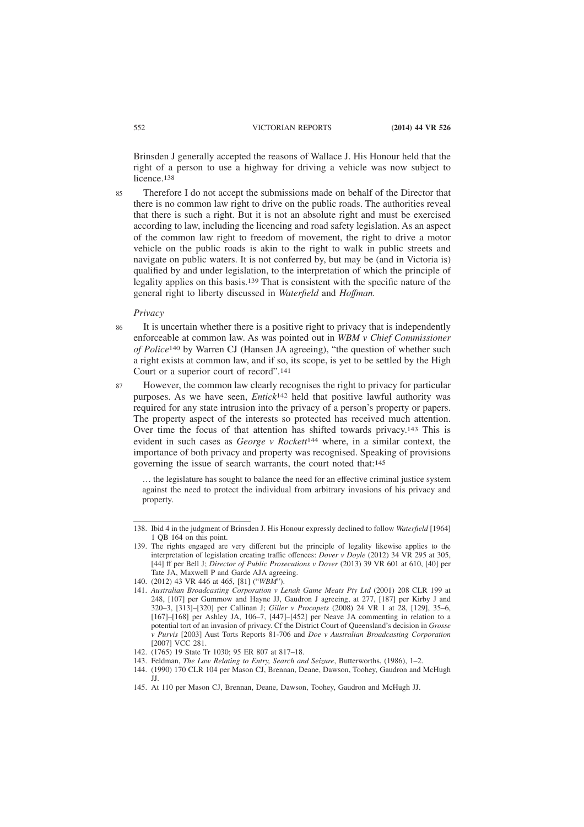Brinsden J generally accepted the reasons of Wallace J. His Honour held that the right of a person to use a highway for driving a vehicle was now subject to licence.<sup>138</sup>

Therefore I do not accept the submissions made on behalf of the Director that there is no common law right to drive on the public roads. The authorities reveal that there is such a right. But it is not an absolute right and must be exercised according to law, including the licencing and road safety legislation. As an aspect of the common law right to freedom of movement, the right to drive a motor vehicle on the public roads is akin to the right to walk in public streets and navigate on public waters. It is not conferred by, but may be (and in Victoria is) qualified by and under legislation, to the interpretation of which the principle of legality applies on this basis.139 That is consistent with the specific nature of the general right to liberty discussed in *Waterfield* and *Hoffman.* 85

#### *Privacy*

It is uncertain whether there is a positive right to privacy that is independently enforceable at common law. As was pointed out in *WBM v Chief Commissioner of Police*140 by Warren CJ (Hansen JA agreeing), "the question of whether such a right exists at common law, and if so, its scope, is yet to be settled by the High Court or a superior court of record".141 86

However, the common law clearly recognises the right to privacy for particular purposes. As we have seen, *Entick*142 held that positive lawful authority was required for any state intrusion into the privacy of a person's property or papers. The property aspect of the interests so protected has received much attention. Over time the focus of that attention has shifted towards privacy.143 This is evident in such cases as *George v Rockett*144 where, in a similar context, the importance of both privacy and property was recognised. Speaking of provisions governing the issue of search warrants, the court noted that:145 87

… the legislature has sought to balance the need for an effective criminal justice system against the need to protect the individual from arbitrary invasions of his privacy and property.

<sup>138.</sup> Ibid 4 in the judgment of Brinsden J. His Honour expressly declined to follow *Waterfield* [1964] 1 QB 164 on this point.

<sup>139.</sup> The rights engaged are very different but the principle of legality likewise applies to the interpretation of legislation creating traffic offences: *Dover v Doyle* (2012) 34 VR 295 at 305, [44] ff per Bell J; *Director of Public Prosecutions v Dover* (2013) 39 VR 601 at 610, [40] per Tate JA, Maxwell P and Garde AJA agreeing.

<sup>140. (2012) 43</sup> VR 446 at 465, [81] ("*WBM*").

<sup>141.</sup> *Australian Broadcasting Corporation v Lenah Game Meats Pty Ltd* (2001) 208 CLR 199 at 248, [107] per Gummow and Hayne JJ, Gaudron J agreeing, at 277, [187] per Kirby J and 320–3, [313]–[320] per Callinan J; *Giller v Procopets* (2008) 24 VR 1 at 28, [129], 35–6, [167]–[168] per Ashley JA, 106–7, [447]–[452] per Neave JA commenting in relation to a potential tort of an invasion of privacy. Cf the District Court of Queensland's decision in *Grosse v Purvis* [2003] Aust Torts Reports 81-706 and *Doe v Australian Broadcasting Corporation* [2007] VCC 281.

<sup>142. (1765) 19</sup> State Tr 1030; 95 ER 807 at 817–18.

<sup>143.</sup> Feldman, *The Law Relating to Entry, Search and Seizure*, Butterworths, (1986), 1–2.

<sup>144. (1990) 170</sup> CLR 104 per Mason CJ, Brennan, Deane, Dawson, Toohey, Gaudron and McHugh JJ.

<sup>145.</sup> At 110 per Mason CJ, Brennan, Deane, Dawson, Toohey, Gaudron and McHugh JJ.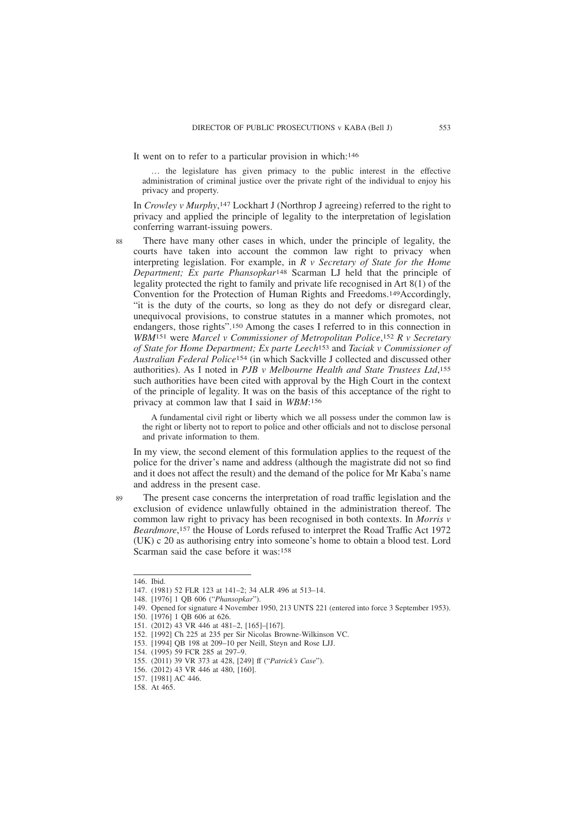It went on to refer to a particular provision in which:146

… the legislature has given primacy to the public interest in the effective administration of criminal justice over the private right of the individual to enjoy his privacy and property.

In *Crowley v Murphy*, 147 Lockhart J (Northrop J agreeing) referred to the right to privacy and applied the principle of legality to the interpretation of legislation conferring warrant-issuing powers.

88

There have many other cases in which, under the principle of legality, the courts have taken into account the common law right to privacy when interpreting legislation. For example, in *R v Secretary of State for the Home Department; Ex parte Phansopkar*148 Scarman LJ held that the principle of legality protected the right to family and private life recognised in Art 8(1) of the Convention for the Protection of Human Rights and Freedoms.149Accordingly, "it is the duty of the courts, so long as they do not defy or disregard clear, unequivocal provisions, to construe statutes in a manner which promotes, not endangers, those rights".150 Among the cases I referred to in this connection in *WBM*151 were *Marcel v Commissioner of Metropolitan Police*, 152 *R v Secretary of State for Home Department; Ex parte Leech*153 and *Taciak v Commissioner of Australian Federal Police*154 (in which Sackville J collected and discussed other authorities). As I noted in *PJB v Melbourne Health and State Trustees Ltd*, 155 such authorities have been cited with approval by the High Court in the context of the principle of legality. It was on the basis of this acceptance of the right to privacy at common law that I said in *WBM*: 156

A fundamental civil right or liberty which we all possess under the common law is the right or liberty not to report to police and other officials and not to disclose personal and private information to them.

In my view, the second element of this formulation applies to the request of the police for the driver's name and address (although the magistrate did not so find and it does not affect the result) and the demand of the police for Mr Kaba's name and address in the present case.

The present case concerns the interpretation of road traffic legislation and the exclusion of evidence unlawfully obtained in the administration thereof. The common law right to privacy has been recognised in both contexts. In *Morris v Beardmore*, 157 the House of Lords refused to interpret the Road Traffic Act 1972 (UK) c 20 as authorising entry into someone's home to obtain a blood test. Lord Scarman said the case before it was:158

89

<sup>146.</sup> Ibid.

<sup>147. (1981) 52</sup> FLR 123 at 141–2; 34 ALR 496 at 513–14.

<sup>148. [1976] 1</sup> QB 606 ("*Phansopkar*").

<sup>149.</sup> Opened for signature 4 November 1950, 213 UNTS 221 (entered into force 3 September 1953).

<sup>150. [1976] 1</sup> QB 606 at 626.

<sup>151. (2012) 43</sup> VR 446 at 481–2, [165]–[167].

<sup>152. [1992]</sup> Ch 225 at 235 per Sir Nicolas Browne-Wilkinson VC.

<sup>153. [1994]</sup> QB 198 at 209–10 per Neill, Steyn and Rose LJJ.

<sup>154. (1995) 59</sup> FCR 285 at 297–9.

<sup>155. (2011) 39</sup> VR 373 at 428, [249] ff ("*Patrick's Case*").

<sup>156. (2012) 43</sup> VR 446 at 480, [160].

<sup>157. [1981]</sup> AC 446.

<sup>158.</sup> At 465.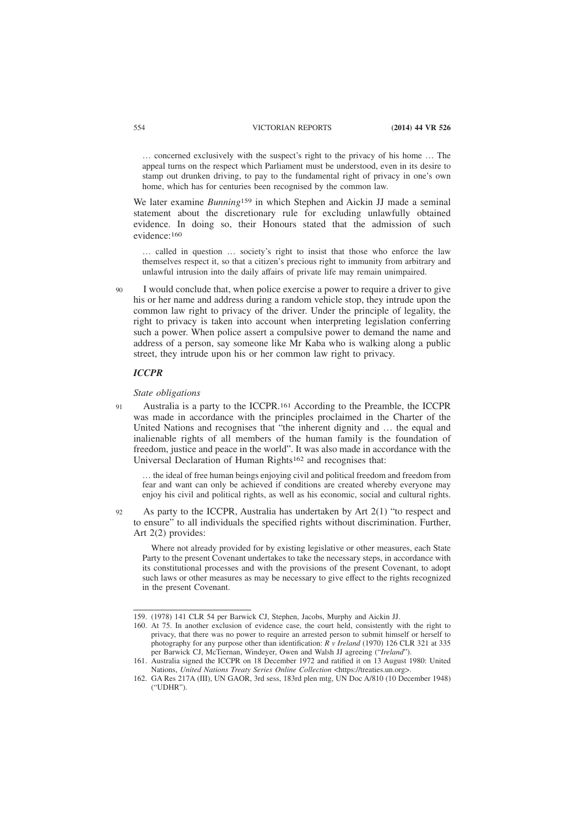… concerned exclusively with the suspect's right to the privacy of his home … The appeal turns on the respect which Parliament must be understood, even in its desire to stamp out drunken driving, to pay to the fundamental right of privacy in one's own home, which has for centuries been recognised by the common law.

We later examine *Bunning*159 in which Stephen and Aickin JJ made a seminal statement about the discretionary rule for excluding unlawfully obtained evidence. In doing so, their Honours stated that the admission of such evidence:160

… called in question … society's right to insist that those who enforce the law themselves respect it, so that a citizen's precious right to immunity from arbitrary and unlawful intrusion into the daily affairs of private life may remain unimpaired.

I would conclude that, when police exercise a power to require a driver to give his or her name and address during a random vehicle stop, they intrude upon the common law right to privacy of the driver. Under the principle of legality, the right to privacy is taken into account when interpreting legislation conferring such a power. When police assert a compulsive power to demand the name and address of a person, say someone like Mr Kaba who is walking along a public street, they intrude upon his or her common law right to privacy.  $90$ 

# *ICCPR*

**01** 

# *State obligations*

Australia is a party to the ICCPR.161 According to the Preamble, the ICCPR was made in accordance with the principles proclaimed in the Charter of the United Nations and recognises that "the inherent dignity and … the equal and inalienable rights of all members of the human family is the foundation of freedom, justice and peace in the world". It was also made in accordance with the Universal Declaration of Human Rights162 and recognises that:

… the ideal of free human beings enjoying civil and political freedom and freedom from fear and want can only be achieved if conditions are created whereby everyone may enjoy his civil and political rights, as well as his economic, social and cultural rights.

As party to the ICCPR, Australia has undertaken by Art 2(1) "to respect and to ensure" to all individuals the specified rights without discrimination. Further, Art 2(2) provides: 92

Where not already provided for by existing legislative or other measures, each State Party to the present Covenant undertakes to take the necessary steps, in accordance with its constitutional processes and with the provisions of the present Covenant, to adopt such laws or other measures as may be necessary to give effect to the rights recognized in the present Covenant.

<sup>159. (1978) 141</sup> CLR 54 per Barwick CJ, Stephen, Jacobs, Murphy and Aickin JJ.

<sup>160.</sup> At 75. In another exclusion of evidence case, the court held, consistently with the right to privacy, that there was no power to require an arrested person to submit himself or herself to photography for any purpose other than identification: *R v Ireland* (1970) 126 CLR 321 at 335 per Barwick CJ, McTiernan, Windeyer, Owen and Walsh JJ agreeing ("*Ireland*").

<sup>161.</sup> Australia signed the ICCPR on 18 December 1972 and ratified it on 13 August 1980: United Nations, *United Nations Treaty Series Online Collection* <https://treaties.un.org>.

<sup>162.</sup> GA Res 217A (III), UN GAOR, 3rd sess, 183rd plen mtg, UN Doc A/810 (10 December 1948)  $($ "IDHR" $)$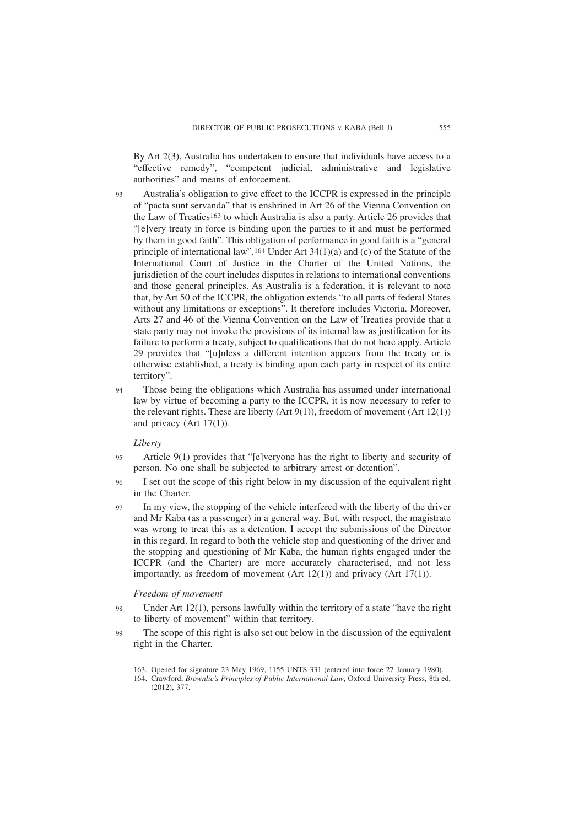By Art 2(3), Australia has undertaken to ensure that individuals have access to a "effective remedy", "competent judicial, administrative and legislative authorities" and means of enforcement.

- Australia's obligation to give effect to the ICCPR is expressed in the principle of "pacta sunt servanda" that is enshrined in Art 26 of the Vienna Convention on the Law of Treaties163 to which Australia is also a party. Article 26 provides that "[e]very treaty in force is binding upon the parties to it and must be performed by them in good faith". This obligation of performance in good faith is a "general principle of international law".164 Under Art 34(1)(a) and (c) of the Statute of the International Court of Justice in the Charter of the United Nations, the jurisdiction of the court includes disputes in relations to international conventions and those general principles. As Australia is a federation, it is relevant to note that, by Art 50 of the ICCPR, the obligation extends "to all parts of federal States without any limitations or exceptions". It therefore includes Victoria. Moreover, Arts 27 and 46 of the Vienna Convention on the Law of Treaties provide that a state party may not invoke the provisions of its internal law as justification for its failure to perform a treaty, subject to qualifications that do not here apply. Article 29 provides that "[u]nless a different intention appears from the treaty or is otherwise established, a treaty is binding upon each party in respect of its entire territory".  $Q<sub>3</sub>$
- Those being the obligations which Australia has assumed under international law by virtue of becoming a party to the ICCPR, it is now necessary to refer to the relevant rights. These are liberty (Art  $9(1)$ ), freedom of movement (Art  $12(1)$ ) and privacy (Art 17(1)). 94

#### *Liberty*

- Article 9(1) provides that "[e]veryone has the right to liberty and security of person. No one shall be subjected to arbitrary arrest or detention". 95
- I set out the scope of this right below in my discussion of the equivalent right in the Charter. 96
- In my view, the stopping of the vehicle interfered with the liberty of the driver and Mr Kaba (as a passenger) in a general way. But, with respect, the magistrate was wrong to treat this as a detention. I accept the submissions of the Director in this regard. In regard to both the vehicle stop and questioning of the driver and the stopping and questioning of Mr Kaba, the human rights engaged under the ICCPR (and the Charter) are more accurately characterised, and not less importantly, as freedom of movement (Art 12(1)) and privacy (Art 17(1)). 97

#### *Freedom of movement*

- Under Art 12(1), persons lawfully within the territory of a state "have the right to liberty of movement" within that territory. 98
- The scope of this right is also set out below in the discussion of the equivalent right in the Charter. 99

<sup>163.</sup> Opened for signature 23 May 1969, 1155 UNTS 331 (entered into force 27 January 1980).

<sup>164.</sup> Crawford, *Brownlie's Principles of Public International Law*, Oxford University Press, 8th ed,  $(2012)$ , 377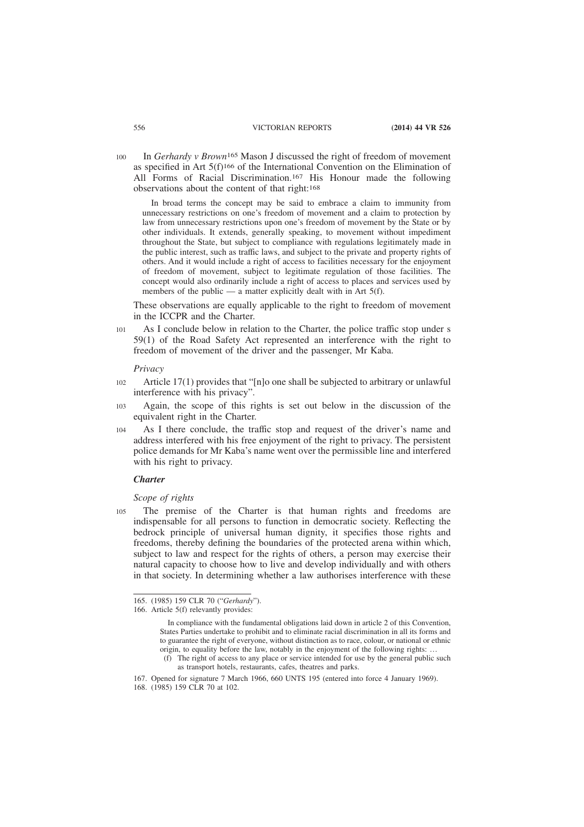In *Gerhardy v Brown*165 Mason J discussed the right of freedom of movement as specified in Art 5(f)166 of the International Convention on the Elimination of All Forms of Racial Discrimination.167 His Honour made the following observations about the content of that right:168 100

In broad terms the concept may be said to embrace a claim to immunity from unnecessary restrictions on one's freedom of movement and a claim to protection by law from unnecessary restrictions upon one's freedom of movement by the State or by other individuals. It extends, generally speaking, to movement without impediment throughout the State, but subject to compliance with regulations legitimately made in the public interest, such as traffic laws, and subject to the private and property rights of others. And it would include a right of access to facilities necessary for the enjoyment of freedom of movement, subject to legitimate regulation of those facilities. The concept would also ordinarily include a right of access to places and services used by members of the public — a matter explicitly dealt with in Art  $5(f)$ .

These observations are equally applicable to the right to freedom of movement in the ICCPR and the Charter.

As I conclude below in relation to the Charter, the police traffic stop under s 59(1) of the Road Safety Act represented an interference with the right to freedom of movement of the driver and the passenger, Mr Kaba. 101

*Privacy*

- Article 17(1) provides that "[n]o one shall be subjected to arbitrary or unlawful interference with his privacy". 102
- Again, the scope of this rights is set out below in the discussion of the equivalent right in the Charter. 103
- As I there conclude, the traffic stop and request of the driver's name and address interfered with his free enjoyment of the right to privacy. The persistent police demands for Mr Kaba's name went over the permissible line and interfered with his right to privacy. 104

#### *Charter*

*Scope of rights*

The premise of the Charter is that human rights and freedoms are indispensable for all persons to function in democratic society. Reflecting the bedrock principle of universal human dignity, it specifies those rights and freedoms, thereby defining the boundaries of the protected arena within which, subject to law and respect for the rights of others, a person may exercise their natural capacity to choose how to live and develop individually and with others in that society. In determining whether a law authorises interference with these 105

<sup>165. (1985) 159</sup> CLR 70 ("*Gerhardy*").

<sup>166.</sup> Article 5(f) relevantly provides:

In compliance with the fundamental obligations laid down in article 2 of this Convention, States Parties undertake to prohibit and to eliminate racial discrimination in all its forms and to guarantee the right of everyone, without distinction as to race, colour, or national or ethnic origin, to equality before the law, notably in the enjoyment of the following rights: …

<sup>(</sup>f) The right of access to any place or service intended for use by the general public such as transport hotels, restaurants, cafes, theatres and parks.

<sup>167.</sup> Opened for signature 7 March 1966, 660 UNTS 195 (entered into force 4 January 1969). 168. (1985) 159 CLR 70 at 102.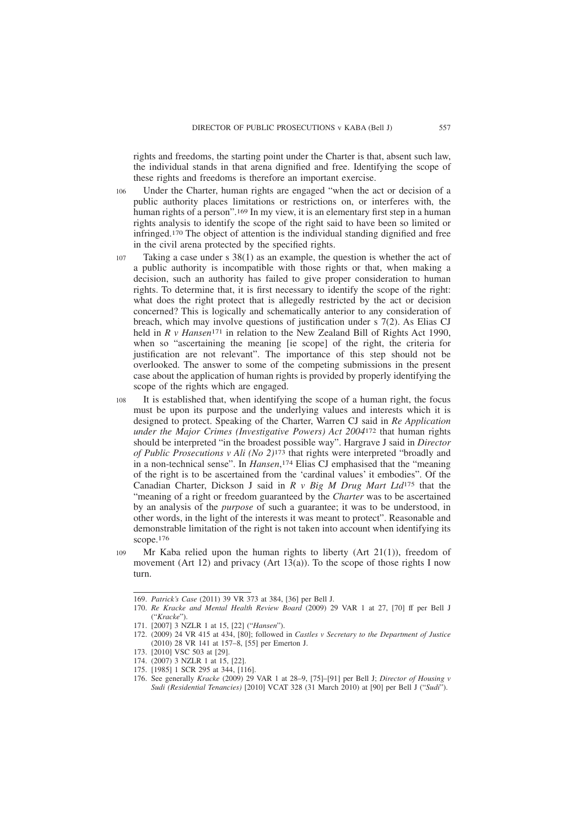rights and freedoms, the starting point under the Charter is that, absent such law, the individual stands in that arena dignified and free. Identifying the scope of these rights and freedoms is therefore an important exercise.

- Under the Charter, human rights are engaged "when the act or decision of a public authority places limitations or restrictions on, or interferes with, the human rights of a person".169 In my view, it is an elementary first step in a human rights analysis to identify the scope of the right said to have been so limited or infringed.170 The object of attention is the individual standing dignified and free in the civil arena protected by the specified rights. 106
- Taking a case under s 38(1) as an example, the question is whether the act of a public authority is incompatible with those rights or that, when making a decision, such an authority has failed to give proper consideration to human rights. To determine that, it is first necessary to identify the scope of the right: what does the right protect that is allegedly restricted by the act or decision concerned? This is logically and schematically anterior to any consideration of breach, which may involve questions of justification under s 7(2). As Elias CJ held in *R v Hansen*<sup>171</sup> in relation to the New Zealand Bill of Rights Act 1990, when so "ascertaining the meaning [ie scope] of the right, the criteria for justification are not relevant". The importance of this step should not be overlooked. The answer to some of the competing submissions in the present case about the application of human rights is provided by properly identifying the scope of the rights which are engaged. 107
- It is established that, when identifying the scope of a human right, the focus must be upon its purpose and the underlying values and interests which it is designed to protect. Speaking of the Charter, Warren CJ said in *Re Application under the Major Crimes (Investigative Powers) Act 2004*172 that human rights should be interpreted "in the broadest possible way". Hargrave J said in *Director of Public Prosecutions v Ali (No 2)*173 that rights were interpreted "broadly and in a non-technical sense". In *Hansen*, 174 Elias CJ emphasised that the "meaning of the right is to be ascertained from the 'cardinal values' it embodies". Of the Canadian Charter, Dickson J said in *R v Big M Drug Mart Ltd*175 that the "meaning of a right or freedom guaranteed by the *Charter* was to be ascertained by an analysis of the *purpose* of such a guarantee; it was to be understood, in other words, in the light of the interests it was meant to protect". Reasonable and demonstrable limitation of the right is not taken into account when identifying its scope.176 108
- Mr Kaba relied upon the human rights to liberty (Art 21(1)), freedom of movement (Art 12) and privacy (Art  $13(a)$ ). To the scope of those rights I now turn. 109

<sup>169.</sup> *Patrick's Case* (2011) 39 VR 373 at 384, [36] per Bell J.

<sup>170.</sup> *Re Kracke and Mental Health Review Board* (2009) 29 VAR 1 at 27, [70] ff per Bell J ("*Kracke*").

<sup>171. [2007] 3</sup> NZLR 1 at 15, [22] ("*Hansen*").

<sup>172. (2009) 24</sup> VR 415 at 434, [80]; followed in *Castles v Secretary to the Department of Justice* (2010) 28 VR 141 at 157–8, [55] per Emerton J.

<sup>173. [2010]</sup> VSC 503 at [29].

<sup>174. (2007) 3</sup> NZLR 1 at 15, [22].

<sup>175. [1985] 1</sup> SCR 295 at 344, [116].

<sup>176.</sup> See generally *Kracke* (2009) 29 VAR 1 at 28–9, [75]–[91] per Bell J; *Director of Housing v Sudi (Residential Tenancies)* [2010] VCAT 328 (31 March 2010) at [90] per Bell J ("*Sudi*").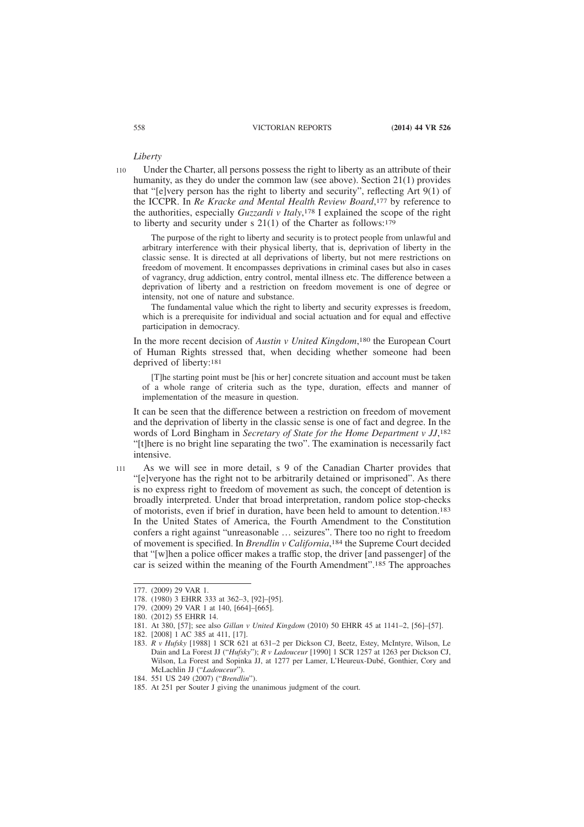*Liberty*

Under the Charter, all persons possess the right to liberty as an attribute of their humanity, as they do under the common law (see above). Section 21(1) provides that "[e]very person has the right to liberty and security", reflecting Art 9(1) of the ICCPR. In *Re Kracke and Mental Health Review Board*, 177 by reference to the authorities, especially *Guzzardi v Italy*, 178 I explained the scope of the right to liberty and security under s 21(1) of the Charter as follows:179 110

The purpose of the right to liberty and security is to protect people from unlawful and arbitrary interference with their physical liberty, that is, deprivation of liberty in the classic sense. It is directed at all deprivations of liberty, but not mere restrictions on freedom of movement. It encompasses deprivations in criminal cases but also in cases of vagrancy, drug addiction, entry control, mental illness etc. The difference between a deprivation of liberty and a restriction on freedom movement is one of degree or intensity, not one of nature and substance.

The fundamental value which the right to liberty and security expresses is freedom, which is a prerequisite for individual and social actuation and for equal and effective participation in democracy.

In the more recent decision of *Austin v United Kingdom*, 180 the European Court of Human Rights stressed that, when deciding whether someone had been deprived of liberty:181

[T]he starting point must be [his or her] concrete situation and account must be taken of a whole range of criteria such as the type, duration, effects and manner of implementation of the measure in question.

It can be seen that the difference between a restriction on freedom of movement and the deprivation of liberty in the classic sense is one of fact and degree. In the words of Lord Bingham in *Secretary of State for the Home Department v JJ*, 182 "[t]here is no bright line separating the two". The examination is necessarily fact intensive.

As we will see in more detail, s 9 of the Canadian Charter provides that "[e]veryone has the right not to be arbitrarily detained or imprisoned". As there is no express right to freedom of movement as such, the concept of detention is broadly interpreted. Under that broad interpretation, random police stop-checks of motorists, even if brief in duration, have been held to amount to detention.183 In the United States of America, the Fourth Amendment to the Constitution confers a right against "unreasonable … seizures". There too no right to freedom of movement is specified. In *Brendlin v California*, 184 the Supreme Court decided that "[w]hen a police officer makes a traffic stop, the driver [and passenger] of the car is seized within the meaning of the Fourth Amendment".185 The approaches 111

<sup>177. (2009) 29</sup> VAR 1.

<sup>178. (1980) 3</sup> EHRR 333 at 362–3, [92]–[95].

<sup>179. (2009) 29</sup> VAR 1 at 140, [664]–[665].

<sup>180. (2012) 55</sup> EHRR 14.

<sup>181.</sup> At 380, [57]; see also *Gillan v United Kingdom* (2010) 50 EHRR 45 at 1141–2, [56]–[57].

<sup>182. [2008] 1</sup> AC 385 at 411, [17].

<sup>183.</sup> *R v Hufsky* [1988] 1 SCR 621 at 631–2 per Dickson CJ, Beetz, Estey, McIntyre, Wilson, Le Dain and La Forest JJ ("*Hufsky*"); *R v Ladouceur* [1990] 1 SCR 1257 at 1263 per Dickson CJ, Wilson, La Forest and Sopinka JJ, at 1277 per Lamer, L'Heureux-Dubé, Gonthier, Cory and McLachlin JJ ("*Ladouceur*").

<sup>184. 551</sup> US 249 (2007) ("*Brendlin*").

<sup>185.</sup> At 251 per Souter J giving the unanimous judgment of the court.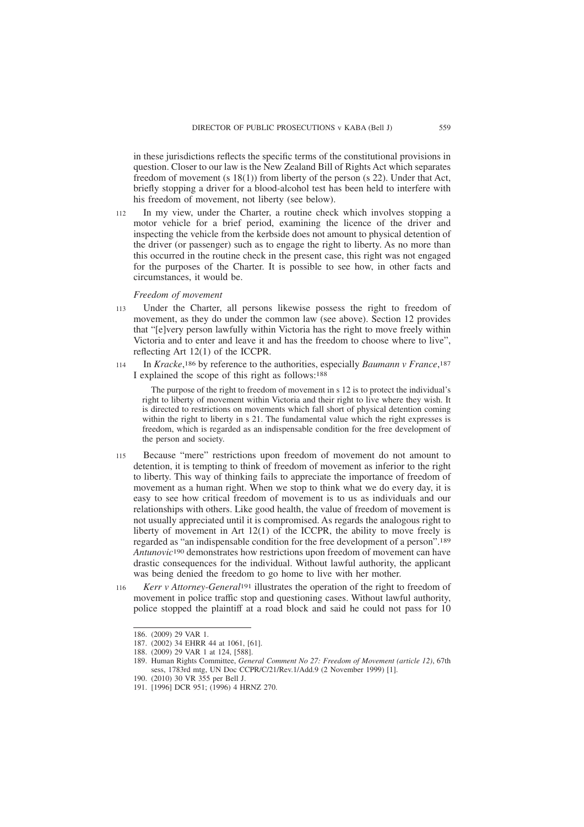in these jurisdictions reflects the specific terms of the constitutional provisions in question. Closer to our law is the New Zealand Bill of Rights Act which separates freedom of movement (s 18(1)) from liberty of the person (s 22). Under that Act, briefly stopping a driver for a blood-alcohol test has been held to interfere with his freedom of movement, not liberty (see below).

In my view, under the Charter, a routine check which involves stopping a motor vehicle for a brief period, examining the licence of the driver and inspecting the vehicle from the kerbside does not amount to physical detention of the driver (or passenger) such as to engage the right to liberty. As no more than this occurred in the routine check in the present case, this right was not engaged for the purposes of the Charter. It is possible to see how, in other facts and circumstances, it would be. 112

# *Freedom of movement*

- Under the Charter, all persons likewise possess the right to freedom of movement, as they do under the common law (see above). Section 12 provides that "[e]very person lawfully within Victoria has the right to move freely within Victoria and to enter and leave it and has the freedom to choose where to live", reflecting Art 12(1) of the ICCPR. 113
- In *Kracke*, 186 by reference to the authorities, especially *Baumann v France*, 187 I explained the scope of this right as follows:188 114

The purpose of the right to freedom of movement in s 12 is to protect the individual's right to liberty of movement within Victoria and their right to live where they wish. It is directed to restrictions on movements which fall short of physical detention coming within the right to liberty in s 21. The fundamental value which the right expresses is freedom, which is regarded as an indispensable condition for the free development of the person and society.

- Because "mere" restrictions upon freedom of movement do not amount to detention, it is tempting to think of freedom of movement as inferior to the right to liberty. This way of thinking fails to appreciate the importance of freedom of movement as a human right. When we stop to think what we do every day, it is easy to see how critical freedom of movement is to us as individuals and our relationships with others. Like good health, the value of freedom of movement is not usually appreciated until it is compromised. As regards the analogous right to liberty of movement in Art 12(1) of the ICCPR, the ability to move freely is regarded as "an indispensable condition for the free development of a person".189 *Antunovic*190 demonstrates how restrictions upon freedom of movement can have drastic consequences for the individual. Without lawful authority, the applicant was being denied the freedom to go home to live with her mother. 115
- *Kerr v Attorney-General*191 illustrates the operation of the right to freedom of movement in police traffic stop and questioning cases. Without lawful authority, police stopped the plaintiff at a road block and said he could not pass for 10 116

<sup>186. (2009) 29</sup> VAR 1.

<sup>187. (2002) 34</sup> EHRR 44 at 1061, [61].

<sup>188. (2009) 29</sup> VAR 1 at 124, [588].

<sup>189.</sup> Human Rights Committee, *General Comment No 27: Freedom of Movement (article 12)*, 67th sess, 1783rd mtg, UN Doc CCPR/C/21/Rev.1/Add.9 (2 November 1999) [1].

<sup>190. (2010) 30</sup> VR 355 per Bell J.

<sup>191. [1996]</sup> DCR 951; (1996) 4 HRNZ 270.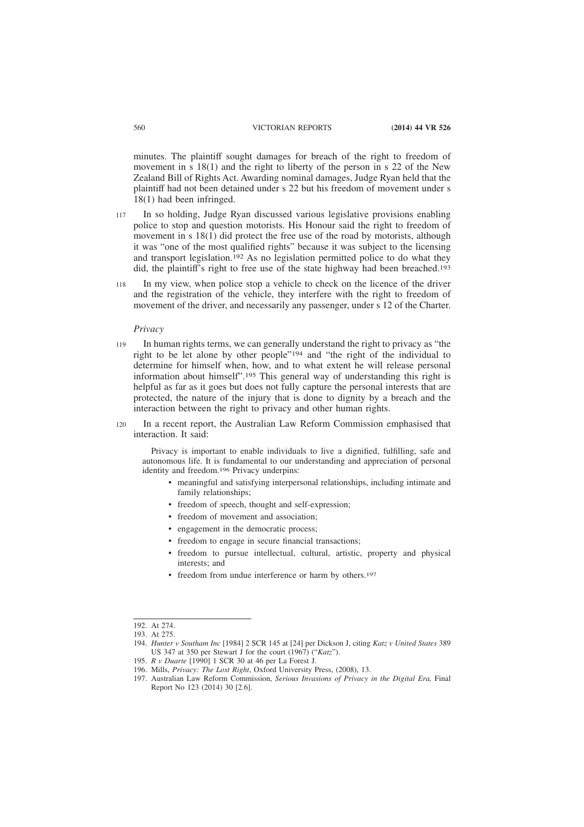minutes. The plaintiff sought damages for breach of the right to freedom of movement in s 18(1) and the right to liberty of the person in s 22 of the New Zealand Bill of Rights Act. Awarding nominal damages, Judge Ryan held that the plaintiff had not been detained under s 22 but his freedom of movement under s 18(1) had been infringed.

- In so holding, Judge Ryan discussed various legislative provisions enabling police to stop and question motorists. His Honour said the right to freedom of movement in s 18(1) did protect the free use of the road by motorists, although it was "one of the most qualified rights" because it was subject to the licensing and transport legislation.192 As no legislation permitted police to do what they did, the plaintiff's right to free use of the state highway had been breached.193 117
- In my view, when police stop a vehicle to check on the licence of the driver and the registration of the vehicle, they interfere with the right to freedom of movement of the driver, and necessarily any passenger, under s 12 of the Charter. 118

#### *Privacy*

- In human rights terms, we can generally understand the right to privacy as "the right to be let alone by other people"194 and "the right of the individual to determine for himself when, how, and to what extent he will release personal information about himself".195 This general way of understanding this right is helpful as far as it goes but does not fully capture the personal interests that are protected, the nature of the injury that is done to dignity by a breach and the interaction between the right to privacy and other human rights. 119
- In a recent report, the Australian Law Reform Commission emphasised that interaction. It said: 120

Privacy is important to enable individuals to live a dignified, fulfilling, safe and autonomous life. It is fundamental to our understanding and appreciation of personal identity and freedom.196 Privacy underpins:

- meaningful and satisfying interpersonal relationships, including intimate and family relationships;
- freedom of speech, thought and self-expression;
- freedom of movement and association;
- engagement in the democratic process;
- freedom to engage in secure financial transactions;
- freedom to pursue intellectual, cultural, artistic, property and physical interests; and
- freedom from undue interference or harm by others.<sup>197</sup>

<sup>192.</sup> At 274.

<sup>193.</sup> At 275.

<sup>194.</sup> *Hunter v Southam Inc* [1984] 2 SCR 145 at [24] per Dickson J, citing *Katz v United States* 389 US 347 at 350 per Stewart J for the court (1967) ("*Katz*").

<sup>195.</sup> *R v Duarte* [1990] 1 SCR 30 at 46 per La Forest J.

<sup>196.</sup> Mills, *Privacy: The Lost Right*, Oxford University Press, (2008), 13.

<sup>197.</sup> Australian Law Reform Commission, *Serious Invasions of Privacy in the Digital Era,* Final Report No 123 (2014) 30 [2.6].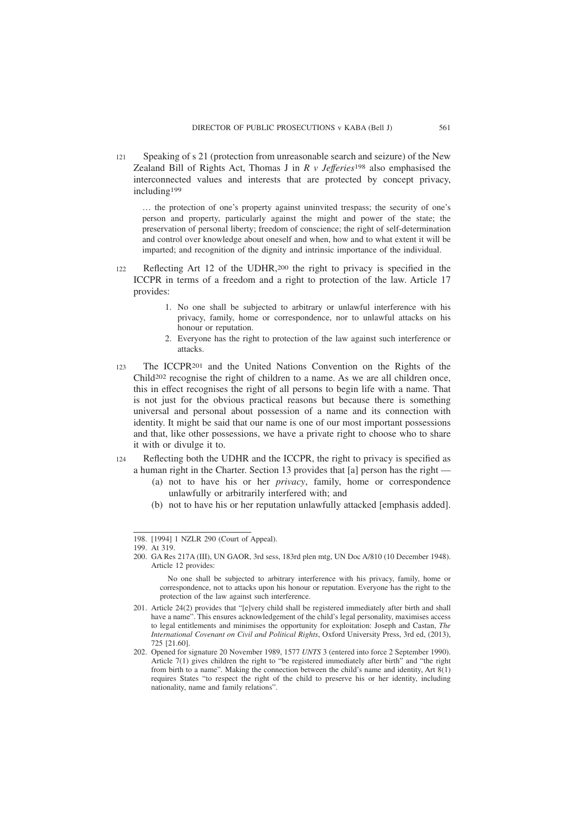Speaking of s 21 (protection from unreasonable search and seizure) of the New Zealand Bill of Rights Act, Thomas J in *R v Jefferies*198 also emphasised the interconnected values and interests that are protected by concept privacy, including199 121

… the protection of one's property against uninvited trespass; the security of one's person and property, particularly against the might and power of the state; the preservation of personal liberty; freedom of conscience; the right of self-determination and control over knowledge about oneself and when, how and to what extent it will be imparted; and recognition of the dignity and intrinsic importance of the individual.

- Reflecting Art 12 of the UDHR,200 the right to privacy is specified in the ICCPR in terms of a freedom and a right to protection of the law. Article 17 provides:  $122$ 
	- 1. No one shall be subjected to arbitrary or unlawful interference with his privacy, family, home or correspondence, nor to unlawful attacks on his honour or reputation.
	- 2. Everyone has the right to protection of the law against such interference or attacks.
- The ICCPR201 and the United Nations Convention on the Rights of the Child202 recognise the right of children to a name. As we are all children once, this in effect recognises the right of all persons to begin life with a name. That is not just for the obvious practical reasons but because there is something universal and personal about possession of a name and its connection with identity. It might be said that our name is one of our most important possessions and that, like other possessions, we have a private right to choose who to share it with or divulge it to. 123
- Reflecting both the UDHR and the ICCPR, the right to privacy is specified as a human right in the Charter. Section 13 provides that [a] person has the right —  $124$ 
	- (a) not to have his or her *privacy*, family, home or correspondence unlawfully or arbitrarily interfered with; and
	- (b) not to have his or her reputation unlawfully attacked [emphasis added].

<sup>198. [1994] 1</sup> NZLR 290 (Court of Appeal).

<sup>199.</sup> At 319.

<sup>200.</sup> GA Res 217A (III), UN GAOR, 3rd sess, 183rd plen mtg, UN Doc A/810 (10 December 1948). Article 12 provides:

No one shall be subjected to arbitrary interference with his privacy, family, home or correspondence, not to attacks upon his honour or reputation. Everyone has the right to the protection of the law against such interference.

<sup>201.</sup> Article 24(2) provides that "[e]very child shall be registered immediately after birth and shall have a name". This ensures acknowledgement of the child's legal personality, maximises access to legal entitlements and minimises the opportunity for exploitation: Joseph and Castan, *The International Covenant on Civil and Political Rights*, Oxford University Press, 3rd ed, (2013), 725 [21.60].

<sup>202.</sup> Opened for signature 20 November 1989, 1577 *UNTS* 3 (entered into force 2 September 1990). Article 7(1) gives children the right to "be registered immediately after birth" and "the right from birth to a name". Making the connection between the child's name and identity, Art 8(1) requires States "to respect the right of the child to preserve his or her identity, including nationality, name and family relations".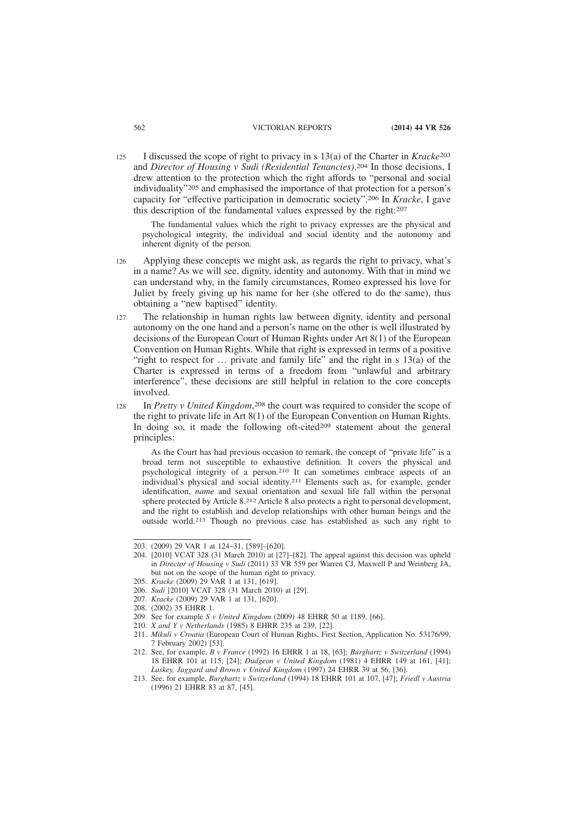I discussed the scope of right to privacy in s 13(a) of the Charter in *Kracke*203 and *Director of Housing v Sudi (Residential Tenancies)*. 204 In those decisions, I drew attention to the protection which the right affords to "personal and social individuality"205 and emphasised the importance of that protection for a person's capacity for "effective participation in democratic society".206 In *Kracke*, I gave this description of the fundamental values expressed by the right:207 125

The fundamental values which the right to privacy expresses are the physical and psychological integrity, the individual and social identity and the autonomy and inherent dignity of the person.

- Applying these concepts we might ask, as regards the right to privacy, what's in a name? As we will see, dignity, identity and autonomy. With that in mind we can understand why, in the family circumstances, Romeo expressed his love for Juliet by freely giving up his name for her (she offered to do the same), thus obtaining a "new baptised" identity. 126
- The relationship in human rights law between dignity, identity and personal autonomy on the one hand and a person's name on the other is well illustrated by decisions of the European Court of Human Rights under Art 8(1) of the European Convention on Human Rights. While that right is expressed in terms of a positive "right to respect for ... private and family life" and the right in s 13(a) of the Charter is expressed in terms of a freedom from "unlawful and arbitrary interference", these decisions are still helpful in relation to the core concepts involved. 127
- In *Pretty v United Kingdom*, 208 the court was required to consider the scope of the right to private life in Art 8(1) of the European Convention on Human Rights. In doing so, it made the following oft-cited209 statement about the general principles: 128

As the Court has had previous occasion to remark, the concept of "private life" is a broad term not susceptible to exhaustive definition. It covers the physical and psychological integrity of a person.210 It can sometimes embrace aspects of an individual's physical and social identity.211 Elements such as, for example, gender identification, *name* and sexual orientation and sexual life fall within the personal sphere protected by Article 8.212 Article 8 also protects a right to personal development, and the right to establish and develop relationships with other human beings and the outside world.213 Though no previous case has established as such any right to

205. *Kracke* (2009) 29 VAR 1 at 131, [619].

207. *Kracke* (2009) 29 VAR 1 at 131, [620].

- 210. *X and Y v Netherlands* (1985) 8 EHRR 235 at 239, [22].
- 211. *Mikuli v Croatia* (European Court of Human Rights, First Section, Application No. 53176/99, 7 February 2002) [53].

<sup>203. (2009) 29</sup> VAR 1 at 124–31, [589]–[620].

<sup>204. [2010]</sup> VCAT 328 (31 March 2010) at [27]–[82]. The appeal against this decision was upheld in *Director of Housing v Sudi* (2011) 33 VR 559 per Warren CJ, Maxwell P and Weinberg JA, but not on the scope of the human right to privacy.

<sup>206.</sup> *Sudi* [2010] VCAT 328 (31 March 2010) at [29].

<sup>208. (2002) 35</sup> EHRR 1.

<sup>209.</sup> See for example *S v United Kingdom* (2009) 48 EHRR 50 at 1189, [66].

<sup>212.</sup> See, for example, *B v France* (1992) 16 EHRR 1 at 18, [63]; *Burghartz v Switzerland* (1994) 18 EHRR 101 at 115, [24]; *Dudgeon v United Kingdom* (1981) 4 EHRR 149 at 161, [41]; *Laskey, Jaggard and Brown v United Kingdom* (1997) 24 EHRR 39 at 56, [36].

<sup>213.</sup> See, for example, *Burghartz v Switzerland* (1994) 18 EHRR 101 at 107, [47]; *Friedl v Austria* (1996) 21 EHRR 83 at 87, [45].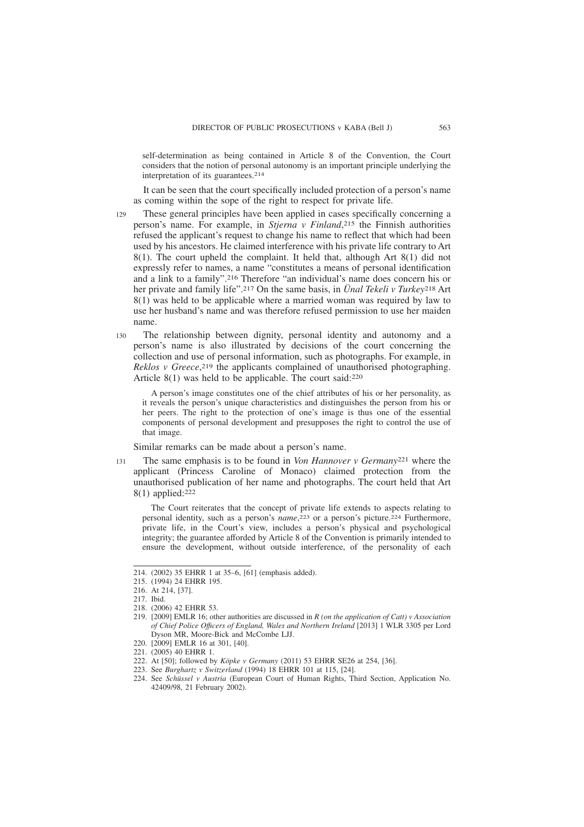self-determination as being contained in Article 8 of the Convention, the Court considers that the notion of personal autonomy is an important principle underlying the interpretation of its guarantees.214

It can be seen that the court specifically included protection of a person's name as coming within the sope of the right to respect for private life.

- These general principles have been applied in cases specifically concerning a person's name. For example, in *Stjerna v Finland*, 215 the Finnish authorities refused the applicant's request to change his name to reflect that which had been used by his ancestors. He claimed interference with his private life contrary to Art 8(1). The court upheld the complaint. It held that, although Art 8(1) did not expressly refer to names, a name "constitutes a means of personal identification and a link to a family".216 Therefore "an individual's name does concern his or her private and family life".217 On the same basis, in *Ünal Tekeli v Turkey*218 Art 8(1) was held to be applicable where a married woman was required by law to use her husband's name and was therefore refused permission to use her maiden name. 129
- The relationship between dignity, personal identity and autonomy and a person's name is also illustrated by decisions of the court concerning the collection and use of personal information, such as photographs. For example, in *Reklos v Greece*, 219 the applicants complained of unauthorised photographing. Article 8(1) was held to be applicable. The court said:220 130

A person's image constitutes one of the chief attributes of his or her personality, as it reveals the person's unique characteristics and distinguishes the person from his or her peers. The right to the protection of one's image is thus one of the essential components of personal development and presupposes the right to control the use of that image.

Similar remarks can be made about a person's name.

The same emphasis is to be found in *Von Hannover v Germany*221 where the applicant (Princess Caroline of Monaco) claimed protection from the unauthorised publication of her name and photographs. The court held that Art 8(1) applied:222 131

The Court reiterates that the concept of private life extends to aspects relating to personal identity, such as a person's *name*, 223 or a person's picture.224 Furthermore, private life, in the Court's view, includes a person's physical and psychological integrity; the guarantee afforded by Article 8 of the Convention is primarily intended to ensure the development, without outside interference, of the personality of each

<sup>214. (2002) 35</sup> EHRR 1 at 35–6, [61] (emphasis added).

<sup>215. (1994) 24</sup> EHRR 195.

<sup>216.</sup> At 214, [37].

<sup>217.</sup> Ibid.

<sup>218. (2006) 42</sup> EHRR 53.

<sup>219. [2009]</sup> EMLR 16; other authorities are discussed in *R (on the application of Catt) v Association of Chief Police Offıcers of England, Wales and Northern Ireland* [2013] 1 WLR 3305 per Lord Dyson MR, Moore-Bick and McCombe LJJ.

<sup>220. [2009]</sup> EMLR 16 at 301, [40].

<sup>221. (2005) 40</sup> EHRR 1.

<sup>222.</sup> At [50]; followed by *Köpke v Germany* (2011) 53 EHRR SE26 at 254, [36].

<sup>223.</sup> See *Burghartz v Switzerland* (1994) 18 EHRR 101 at 115, [24].

<sup>224.</sup> See *Schüssel v Austria* (European Court of Human Rights, Third Section, Application No. 42409/98, 21 February 2002).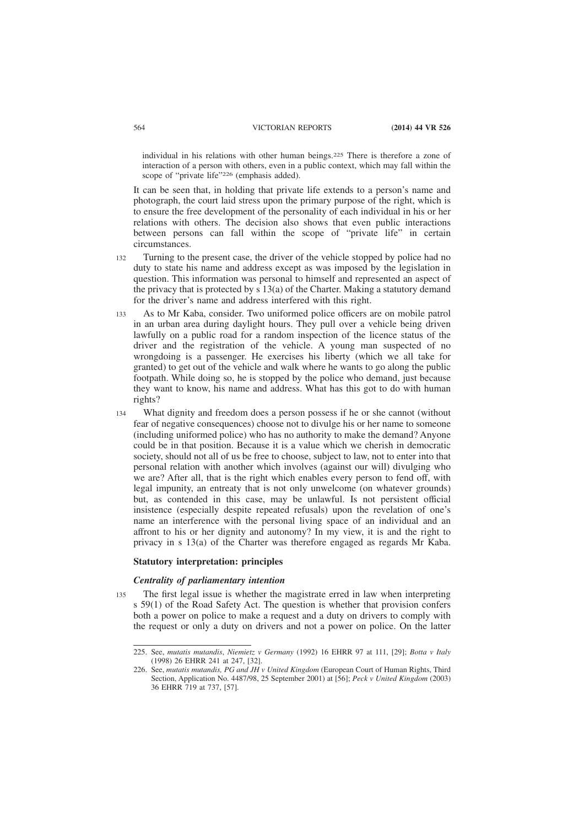individual in his relations with other human beings.225 There is therefore a zone of interaction of a person with others, even in a public context, which may fall within the scope of "private life"226 (emphasis added).

It can be seen that, in holding that private life extends to a person's name and photograph, the court laid stress upon the primary purpose of the right, which is to ensure the free development of the personality of each individual in his or her relations with others. The decision also shows that even public interactions between persons can fall within the scope of "private life" in certain circumstances.

- Turning to the present case, the driver of the vehicle stopped by police had no duty to state his name and address except as was imposed by the legislation in question. This information was personal to himself and represented an aspect of the privacy that is protected by s 13(a) of the Charter. Making a statutory demand for the driver's name and address interfered with this right. 132
- As to Mr Kaba, consider. Two uniformed police officers are on mobile patrol in an urban area during daylight hours. They pull over a vehicle being driven lawfully on a public road for a random inspection of the licence status of the driver and the registration of the vehicle. A young man suspected of no wrongdoing is a passenger. He exercises his liberty (which we all take for granted) to get out of the vehicle and walk where he wants to go along the public footpath. While doing so, he is stopped by the police who demand, just because they want to know, his name and address. What has this got to do with human rights? 133
- What dignity and freedom does a person possess if he or she cannot (without fear of negative consequences) choose not to divulge his or her name to someone (including uniformed police) who has no authority to make the demand? Anyone could be in that position. Because it is a value which we cherish in democratic society, should not all of us be free to choose, subject to law, not to enter into that personal relation with another which involves (against our will) divulging who we are? After all, that is the right which enables every person to fend off, with legal impunity, an entreaty that is not only unwelcome (on whatever grounds) but, as contended in this case, may be unlawful. Is not persistent official insistence (especially despite repeated refusals) upon the revelation of one's name an interference with the personal living space of an individual and an affront to his or her dignity and autonomy? In my view, it is and the right to privacy in s 13(a) of the Charter was therefore engaged as regards Mr Kaba. 134

#### **Statutory interpretation: principles**

### *Centrality of parliamentary intention*

The first legal issue is whether the magistrate erred in law when interpreting s 59(1) of the Road Safety Act. The question is whether that provision confers both a power on police to make a request and a duty on drivers to comply with the request or only a duty on drivers and not a power on police. On the latter 135

<sup>225.</sup> See, *mutatis mutandis*, *Niemietz v Germany* (1992) 16 EHRR 97 at 111, [29]; *Botta v Italy* (1998) 26 EHRR 241 at 247, [32].

<sup>226.</sup> See, *mutatis mutandis, PG and JH v United Kingdom* (European Court of Human Rights, Third Section, Application No. 4487/98, 25 September 2001) at [56]; *Peck v United Kingdom* (2003) 36 EHRR 719 at 737, [57].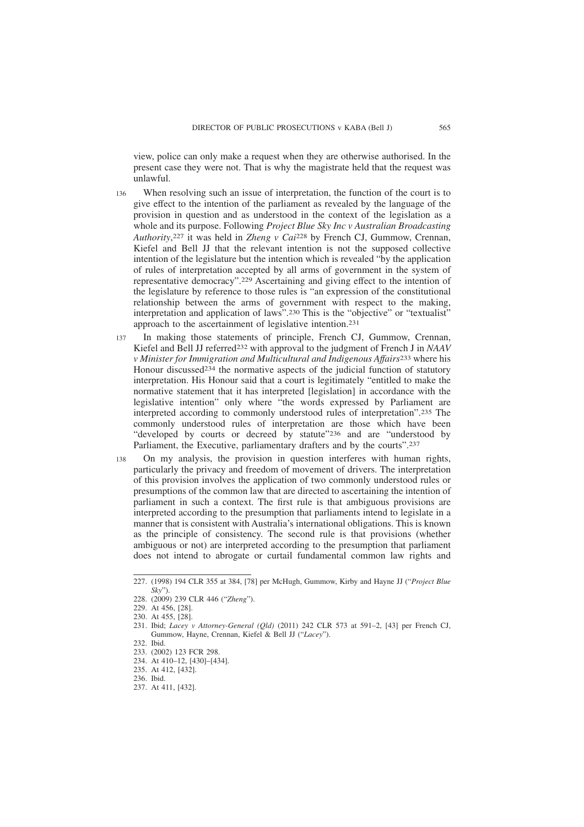view, police can only make a request when they are otherwise authorised. In the present case they were not. That is why the magistrate held that the request was unlawful.

- When resolving such an issue of interpretation, the function of the court is to give effect to the intention of the parliament as revealed by the language of the provision in question and as understood in the context of the legislation as a whole and its purpose. Following *Project Blue Sky Inc v Australian Broadcasting Authority*, 227 it was held in *Zheng v Cai*228 by French CJ, Gummow, Crennan, Kiefel and Bell JJ that the relevant intention is not the supposed collective intention of the legislature but the intention which is revealed "by the application of rules of interpretation accepted by all arms of government in the system of representative democracy".229 Ascertaining and giving effect to the intention of the legislature by reference to those rules is "an expression of the constitutional relationship between the arms of government with respect to the making, interpretation and application of laws".230 This is the "objective" or "textualist" approach to the ascertainment of legislative intention.231 136
- In making those statements of principle, French CJ, Gummow, Crennan, Kiefel and Bell JJ referred232 with approval to the judgment of French J in *NAAV v Minister for Immigration and Multicultural and Indigenous Affairs*233 where his Honour discussed234 the normative aspects of the judicial function of statutory interpretation. His Honour said that a court is legitimately "entitled to make the normative statement that it has interpreted [legislation] in accordance with the legislative intention" only where "the words expressed by Parliament are interpreted according to commonly understood rules of interpretation".235 The commonly understood rules of interpretation are those which have been "developed by courts or decreed by statute"<sup>236</sup> and are "understood by Parliament, the Executive, parliamentary drafters and by the courts".<sup>237</sup> 137
- On my analysis, the provision in question interferes with human rights, particularly the privacy and freedom of movement of drivers. The interpretation of this provision involves the application of two commonly understood rules or presumptions of the common law that are directed to ascertaining the intention of parliament in such a context. The first rule is that ambiguous provisions are interpreted according to the presumption that parliaments intend to legislate in a manner that is consistent with Australia's international obligations. This is known as the principle of consistency. The second rule is that provisions (whether ambiguous or not) are interpreted according to the presumption that parliament does not intend to abrogate or curtail fundamental common law rights and 138

<sup>227. (1998) 194</sup> CLR 355 at 384, [78] per McHugh, Gummow, Kirby and Hayne JJ ("*Project Blue Sky*").

<sup>228. (2009) 239</sup> CLR 446 ("*Zheng*").

<sup>229.</sup> At 456, [28].

<sup>230.</sup> At 455, [28].

<sup>231.</sup> Ibid; *Lacey v Attorney-General (Qld)* (2011) 242 CLR 573 at 591–2, [43] per French CJ, Gummow, Hayne, Crennan, Kiefel & Bell JJ ("*Lacey*").

<sup>232.</sup> Ibid.

<sup>233. (2002) 123</sup> FCR 298.

<sup>234.</sup> At 410–12, [430]–[434].

<sup>235.</sup> At 412, [432].

<sup>236.</sup> Ibid.

<sup>237.</sup> At 411, [432].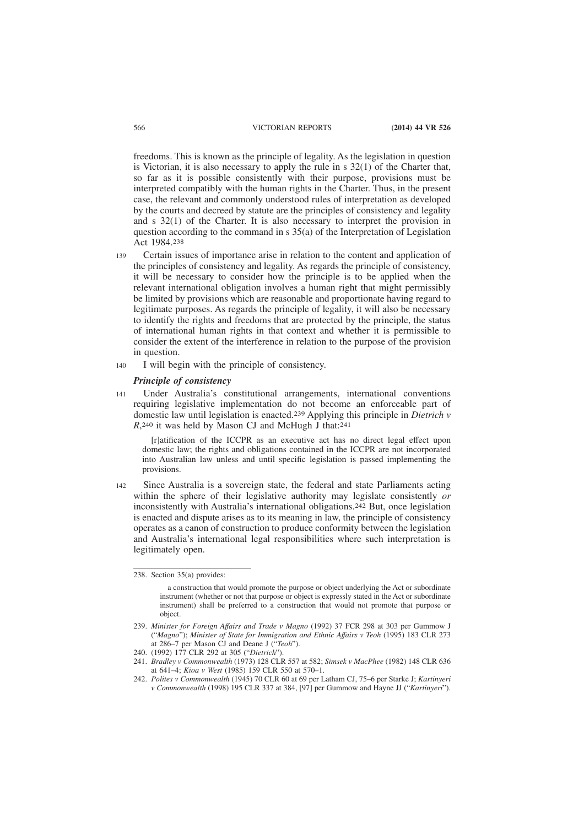freedoms. This is known as the principle of legality. As the legislation in question is Victorian, it is also necessary to apply the rule in s 32(1) of the Charter that, so far as it is possible consistently with their purpose, provisions must be interpreted compatibly with the human rights in the Charter. Thus, in the present case, the relevant and commonly understood rules of interpretation as developed by the courts and decreed by statute are the principles of consistency and legality and s 32(1) of the Charter. It is also necessary to interpret the provision in question according to the command in s 35(a) of the Interpretation of Legislation Act 1984.238

- Certain issues of importance arise in relation to the content and application of the principles of consistency and legality. As regards the principle of consistency, it will be necessary to consider how the principle is to be applied when the relevant international obligation involves a human right that might permissibly be limited by provisions which are reasonable and proportionate having regard to legitimate purposes. As regards the principle of legality, it will also be necessary to identify the rights and freedoms that are protected by the principle, the status of international human rights in that context and whether it is permissible to consider the extent of the interference in relation to the purpose of the provision in question. 139
- I will begin with the principle of consistency. 140

# *Principle of consistency*

Under Australia's constitutional arrangements, international conventions requiring legislative implementation do not become an enforceable part of domestic law until legislation is enacted.239 Applying this principle in *Dietrich v* R,<sup>240</sup> it was held by Mason CJ and McHugh J that:<sup>241</sup> 141

[r]atification of the ICCPR as an executive act has no direct legal effect upon domestic law; the rights and obligations contained in the ICCPR are not incorporated into Australian law unless and until specific legislation is passed implementing the provisions.

Since Australia is a sovereign state, the federal and state Parliaments acting within the sphere of their legislative authority may legislate consistently *or* inconsistently with Australia's international obligations.242 But, once legislation is enacted and dispute arises as to its meaning in law, the principle of consistency operates as a canon of construction to produce conformity between the legislation and Australia's international legal responsibilities where such interpretation is legitimately open. 142

<sup>238.</sup> Section 35(a) provides:

a construction that would promote the purpose or object underlying the Act or subordinate instrument (whether or not that purpose or object is expressly stated in the Act or subordinate instrument) shall be preferred to a construction that would not promote that purpose or object.

<sup>239.</sup> *Minister for Foreign Affairs and Trade v Magno* (1992) 37 FCR 298 at 303 per Gummow J ("*Magno*"); *Minister of State for Immigration and Ethnic Affairs v Teoh* (1995) 183 CLR 273 at 286–7 per Mason CJ and Deane J ("*Teoh*").

<sup>240. (1992) 177</sup> CLR 292 at 305 ("*Dietrich*").

<sup>241.</sup> *Bradley v Commonwealth* (1973) 128 CLR 557 at 582; *Simsek v MacPhee* (1982) 148 CLR 636 at 641–4; *Kioa v West* (1985) 159 CLR 550 at 570–1.

<sup>242.</sup> *Polites v Commonwealth* (1945) 70 CLR 60 at 69 per Latham CJ, 75–6 per Starke J; *Kartinyeri v Commonwealth* (1998) 195 CLR 337 at 384, [97] per Gummow and Hayne JJ ("*Kartinyeri*").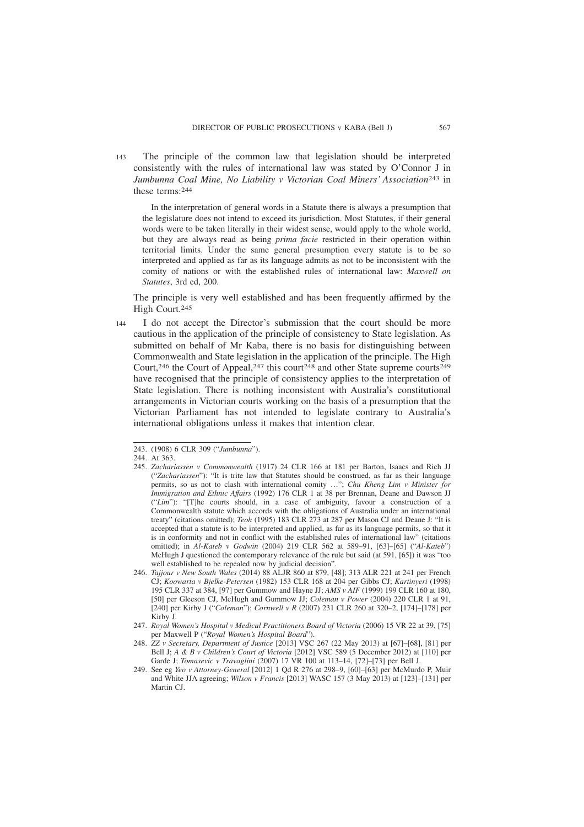The principle of the common law that legislation should be interpreted consistently with the rules of international law was stated by O'Connor J in *Jumbunna Coal Mine, No Liability v Victorian Coal Miners' Association*243 in these terms:244 143

In the interpretation of general words in a Statute there is always a presumption that the legislature does not intend to exceed its jurisdiction. Most Statutes, if their general words were to be taken literally in their widest sense, would apply to the whole world, but they are always read as being *prima facie* restricted in their operation within territorial limits. Under the same general presumption every statute is to be so interpreted and applied as far as its language admits as not to be inconsistent with the comity of nations or with the established rules of international law: *Maxwell on Statutes*, 3rd ed, 200.

The principle is very well established and has been frequently affirmed by the High Court.245

I do not accept the Director's submission that the court should be more cautious in the application of the principle of consistency to State legislation. As submitted on behalf of Mr Kaba, there is no basis for distinguishing between Commonwealth and State legislation in the application of the principle. The High Court,246 the Court of Appeal,247 this court248 and other State supreme courts249 have recognised that the principle of consistency applies to the interpretation of State legislation. There is nothing inconsistent with Australia's constitutional arrangements in Victorian courts working on the basis of a presumption that the Victorian Parliament has not intended to legislate contrary to Australia's international obligations unless it makes that intention clear. 144

<sup>243. (1908) 6</sup> CLR 309 ("*Jumbunna*").

<sup>244.</sup> At 363.

<sup>245.</sup> *Zachariassen v Commonwealth* (1917) 24 CLR 166 at 181 per Barton, Isaacs and Rich JJ ("*Zachariassen*"): "It is trite law that Statutes should be construed, as far as their language permits, so as not to clash with international comity …"; *Chu Kheng Lim v Minister for Immigration and Ethnic Affairs* (1992) 176 CLR 1 at 38 per Brennan, Deane and Dawson JJ ("*Lim*"): "[T]he courts should, in a case of ambiguity, favour a construction of a Commonwealth statute which accords with the obligations of Australia under an international treaty" (citations omitted); *Teoh* (1995) 183 CLR 273 at 287 per Mason CJ and Deane J: "It is accepted that a statute is to be interpreted and applied, as far as its language permits, so that it is in conformity and not in conflict with the established rules of international law" (citations omitted); in *Al-Kateb v Godwin* (2004) 219 CLR 562 at 589–91, [63]–[65] ("*Al-Kateb*") McHugh J questioned the contemporary relevance of the rule but said (at 591, [65]) it was "too well established to be repealed now by judicial decision".

<sup>246.</sup> *Tajjour v New South Wales* (2014) 88 ALJR 860 at 879, [48]; 313 ALR 221 at 241 per French CJ; *Koowarta v Bjelke-Petersen* (1982) 153 CLR 168 at 204 per Gibbs CJ; *Kartinyeri* (1998) 195 CLR 337 at 384, [97] per Gummow and Hayne JJ; *AMS v AIF* (1999) 199 CLR 160 at 180, [50] per Gleeson CJ, McHugh and Gummow JJ; *Coleman v Power* (2004) 220 CLR 1 at 91, [240] per Kirby J ("*Coleman*"); *Cornwell v R* (2007) 231 CLR 260 at 320–2, [174]–[178] per Kirby J.

<sup>247.</sup> *Royal Women's Hospital v Medical Practitioners Board of Victoria* (2006) 15 VR 22 at 39, [75] per Maxwell P ("*Royal Women's Hospital Board*").

<sup>248.</sup> *ZZ v Secretary, Department of Justice* [2013] VSC 267 (22 May 2013) at [67]–[68], [81] per Bell J; *A & B v Children's Court of Victoria* [2012] VSC 589 (5 December 2012) at [110] per Garde J; *Tomasevic v Travaglini* (2007) 17 VR 100 at 113–14, [72]–[73] per Bell J.

<sup>249.</sup> See eg *Yeo v Attorney-General* [2012] 1 Qd R 276 at 298–9, [60]–[63] per McMurdo P, Muir and White JJA agreeing; *Wilson v Francis* [2013] WASC 157 (3 May 2013) at [123]–[131] per Martin C<sub>I</sub>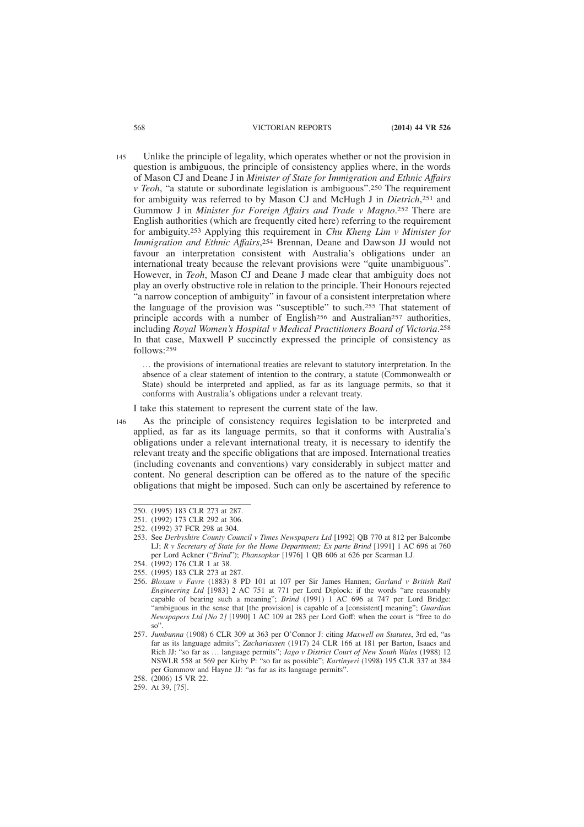Unlike the principle of legality, which operates whether or not the provision in question is ambiguous, the principle of consistency applies where, in the words of Mason CJ and Deane J in *Minister of State for Immigration and Ethnic Affairs v Teoh*, "a statute or subordinate legislation is ambiguous".250 The requirement for ambiguity was referred to by Mason CJ and McHugh J in *Dietrich*, 251 and Gummow J in *Minister for Foreign Affairs and Trade v Magno*. 252 There are English authorities (which are frequently cited here) referring to the requirement for ambiguity.253 Applying this requirement in *Chu Kheng Lim v Minister for Immigration and Ethnic Affairs*, 254 Brennan, Deane and Dawson JJ would not favour an interpretation consistent with Australia's obligations under an international treaty because the relevant provisions were "quite unambiguous". However, in *Teoh*, Mason CJ and Deane J made clear that ambiguity does not play an overly obstructive role in relation to the principle. Their Honours rejected "a narrow conception of ambiguity" in favour of a consistent interpretation where the language of the provision was "susceptible" to such.255 That statement of principle accords with a number of English256 and Australian257 authorities, including *Royal Women's Hospital v Medical Practitioners Board of Victoria*. 258 In that case, Maxwell P succinctly expressed the principle of consistency as follows:259 145

… the provisions of international treaties are relevant to statutory interpretation. In the absence of a clear statement of intention to the contrary, a statute (Commonwealth or State) should be interpreted and applied, as far as its language permits, so that it conforms with Australia's obligations under a relevant treaty.

I take this statement to represent the current state of the law.

As the principle of consistency requires legislation to be interpreted and applied, as far as its language permits, so that it conforms with Australia's obligations under a relevant international treaty, it is necessary to identify the relevant treaty and the specific obligations that are imposed. International treaties (including covenants and conventions) vary considerably in subject matter and content. No general description can be offered as to the nature of the specific obligations that might be imposed. Such can only be ascertained by reference to

- 254. (1992) 176 CLR 1 at 38.
- 255. (1995) 183 CLR 273 at 287.
- 256. *Bloxam v Favre* (1883) 8 PD 101 at 107 per Sir James Hannen; *Garland v British Rail Engineering Ltd* [1983] 2 AC 751 at 771 per Lord Diplock: if the words "are reasonably capable of bearing such a meaning"; *Brind* (1991) 1 AC 696 at 747 per Lord Bridge: "ambiguous in the sense that [the provision] is capable of a [consistent] meaning"; *Guardian Newspapers Ltd [No 2]* [1990] 1 AC 109 at 283 per Lord Goff: when the court is "free to do so".
- 257. *Jumbunna* (1908) 6 CLR 309 at 363 per O'Connor J: citing *Maxwell on Statutes*, 3rd ed, "as far as its language admits"; *Zachariassen* (1917) 24 CLR 166 at 181 per Barton, Isaacs and Rich JJ: "so far as … language permits"; *Jago v District Court of New South Wales* (1988) 12 NSWLR 558 at 569 per Kirby P: "so far as possible"; *Kartinyeri* (1998) 195 CLR 337 at 384 per Gummow and Hayne JJ: "as far as its language permits".

146

<sup>250. (1995) 183</sup> CLR 273 at 287.

<sup>251. (1992) 173</sup> CLR 292 at 306.

<sup>252. (1992) 37</sup> FCR 298 at 304.

<sup>253.</sup> See *Derbyshire County Council v Times Newspapers Ltd* [1992] QB 770 at 812 per Balcombe LJ; *R v Secretary of State for the Home Department; Ex parte Brind* [1991] 1 AC 696 at 760 per Lord Ackner ("*Brind*"); *Phansopkar* [1976] 1 QB 606 at 626 per Scarman LJ.

<sup>258. (2006) 15</sup> VR 22.

<sup>259.</sup> At 39, [75].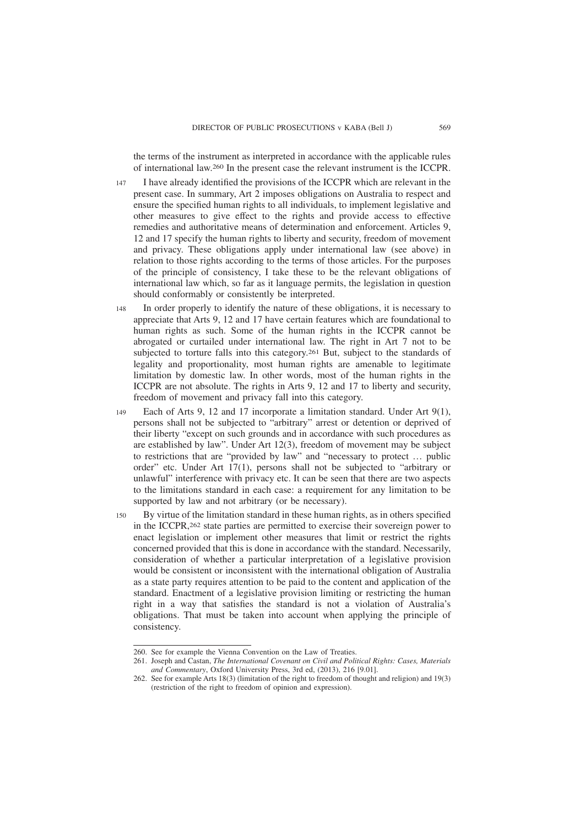the terms of the instrument as interpreted in accordance with the applicable rules of international law.260 In the present case the relevant instrument is the ICCPR.

- I have already identified the provisions of the ICCPR which are relevant in the present case. In summary, Art 2 imposes obligations on Australia to respect and ensure the specified human rights to all individuals, to implement legislative and other measures to give effect to the rights and provide access to effective remedies and authoritative means of determination and enforcement. Articles 9, 12 and 17 specify the human rights to liberty and security, freedom of movement and privacy. These obligations apply under international law (see above) in relation to those rights according to the terms of those articles. For the purposes of the principle of consistency, I take these to be the relevant obligations of international law which, so far as it language permits, the legislation in question should conformably or consistently be interpreted. 147
- In order properly to identify the nature of these obligations, it is necessary to appreciate that Arts 9, 12 and 17 have certain features which are foundational to human rights as such. Some of the human rights in the ICCPR cannot be abrogated or curtailed under international law. The right in Art 7 not to be subjected to torture falls into this category.261 But, subject to the standards of legality and proportionality, most human rights are amenable to legitimate limitation by domestic law. In other words, most of the human rights in the ICCPR are not absolute. The rights in Arts 9, 12 and 17 to liberty and security, freedom of movement and privacy fall into this category. 148
- Each of Arts 9, 12 and 17 incorporate a limitation standard. Under Art 9(1), persons shall not be subjected to "arbitrary" arrest or detention or deprived of their liberty "except on such grounds and in accordance with such procedures as are established by law". Under Art 12(3), freedom of movement may be subject to restrictions that are "provided by law" and "necessary to protect … public order" etc. Under Art 17(1), persons shall not be subjected to "arbitrary or unlawful" interference with privacy etc. It can be seen that there are two aspects to the limitations standard in each case: a requirement for any limitation to be supported by law and not arbitrary (or be necessary). 149
- By virtue of the limitation standard in these human rights, as in others specified in the ICCPR,262 state parties are permitted to exercise their sovereign power to enact legislation or implement other measures that limit or restrict the rights concerned provided that this is done in accordance with the standard. Necessarily, consideration of whether a particular interpretation of a legislative provision would be consistent or inconsistent with the international obligation of Australia as a state party requires attention to be paid to the content and application of the standard. Enactment of a legislative provision limiting or restricting the human right in a way that satisfies the standard is not a violation of Australia's obligations. That must be taken into account when applying the principle of consistency.  $150$

<sup>260.</sup> See for example the Vienna Convention on the Law of Treaties.

<sup>261.</sup> Joseph and Castan, *The International Covenant on Civil and Political Rights: Cases, Materials and Commentary*, Oxford University Press, 3rd ed, (2013), 216 [9.01].

<sup>262.</sup> See for example Arts 18(3) (limitation of the right to freedom of thought and religion) and 19(3) (restriction of the right to freedom of opinion and expression).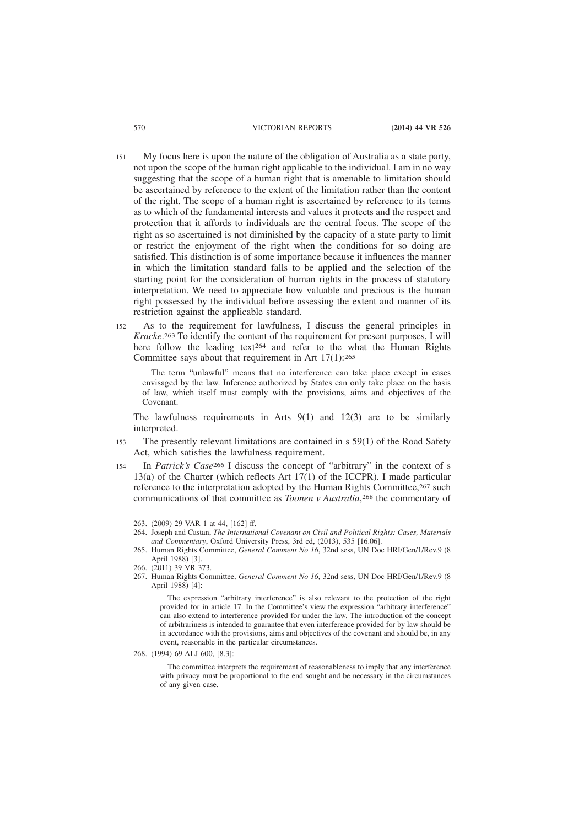- My focus here is upon the nature of the obligation of Australia as a state party, not upon the scope of the human right applicable to the individual. I am in no way suggesting that the scope of a human right that is amenable to limitation should be ascertained by reference to the extent of the limitation rather than the content of the right. The scope of a human right is ascertained by reference to its terms as to which of the fundamental interests and values it protects and the respect and protection that it affords to individuals are the central focus. The scope of the right as so ascertained is not diminished by the capacity of a state party to limit or restrict the enjoyment of the right when the conditions for so doing are satisfied. This distinction is of some importance because it influences the manner in which the limitation standard falls to be applied and the selection of the starting point for the consideration of human rights in the process of statutory interpretation. We need to appreciate how valuable and precious is the human right possessed by the individual before assessing the extent and manner of its restriction against the applicable standard. 151
- As to the requirement for lawfulness, I discuss the general principles in *Kracke*. 263 To identify the content of the requirement for present purposes, I will here follow the leading text<sup>264</sup> and refer to the what the Human Rights Committee says about that requirement in Art  $17(1)$ : 265  $152$

The term "unlawful" means that no interference can take place except in cases envisaged by the law. Inference authorized by States can only take place on the basis of law, which itself must comply with the provisions, aims and objectives of the Covenant.

The lawfulness requirements in Arts  $9(1)$  and  $12(3)$  are to be similarly interpreted.

- The presently relevant limitations are contained in s 59(1) of the Road Safety Act, which satisfies the lawfulness requirement. 153
- In *Patrick's Case*266 I discuss the concept of "arbitrary" in the context of s 13(a) of the Charter (which reflects Art  $17(1)$  of the ICCPR). I made particular reference to the interpretation adopted by the Human Rights Committee, 267 such communications of that committee as *Toonen v Australia*, 268 the commentary of 154

268. (1994) 69 ALJ 600, [8.3]:

The committee interprets the requirement of reasonableness to imply that any interference with privacy must be proportional to the end sought and be necessary in the circumstances of any given case.

<sup>263. (2009) 29</sup> VAR 1 at 44, [162] ff.

<sup>264.</sup> Joseph and Castan, *The International Covenant on Civil and Political Rights: Cases, Materials and Commentary*, Oxford University Press, 3rd ed, (2013), 535 [16.06].

<sup>265.</sup> Human Rights Committee, *General Comment No 16*, 32nd sess, UN Doc HRI/Gen/1/Rev.9 (8 April 1988) [3].

<sup>266. (2011) 39</sup> VR 373.

<sup>267.</sup> Human Rights Committee, *General Comment No 16*, 32nd sess, UN Doc HRI/Gen/1/Rev.9 (8 April 1988) [4]:

The expression "arbitrary interference" is also relevant to the protection of the right provided for in article 17. In the Committee's view the expression "arbitrary interference" can also extend to interference provided for under the law. The introduction of the concept of arbitrariness is intended to guarantee that even interference provided for by law should be in accordance with the provisions, aims and objectives of the covenant and should be, in any event, reasonable in the particular circumstances.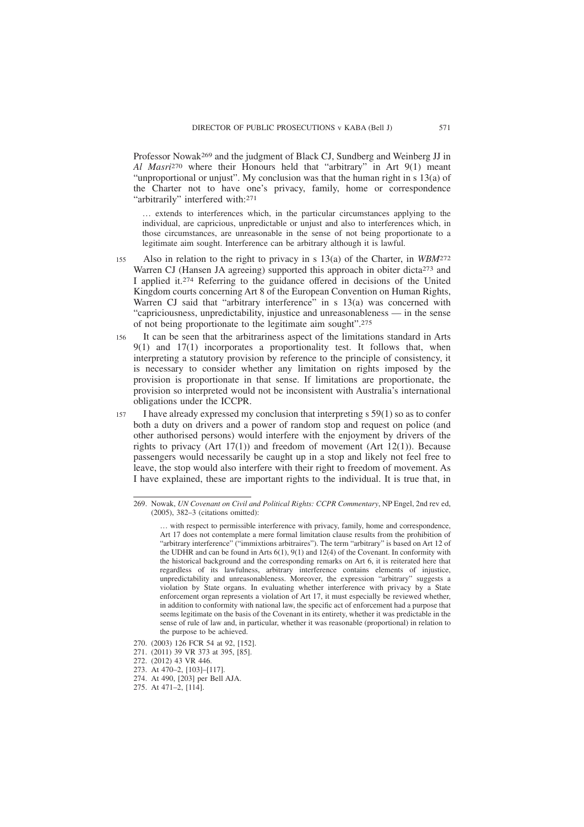Professor Nowak269 and the judgment of Black CJ, Sundberg and Weinberg JJ in *Al Masri*270 where their Honours held that "arbitrary" in Art 9(1) meant "unproportional or unjust". My conclusion was that the human right in s 13(a) of the Charter not to have one's privacy, family, home or correspondence "arbitrarily" interfered with:<sup>271</sup>

… extends to interferences which, in the particular circumstances applying to the individual, are capricious, unpredictable or unjust and also to interferences which, in those circumstances, are unreasonable in the sense of not being proportionate to a legitimate aim sought. Interference can be arbitrary although it is lawful.

- Also in relation to the right to privacy in s 13(a) of the Charter, in *WBM*272 Warren CJ (Hansen JA agreeing) supported this approach in obiter dicta<sup>273</sup> and I applied it.274 Referring to the guidance offered in decisions of the United Kingdom courts concerning Art 8 of the European Convention on Human Rights, Warren CJ said that "arbitrary interference" in s 13(a) was concerned with "capriciousness, unpredictability, injustice and unreasonableness — in the sense of not being proportionate to the legitimate aim sought".275 155
- It can be seen that the arbitrariness aspect of the limitations standard in Arts 9(1) and 17(1) incorporates a proportionality test. It follows that, when interpreting a statutory provision by reference to the principle of consistency, it is necessary to consider whether any limitation on rights imposed by the provision is proportionate in that sense. If limitations are proportionate, the provision so interpreted would not be inconsistent with Australia's international obligations under the ICCPR. 156
- I have already expressed my conclusion that interpreting s 59(1) so as to confer both a duty on drivers and a power of random stop and request on police (and other authorised persons) would interfere with the enjoyment by drivers of the rights to privacy (Art 17(1)) and freedom of movement (Art 12(1)). Because passengers would necessarily be caught up in a stop and likely not feel free to leave, the stop would also interfere with their right to freedom of movement. As I have explained, these are important rights to the individual. It is true that, in 157

270. (2003) 126 FCR 54 at 92, [152].

<sup>269.</sup> Nowak, *UN Covenant on Civil and Political Rights: CCPR Commentary*, NP Engel, 2nd rev ed, (2005), 382–3 (citations omitted):

<sup>…</sup> with respect to permissible interference with privacy, family, home and correspondence, Art 17 does not contemplate a mere formal limitation clause results from the prohibition of "arbitrary interference" ("immixtions arbitraires"). The term "arbitrary" is based on Art 12 of the UDHR and can be found in Arts 6(1), 9(1) and 12(4) of the Covenant. In conformity with the historical background and the corresponding remarks on Art 6, it is reiterated here that regardless of its lawfulness, arbitrary interference contains elements of injustice, unpredictability and unreasonableness. Moreover, the expression "arbitrary" suggests a violation by State organs. In evaluating whether interference with privacy by a State enforcement organ represents a violation of Art 17, it must especially be reviewed whether, in addition to conformity with national law, the specific act of enforcement had a purpose that seems legitimate on the basis of the Covenant in its entirety, whether it was predictable in the sense of rule of law and, in particular, whether it was reasonable (proportional) in relation to the purpose to be achieved.

<sup>271. (2011) 39</sup> VR 373 at 395, [85].

<sup>272. (2012) 43</sup> VR 446.

<sup>273.</sup> At 470–2, [103]–[117].

<sup>274.</sup> At 490, [203] per Bell AJA.

<sup>275.</sup> At 471–2, [114].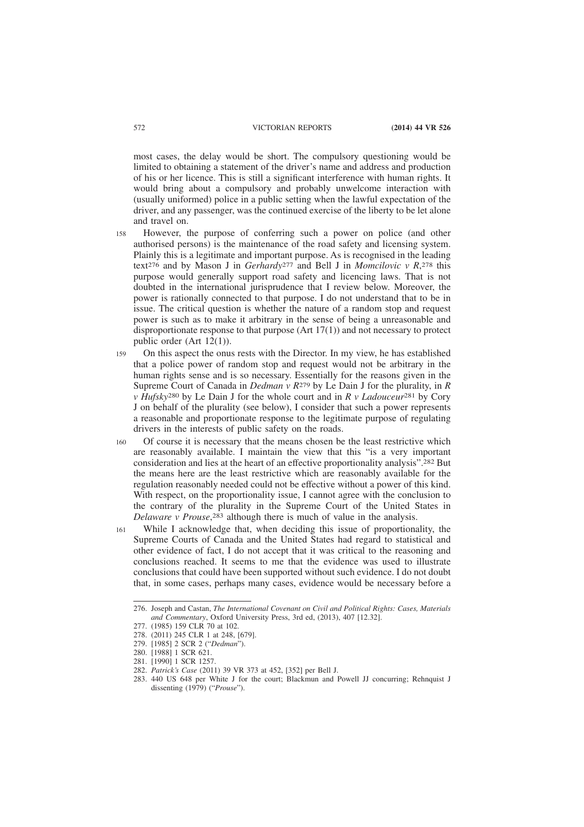most cases, the delay would be short. The compulsory questioning would be limited to obtaining a statement of the driver's name and address and production of his or her licence. This is still a significant interference with human rights. It would bring about a compulsory and probably unwelcome interaction with (usually uniformed) police in a public setting when the lawful expectation of the driver, and any passenger, was the continued exercise of the liberty to be let alone and travel on.

- However, the purpose of conferring such a power on police (and other authorised persons) is the maintenance of the road safety and licensing system. Plainly this is a legitimate and important purpose. As is recognised in the leading text276 and by Mason J in *Gerhardy*277 and Bell J in *Momcilovic v R*, 278 this purpose would generally support road safety and licencing laws. That is not doubted in the international jurisprudence that I review below. Moreover, the power is rationally connected to that purpose. I do not understand that to be in issue. The critical question is whether the nature of a random stop and request power is such as to make it arbitrary in the sense of being a unreasonable and disproportionate response to that purpose  $(Art 17(1))$  and not necessary to protect public order (Art 12(1)). 158
- On this aspect the onus rests with the Director. In my view, he has established that a police power of random stop and request would not be arbitrary in the human rights sense and is so necessary. Essentially for the reasons given in the Supreme Court of Canada in *Dedman v R*279 by Le Dain J for the plurality, in *R v Hufsky*280 by Le Dain J for the whole court and in *R v Ladouceur*281 by Cory J on behalf of the plurality (see below), I consider that such a power represents a reasonable and proportionate response to the legitimate purpose of regulating drivers in the interests of public safety on the roads. 159
- Of course it is necessary that the means chosen be the least restrictive which are reasonably available. I maintain the view that this "is a very important consideration and lies at the heart of an effective proportionality analysis".282 But the means here are the least restrictive which are reasonably available for the regulation reasonably needed could not be effective without a power of this kind. With respect, on the proportionality issue, I cannot agree with the conclusion to the contrary of the plurality in the Supreme Court of the United States in *Delaware v Prouse*, 283 although there is much of value in the analysis. 160
- While I acknowledge that, when deciding this issue of proportionality, the Supreme Courts of Canada and the United States had regard to statistical and other evidence of fact, I do not accept that it was critical to the reasoning and conclusions reached. It seems to me that the evidence was used to illustrate conclusions that could have been supported without such evidence. I do not doubt that, in some cases, perhaps many cases, evidence would be necessary before a 161

<sup>276.</sup> Joseph and Castan, *The International Covenant on Civil and Political Rights: Cases, Materials and Commentary*, Oxford University Press, 3rd ed, (2013), 407 [12.32].

<sup>277. (1985) 159</sup> CLR 70 at 102.

<sup>278. (2011) 245</sup> CLR 1 at 248, [679].

<sup>279. [1985] 2</sup> SCR 2 ("*Dedman*").

<sup>280. [1988] 1</sup> SCR 621.

<sup>281. [1990] 1</sup> SCR 1257.

<sup>282.</sup> *Patrick's Case* (2011) 39 VR 373 at 452, [352] per Bell J.

<sup>283. 440</sup> US 648 per White J for the court; Blackmun and Powell JJ concurring; Rehnquist J dissenting (1979) ("*Prouse*").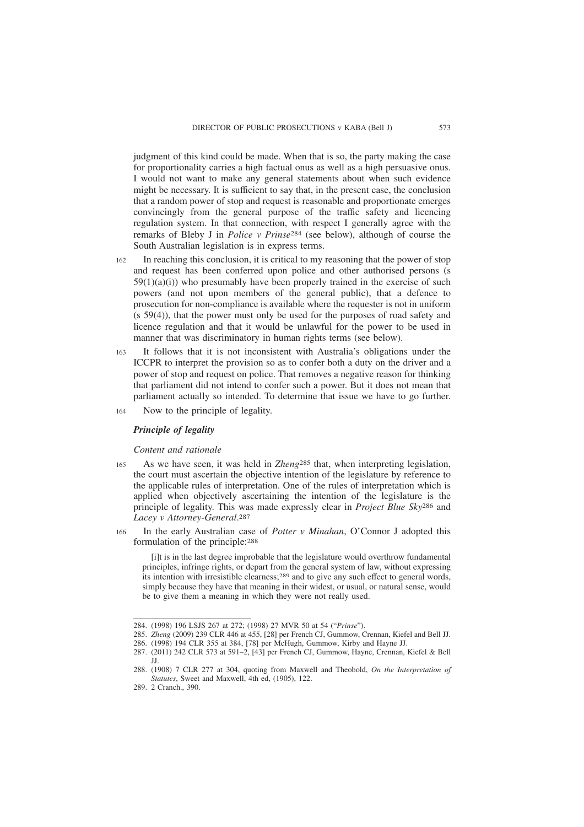judgment of this kind could be made. When that is so, the party making the case for proportionality carries a high factual onus as well as a high persuasive onus. I would not want to make any general statements about when such evidence might be necessary. It is sufficient to say that, in the present case, the conclusion that a random power of stop and request is reasonable and proportionate emerges convincingly from the general purpose of the traffic safety and licencing regulation system. In that connection, with respect I generally agree with the remarks of Bleby J in *Police v Prinse*284 (see below), although of course the South Australian legislation is in express terms.

- In reaching this conclusion, it is critical to my reasoning that the power of stop and request has been conferred upon police and other authorised persons (s  $59(1)(a)(i)$ ) who presumably have been properly trained in the exercise of such powers (and not upon members of the general public), that a defence to prosecution for non-compliance is available where the requester is not in uniform (s 59(4)), that the power must only be used for the purposes of road safety and licence regulation and that it would be unlawful for the power to be used in manner that was discriminatory in human rights terms (see below). 162
- It follows that it is not inconsistent with Australia's obligations under the ICCPR to interpret the provision so as to confer both a duty on the driver and a power of stop and request on police. That removes a negative reason for thinking that parliament did not intend to confer such a power. But it does not mean that parliament actually so intended. To determine that issue we have to go further. 163
- Now to the principle of legality. 164

# *Principle of legality*

*Content and rationale*

- As we have seen, it was held in *Zheng*285 that, when interpreting legislation, the court must ascertain the objective intention of the legislature by reference to the applicable rules of interpretation. One of the rules of interpretation which is applied when objectively ascertaining the intention of the legislature is the principle of legality. This was made expressly clear in *Project Blue Sky*286 and *Lacey v Attorney-General*. 287 165
- In the early Australian case of *Potter v Minahan*, O'Connor J adopted this formulation of the principle:288 166

[i]t is in the last degree improbable that the legislature would overthrow fundamental principles, infringe rights, or depart from the general system of law, without expressing its intention with irresistible clearness;289 and to give any such effect to general words, simply because they have that meaning in their widest, or usual, or natural sense, would be to give them a meaning in which they were not really used.

<sup>284. (1998) 196</sup> LSJS 267 at 272; (1998) 27 MVR 50 at 54 ("*Prinse*").

<sup>285.</sup> *Zheng* (2009) 239 CLR 446 at 455, [28] per French CJ, Gummow, Crennan, Kiefel and Bell JJ.

<sup>286. (1998) 194</sup> CLR 355 at 384, [78] per McHugh, Gummow, Kirby and Hayne JJ.

<sup>287. (2011) 242</sup> CLR 573 at 591–2, [43] per French CJ, Gummow, Hayne, Crennan, Kiefel & Bell JJ.

<sup>288. (1908) 7</sup> CLR 277 at 304, quoting from Maxwell and Theobold, *On the Interpretation of Statutes*, Sweet and Maxwell, 4th ed, (1905), 122.

<sup>289. 2</sup> Cranch., 390.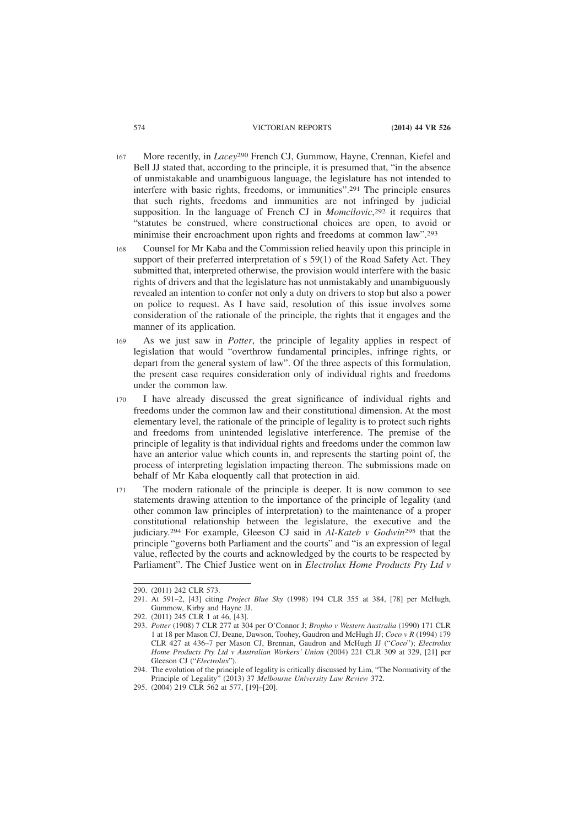- More recently, in *Lacey*290 French CJ, Gummow, Hayne, Crennan, Kiefel and Bell JJ stated that, according to the principle, it is presumed that, "in the absence of unmistakable and unambiguous language, the legislature has not intended to interfere with basic rights, freedoms, or immunities".291 The principle ensures that such rights, freedoms and immunities are not infringed by judicial supposition. In the language of French CJ in *Momcilovic*, 292 it requires that "statutes be construed, where constructional choices are open, to avoid or minimise their encroachment upon rights and freedoms at common law".293 167
- Counsel for Mr Kaba and the Commission relied heavily upon this principle in support of their preferred interpretation of s 59(1) of the Road Safety Act. They submitted that, interpreted otherwise, the provision would interfere with the basic rights of drivers and that the legislature has not unmistakably and unambiguously revealed an intention to confer not only a duty on drivers to stop but also a power on police to request. As I have said, resolution of this issue involves some consideration of the rationale of the principle, the rights that it engages and the manner of its application. 168
- As we just saw in *Potter*, the principle of legality applies in respect of legislation that would "overthrow fundamental principles, infringe rights, or depart from the general system of law". Of the three aspects of this formulation, the present case requires consideration only of individual rights and freedoms under the common law. 169
- I have already discussed the great significance of individual rights and freedoms under the common law and their constitutional dimension. At the most elementary level, the rationale of the principle of legality is to protect such rights and freedoms from unintended legislative interference. The premise of the principle of legality is that individual rights and freedoms under the common law have an anterior value which counts in, and represents the starting point of, the process of interpreting legislation impacting thereon. The submissions made on behalf of Mr Kaba eloquently call that protection in aid. 170
- The modern rationale of the principle is deeper. It is now common to see statements drawing attention to the importance of the principle of legality (and other common law principles of interpretation) to the maintenance of a proper constitutional relationship between the legislature, the executive and the judiciary.294 For example, Gleeson CJ said in *Al-Kateb v Godwin*295 that the principle "governs both Parliament and the courts" and "is an expression of legal value, reflected by the courts and acknowledged by the courts to be respected by Parliament". The Chief Justice went on in *Electrolux Home Products Pty Ltd v* 171

<sup>290. (2011) 242</sup> CLR 573.

<sup>291.</sup> At 591–2, [43] citing *Project Blue Sky* (1998) 194 CLR 355 at 384, [78] per McHugh, Gummow, Kirby and Hayne JJ.

<sup>292. (2011) 245</sup> CLR 1 at 46, [43].

<sup>293.</sup> *Potter* (1908) 7 CLR 277 at 304 per O'Connor J; *Bropho v Western Australia* (1990) 171 CLR 1 at 18 per Mason CJ, Deane, Dawson, Toohey, Gaudron and McHugh JJ; *Coco v R* (1994) 179 CLR 427 at 436–7 per Mason CJ, Brennan, Gaudron and McHugh JJ ("*Coco*"); *Electrolux Home Products Pty Ltd v Australian Workers' Union* (2004) 221 CLR 309 at 329, [21] per Gleeson CJ ("*Electrolux*").

<sup>294.</sup> The evolution of the principle of legality is critically discussed by Lim, "The Normativity of the Principle of Legality" (2013) 37 *Melbourne University Law Review* 372.

<sup>295. (2004) 219</sup> CLR 562 at 577, [19]–[20].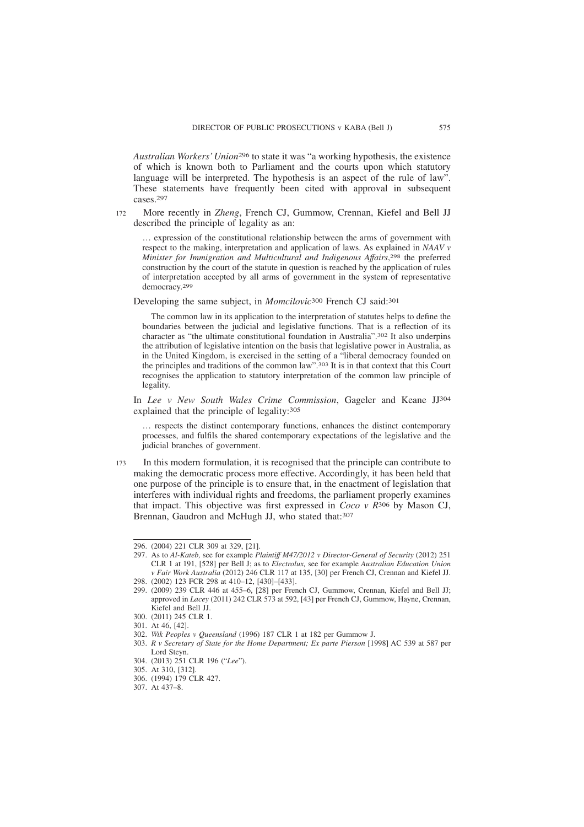*Australian Workers' Union*296 to state it was "a working hypothesis, the existence of which is known both to Parliament and the courts upon which statutory language will be interpreted. The hypothesis is an aspect of the rule of law". These statements have frequently been cited with approval in subsequent cases.297

More recently in *Zheng*, French CJ, Gummow, Crennan, Kiefel and Bell JJ described the principle of legality as an: 172

… expression of the constitutional relationship between the arms of government with respect to the making, interpretation and application of laws. As explained in *NAAV v Minister for Immigration and Multicultural and Indigenous Affairs*, 298 the preferred construction by the court of the statute in question is reached by the application of rules of interpretation accepted by all arms of government in the system of representative democracy.299

Developing the same subject, in *Momcilovic*300 French CJ said:301

The common law in its application to the interpretation of statutes helps to define the boundaries between the judicial and legislative functions. That is a reflection of its character as "the ultimate constitutional foundation in Australia".302 It also underpins the attribution of legislative intention on the basis that legislative power in Australia, as in the United Kingdom, is exercised in the setting of a "liberal democracy founded on the principles and traditions of the common law".303 It is in that context that this Court recognises the application to statutory interpretation of the common law principle of legality.

In *Lee v New South Wales Crime Commission*, Gageler and Keane JJ304 explained that the principle of legality:305

… respects the distinct contemporary functions, enhances the distinct contemporary processes, and fulfils the shared contemporary expectations of the legislative and the judicial branches of government.

In this modern formulation, it is recognised that the principle can contribute to making the democratic process more effective. Accordingly, it has been held that one purpose of the principle is to ensure that, in the enactment of legislation that interferes with individual rights and freedoms, the parliament properly examines that impact. This objective was first expressed in *Coco v R*306 by Mason CJ, Brennan, Gaudron and McHugh JJ, who stated that: 307 173

<sup>296. (2004) 221</sup> CLR 309 at 329, [21].

<sup>297.</sup> As to *Al-Kateb,* see for example *Plaintiff M47/2012 v Director-General of Security* (2012) 251 CLR 1 at 191, [528] per Bell J; as to *Electrolux,* see for example *Australian Education Union v Fair Work Australia* (2012) 246 CLR 117 at 135, [30] per French CJ, Crennan and Kiefel JJ. 298. (2002) 123 FCR 298 at 410–12, [430]–[433].

<sup>299. (2009) 239</sup> CLR 446 at 455–6, [28] per French CJ, Gummow, Crennan, Kiefel and Bell JJ; approved in *Lacey* (2011) 242 CLR 573 at 592, [43] per French CJ, Gummow, Hayne, Crennan, Kiefel and Bell JJ.

<sup>300. (2011) 245</sup> CLR 1.

<sup>301.</sup> At 46, [42].

<sup>302.</sup> *Wik Peoples v Queensland* (1996) 187 CLR 1 at 182 per Gummow J.

<sup>303.</sup> *R v Secretary of State for the Home Department; Ex parte Pierson* [1998] AC 539 at 587 per Lord Steyn.

<sup>304. (2013) 251</sup> CLR 196 ("*Lee*").

<sup>305.</sup> At 310, [312].

<sup>306. (1994) 179</sup> CLR 427.

<sup>307.</sup> At 437–8.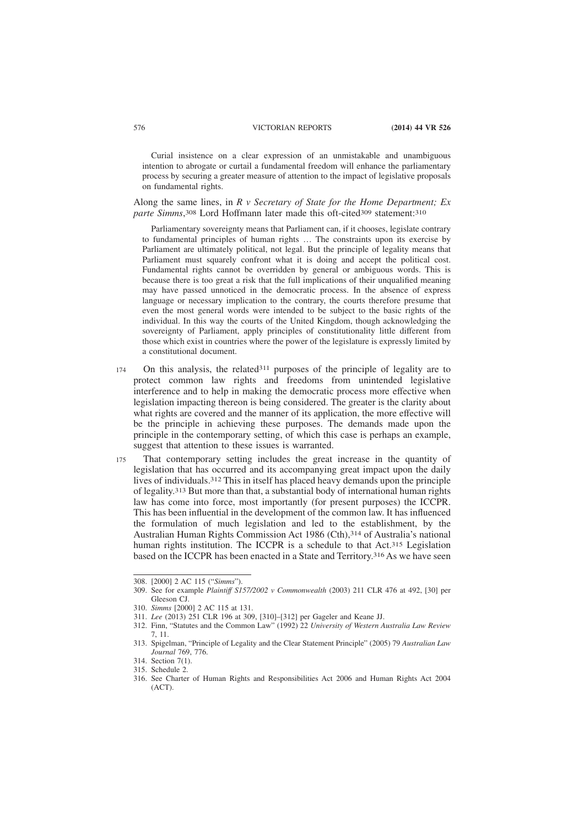Curial insistence on a clear expression of an unmistakable and unambiguous intention to abrogate or curtail a fundamental freedom will enhance the parliamentary process by securing a greater measure of attention to the impact of legislative proposals on fundamental rights.

Along the same lines, in *R v Secretary of State for the Home Department; Ex* parte Simms, 308 Lord Hoffmann later made this oft-cited 309 statement: 310

Parliamentary sovereignty means that Parliament can, if it chooses, legislate contrary to fundamental principles of human rights … The constraints upon its exercise by Parliament are ultimately political, not legal. But the principle of legality means that Parliament must squarely confront what it is doing and accept the political cost. Fundamental rights cannot be overridden by general or ambiguous words. This is because there is too great a risk that the full implications of their unqualified meaning may have passed unnoticed in the democratic process. In the absence of express language or necessary implication to the contrary, the courts therefore presume that even the most general words were intended to be subject to the basic rights of the individual. In this way the courts of the United Kingdom, though acknowledging the sovereignty of Parliament, apply principles of constitutionality little different from those which exist in countries where the power of the legislature is expressly limited by a constitutional document.

- On this analysis, the related311 purposes of the principle of legality are to protect common law rights and freedoms from unintended legislative interference and to help in making the democratic process more effective when legislation impacting thereon is being considered. The greater is the clarity about what rights are covered and the manner of its application, the more effective will be the principle in achieving these purposes. The demands made upon the principle in the contemporary setting, of which this case is perhaps an example, suggest that attention to these issues is warranted. 174
- That contemporary setting includes the great increase in the quantity of legislation that has occurred and its accompanying great impact upon the daily lives of individuals.312 This in itself has placed heavy demands upon the principle of legality.313 But more than that, a substantial body of international human rights law has come into force, most importantly (for present purposes) the ICCPR. This has been influential in the development of the common law. It has influenced the formulation of much legislation and led to the establishment, by the Australian Human Rights Commission Act 1986 (Cth),314 of Australia's national human rights institution. The ICCPR is a schedule to that Act.<sup>315</sup> Legislation based on the ICCPR has been enacted in a State and Territory.316 As we have seen 175

<sup>308. [2000] 2</sup> AC 115 ("*Simms*").

<sup>309.</sup> See for example *Plaintiff S157/2002 v Commonwealth* (2003) 211 CLR 476 at 492, [30] per Gleeson CJ.

<sup>310.</sup> *Simms* [2000] 2 AC 115 at 131.

<sup>311.</sup> *Lee* (2013) 251 CLR 196 at 309, [310]–[312] per Gageler and Keane JJ.

<sup>312.</sup> Finn, "Statutes and the Common Law" (1992) 22 *University of Western Australia Law Review* 7, 11.

<sup>313.</sup> Spigelman, "Principle of Legality and the Clear Statement Principle" (2005) 79 *Australian Law Journal* 769, 776.

<sup>314.</sup> Section 7(1).

<sup>315.</sup> Schedule 2.

<sup>316.</sup> See Charter of Human Rights and Responsibilities Act 2006 and Human Rights Act 2004  $(ACT)$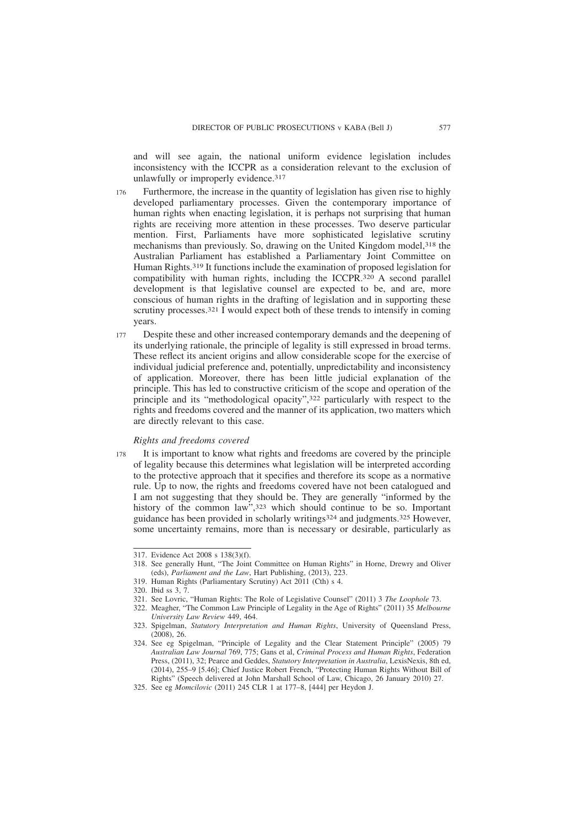and will see again, the national uniform evidence legislation includes inconsistency with the ICCPR as a consideration relevant to the exclusion of unlawfully or improperly evidence.<sup>317</sup>

- Furthermore, the increase in the quantity of legislation has given rise to highly developed parliamentary processes. Given the contemporary importance of human rights when enacting legislation, it is perhaps not surprising that human rights are receiving more attention in these processes. Two deserve particular mention. First, Parliaments have more sophisticated legislative scrutiny mechanisms than previously. So, drawing on the United Kingdom model,318 the Australian Parliament has established a Parliamentary Joint Committee on Human Rights.319 It functions include the examination of proposed legislation for compatibility with human rights, including the ICCPR.320 A second parallel development is that legislative counsel are expected to be, and are, more conscious of human rights in the drafting of legislation and in supporting these scrutiny processes.<sup>321</sup> I would expect both of these trends to intensify in coming years. 176
- Despite these and other increased contemporary demands and the deepening of its underlying rationale, the principle of legality is still expressed in broad terms. These reflect its ancient origins and allow considerable scope for the exercise of individual judicial preference and, potentially, unpredictability and inconsistency of application. Moreover, there has been little judicial explanation of the principle. This has led to constructive criticism of the scope and operation of the principle and its "methodological opacity",322 particularly with respect to the rights and freedoms covered and the manner of its application, two matters which are directly relevant to this case. 177

### *Rights and freedoms covered*

It is important to know what rights and freedoms are covered by the principle of legality because this determines what legislation will be interpreted according to the protective approach that it specifies and therefore its scope as a normative rule. Up to now, the rights and freedoms covered have not been catalogued and I am not suggesting that they should be. They are generally "informed by the history of the common law", 323 which should continue to be so. Important guidance has been provided in scholarly writings324 and judgments.325 However, some uncertainty remains, more than is necessary or desirable, particularly as 178

<sup>317.</sup> Evidence Act 2008 s 138(3)(f).

<sup>318.</sup> See generally Hunt, "The Joint Committee on Human Rights" in Horne, Drewry and Oliver (eds), *Parliament and the Law*, Hart Publishing, (2013), 223.

<sup>319.</sup> Human Rights (Parliamentary Scrutiny) Act 2011 (Cth) s 4.

<sup>320.</sup> Ibid ss 3, 7.

<sup>321.</sup> See Lovric, "Human Rights: The Role of Legislative Counsel" (2011) 3 *The Loophole* 73.

<sup>322.</sup> Meagher, "The Common Law Principle of Legality in the Age of Rights" (2011) 35 *Melbourne University Law Review* 449, 464.

<sup>323.</sup> Spigelman, *Statutory Interpretation and Human Rights*, University of Queensland Press, (2008), 26.

<sup>324.</sup> See eg Spigelman, "Principle of Legality and the Clear Statement Principle" (2005) 79 *Australian Law Journal* 769, 775; Gans et al, *Criminal Process and Human Rights*, Federation Press, (2011), 32; Pearce and Geddes, *Statutory Interpretation in Australia*, LexisNexis, 8th ed, (2014), 255–9 [5.46]; Chief Justice Robert French, "Protecting Human Rights Without Bill of Rights" (Speech delivered at John Marshall School of Law, Chicago, 26 January 2010) 27.

<sup>325.</sup> See eg *Momcilovic* (2011) 245 CLR 1 at 177–8, [444] per Heydon J.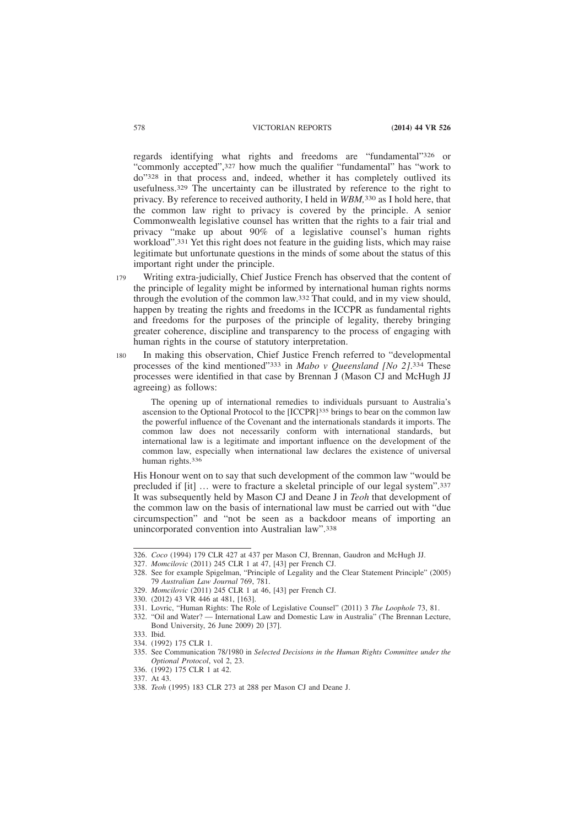regards identifying what rights and freedoms are "fundamental"326 or "commonly accepted",327 how much the qualifier "fundamental" has "work to do"328 in that process and, indeed, whether it has completely outlived its usefulness.329 The uncertainty can be illustrated by reference to the right to privacy. By reference to received authority, I held in *WBM,*330 as I hold here, that the common law right to privacy is covered by the principle. A senior Commonwealth legislative counsel has written that the rights to a fair trial and privacy "make up about 90% of a legislative counsel's human rights workload".331 Yet this right does not feature in the guiding lists, which may raise legitimate but unfortunate questions in the minds of some about the status of this important right under the principle.

- Writing extra-judicially, Chief Justice French has observed that the content of the principle of legality might be informed by international human rights norms through the evolution of the common law.332 That could, and in my view should, happen by treating the rights and freedoms in the ICCPR as fundamental rights and freedoms for the purposes of the principle of legality, thereby bringing greater coherence, discipline and transparency to the process of engaging with human rights in the course of statutory interpretation. 179
- In making this observation, Chief Justice French referred to "developmental processes of the kind mentioned"333 in *Mabo v Queensland [No 2]*. 334 These processes were identified in that case by Brennan J (Mason CJ and McHugh JJ agreeing) as follows: 180

The opening up of international remedies to individuals pursuant to Australia's ascension to the Optional Protocol to the [ICCPR]335 brings to bear on the common law the powerful influence of the Covenant and the internationals standards it imports. The common law does not necessarily conform with international standards, but international law is a legitimate and important influence on the development of the common law, especially when international law declares the existence of universal human rights.336

His Honour went on to say that such development of the common law "would be precluded if [it] … were to fracture a skeletal principle of our legal system".337 It was subsequently held by Mason CJ and Deane J in *Teoh* that development of the common law on the basis of international law must be carried out with "due circumspection" and "not be seen as a backdoor means of importing an unincorporated convention into Australian law".338

<sup>326.</sup> *Coco* (1994) 179 CLR 427 at 437 per Mason CJ, Brennan, Gaudron and McHugh JJ.

<sup>327.</sup> *Momcilovic* (2011) 245 CLR 1 at 47, [43] per French CJ.

<sup>328.</sup> See for example Spigelman, "Principle of Legality and the Clear Statement Principle" (2005) 79 *Australian Law Journal* 769, 781.

<sup>329.</sup> *Momcilovic* (2011) 245 CLR 1 at 46, [43] per French CJ.

<sup>330. (2012) 43</sup> VR 446 at 481, [163].

<sup>331.</sup> Lovric, "Human Rights: The Role of Legislative Counsel" (2011) 3 *The Loophole* 73, 81.

<sup>332. &</sup>quot;Oil and Water? — International Law and Domestic Law in Australia" (The Brennan Lecture, Bond University, 26 June 2009) 20 [37].

<sup>333.</sup> Ibid.

<sup>334. (1992) 175</sup> CLR 1.

<sup>335.</sup> See Communication 78/1980 in *Selected Decisions in the Human Rights Committee under the Optional Protocol*, vol 2, 23.

<sup>336. (1992) 175</sup> CLR 1 at 42.

<sup>337.</sup> At 43.

<sup>338.</sup> *Teoh* (1995) 183 CLR 273 at 288 per Mason CJ and Deane J.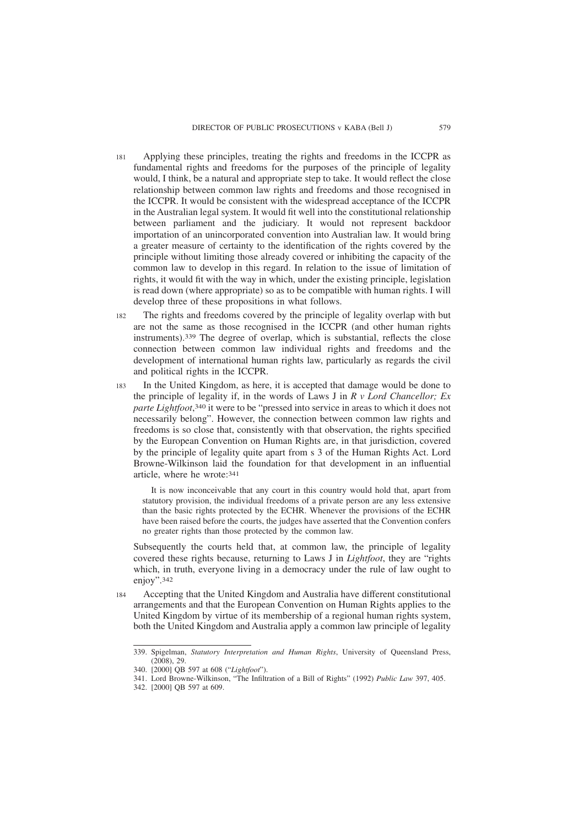- Applying these principles, treating the rights and freedoms in the ICCPR as fundamental rights and freedoms for the purposes of the principle of legality would, I think, be a natural and appropriate step to take. It would reflect the close relationship between common law rights and freedoms and those recognised in the ICCPR. It would be consistent with the widespread acceptance of the ICCPR in the Australian legal system. It would fit well into the constitutional relationship between parliament and the judiciary. It would not represent backdoor importation of an unincorporated convention into Australian law. It would bring a greater measure of certainty to the identification of the rights covered by the principle without limiting those already covered or inhibiting the capacity of the common law to develop in this regard. In relation to the issue of limitation of rights, it would fit with the way in which, under the existing principle, legislation is read down (where appropriate) so as to be compatible with human rights. I will develop three of these propositions in what follows. 181
- The rights and freedoms covered by the principle of legality overlap with but are not the same as those recognised in the ICCPR (and other human rights instruments).339 The degree of overlap, which is substantial, reflects the close connection between common law individual rights and freedoms and the development of international human rights law, particularly as regards the civil and political rights in the ICCPR. 182
- In the United Kingdom, as here, it is accepted that damage would be done to the principle of legality if, in the words of Laws J in *R v Lord Chancellor; Ex parte Lightfoot*, 340 it were to be "pressed into service in areas to which it does not necessarily belong". However, the connection between common law rights and freedoms is so close that, consistently with that observation, the rights specified by the European Convention on Human Rights are, in that jurisdiction, covered by the principle of legality quite apart from s 3 of the Human Rights Act. Lord Browne-Wilkinson laid the foundation for that development in an influential article, where he wrote:341 183

It is now inconceivable that any court in this country would hold that, apart from statutory provision, the individual freedoms of a private person are any less extensive than the basic rights protected by the ECHR. Whenever the provisions of the ECHR have been raised before the courts, the judges have asserted that the Convention confers no greater rights than those protected by the common law.

Subsequently the courts held that, at common law, the principle of legality covered these rights because, returning to Laws J in *Lightfoot*, they are "rights which, in truth, everyone living in a democracy under the rule of law ought to enjoy".342

Accepting that the United Kingdom and Australia have different constitutional arrangements and that the European Convention on Human Rights applies to the United Kingdom by virtue of its membership of a regional human rights system, both the United Kingdom and Australia apply a common law principle of legality 184

<sup>339.</sup> Spigelman, *Statutory Interpretation and Human Rights*, University of Queensland Press,  $(2008), 29$ 

<sup>340. [2000]</sup> QB 597 at 608 ("*Lightfoot*").

<sup>341.</sup> Lord Browne-Wilkinson, "The Infiltration of a Bill of Rights" (1992) *Public Law* 397, 405.

<sup>342. [2000]</sup> QB 597 at 609.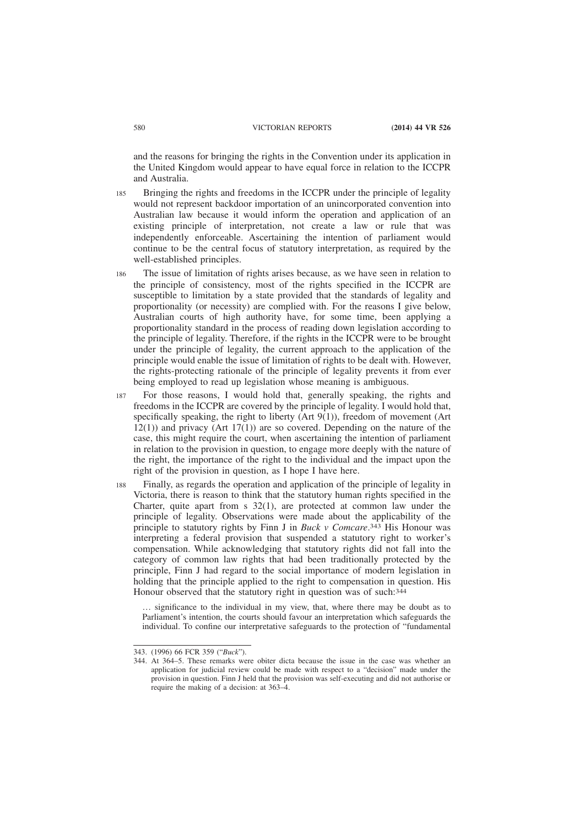and the reasons for bringing the rights in the Convention under its application in the United Kingdom would appear to have equal force in relation to the ICCPR and Australia.

- Bringing the rights and freedoms in the ICCPR under the principle of legality would not represent backdoor importation of an unincorporated convention into Australian law because it would inform the operation and application of an existing principle of interpretation, not create a law or rule that was independently enforceable. Ascertaining the intention of parliament would continue to be the central focus of statutory interpretation, as required by the well-established principles. 185
- The issue of limitation of rights arises because, as we have seen in relation to the principle of consistency, most of the rights specified in the ICCPR are susceptible to limitation by a state provided that the standards of legality and proportionality (or necessity) are complied with. For the reasons I give below, Australian courts of high authority have, for some time, been applying a proportionality standard in the process of reading down legislation according to the principle of legality. Therefore, if the rights in the ICCPR were to be brought under the principle of legality, the current approach to the application of the principle would enable the issue of limitation of rights to be dealt with. However, the rights-protecting rationale of the principle of legality prevents it from ever being employed to read up legislation whose meaning is ambiguous. 186
- For those reasons, I would hold that, generally speaking, the rights and freedoms in the ICCPR are covered by the principle of legality. I would hold that, specifically speaking, the right to liberty  $(Art 9(1))$ , freedom of movement  $(Art 9(1))$  $12(1)$ ) and privacy (Art 17(1)) are so covered. Depending on the nature of the case, this might require the court, when ascertaining the intention of parliament in relation to the provision in question, to engage more deeply with the nature of the right, the importance of the right to the individual and the impact upon the right of the provision in question, as I hope I have here. 187
- Finally, as regards the operation and application of the principle of legality in Victoria, there is reason to think that the statutory human rights specified in the Charter, quite apart from  $s$  32(1), are protected at common law under the principle of legality. Observations were made about the applicability of the principle to statutory rights by Finn J in *Buck v Comcare*. 343 His Honour was interpreting a federal provision that suspended a statutory right to worker's compensation. While acknowledging that statutory rights did not fall into the category of common law rights that had been traditionally protected by the principle, Finn J had regard to the social importance of modern legislation in holding that the principle applied to the right to compensation in question. His Honour observed that the statutory right in question was of such:344 188

… significance to the individual in my view, that, where there may be doubt as to Parliament's intention, the courts should favour an interpretation which safeguards the individual. To confine our interpretative safeguards to the protection of "fundamental

<sup>343. (1996) 66</sup> FCR 359 ("*Buck*").

<sup>344.</sup> At 364–5. These remarks were obiter dicta because the issue in the case was whether an application for judicial review could be made with respect to a "decision" made under the provision in question. Finn J held that the provision was self-executing and did not authorise or require the making of a decision: at 363–4.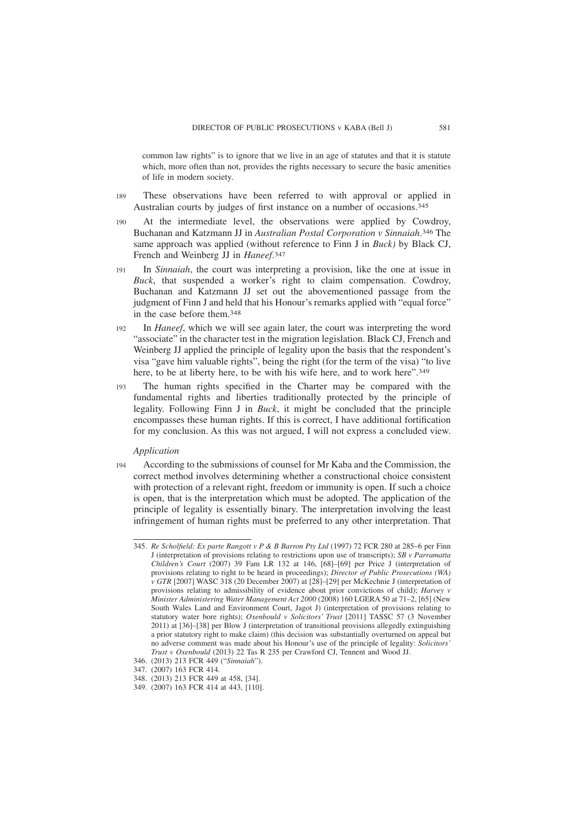common law rights" is to ignore that we live in an age of statutes and that it is statute which, more often than not, provides the rights necessary to secure the basic amenities of life in modern society.

- These observations have been referred to with approval or applied in Australian courts by judges of first instance on a number of occasions.345 189
- At the intermediate level, the observations were applied by Cowdroy, Buchanan and Katzmann JJ in *Australian Postal Corporation v Sinnaiah*. 346 The same approach was applied (without reference to Finn J in *Buck)* by Black CJ, French and Weinberg JJ in *Haneef*. 347 190
- In *Sinnaiah*, the court was interpreting a provision, like the one at issue in *Buck*, that suspended a worker's right to claim compensation. Cowdroy, Buchanan and Katzmann JJ set out the abovementioned passage from the judgment of Finn J and held that his Honour's remarks applied with "equal force" in the case before them.348 191
- In *Haneef*, which we will see again later, the court was interpreting the word "associate" in the character test in the migration legislation. Black CJ, French and Weinberg JJ applied the principle of legality upon the basis that the respondent's visa "gave him valuable rights", being the right (for the term of the visa) "to live here, to be at liberty here, to be with his wife here, and to work here".<sup>349</sup>  $192$
- The human rights specified in the Charter may be compared with the fundamental rights and liberties traditionally protected by the principle of legality. Following Finn J in *Buck*, it might be concluded that the principle encompasses these human rights. If this is correct, I have additional fortification for my conclusion. As this was not argued, I will not express a concluded view. 193

#### *Application*

According to the submissions of counsel for Mr Kaba and the Commission, the correct method involves determining whether a constructional choice consistent with protection of a relevant right, freedom or immunity is open. If such a choice is open, that is the interpretation which must be adopted. The application of the principle of legality is essentially binary. The interpretation involving the least infringement of human rights must be preferred to any other interpretation. That 194

<sup>345.</sup> *Re Scholfield; Ex parte Rangott v P & B Barron Pty Ltd* (1997) 72 FCR 280 at 285–6 per Finn J (interpretation of provisions relating to restrictions upon use of transcripts); *SB v Parramatta Children's Court* (2007) 39 Fam LR 132 at 146, [68]–[69] per Price J (interpretation of provisions relating to right to be heard in proceedings); *Director of Public Prosecutions (WA) v GTR* [2007] WASC 318 (20 December 2007) at [28]–[29] per McKechnie J (interpretation of provisions relating to admissibility of evidence about prior convictions of child); *Harvey v Minister Administering Water Management Act 2000* (2008) 160 LGERA 50 at 71–2, [65] (New South Wales Land and Environment Court, Jagot J) (interpretation of provisions relating to statutory water bore rights); *Oxenbould v Solicitors' Trust* [2011] TASSC 57 (3 November 2011) at [36]–[38] per Blow J (interpretation of transitional provisions allegedly extinguishing a prior statutory right to make claim) (this decision was substantially overturned on appeal but no adverse comment was made about his Honour's use of the principle of legality: *Solicitors' Trust v Oxenbould* (2013) 22 Tas R 235 per Crawford CJ, Tennent and Wood JJ.

<sup>346. (2013) 213</sup> FCR 449 ("*Sinnaiah*").

<sup>347. (2007) 163</sup> FCR 414.

<sup>348. (2013) 213</sup> FCR 449 at 458, [34].

<sup>349. (2007) 163</sup> FCR 414 at 443, [110].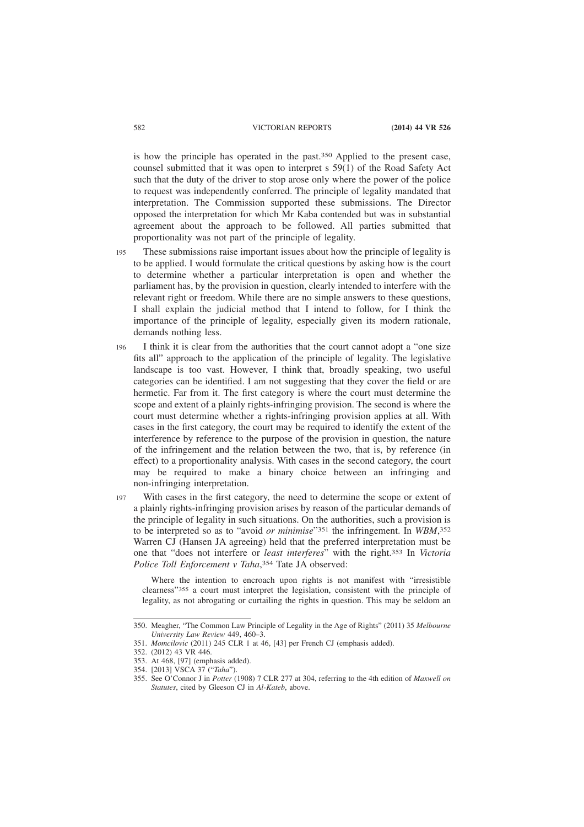is how the principle has operated in the past.350 Applied to the present case, counsel submitted that it was open to interpret s 59(1) of the Road Safety Act such that the duty of the driver to stop arose only where the power of the police to request was independently conferred. The principle of legality mandated that interpretation. The Commission supported these submissions. The Director opposed the interpretation for which Mr Kaba contended but was in substantial agreement about the approach to be followed. All parties submitted that proportionality was not part of the principle of legality.

- These submissions raise important issues about how the principle of legality is to be applied. I would formulate the critical questions by asking how is the court to determine whether a particular interpretation is open and whether the parliament has, by the provision in question, clearly intended to interfere with the relevant right or freedom. While there are no simple answers to these questions, I shall explain the judicial method that I intend to follow, for I think the importance of the principle of legality, especially given its modern rationale, demands nothing less. 195
- I think it is clear from the authorities that the court cannot adopt a "one size fits all" approach to the application of the principle of legality. The legislative landscape is too vast. However, I think that, broadly speaking, two useful categories can be identified. I am not suggesting that they cover the field or are hermetic. Far from it. The first category is where the court must determine the scope and extent of a plainly rights-infringing provision. The second is where the court must determine whether a rights-infringing provision applies at all. With cases in the first category, the court may be required to identify the extent of the interference by reference to the purpose of the provision in question, the nature of the infringement and the relation between the two, that is, by reference (in effect) to a proportionality analysis. With cases in the second category, the court may be required to make a binary choice between an infringing and non-infringing interpretation. 196
- With cases in the first category, the need to determine the scope or extent of a plainly rights-infringing provision arises by reason of the particular demands of the principle of legality in such situations. On the authorities, such a provision is to be interpreted so as to "avoid *or minimise*"351 the infringement. In *WBM*, 352 Warren CJ (Hansen JA agreeing) held that the preferred interpretation must be one that "does not interfere or *least interferes*" with the right.353 In *Victoria Police Toll Enforcement v Taha*, 354 Tate JA observed: 197

Where the intention to encroach upon rights is not manifest with "irresistible clearness"355 a court must interpret the legislation, consistent with the principle of legality, as not abrogating or curtailing the rights in question. This may be seldom an

<sup>350.</sup> Meagher, "The Common Law Principle of Legality in the Age of Rights" (2011) 35 *Melbourne University Law Review* 449, 460–3.

<sup>351.</sup> *Momcilovic* (2011) 245 CLR 1 at 46, [43] per French CJ (emphasis added).

<sup>352. (2012) 43</sup> VR 446.

<sup>353.</sup> At 468, [97] (emphasis added).

<sup>354. [2013]</sup> VSCA 37 ("*Taha*").

<sup>355.</sup> See O'Connor J in *Potter* (1908) 7 CLR 277 at 304, referring to the 4th edition of *Maxwell on Statutes*, cited by Gleeson CJ in *Al-Kateb*, above.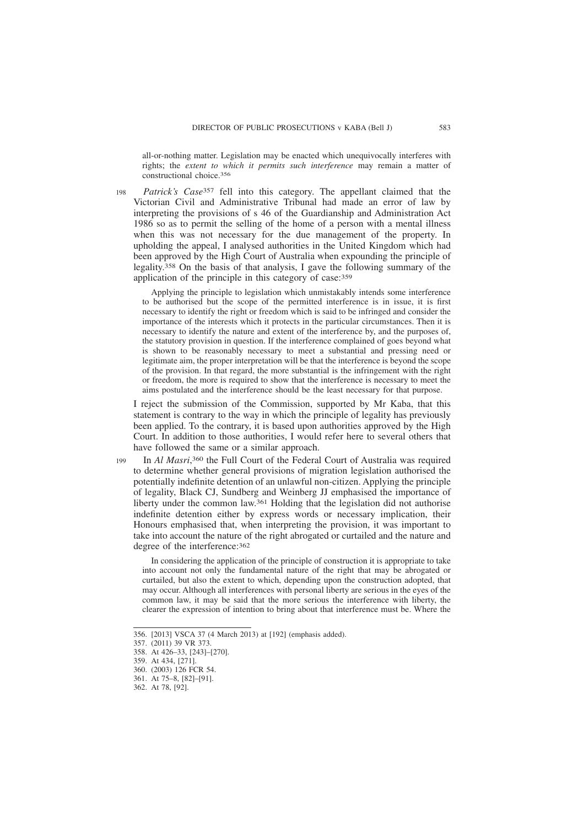all-or-nothing matter. Legislation may be enacted which unequivocally interferes with rights; the *extent to which it permits such interference* may remain a matter of constructional choice.356

*Patrick's Case*357 fell into this category. The appellant claimed that the Victorian Civil and Administrative Tribunal had made an error of law by interpreting the provisions of s 46 of the Guardianship and Administration Act 1986 so as to permit the selling of the home of a person with a mental illness when this was not necessary for the due management of the property. In upholding the appeal, I analysed authorities in the United Kingdom which had been approved by the High Court of Australia when expounding the principle of legality.358 On the basis of that analysis, I gave the following summary of the application of the principle in this category of case:359 198

Applying the principle to legislation which unmistakably intends some interference to be authorised but the scope of the permitted interference is in issue, it is first necessary to identify the right or freedom which is said to be infringed and consider the importance of the interests which it protects in the particular circumstances. Then it is necessary to identify the nature and extent of the interference by, and the purposes of, the statutory provision in question. If the interference complained of goes beyond what is shown to be reasonably necessary to meet a substantial and pressing need or legitimate aim, the proper interpretation will be that the interference is beyond the scope of the provision. In that regard, the more substantial is the infringement with the right or freedom, the more is required to show that the interference is necessary to meet the aims postulated and the interference should be the least necessary for that purpose.

I reject the submission of the Commission, supported by Mr Kaba, that this statement is contrary to the way in which the principle of legality has previously been applied. To the contrary, it is based upon authorities approved by the High Court. In addition to those authorities, I would refer here to several others that have followed the same or a similar approach.

In *Al Masri*, 360 the Full Court of the Federal Court of Australia was required to determine whether general provisions of migration legislation authorised the potentially indefinite detention of an unlawful non-citizen. Applying the principle of legality, Black CJ, Sundberg and Weinberg JJ emphasised the importance of liberty under the common law.361 Holding that the legislation did not authorise indefinite detention either by express words or necessary implication, their Honours emphasised that, when interpreting the provision, it was important to take into account the nature of the right abrogated or curtailed and the nature and degree of the interference:362 199

In considering the application of the principle of construction it is appropriate to take into account not only the fundamental nature of the right that may be abrogated or curtailed, but also the extent to which, depending upon the construction adopted, that may occur. Although all interferences with personal liberty are serious in the eyes of the common law, it may be said that the more serious the interference with liberty, the clearer the expression of intention to bring about that interference must be. Where the

<sup>356. [2013]</sup> VSCA 37 (4 March 2013) at [192] (emphasis added).

<sup>357. (2011) 39</sup> VR 373.

<sup>358.</sup> At 426–33, [243]–[270].

<sup>359.</sup> At 434, [271].

<sup>360. (2003) 126</sup> FCR 54.

<sup>361.</sup> At 75–8, [82]–[91].

<sup>362.</sup> At 78, [92].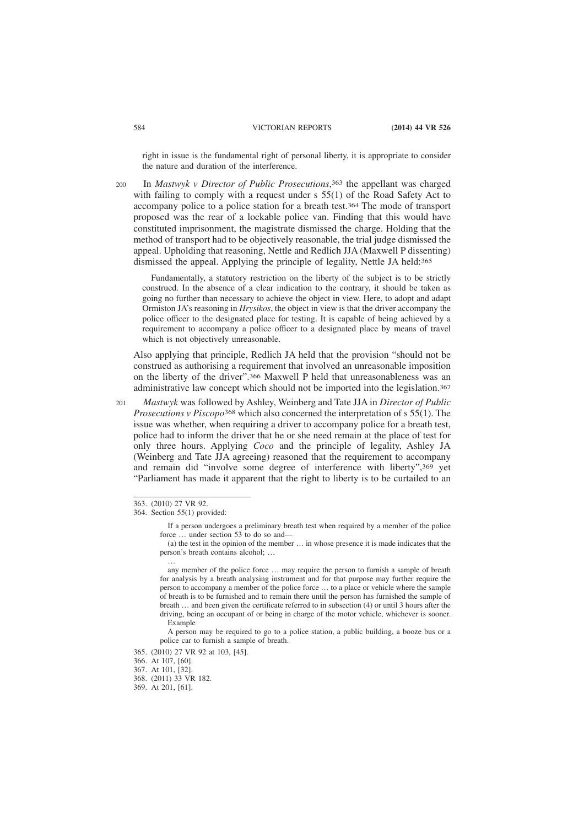right in issue is the fundamental right of personal liberty, it is appropriate to consider the nature and duration of the interference.

In *Mastwyk v Director of Public Prosecutions*, 363 the appellant was charged with failing to comply with a request under  $s$  55(1) of the Road Safety Act to accompany police to a police station for a breath test.364 The mode of transport proposed was the rear of a lockable police van. Finding that this would have constituted imprisonment, the magistrate dismissed the charge. Holding that the method of transport had to be objectively reasonable, the trial judge dismissed the appeal. Upholding that reasoning, Nettle and Redlich JJA (Maxwell P dissenting) dismissed the appeal. Applying the principle of legality, Nettle JA held:365 200

Fundamentally, a statutory restriction on the liberty of the subject is to be strictly construed. In the absence of a clear indication to the contrary, it should be taken as going no further than necessary to achieve the object in view. Here, to adopt and adapt Ormiston JA's reasoning in *Hrysikos*, the object in view is that the driver accompany the police officer to the designated place for testing. It is capable of being achieved by a requirement to accompany a police officer to a designated place by means of travel which is not objectively unreasonable.

Also applying that principle, Redlich JA held that the provision "should not be construed as authorising a requirement that involved an unreasonable imposition on the liberty of the driver".366 Maxwell P held that unreasonableness was an administrative law concept which should not be imported into the legislation.367

*Mastwyk* was followed by Ashley, Weinberg and Tate JJA in *Director of Public Prosecutions v Piscopo*368 which also concerned the interpretation of s 55(1). The issue was whether, when requiring a driver to accompany police for a breath test, police had to inform the driver that he or she need remain at the place of test for only three hours. Applying *Coco* and the principle of legality, Ashley JA (Weinberg and Tate JJA agreeing) reasoned that the requirement to accompany and remain did "involve some degree of interference with liberty",369 yet "Parliament has made it apparent that the right to liberty is to be curtailed to an 201

…

<sup>363. (2010) 27</sup> VR 92.

<sup>364.</sup> Section 55(1) provided:

If a person undergoes a preliminary breath test when required by a member of the police force ... under section 53 to do so and-

<sup>(</sup>a) the test in the opinion of the member … in whose presence it is made indicates that the person's breath contains alcohol; …

any member of the police force … may require the person to furnish a sample of breath for analysis by a breath analysing instrument and for that purpose may further require the person to accompany a member of the police force … to a place or vehicle where the sample of breath is to be furnished and to remain there until the person has furnished the sample of breath … and been given the certificate referred to in subsection (4) or until 3 hours after the driving, being an occupant of or being in charge of the motor vehicle, whichever is sooner. Example

A person may be required to go to a police station, a public building, a booze bus or a police car to furnish a sample of breath.

<sup>365. (2010) 27</sup> VR 92 at 103, [45].

<sup>366.</sup> At 107, [60].

<sup>367.</sup> At 101, [32].

<sup>368. (2011) 33</sup> VR 182.

<sup>369.</sup> At 201, [61].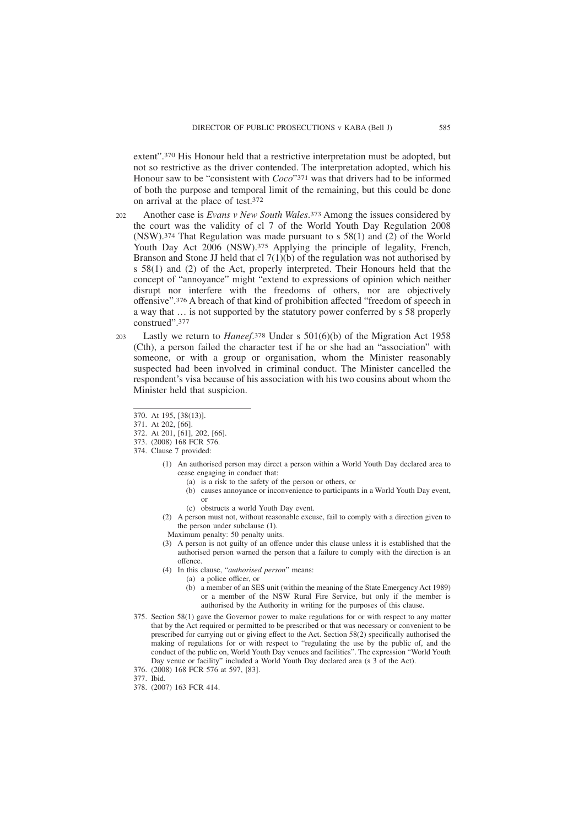extent".370 His Honour held that a restrictive interpretation must be adopted, but not so restrictive as the driver contended. The interpretation adopted, which his Honour saw to be "consistent with *Coco*"371 was that drivers had to be informed of both the purpose and temporal limit of the remaining, but this could be done on arrival at the place of test.372

- Another case is *Evans v New South Wales*. 373 Among the issues considered by the court was the validity of cl 7 of the World Youth Day Regulation 2008 (NSW).374 That Regulation was made pursuant to s 58(1) and (2) of the World Youth Day Act 2006 (NSW).<sup>375</sup> Applying the principle of legality, French, Branson and Stone JJ held that cl  $7(1)(b)$  of the regulation was not authorised by s 58(1) and (2) of the Act, properly interpreted. Their Honours held that the concept of "annoyance" might "extend to expressions of opinion which neither disrupt nor interfere with the freedoms of others, nor are objectively offensive".376 A breach of that kind of prohibition affected "freedom of speech in a way that … is not supported by the statutory power conferred by s 58 properly construed".377  $202$
- Lastly we return to *Haneef*. 378 Under s 501(6)(b) of the Migration Act 1958 (Cth), a person failed the character test if he or she had an "association" with someone, or with a group or organisation, whom the Minister reasonably suspected had been involved in criminal conduct. The Minister cancelled the respondent's visa because of his association with his two cousins about whom the Minister held that suspicion. 203
	- 370. At 195, [38(13)].
	- 371. At 202, [66].
	- 372. At 201, [61], 202, [66].
	- 373. (2008) 168 FCR 576.
	- 374. Clause 7 provided:
		- (1) An authorised person may direct a person within a World Youth Day declared area to cease engaging in conduct that:
			- (a) is a risk to the safety of the person or others, or
			- (b) causes annoyance or inconvenience to participants in a World Youth Day event, or
			- (c) obstructs a world Youth Day event.
		- (2) A person must not, without reasonable excuse, fail to comply with a direction given to the person under subclause (1).
		- Maximum penalty: 50 penalty units.
		- (3) A person is not guilty of an offence under this clause unless it is established that the authorised person warned the person that a failure to comply with the direction is an offence.
		- (4) In this clause, "*authorised person*" means:
			- (a) a police officer, or
				- (b) a member of an SES unit (within the meaning of the State Emergency Act 1989) or a member of the NSW Rural Fire Service, but only if the member is authorised by the Authority in writing for the purposes of this clause.
	- 375. Section 58(1) gave the Governor power to make regulations for or with respect to any matter that by the Act required or permitted to be prescribed or that was necessary or convenient to be prescribed for carrying out or giving effect to the Act. Section 58(2) specifically authorised the making of regulations for or with respect to "regulating the use by the public of, and the conduct of the public on, World Youth Day venues and facilities". The expression "World Youth Day venue or facility" included a World Youth Day declared area (s 3 of the Act).
	- 376. (2008) 168 FCR 576 at 597, [83].
	- 377. Ibid.
	- 378. (2007) 163 FCR 414.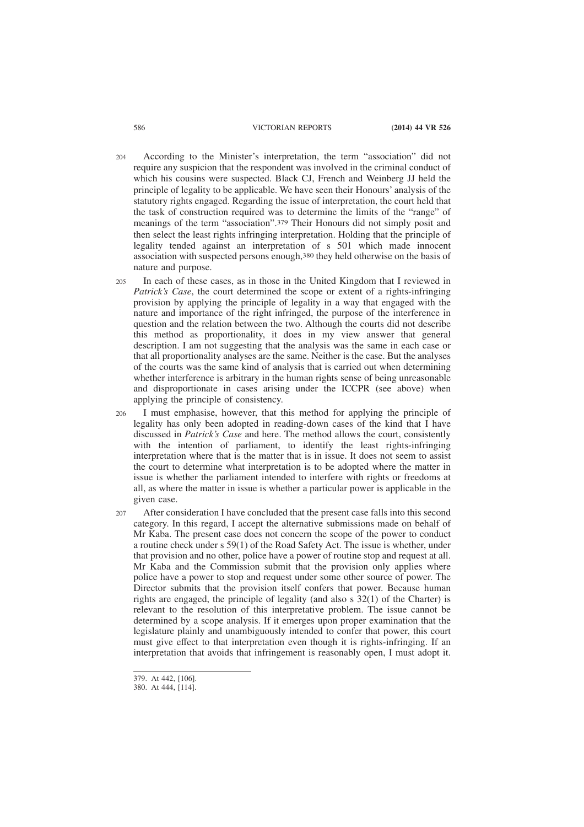- According to the Minister's interpretation, the term "association" did not require any suspicion that the respondent was involved in the criminal conduct of which his cousins were suspected. Black CJ, French and Weinberg JJ held the principle of legality to be applicable. We have seen their Honours' analysis of the statutory rights engaged. Regarding the issue of interpretation, the court held that the task of construction required was to determine the limits of the "range" of meanings of the term "association".379 Their Honours did not simply posit and then select the least rights infringing interpretation. Holding that the principle of legality tended against an interpretation of s 501 which made innocent association with suspected persons enough,380 they held otherwise on the basis of nature and purpose. 204
- In each of these cases, as in those in the United Kingdom that I reviewed in *Patrick's Case*, the court determined the scope or extent of a rights-infringing provision by applying the principle of legality in a way that engaged with the nature and importance of the right infringed, the purpose of the interference in question and the relation between the two. Although the courts did not describe this method as proportionality, it does in my view answer that general description. I am not suggesting that the analysis was the same in each case or that all proportionality analyses are the same. Neither is the case. But the analyses of the courts was the same kind of analysis that is carried out when determining whether interference is arbitrary in the human rights sense of being unreasonable and disproportionate in cases arising under the ICCPR (see above) when applying the principle of consistency. 205
- I must emphasise, however, that this method for applying the principle of legality has only been adopted in reading-down cases of the kind that I have discussed in *Patrick's Case* and here. The method allows the court, consistently with the intention of parliament, to identify the least rights-infringing interpretation where that is the matter that is in issue. It does not seem to assist the court to determine what interpretation is to be adopted where the matter in issue is whether the parliament intended to interfere with rights or freedoms at all, as where the matter in issue is whether a particular power is applicable in the given case. 206
- After consideration I have concluded that the present case falls into this second category. In this regard, I accept the alternative submissions made on behalf of Mr Kaba. The present case does not concern the scope of the power to conduct a routine check under s 59(1) of the Road Safety Act. The issue is whether, under that provision and no other, police have a power of routine stop and request at all. Mr Kaba and the Commission submit that the provision only applies where police have a power to stop and request under some other source of power. The Director submits that the provision itself confers that power. Because human rights are engaged, the principle of legality (and also s 32(1) of the Charter) is relevant to the resolution of this interpretative problem. The issue cannot be determined by a scope analysis. If it emerges upon proper examination that the legislature plainly and unambiguously intended to confer that power, this court must give effect to that interpretation even though it is rights-infringing. If an interpretation that avoids that infringement is reasonably open, I must adopt it. 207

<sup>379.</sup> At 442, [106].

<sup>380.</sup> At 444, [114].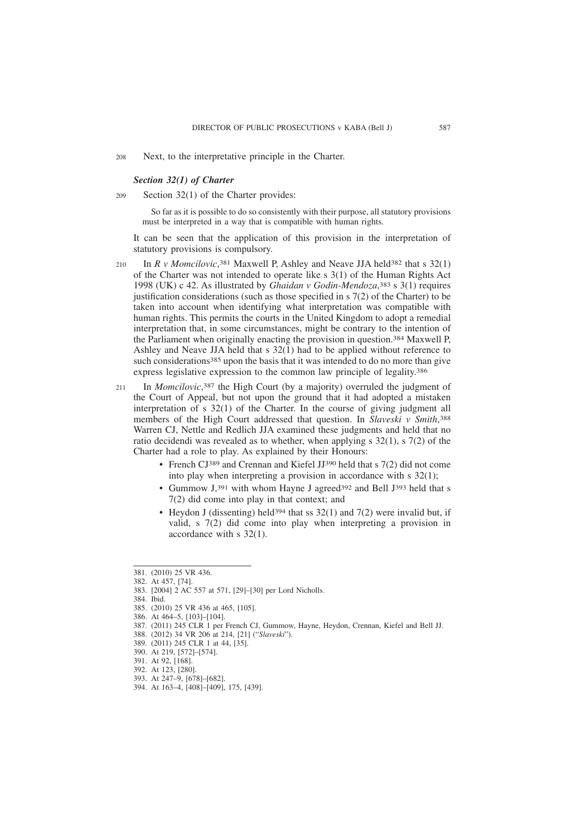Next, to the interpretative principle in the Charter. 208

### *Section 32(1) of Charter*

Section 32(1) of the Charter provides: 209

> So far as it is possible to do so consistently with their purpose, all statutory provisions must be interpreted in a way that is compatible with human rights.

It can be seen that the application of this provision in the interpretation of statutory provisions is compulsory.

In *R v Momcilovic*, 381 Maxwell P, Ashley and Neave JJA held382 that s 32(1) of the Charter was not intended to operate like s 3(1) of the Human Rights Act 1998 (UK) c 42. As illustrated by *Ghaidan v Godin-Mendoza*, 383 s 3(1) requires justification considerations (such as those specified in  $\sigma$  7(2) of the Charter) to be taken into account when identifying what interpretation was compatible with human rights. This permits the courts in the United Kingdom to adopt a remedial interpretation that, in some circumstances, might be contrary to the intention of the Parliament when originally enacting the provision in question.384 Maxwell P, Ashley and Neave JJA held that s 32(1) had to be applied without reference to such considerations385 upon the basis that it was intended to do no more than give express legislative expression to the common law principle of legality.386 210

In *Momcilovic*, 387 the High Court (by a majority) overruled the judgment of the Court of Appeal, but not upon the ground that it had adopted a mistaken interpretation of s 32(1) of the Charter. In the course of giving judgment all members of the High Court addressed that question. In *Slaveski v Smith*, 388 Warren CJ, Nettle and Redlich JJA examined these judgments and held that no ratio decidendi was revealed as to whether, when applying s 32(1), s 7(2) of the Charter had a role to play. As explained by their Honours: 211

- French CJ389 and Crennan and Kiefel JJ390 held that s 7(2) did not come into play when interpreting a provision in accordance with s 32(1);
- Gummow J, 391 with whom Hayne J agreed 392 and Bell J 393 held that s 7(2) did come into play in that context; and
- Heydon J (dissenting) held<sup>394</sup> that ss  $32(1)$  and  $7(2)$  were invalid but, if valid, s 7(2) did come into play when interpreting a provision in accordance with s 32(1).

- 383. [2004] 2 AC 557 at 571, [29]–[30] per Lord Nicholls.
- 384. Ibid.

<sup>381. (2010) 25</sup> VR 436.

<sup>382.</sup> At 457, [74].

<sup>385. (2010) 25</sup> VR 436 at 465, [105].

<sup>386.</sup> At 464–5, [103]–[104].

<sup>387. (2011) 245</sup> CLR 1 per French CJ, Gummow, Hayne, Heydon, Crennan, Kiefel and Bell JJ.

<sup>388. (2012) 34</sup> VR 206 at 214, [21] ("*Slaveski*").

<sup>389. (2011) 245</sup> CLR 1 at 44, [35].

<sup>390.</sup> At 219, [572]–[574].

<sup>391.</sup> At 92, [168].

<sup>392.</sup> At 123, [280].

<sup>393.</sup> At 247–9, [678]–[682].

<sup>394.</sup> At 163–4, [408]–[409], 175, [439].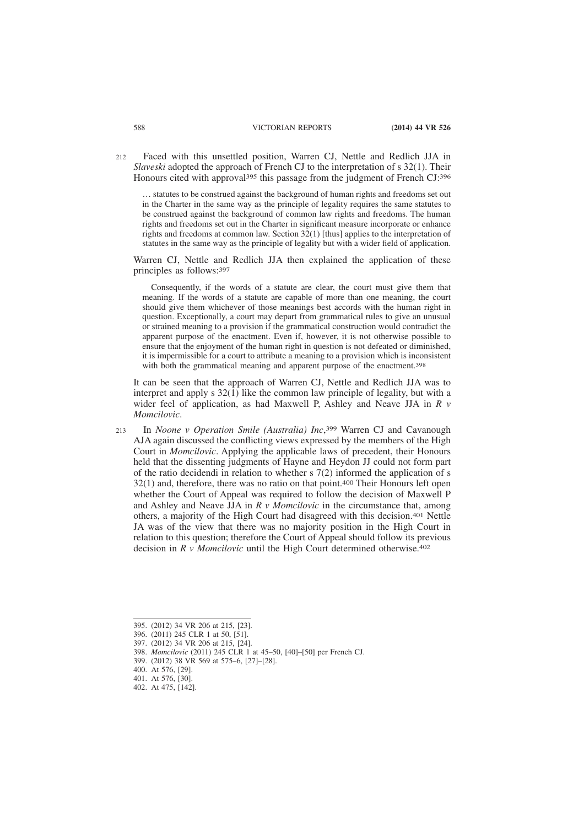Faced with this unsettled position, Warren CJ, Nettle and Redlich JJA in *Slaveski* adopted the approach of French CJ to the interpretation of s 32(1). Their Honours cited with approval<sup>395</sup> this passage from the judgment of French CJ:<sup>396</sup> 212

… statutes to be construed against the background of human rights and freedoms set out in the Charter in the same way as the principle of legality requires the same statutes to be construed against the background of common law rights and freedoms. The human rights and freedoms set out in the Charter in significant measure incorporate or enhance rights and freedoms at common law. Section 32(1) [thus] applies to the interpretation of statutes in the same way as the principle of legality but with a wider field of application.

Warren CJ, Nettle and Redlich JJA then explained the application of these principles as follows:397

Consequently, if the words of a statute are clear, the court must give them that meaning. If the words of a statute are capable of more than one meaning, the court should give them whichever of those meanings best accords with the human right in question. Exceptionally, a court may depart from grammatical rules to give an unusual or strained meaning to a provision if the grammatical construction would contradict the apparent purpose of the enactment. Even if, however, it is not otherwise possible to ensure that the enjoyment of the human right in question is not defeated or diminished, it is impermissible for a court to attribute a meaning to a provision which is inconsistent with both the grammatical meaning and apparent purpose of the enactment.<sup>398</sup>

It can be seen that the approach of Warren CJ, Nettle and Redlich JJA was to interpret and apply s 32(1) like the common law principle of legality, but with a wider feel of application, as had Maxwell P, Ashley and Neave JJA in *R v Momcilovic*.

In *Noone v Operation Smile (Australia) Inc*, 399 Warren CJ and Cavanough AJA again discussed the conflicting views expressed by the members of the High Court in *Momcilovic*. Applying the applicable laws of precedent, their Honours held that the dissenting judgments of Hayne and Heydon JJ could not form part of the ratio decidendi in relation to whether  $s \, 7(2)$  informed the application of s 32(1) and, therefore, there was no ratio on that point.400 Their Honours left open whether the Court of Appeal was required to follow the decision of Maxwell P and Ashley and Neave JJA in *R v Momcilovic* in the circumstance that, among others, a majority of the High Court had disagreed with this decision.401 Nettle JA was of the view that there was no majority position in the High Court in relation to this question; therefore the Court of Appeal should follow its previous decision in *R v Momcilovic* until the High Court determined otherwise.402  $213$ 

<sup>395. (2012) 34</sup> VR 206 at 215, [23].

<sup>396. (2011) 245</sup> CLR 1 at 50, [51].

<sup>397. (2012) 34</sup> VR 206 at 215, [24].

<sup>398.</sup> *Momcilovic* (2011) 245 CLR 1 at 45–50, [40]–[50] per French CJ.

<sup>399. (2012) 38</sup> VR 569 at 575–6, [27]–[28].

<sup>400.</sup> At 576, [29].

<sup>401.</sup> At 576, [30].

<sup>402.</sup> At 475, [142].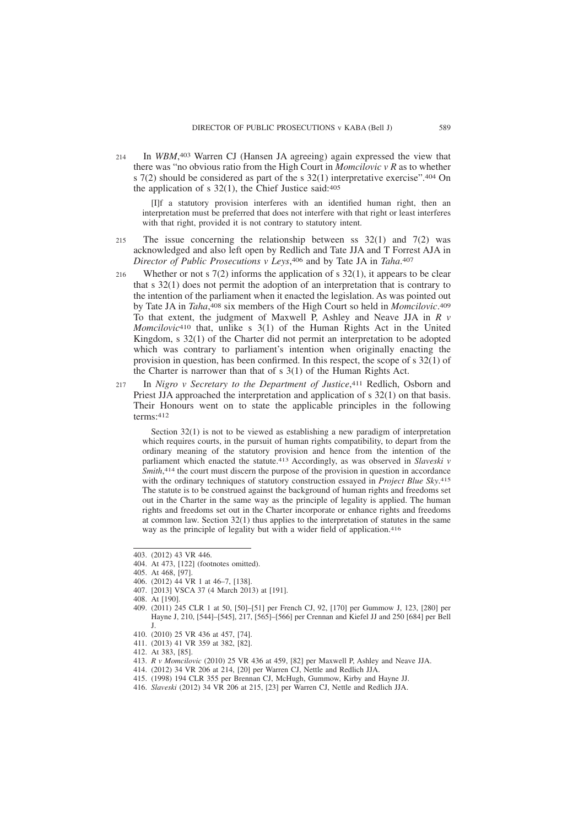In *WBM*, 403 Warren CJ (Hansen JA agreeing) again expressed the view that there was "no obvious ratio from the High Court in *Momcilovic v R* as to whether s 7(2) should be considered as part of the s 32(1) interpretative exercise".404 On the application of s 32(1), the Chief Justice said:405 214

[I]f a statutory provision interferes with an identified human right, then an interpretation must be preferred that does not interfere with that right or least interferes with that right, provided it is not contrary to statutory intent.

- The issue concerning the relationship between ss  $32(1)$  and  $7(2)$  was acknowledged and also left open by Redlich and Tate JJA and T Forrest AJA in *Director of Public Prosecutions v Leys*, 406 and by Tate JA in *Taha*. 407 215
- Whether or not s  $7(2)$  informs the application of s  $32(1)$ , it appears to be clear that s 32(1) does not permit the adoption of an interpretation that is contrary to the intention of the parliament when it enacted the legislation. As was pointed out by Tate JA in *Taha*, 408 six members of the High Court so held in *Momcilovic*. 409 To that extent, the judgment of Maxwell P, Ashley and Neave JJA in *R v Momcilovic*410 that, unlike s 3(1) of the Human Rights Act in the United Kingdom, s 32(1) of the Charter did not permit an interpretation to be adopted which was contrary to parliament's intention when originally enacting the provision in question, has been confirmed. In this respect, the scope of s 32(1) of the Charter is narrower than that of s 3(1) of the Human Rights Act. 216
- In *Nigro v Secretary to the Department of Justice*, 411 Redlich, Osborn and Priest JJA approached the interpretation and application of s 32(1) on that basis. Their Honours went on to state the applicable principles in the following terms:412 217

Section 32(1) is not to be viewed as establishing a new paradigm of interpretation which requires courts, in the pursuit of human rights compatibility, to depart from the ordinary meaning of the statutory provision and hence from the intention of the parliament which enacted the statute.413 Accordingly, as was observed in *Slaveski v* Smith,<sup>414</sup> the court must discern the purpose of the provision in question in accordance with the ordinary techniques of statutory construction essayed in *Project Blue Sky*. 415 The statute is to be construed against the background of human rights and freedoms set out in the Charter in the same way as the principle of legality is applied. The human rights and freedoms set out in the Charter incorporate or enhance rights and freedoms at common law. Section 32(1) thus applies to the interpretation of statutes in the same way as the principle of legality but with a wider field of application.416

- 409. (2011) 245 CLR 1 at 50, [50]–[51] per French CJ, 92, [170] per Gummow J, 123, [280] per Hayne J, 210, [544]–[545], 217, [565]–[566] per Crennan and Kiefel JJ and 250 [684] per Bell J.
- 410. (2010) 25 VR 436 at 457, [74].
- 411. (2013) 41 VR 359 at 382, [82].

- 413. *R v Momcilovic* (2010) 25 VR 436 at 459, [82] per Maxwell P, Ashley and Neave JJA.
- 414. (2012) 34 VR 206 at 214, [20] per Warren CJ, Nettle and Redlich JJA.
- 415. (1998) 194 CLR 355 per Brennan CJ, McHugh, Gummow, Kirby and Hayne JJ.
- 416. *Slaveski* (2012) 34 VR 206 at 215, [23] per Warren CJ, Nettle and Redlich JJA.

<sup>403. (2012) 43</sup> VR 446.

<sup>404.</sup> At 473, [122] (footnotes omitted).

<sup>405.</sup> At 468, [97].

<sup>406. (2012) 44</sup> VR 1 at 46–7, [138].

<sup>407. [2013]</sup> VSCA 37 (4 March 2013) at [191].

<sup>408.</sup> At [190].

<sup>412.</sup> At 383, [85].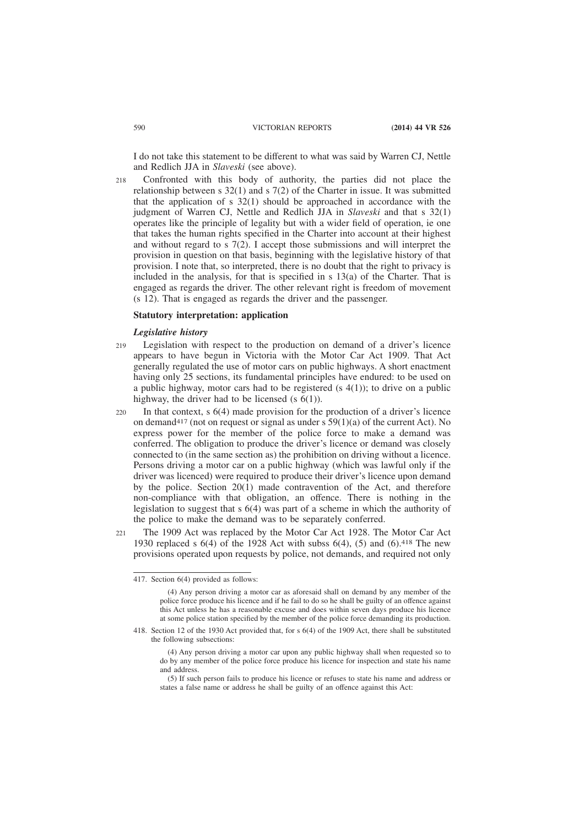I do not take this statement to be different to what was said by Warren CJ, Nettle and Redlich JJA in *Slaveski* (see above).

Confronted with this body of authority, the parties did not place the relationship between s 32(1) and s 7(2) of the Charter in issue. It was submitted that the application of s 32(1) should be approached in accordance with the judgment of Warren CJ, Nettle and Redlich JJA in *Slaveski* and that s 32(1) operates like the principle of legality but with a wider field of operation, ie one that takes the human rights specified in the Charter into account at their highest and without regard to s 7(2). I accept those submissions and will interpret the provision in question on that basis, beginning with the legislative history of that provision. I note that, so interpreted, there is no doubt that the right to privacy is included in the analysis, for that is specified in s 13(a) of the Charter. That is engaged as regards the driver. The other relevant right is freedom of movement (s 12). That is engaged as regards the driver and the passenger.  $218$ 

### **Statutory interpretation: application**

### *Legislative history*

- Legislation with respect to the production on demand of a driver's licence appears to have begun in Victoria with the Motor Car Act 1909. That Act generally regulated the use of motor cars on public highways. A short enactment having only 25 sections, its fundamental principles have endured: to be used on a public highway, motor cars had to be registered (s  $4(1)$ ); to drive on a public highway, the driver had to be licensed  $(s \ 6(1))$ . 219
- In that context,  $s \ 6(4)$  made provision for the production of a driver's licence on demand<sup>417</sup> (not on request or signal as under s  $59(1)(a)$  of the current Act). No express power for the member of the police force to make a demand was conferred. The obligation to produce the driver's licence or demand was closely connected to (in the same section as) the prohibition on driving without a licence. Persons driving a motor car on a public highway (which was lawful only if the driver was licenced) were required to produce their driver's licence upon demand by the police. Section 20(1) made contravention of the Act, and therefore non-compliance with that obligation, an offence. There is nothing in the legislation to suggest that s 6(4) was part of a scheme in which the authority of the police to make the demand was to be separately conferred.  $220$
- The 1909 Act was replaced by the Motor Car Act 1928. The Motor Car Act 1930 replaced s 6(4) of the 1928 Act with subss 6(4), (5) and (6).418 The new provisions operated upon requests by police, not demands, and required not only  $221$

<sup>417.</sup> Section 6(4) provided as follows:

<sup>(4)</sup> Any person driving a motor car as aforesaid shall on demand by any member of the police force produce his licence and if he fail to do so he shall be guilty of an offence against this Act unless he has a reasonable excuse and does within seven days produce his licence at some police station specified by the member of the police force demanding its production.

<sup>418.</sup> Section 12 of the 1930 Act provided that, for s 6(4) of the 1909 Act, there shall be substituted the following subsections:

<sup>(4)</sup> Any person driving a motor car upon any public highway shall when requested so to do by any member of the police force produce his licence for inspection and state his name and address.

<sup>(5)</sup> If such person fails to produce his licence or refuses to state his name and address or states a false name or address he shall be guilty of an offence against this Act: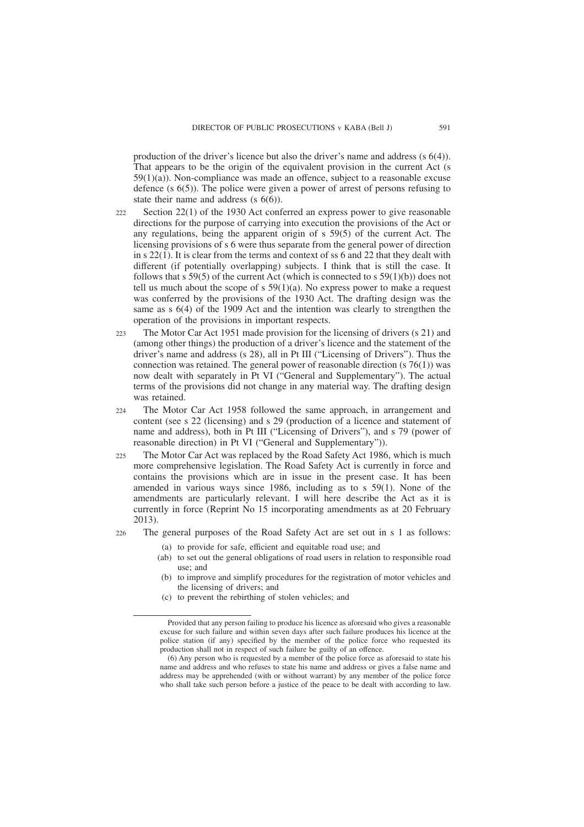production of the driver's licence but also the driver's name and address (s 6(4)). That appears to be the origin of the equivalent provision in the current Act (s  $59(1)(a)$ ). Non-compliance was made an offence, subject to a reasonable excuse defence (s 6(5)). The police were given a power of arrest of persons refusing to state their name and address (s 6(6)).

- Section 22(1) of the 1930 Act conferred an express power to give reasonable directions for the purpose of carrying into execution the provisions of the Act or any regulations, being the apparent origin of s 59(5) of the current Act. The licensing provisions of s 6 were thus separate from the general power of direction in  $s$  22(1). It is clear from the terms and context of ss 6 and 22 that they dealt with different (if potentially overlapping) subjects. I think that is still the case. It follows that s  $59(5)$  of the current Act (which is connected to s  $59(1)(b)$ ) does not tell us much about the scope of s  $59(1)(a)$ . No express power to make a request was conferred by the provisions of the 1930 Act. The drafting design was the same as s 6(4) of the 1909 Act and the intention was clearly to strengthen the operation of the provisions in important respects.  $222$
- The Motor Car Act 1951 made provision for the licensing of drivers (s 21) and (among other things) the production of a driver's licence and the statement of the driver's name and address (s 28), all in Pt III ("Licensing of Drivers"). Thus the connection was retained. The general power of reasonable direction  $(s \, 76(1))$  was now dealt with separately in Pt VI ("General and Supplementary"). The actual terms of the provisions did not change in any material way. The drafting design was retained.  $223$
- The Motor Car Act 1958 followed the same approach, in arrangement and content (see s 22 (licensing) and s 29 (production of a licence and statement of name and address), both in Pt III ("Licensing of Drivers"), and s 79 (power of reasonable direction) in Pt VI ("General and Supplementary")). 224
- The Motor Car Act was replaced by the Road Safety Act 1986, which is much more comprehensive legislation. The Road Safety Act is currently in force and contains the provisions which are in issue in the present case. It has been amended in various ways since 1986, including as to s 59(1). None of the amendments are particularly relevant. I will here describe the Act as it is currently in force (Reprint No 15 incorporating amendments as at 20 February 2013).  $225$
- The general purposes of the Road Safety Act are set out in s 1 as follows: 226
	- (a) to provide for safe, efficient and equitable road use; and
		- (ab) to set out the general obligations of road users in relation to responsible road use; and
		- (b) to improve and simplify procedures for the registration of motor vehicles and the licensing of drivers; and
		- (c) to prevent the rebirthing of stolen vehicles; and

Provided that any person failing to produce his licence as aforesaid who gives a reasonable excuse for such failure and within seven days after such failure produces his licence at the police station (if any) specified by the member of the police force who requested its production shall not in respect of such failure be guilty of an offence.

<sup>(6)</sup> Any person who is requested by a member of the police force as aforesaid to state his name and address and who refuses to state his name and address or gives a false name and address may be apprehended (with or without warrant) by any member of the police force who shall take such person before a justice of the peace to be dealt with according to law.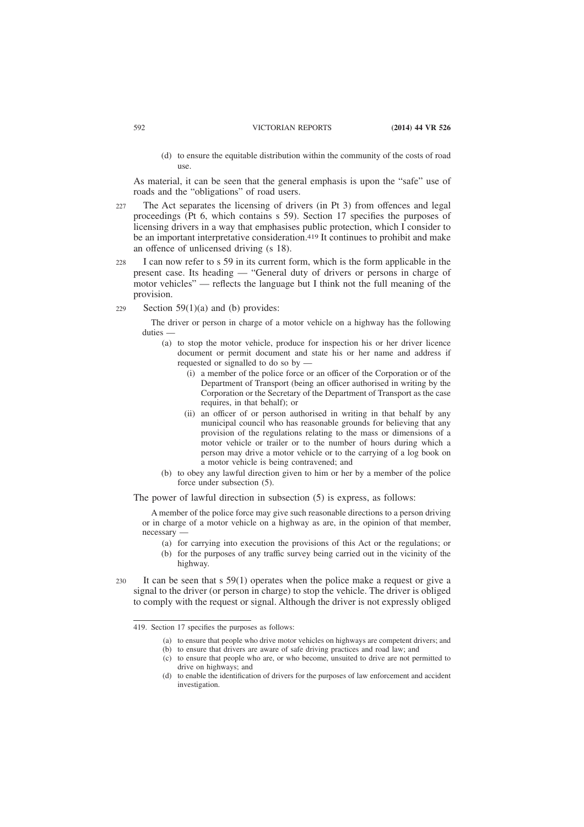(d) to ensure the equitable distribution within the community of the costs of road use.

As material, it can be seen that the general emphasis is upon the "safe" use of roads and the "obligations" of road users.

- The Act separates the licensing of drivers (in Pt 3) from offences and legal proceedings (Pt 6, which contains s 59). Section 17 specifies the purposes of licensing drivers in a way that emphasises public protection, which I consider to be an important interpretative consideration.419 It continues to prohibit and make an offence of unlicensed driving (s 18).  $227$
- I can now refer to s 59 in its current form, which is the form applicable in the present case. Its heading — "General duty of drivers or persons in charge of motor vehicles" — reflects the language but I think not the full meaning of the provision.  $228$
- Section 59(1)(a) and (b) provides: 229

The driver or person in charge of a motor vehicle on a highway has the following duties —

- (a) to stop the motor vehicle, produce for inspection his or her driver licence document or permit document and state his or her name and address if requested or signalled to do so by —
	- (i) a member of the police force or an officer of the Corporation or of the Department of Transport (being an officer authorised in writing by the Corporation or the Secretary of the Department of Transport as the case requires, in that behalf); or
	- (ii) an officer of or person authorised in writing in that behalf by any municipal council who has reasonable grounds for believing that any provision of the regulations relating to the mass or dimensions of a motor vehicle or trailer or to the number of hours during which a person may drive a motor vehicle or to the carrying of a log book on a motor vehicle is being contravened; and
- (b) to obey any lawful direction given to him or her by a member of the police force under subsection (5).

The power of lawful direction in subsection (5) is express, as follows:

A member of the police force may give such reasonable directions to a person driving or in charge of a motor vehicle on a highway as are, in the opinion of that member, necessary —

- (a) for carrying into execution the provisions of this Act or the regulations; or
- (b) for the purposes of any traffic survey being carried out in the vicinity of the highway.
- It can be seen that s 59(1) operates when the police make a request or give a signal to the driver (or person in charge) to stop the vehicle. The driver is obliged to comply with the request or signal. Although the driver is not expressly obliged  $220$

<sup>419.</sup> Section 17 specifies the purposes as follows:

<sup>(</sup>a) to ensure that people who drive motor vehicles on highways are competent drivers; and

<sup>(</sup>b) to ensure that drivers are aware of safe driving practices and road law; and

<sup>(</sup>c) to ensure that people who are, or who become, unsuited to drive are not permitted to drive on highways; and

<sup>(</sup>d) to enable the identification of drivers for the purposes of law enforcement and accident investigation.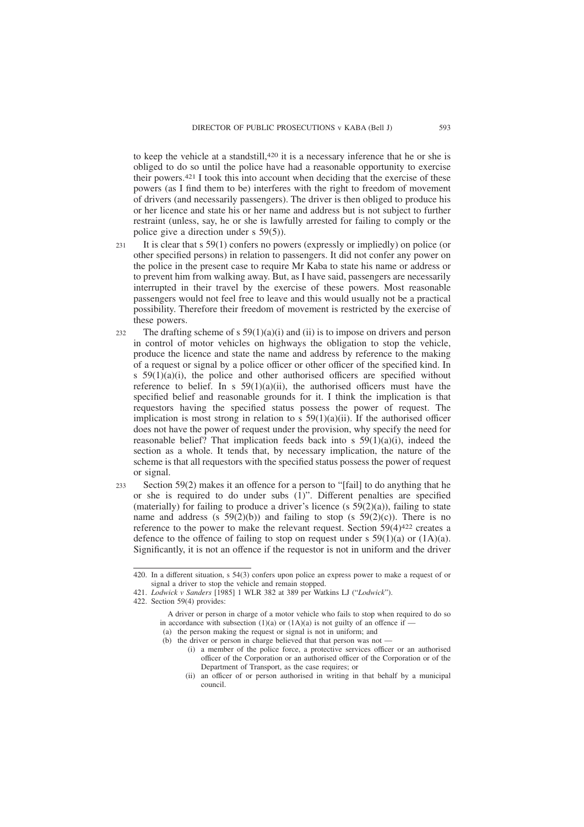to keep the vehicle at a standstill,420 it is a necessary inference that he or she is obliged to do so until the police have had a reasonable opportunity to exercise their powers.421 I took this into account when deciding that the exercise of these powers (as I find them to be) interferes with the right to freedom of movement of drivers (and necessarily passengers). The driver is then obliged to produce his or her licence and state his or her name and address but is not subject to further restraint (unless, say, he or she is lawfully arrested for failing to comply or the police give a direction under s 59(5)).

- It is clear that s 59(1) confers no powers (expressly or impliedly) on police (or other specified persons) in relation to passengers. It did not confer any power on the police in the present case to require Mr Kaba to state his name or address or to prevent him from walking away. But, as I have said, passengers are necessarily interrupted in their travel by the exercise of these powers. Most reasonable passengers would not feel free to leave and this would usually not be a practical possibility. Therefore their freedom of movement is restricted by the exercise of these powers.  $231$
- The drafting scheme of s  $59(1)(a)(i)$  and (ii) is to impose on drivers and person in control of motor vehicles on highways the obligation to stop the vehicle, produce the licence and state the name and address by reference to the making of a request or signal by a police officer or other officer of the specified kind. In s  $59(1)(a)(i)$ , the police and other authorised officers are specified without reference to belief. In s  $59(1)(a)(ii)$ , the authorised officers must have the specified belief and reasonable grounds for it. I think the implication is that requestors having the specified status possess the power of request. The implication is most strong in relation to s  $59(1)(a)(ii)$ . If the authorised officer does not have the power of request under the provision, why specify the need for reasonable belief? That implication feeds back into s  $59(1)(a)(i)$ , indeed the section as a whole. It tends that, by necessary implication, the nature of the scheme is that all requestors with the specified status possess the power of request or signal. 232
- Section 59(2) makes it an offence for a person to "[fail] to do anything that he or she is required to do under subs (1)". Different penalties are specified (materially) for failing to produce a driver's licence (s  $59(2)(a)$ ), failing to state name and address (s  $59(2)(b)$ ) and failing to stop (s  $59(2)(c)$ ). There is no reference to the power to make the relevant request. Section 59(4)422 creates a defence to the offence of failing to stop on request under s  $59(1)(a)$  or  $(1A)(a)$ . Significantly, it is not an offence if the requestor is not in uniform and the driver 233

<sup>420.</sup> In a different situation, s 54(3) confers upon police an express power to make a request of or signal a driver to stop the vehicle and remain stopped.

<sup>421.</sup> *Lodwick v Sanders* [1985] 1 WLR 382 at 389 per Watkins LJ ("*Lodwick*").

<sup>422.</sup> Section 59(4) provides:

A driver or person in charge of a motor vehicle who fails to stop when required to do so in accordance with subsection (1)(a) or (1A)(a) is not guilty of an offence if  $-$ (a) the person making the request or signal is not in uniform; and

<sup>(</sup>b) the driver or person in charge believed that that person was not —

<sup>(</sup>i) a member of the police force, a protective services officer or an authorised

officer of the Corporation or an authorised officer of the Corporation or of the Department of Transport, as the case requires; or

<sup>(</sup>ii) an officer of or person authorised in writing in that behalf by a municipal council.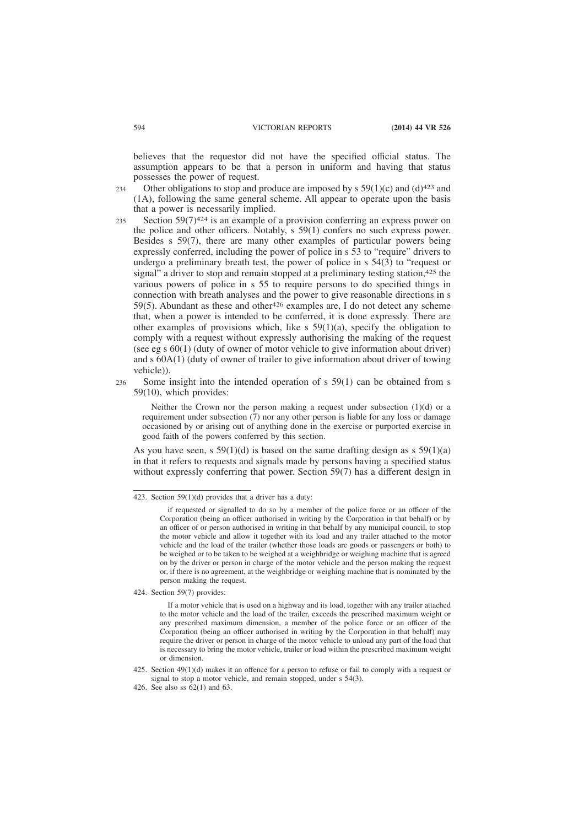believes that the requestor did not have the specified official status. The assumption appears to be that a person in uniform and having that status possesses the power of request.

Other obligations to stop and produce are imposed by s  $59(1)(c)$  and  $(d)^{423}$  and (1A), following the same general scheme. All appear to operate upon the basis that a power is necessarily implied. 234

- Section  $59(7)^{424}$  is an example of a provision conferring an express power on the police and other officers. Notably, s 59(1) confers no such express power. Besides s 59(7), there are many other examples of particular powers being expressly conferred, including the power of police in s 53 to "require" drivers to undergo a preliminary breath test, the power of police in s 54(3) to "request or signal" a driver to stop and remain stopped at a preliminary testing station,<sup>425</sup> the various powers of police in s 55 to require persons to do specified things in connection with breath analyses and the power to give reasonable directions in s 59(5). Abundant as these and other  $426$  examples are, I do not detect any scheme that, when a power is intended to be conferred, it is done expressly. There are other examples of provisions which, like  $s$  59(1)(a), specify the obligation to comply with a request without expressly authorising the making of the request (see eg s 60(1) (duty of owner of motor vehicle to give information about driver) and s 60A(1) (duty of owner of trailer to give information about driver of towing vehicle)). 235
- Some insight into the intended operation of s 59(1) can be obtained from s 59(10), which provides: 236

Neither the Crown nor the person making a request under subsection (1)(d) or a requirement under subsection  $(7)$  nor any other person is liable for any loss or damage occasioned by or arising out of anything done in the exercise or purported exercise in good faith of the powers conferred by this section.

As you have seen, s  $59(1)(d)$  is based on the same drafting design as s  $59(1)(a)$ in that it refers to requests and signals made by persons having a specified status without expressly conferring that power. Section 59(7) has a different design in

424. Section 59(7) provides:

<sup>423.</sup> Section  $59(1)(d)$  provides that a driver has a duty:

if requested or signalled to do so by a member of the police force or an officer of the Corporation (being an officer authorised in writing by the Corporation in that behalf) or by an officer of or person authorised in writing in that behalf by any municipal council, to stop the motor vehicle and allow it together with its load and any trailer attached to the motor vehicle and the load of the trailer (whether those loads are goods or passengers or both) to be weighed or to be taken to be weighed at a weighbridge or weighing machine that is agreed on by the driver or person in charge of the motor vehicle and the person making the request or, if there is no agreement, at the weighbridge or weighing machine that is nominated by the person making the request.

If a motor vehicle that is used on a highway and its load, together with any trailer attached to the motor vehicle and the load of the trailer, exceeds the prescribed maximum weight or any prescribed maximum dimension, a member of the police force or an officer of the Corporation (being an officer authorised in writing by the Corporation in that behalf) may require the driver or person in charge of the motor vehicle to unload any part of the load that is necessary to bring the motor vehicle, trailer or load within the prescribed maximum weight or dimension.

<sup>425.</sup> Section 49(1)(d) makes it an offence for a person to refuse or fail to comply with a request or signal to stop a motor vehicle, and remain stopped, under s 54(3).

<sup>426.</sup> See also ss 62(1) and 63.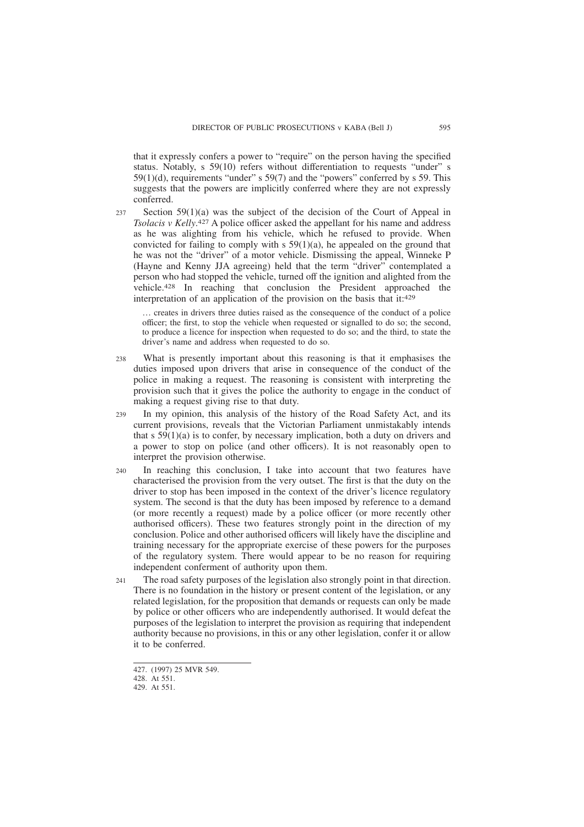that it expressly confers a power to "require" on the person having the specified status. Notably, s 59(10) refers without differentiation to requests "under" s 59(1)(d), requirements "under" s 59(7) and the "powers" conferred by s 59. This suggests that the powers are implicitly conferred where they are not expressly conferred.

Section 59(1)(a) was the subject of the decision of the Court of Appeal in *Tsolacis v Kelly*. 427 A police officer asked the appellant for his name and address as he was alighting from his vehicle, which he refused to provide. When convicted for failing to comply with  $s$  59(1)(a), he appealed on the ground that he was not the "driver" of a motor vehicle. Dismissing the appeal, Winneke P (Hayne and Kenny JJA agreeing) held that the term "driver" contemplated a person who had stopped the vehicle, turned off the ignition and alighted from the vehicle.428 In reaching that conclusion the President approached the interpretation of an application of the provision on the basis that it:429  $237$ 

… creates in drivers three duties raised as the consequence of the conduct of a police officer; the first, to stop the vehicle when requested or signalled to do so; the second, to produce a licence for inspection when requested to do so; and the third, to state the driver's name and address when requested to do so.

- What is presently important about this reasoning is that it emphasises the duties imposed upon drivers that arise in consequence of the conduct of the police in making a request. The reasoning is consistent with interpreting the provision such that it gives the police the authority to engage in the conduct of making a request giving rise to that duty. 238
- In my opinion, this analysis of the history of the Road Safety Act, and its current provisions, reveals that the Victorian Parliament unmistakably intends that s  $59(1)(a)$  is to confer, by necessary implication, both a duty on drivers and a power to stop on police (and other officers). It is not reasonably open to interpret the provision otherwise. 239
- In reaching this conclusion, I take into account that two features have characterised the provision from the very outset. The first is that the duty on the driver to stop has been imposed in the context of the driver's licence regulatory system. The second is that the duty has been imposed by reference to a demand (or more recently a request) made by a police officer (or more recently other authorised officers). These two features strongly point in the direction of my conclusion. Police and other authorised officers will likely have the discipline and training necessary for the appropriate exercise of these powers for the purposes of the regulatory system. There would appear to be no reason for requiring independent conferment of authority upon them.  $240$
- The road safety purposes of the legislation also strongly point in that direction. There is no foundation in the history or present content of the legislation, or any related legislation, for the proposition that demands or requests can only be made by police or other officers who are independently authorised. It would defeat the purposes of the legislation to interpret the provision as requiring that independent authority because no provisions, in this or any other legislation, confer it or allow it to be conferred.  $241$

<sup>427. (1997) 25</sup> MVR 549.

<sup>428.</sup> At 551.

<sup>429.</sup> At 551.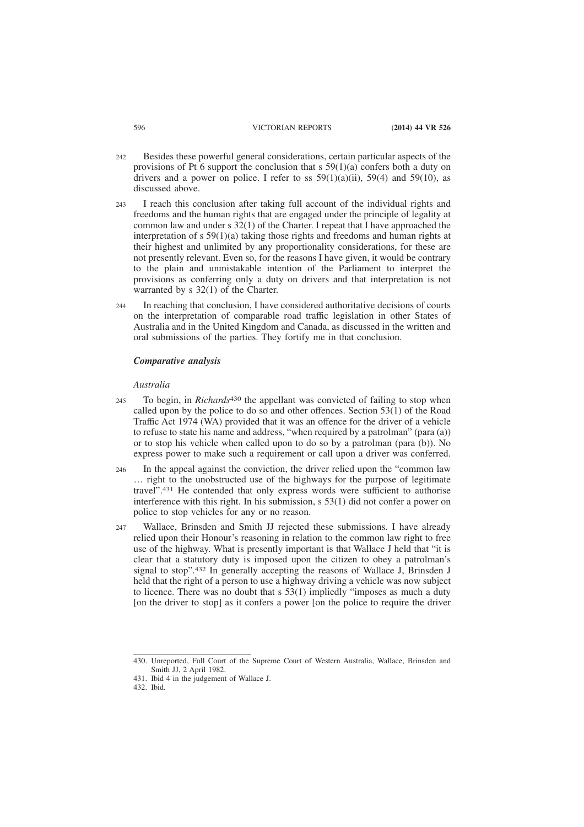- Besides these powerful general considerations, certain particular aspects of the provisions of Pt 6 support the conclusion that s  $59(1)(a)$  confers both a duty on drivers and a power on police. I refer to ss  $59(1)(a)(ii)$ ,  $59(4)$  and  $59(10)$ , as discussed above. 242
- I reach this conclusion after taking full account of the individual rights and freedoms and the human rights that are engaged under the principle of legality at common law and under s 32(1) of the Charter. I repeat that I have approached the interpretation of s  $59(1)(a)$  taking those rights and freedoms and human rights at their highest and unlimited by any proportionality considerations, for these are not presently relevant. Even so, for the reasons I have given, it would be contrary to the plain and unmistakable intention of the Parliament to interpret the provisions as conferring only a duty on drivers and that interpretation is not warranted by s 32(1) of the Charter.  $243$
- In reaching that conclusion, I have considered authoritative decisions of courts on the interpretation of comparable road traffic legislation in other States of Australia and in the United Kingdom and Canada, as discussed in the written and oral submissions of the parties. They fortify me in that conclusion. 244

## *Comparative analysis*

#### *Australia*

- To begin, in *Richards*430 the appellant was convicted of failing to stop when called upon by the police to do so and other offences. Section 53(1) of the Road Traffic Act 1974 (WA) provided that it was an offence for the driver of a vehicle to refuse to state his name and address, "when required by a patrolman" (para (a)) or to stop his vehicle when called upon to do so by a patrolman (para (b)). No express power to make such a requirement or call upon a driver was conferred.  $245$
- In the appeal against the conviction, the driver relied upon the "common law … right to the unobstructed use of the highways for the purpose of legitimate travel".431 He contended that only express words were sufficient to authorise interference with this right. In his submission, s 53(1) did not confer a power on police to stop vehicles for any or no reason. 246
- Wallace, Brinsden and Smith JJ rejected these submissions. I have already relied upon their Honour's reasoning in relation to the common law right to free use of the highway. What is presently important is that Wallace J held that "it is clear that a statutory duty is imposed upon the citizen to obey a patrolman's signal to stop".432 In generally accepting the reasons of Wallace J, Brinsden J held that the right of a person to use a highway driving a vehicle was now subject to licence. There was no doubt that s 53(1) impliedly "imposes as much a duty [on the driver to stop] as it confers a power [on the police to require the driver  $247$

432. Ibid.

<sup>430.</sup> Unreported, Full Court of the Supreme Court of Western Australia, Wallace, Brinsden and Smith JJ, 2 April 1982.

<sup>431.</sup> Ibid 4 in the judgement of Wallace J.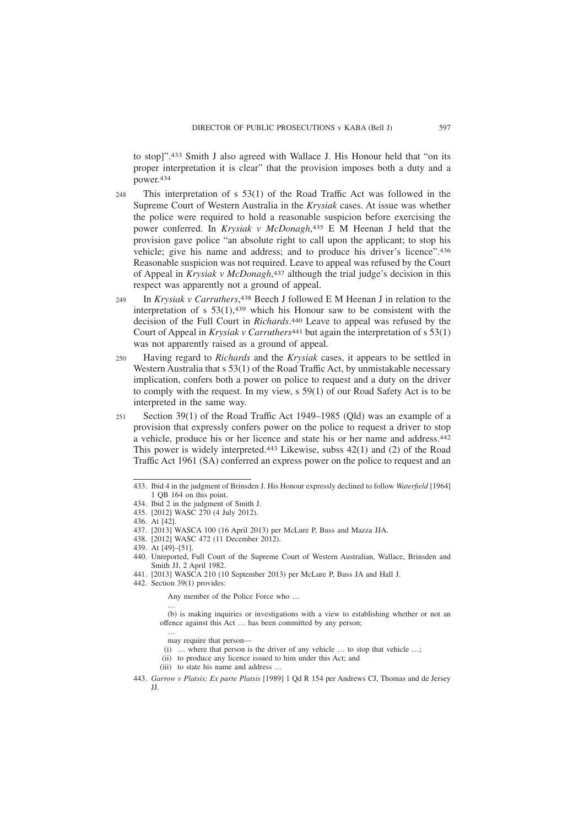to stop]".433 Smith J also agreed with Wallace J. His Honour held that "on its proper interpretation it is clear" that the provision imposes both a duty and a power.434

- This interpretation of s 53(1) of the Road Traffic Act was followed in the Supreme Court of Western Australia in the *Krysiak* cases. At issue was whether the police were required to hold a reasonable suspicion before exercising the power conferred. In *Krysiak v McDonagh*, 435 E M Heenan J held that the provision gave police "an absolute right to call upon the applicant; to stop his vehicle; give his name and address; and to produce his driver's licence".436 Reasonable suspicion was not required. Leave to appeal was refused by the Court of Appeal in *Krysiak v McDonagh*, 437 although the trial judge's decision in this respect was apparently not a ground of appeal.  $248$
- In *Krysiak v Carruthers*, 438 Beech J followed E M Heenan J in relation to the interpretation of s 53(1),439 which his Honour saw to be consistent with the decision of the Full Court in *Richards*. 440 Leave to appeal was refused by the Court of Appeal in *Krysiak v Carruthers*<sup>441</sup> but again the interpretation of s 53(1) was not apparently raised as a ground of appeal.  $240$
- Having regard to *Richards* and the *Krysiak* cases, it appears to be settled in Western Australia that s 53(1) of the Road Traffic Act, by unmistakable necessary implication, confers both a power on police to request and a duty on the driver to comply with the request. In my view, s 59(1) of our Road Safety Act is to be interpreted in the same way. 250
- Section 39(1) of the Road Traffic Act 1949–1985 (Qld) was an example of a provision that expressly confers power on the police to request a driver to stop a vehicle, produce his or her licence and state his or her name and address.442 This power is widely interpreted.443 Likewise, subss 42(1) and (2) of the Road Traffic Act 1961 (SA) conferred an express power on the police to request and an 251

…

Any member of the Police Force who …

(b) is making inquiries or investigations with a view to establishing whether or not an offence against this Act … has been committed by any person;

… may require that person—

(i) … where that person is the driver of any vehicle … to stop that vehicle …;

- (ii) to produce any licence issued to him under this Act; and
- (iii) to state his name and address …

<sup>433.</sup> Ibid 4 in the judgment of Brinsden J. His Honour expressly declined to follow *Waterfield* [1964] 1 QB 164 on this point.

<sup>434.</sup> Ibid 2 in the judgment of Smith J.

<sup>435. [2012]</sup> WASC 270 (4 July 2012).

<sup>436.</sup> At [42].

<sup>437. [2013]</sup> WASCA 100 (16 April 2013) per McLure P, Buss and Mazza JJA.

<sup>438. [2012]</sup> WASC 472 (11 December 2012).

<sup>439.</sup> At [49]–[51].

<sup>440.</sup> Unreported, Full Court of the Supreme Court of Western Australian, Wallace, Brinsden and Smith JJ, 2 April 1982.

<sup>441. [2013]</sup> WASCA 210 (10 September 2013) per McLure P, Buss JA and Hall J.

<sup>442.</sup> Section 39(1) provides:

<sup>443.</sup> *Garrow v Platsis; Ex parte Platsis* [1989] 1 Qd R 154 per Andrews CJ, Thomas and de Jersey JJ.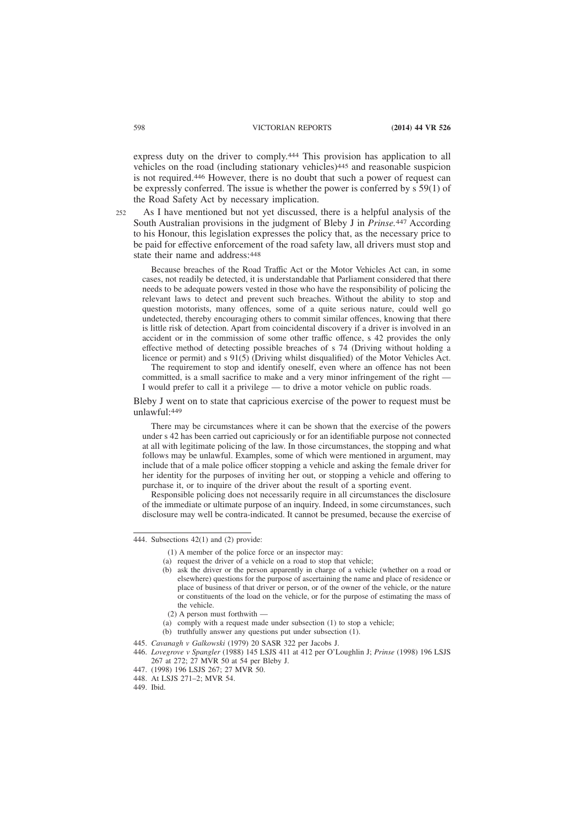express duty on the driver to comply.444 This provision has application to all vehicles on the road (including stationary vehicles)445 and reasonable suspicion is not required.446 However, there is no doubt that such a power of request can be expressly conferred. The issue is whether the power is conferred by  $\frac{1}{5}$  59(1) of the Road Safety Act by necessary implication.

 $252$ 

As I have mentioned but not yet discussed, there is a helpful analysis of the South Australian provisions in the judgment of Bleby J in *Prinse.*447 According to his Honour, this legislation expresses the policy that, as the necessary price to be paid for effective enforcement of the road safety law, all drivers must stop and state their name and address:448

Because breaches of the Road Traffic Act or the Motor Vehicles Act can, in some cases, not readily be detected, it is understandable that Parliament considered that there needs to be adequate powers vested in those who have the responsibility of policing the relevant laws to detect and prevent such breaches. Without the ability to stop and question motorists, many offences, some of a quite serious nature, could well go undetected, thereby encouraging others to commit similar offences, knowing that there is little risk of detection. Apart from coincidental discovery if a driver is involved in an accident or in the commission of some other traffic offence, s 42 provides the only effective method of detecting possible breaches of s 74 (Driving without holding a licence or permit) and s 91(5) (Driving whilst disqualified) of the Motor Vehicles Act.

The requirement to stop and identify oneself, even where an offence has not been committed, is a small sacrifice to make and a very minor infringement of the right -I would prefer to call it a privilege — to drive a motor vehicle on public roads.

Bleby J went on to state that capricious exercise of the power to request must be unlawful:449

There may be circumstances where it can be shown that the exercise of the powers under s 42 has been carried out capriciously or for an identifiable purpose not connected at all with legitimate policing of the law. In those circumstances, the stopping and what follows may be unlawful. Examples, some of which were mentioned in argument, may include that of a male police officer stopping a vehicle and asking the female driver for her identity for the purposes of inviting her out, or stopping a vehicle and offering to purchase it, or to inquire of the driver about the result of a sporting event.

Responsible policing does not necessarily require in all circumstances the disclosure of the immediate or ultimate purpose of an inquiry. Indeed, in some circumstances, such disclosure may well be contra-indicated. It cannot be presumed, because the exercise of

- (a) request the driver of a vehicle on a road to stop that vehicle;
- (b) ask the driver or the person apparently in charge of a vehicle (whether on a road or elsewhere) questions for the purpose of ascertaining the name and place of residence or place of business of that driver or person, or of the owner of the vehicle, or the nature or constituents of the load on the vehicle, or for the purpose of estimating the mass of the vehicle.
- (2) A person must forthwith —
- (a) comply with a request made under subsection (1) to stop a vehicle;
- (b) truthfully answer any questions put under subsection (1).
- 445. *Cavanagh v Galkowski* (1979) 20 SASR 322 per Jacobs J.
- 446. *Lovegrove v Spangler* (1988) 145 LSJS 411 at 412 per O'Loughlin J; *Prinse* (1998) 196 LSJS 267 at 272; 27 MVR 50 at 54 per Bleby J.
- 447. (1998) 196 LSJS 267; 27 MVR 50.
- 448. At LSJS 271–2; MVR 54.
- 449. Ibid.

<sup>444.</sup> Subsections 42(1) and (2) provide:

<sup>(1)</sup> A member of the police force or an inspector may: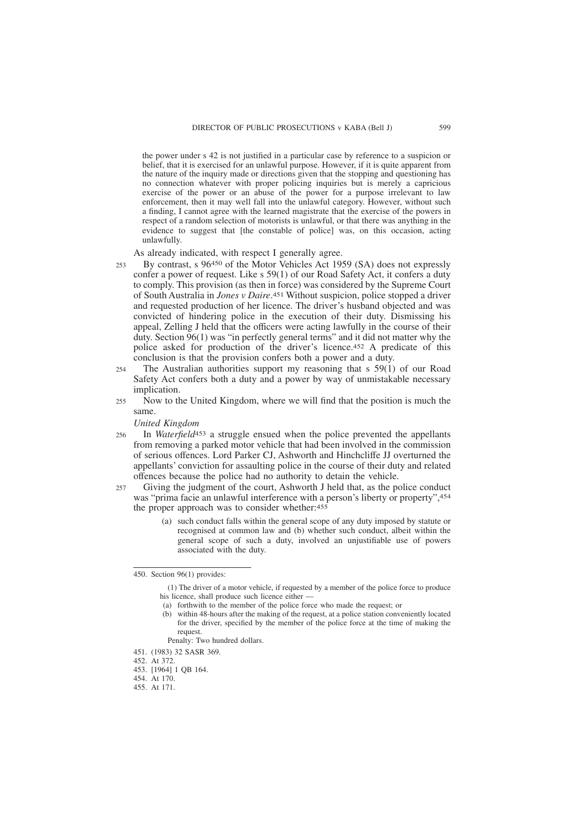the power under s 42 is not justified in a particular case by reference to a suspicion or belief, that it is exercised for an unlawful purpose. However, if it is quite apparent from the nature of the inquiry made or directions given that the stopping and questioning has no connection whatever with proper policing inquiries but is merely a capricious exercise of the power or an abuse of the power for a purpose irrelevant to law enforcement, then it may well fall into the unlawful category. However, without such a finding, I cannot agree with the learned magistrate that the exercise of the powers in respect of a random selection of motorists is unlawful, or that there was anything in the evidence to suggest that [the constable of police] was, on this occasion, acting unlawfully.

As already indicated, with respect I generally agree.

- By contrast, s 96450 of the Motor Vehicles Act 1959 (SA) does not expressly confer a power of request. Like s 59(1) of our Road Safety Act, it confers a duty to comply. This provision (as then in force) was considered by the Supreme Court of South Australia in *Jones v Daire*. 451 Without suspicion, police stopped a driver and requested production of her licence. The driver's husband objected and was convicted of hindering police in the execution of their duty. Dismissing his appeal, Zelling J held that the officers were acting lawfully in the course of their duty. Section 96(1) was "in perfectly general terms" and it did not matter why the police asked for production of the driver's licence.452 A predicate of this conclusion is that the provision confers both a power and a duty. 253
- The Australian authorities support my reasoning that s 59(1) of our Road Safety Act confers both a duty and a power by way of unmistakable necessary implication. 254
- Now to the United Kingdom, where we will find that the position is much the same. 255

#### *United Kingdom*

- In *Waterfield*453 a struggle ensued when the police prevented the appellants from removing a parked motor vehicle that had been involved in the commission of serious offences. Lord Parker CJ, Ashworth and Hinchcliffe JJ overturned the appellants' conviction for assaulting police in the course of their duty and related offences because the police had no authority to detain the vehicle. 256
- Giving the judgment of the court, Ashworth J held that, as the police conduct was "prima facie an unlawful interference with a person's liberty or property", 454 the proper approach was to consider whether:455  $257$ 
	- (a) such conduct falls within the general scope of any duty imposed by statute or recognised at common law and (b) whether such conduct, albeit within the general scope of such a duty, involved an unjustifiable use of powers associated with the duty.

<sup>450.</sup> Section 96(1) provides:

<sup>(1)</sup> The driver of a motor vehicle, if requested by a member of the police force to produce his licence, shall produce such licence either -

<sup>(</sup>a) forthwith to the member of the police force who made the request; or

<sup>(</sup>b) within 48-hours after the making of the request, at a police station conveniently located for the driver, specified by the member of the police force at the time of making the request.

Penalty: Two hundred dollars.

<sup>451. (1983) 32</sup> SASR 369.

<sup>452.</sup> At 372.

<sup>453. [1964] 1</sup> QB 164.

<sup>454.</sup> At 170.

<sup>455.</sup> At 171.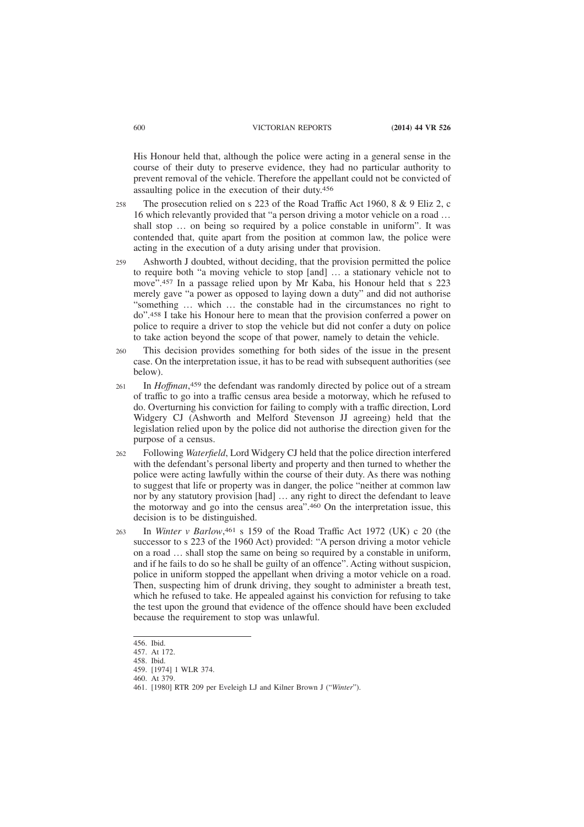His Honour held that, although the police were acting in a general sense in the course of their duty to preserve evidence, they had no particular authority to prevent removal of the vehicle. Therefore the appellant could not be convicted of assaulting police in the execution of their duty.456

- The prosecution relied on s 223 of the Road Traffic Act 1960, 8 & 9 Eliz 2, c 16 which relevantly provided that "a person driving a motor vehicle on a road … shall stop … on being so required by a police constable in uniform". It was contended that, quite apart from the position at common law, the police were acting in the execution of a duty arising under that provision. 258
- Ashworth J doubted, without deciding, that the provision permitted the police to require both "a moving vehicle to stop [and] … a stationary vehicle not to move".457 In a passage relied upon by Mr Kaba, his Honour held that s 223 merely gave "a power as opposed to laying down a duty" and did not authorise "something … which … the constable had in the circumstances no right to do".458 I take his Honour here to mean that the provision conferred a power on police to require a driver to stop the vehicle but did not confer a duty on police to take action beyond the scope of that power, namely to detain the vehicle. 259
- This decision provides something for both sides of the issue in the present case. On the interpretation issue, it has to be read with subsequent authorities (see below). 260
- In *Hoffman*, 459 the defendant was randomly directed by police out of a stream of traffic to go into a traffic census area beside a motorway, which he refused to do. Overturning his conviction for failing to comply with a traffic direction, Lord Widgery CJ (Ashworth and Melford Stevenson JJ agreeing) held that the legislation relied upon by the police did not authorise the direction given for the purpose of a census. 261
- Following *Waterfield*, Lord Widgery CJ held that the police direction interfered with the defendant's personal liberty and property and then turned to whether the police were acting lawfully within the course of their duty. As there was nothing to suggest that life or property was in danger, the police "neither at common law nor by any statutory provision [had] … any right to direct the defendant to leave the motorway and go into the census area".460 On the interpretation issue, this decision is to be distinguished. 262
- In *Winter v Barlow*, 461 s 159 of the Road Traffic Act 1972 (UK) c 20 (the successor to s 223 of the 1960 Act) provided: "A person driving a motor vehicle on a road … shall stop the same on being so required by a constable in uniform, and if he fails to do so he shall be guilty of an offence". Acting without suspicion, police in uniform stopped the appellant when driving a motor vehicle on a road. Then, suspecting him of drunk driving, they sought to administer a breath test, which he refused to take. He appealed against his conviction for refusing to take the test upon the ground that evidence of the offence should have been excluded because the requirement to stop was unlawful. 263

<sup>456.</sup> Ibid.

<sup>457.</sup> At 172.

<sup>458.</sup> Ibid.

<sup>459. [1974] 1</sup> WLR 374.

<sup>460.</sup> At 379.

<sup>461. [1980]</sup> RTR 209 per Eveleigh LJ and Kilner Brown J ("*Winter*").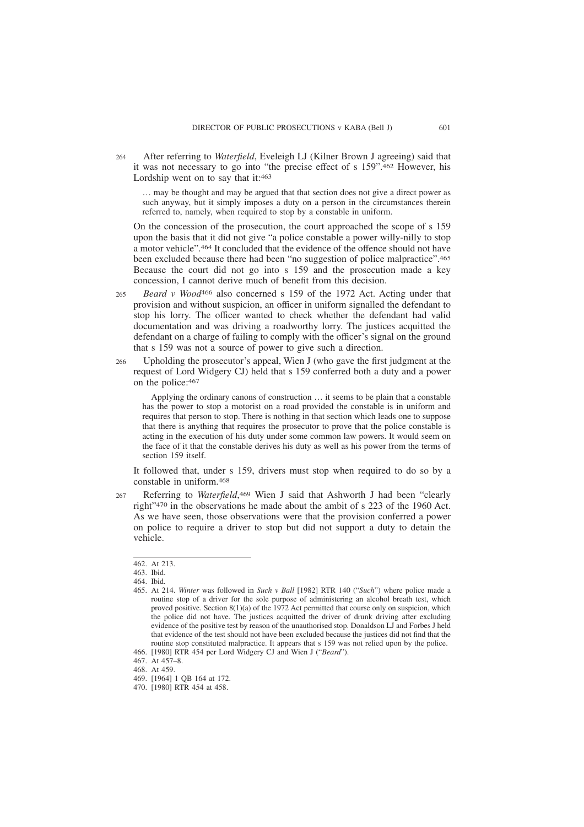After referring to *Waterfield*, Eveleigh LJ (Kilner Brown J agreeing) said that it was not necessary to go into "the precise effect of s 159".462 However, his Lordship went on to say that it:463 264

… may be thought and may be argued that that section does not give a direct power as such anyway, but it simply imposes a duty on a person in the circumstances therein referred to, namely, when required to stop by a constable in uniform.

On the concession of the prosecution, the court approached the scope of s 159 upon the basis that it did not give "a police constable a power willy-nilly to stop a motor vehicle".464 It concluded that the evidence of the offence should not have been excluded because there had been "no suggestion of police malpractice".465 Because the court did not go into s 159 and the prosecution made a key concession, I cannot derive much of benefit from this decision.

- *Beard v Wood*466 also concerned s 159 of the 1972 Act. Acting under that provision and without suspicion, an officer in uniform signalled the defendant to stop his lorry. The officer wanted to check whether the defendant had valid documentation and was driving a roadworthy lorry. The justices acquitted the defendant on a charge of failing to comply with the officer's signal on the ground that s 159 was not a source of power to give such a direction. 265
- Upholding the prosecutor's appeal, Wien J (who gave the first judgment at the request of Lord Widgery CJ) held that s 159 conferred both a duty and a power on the police:467 266

Applying the ordinary canons of construction … it seems to be plain that a constable has the power to stop a motorist on a road provided the constable is in uniform and requires that person to stop. There is nothing in that section which leads one to suppose that there is anything that requires the prosecutor to prove that the police constable is acting in the execution of his duty under some common law powers. It would seem on the face of it that the constable derives his duty as well as his power from the terms of section 159 itself.

It followed that, under s 159, drivers must stop when required to do so by a constable in uniform.468

Referring to *Waterfield*, 469 Wien J said that Ashworth J had been "clearly right"470 in the observations he made about the ambit of s 223 of the 1960 Act. As we have seen, those observations were that the provision conferred a power on police to require a driver to stop but did not support a duty to detain the vehicle. 267

<sup>462.</sup> At 213.

<sup>463.</sup> Ibid.

<sup>464.</sup> Ibid.

<sup>465.</sup> At 214. *Winter* was followed in *Such v Ball* [1982] RTR 140 ("*Such*") where police made a routine stop of a driver for the sole purpose of administering an alcohol breath test, which proved positive. Section 8(1)(a) of the 1972 Act permitted that course only on suspicion, which the police did not have. The justices acquitted the driver of drunk driving after excluding evidence of the positive test by reason of the unauthorised stop. Donaldson LJ and Forbes J held that evidence of the test should not have been excluded because the justices did not find that the routine stop constituted malpractice. It appears that s 159 was not relied upon by the police.

<sup>466. [1980]</sup> RTR 454 per Lord Widgery CJ and Wien J ("*Beard*").

<sup>467.</sup> At 457–8.

<sup>468.</sup> At 459.

<sup>469. [1964] 1</sup> QB 164 at 172.

<sup>470. [1980]</sup> RTR 454 at 458.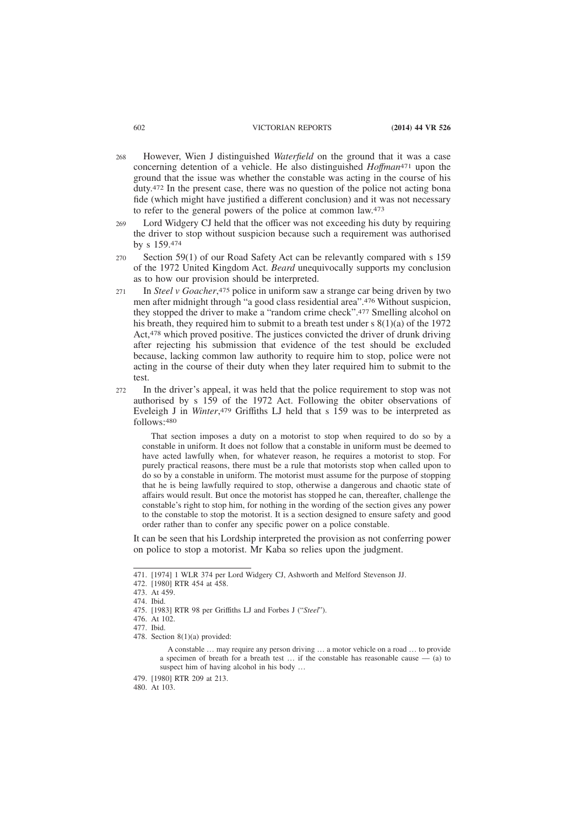- However, Wien J distinguished *Waterfield* on the ground that it was a case concerning detention of a vehicle. He also distinguished *Hoffman*471 upon the ground that the issue was whether the constable was acting in the course of his duty.472 In the present case, there was no question of the police not acting bona fide (which might have justified a different conclusion) and it was not necessary to refer to the general powers of the police at common law.473 268
- Lord Widgery CJ held that the officer was not exceeding his duty by requiring the driver to stop without suspicion because such a requirement was authorised by s 159.474 269
- Section 59(1) of our Road Safety Act can be relevantly compared with s 159 of the 1972 United Kingdom Act. *Beard* unequivocally supports my conclusion as to how our provision should be interpreted. 270
- In *Steel v Goacher*, 475 police in uniform saw a strange car being driven by two men after midnight through "a good class residential area".476 Without suspicion, they stopped the driver to make a "random crime check".477 Smelling alcohol on his breath, they required him to submit to a breath test under s 8(1)(a) of the 1972 Act,478 which proved positive. The justices convicted the driver of drunk driving after rejecting his submission that evidence of the test should be excluded because, lacking common law authority to require him to stop, police were not acting in the course of their duty when they later required him to submit to the test. 271
- In the driver's appeal, it was held that the police requirement to stop was not authorised by s 159 of the 1972 Act. Following the obiter observations of Eveleigh J in *Winter*, 479 Griffiths LJ held that s 159 was to be interpreted as follows:480 272

That section imposes a duty on a motorist to stop when required to do so by a constable in uniform. It does not follow that a constable in uniform must be deemed to have acted lawfully when, for whatever reason, he requires a motorist to stop. For purely practical reasons, there must be a rule that motorists stop when called upon to do so by a constable in uniform. The motorist must assume for the purpose of stopping that he is being lawfully required to stop, otherwise a dangerous and chaotic state of affairs would result. But once the motorist has stopped he can, thereafter, challenge the constable's right to stop him, for nothing in the wording of the section gives any power to the constable to stop the motorist. It is a section designed to ensure safety and good order rather than to confer any specific power on a police constable.

It can be seen that his Lordship interpreted the provision as not conferring power on police to stop a motorist. Mr Kaba so relies upon the judgment.

<sup>471. [1974] 1</sup> WLR 374 per Lord Widgery CJ, Ashworth and Melford Stevenson JJ.

<sup>472. [1980]</sup> RTR 454 at 458.

<sup>473.</sup> At 459.

<sup>474.</sup> Ibid.

<sup>475. [1983]</sup> RTR 98 per Griffiths LJ and Forbes J ("*Steel*").

<sup>476.</sup> At 102.

<sup>477.</sup> Ibid.

<sup>478.</sup> Section 8(1)(a) provided:

A constable … may require any person driving … a motor vehicle on a road … to provide a specimen of breath for a breath test … if the constable has reasonable cause — (a) to suspect him of having alcohol in his body …

<sup>479. [1980]</sup> RTR 209 at 213.

<sup>480.</sup> At 103.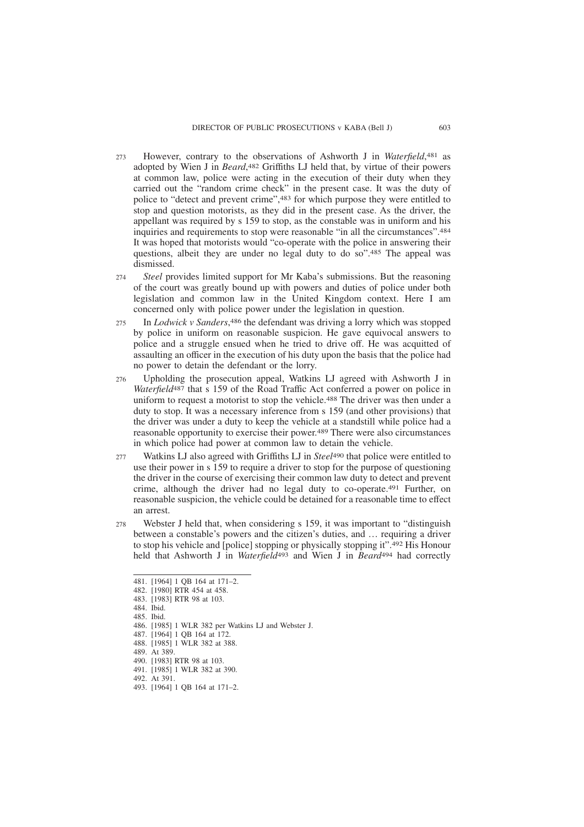- However, contrary to the observations of Ashworth J in *Waterfield*, 481 as adopted by Wien J in *Beard*, 482 Griffiths LJ held that, by virtue of their powers at common law, police were acting in the execution of their duty when they carried out the "random crime check" in the present case. It was the duty of police to "detect and prevent crime",483 for which purpose they were entitled to stop and question motorists, as they did in the present case. As the driver, the appellant was required by s 159 to stop, as the constable was in uniform and his inquiries and requirements to stop were reasonable "in all the circumstances".484 It was hoped that motorists would "co-operate with the police in answering their questions, albeit they are under no legal duty to do so".485 The appeal was dismissed. 273
- *Steel* provides limited support for Mr Kaba's submissions. But the reasoning of the court was greatly bound up with powers and duties of police under both legislation and common law in the United Kingdom context. Here I am concerned only with police power under the legislation in question.  $274$
- In *Lodwick v Sanders*, 486 the defendant was driving a lorry which was stopped by police in uniform on reasonable suspicion. He gave equivocal answers to police and a struggle ensued when he tried to drive off. He was acquitted of assaulting an officer in the execution of his duty upon the basis that the police had no power to detain the defendant or the lorry. 275
- Upholding the prosecution appeal, Watkins LJ agreed with Ashworth J in *Waterfield*487 that s 159 of the Road Traffic Act conferred a power on police in uniform to request a motorist to stop the vehicle.488 The driver was then under a duty to stop. It was a necessary inference from s 159 (and other provisions) that the driver was under a duty to keep the vehicle at a standstill while police had a reasonable opportunity to exercise their power.489 There were also circumstances in which police had power at common law to detain the vehicle. 276
- Watkins LJ also agreed with Griffiths LJ in *Steel*490 that police were entitled to use their power in s 159 to require a driver to stop for the purpose of questioning the driver in the course of exercising their common law duty to detect and prevent crime, although the driver had no legal duty to co-operate.491 Further, on reasonable suspicion, the vehicle could be detained for a reasonable time to effect an arrest. 277
- Webster J held that, when considering s 159, it was important to "distinguish" between a constable's powers and the citizen's duties, and … requiring a driver to stop his vehicle and [police] stopping or physically stopping it".492 His Honour held that Ashworth J in *Waterfield*493 and Wien J in *Beard*494 had correctly 278

<sup>481. [1964] 1</sup> QB 164 at 171–2. 482. [1980] RTR 454 at 458. 483. [1983] RTR 98 at 103. 484. Ibid. 485. Ibid. 486. [1985] 1 WLR 382 per Watkins LJ and Webster J. 487. [1964] 1 QB 164 at 172. 488. [1985] 1 WLR 382 at 388. 489. At 389. 490. [1983] RTR 98 at 103. 491. [1985] 1 WLR 382 at 390. 492. At 391. 493. [1964] 1 QB 164 at 171–2.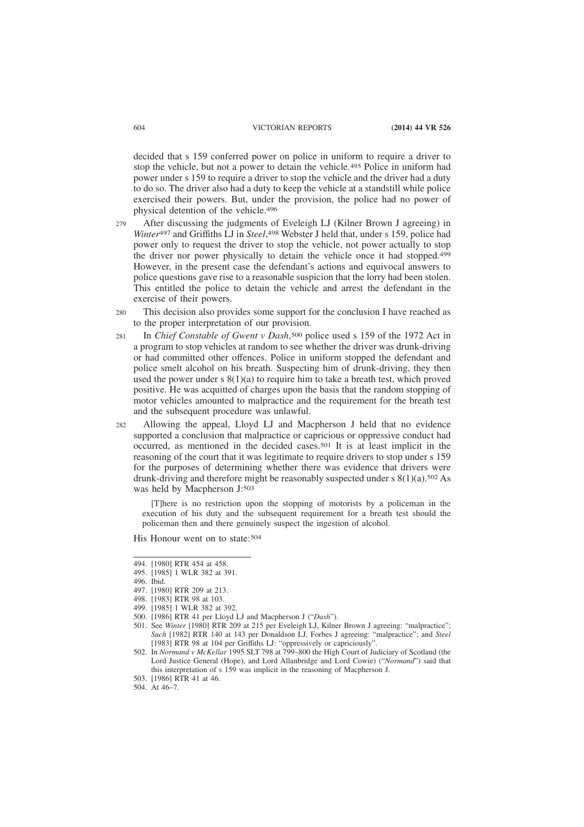decided that s 159 conferred power on police in uniform to require a driver to stop the vehicle, but not a power to detain the vehicle.495 Police in uniform had power under s 159 to require a driver to stop the vehicle and the driver had a duty to do so. The driver also had a duty to keep the vehicle at a standstill while police exercised their powers. But, under the provision, the police had no power of physical detention of the vehicle.496

- After discussing the judgments of Eveleigh LJ (Kilner Brown J agreeing) in *Winter*497 and Griffiths LJ in *Steel*, 498 Webster J held that, under s 159, police had power only to request the driver to stop the vehicle, not power actually to stop the driver nor power physically to detain the vehicle once it had stopped.499 However, in the present case the defendant's actions and equivocal answers to police questions gave rise to a reasonable suspicion that the lorry had been stolen. This entitled the police to detain the vehicle and arrest the defendant in the exercise of their powers.  $279$
- This decision also provides some support for the conclusion I have reached as to the proper interpretation of our provision. 280
- In *Chief Constable of Gwent v Dash*, 500 police used s 159 of the 1972 Act in a program to stop vehicles at random to see whether the driver was drunk-driving or had committed other offences. Police in uniform stopped the defendant and police smelt alcohol on his breath. Suspecting him of drunk-driving, they then used the power under s  $8(1)(a)$  to require him to take a breath test, which proved positive. He was acquitted of charges upon the basis that the random stopping of motor vehicles amounted to malpractice and the requirement for the breath test and the subsequent procedure was unlawful. 281
- Allowing the appeal, Lloyd LJ and Macpherson J held that no evidence supported a conclusion that malpractice or capricious or oppressive conduct had occurred, as mentioned in the decided cases.501 It is at least implicit in the reasoning of the court that it was legitimate to require drivers to stop under s 159 for the purposes of determining whether there was evidence that drivers were drunk-driving and therefore might be reasonably suspected under s  $8(1)(a)$ .<sup>502</sup> As was held by Macpherson J:503 282

[T]here is no restriction upon the stopping of motorists by a policeman in the execution of his duty and the subsequent requirement for a breath test should the policeman then and there genuinely suspect the ingestion of alcohol.

His Honour went on to state: 504

<sup>494. [1980]</sup> RTR 454 at 458.

<sup>495. [1985] 1</sup> WLR 382 at 391.

<sup>496.</sup> Ibid.

<sup>497. [1980]</sup> RTR 209 at 213.

<sup>498. [1983]</sup> RTR 98 at 103.

<sup>499. [1985] 1</sup> WLR 382 at 392.

<sup>500. [1986]</sup> RTR 41 per Lloyd LJ and Macpherson J ("*Dash*").

<sup>501.</sup> See *Winter* [1980] RTR 209 at 215 per Eveleigh LJ, Kilner Brown J agreeing: "malpractice"; *Such* [1982] RTR 140 at 143 per Donaldson LJ, Forbes J agreeing: "malpractice"; and *Steel* [1983] RTR 98 at 104 per Griffiths LJ: "oppressively or capriciously".

<sup>502.</sup> In *Normand v McKellar* 1995 SLT 798 at 799–800 the High Court of Judiciary of Scotland (the Lord Justice General (Hope), and Lord Allanbridge and Lord Cowie) ("*Normand*") said that this interpretation of s 159 was implicit in the reasoning of Macpherson J.

<sup>503. [1986]</sup> RTR 41 at 46.

<sup>504.</sup> At 46–7.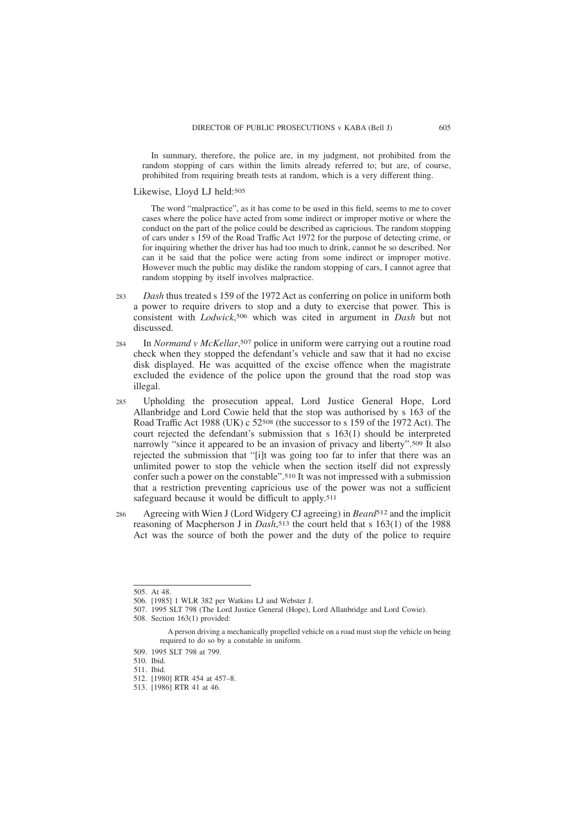In summary, therefore, the police are, in my judgment, not prohibited from the random stopping of cars within the limits already referred to; but are, of course, prohibited from requiring breath tests at random, which is a very different thing.

Likewise, Lloyd LJ held:505

The word "malpractice", as it has come to be used in this field, seems to me to cover cases where the police have acted from some indirect or improper motive or where the conduct on the part of the police could be described as capricious. The random stopping of cars under s 159 of the Road Traffic Act 1972 for the purpose of detecting crime, or for inquiring whether the driver has had too much to drink, cannot be so described. Nor can it be said that the police were acting from some indirect or improper motive. However much the public may dislike the random stopping of cars, I cannot agree that random stopping by itself involves malpractice.

- *Dash* thus treated s 159 of the 1972 Act as conferring on police in uniform both a power to require drivers to stop and a duty to exercise that power. This is consistent with *Lodwick*, 506 which was cited in argument in *Dash* but not discussed. 283
- In *Normand v McKellar*, 507 police in uniform were carrying out a routine road check when they stopped the defendant's vehicle and saw that it had no excise disk displayed. He was acquitted of the excise offence when the magistrate excluded the evidence of the police upon the ground that the road stop was illegal.  $284$
- Upholding the prosecution appeal, Lord Justice General Hope, Lord Allanbridge and Lord Cowie held that the stop was authorised by s 163 of the Road Traffic Act 1988 (UK) c 52508 (the successor to s 159 of the 1972 Act). The court rejected the defendant's submission that s 163(1) should be interpreted narrowly "since it appeared to be an invasion of privacy and liberty".509 It also rejected the submission that "[i]t was going too far to infer that there was an unlimited power to stop the vehicle when the section itself did not expressly confer such a power on the constable".510 It was not impressed with a submission that a restriction preventing capricious use of the power was not a sufficient safeguard because it would be difficult to apply.511  $285$
- Agreeing with Wien J (Lord Widgery CJ agreeing) in *Beard*512 and the implicit reasoning of Macpherson J in *Dash*, 513 the court held that s 163(1) of the 1988 Act was the source of both the power and the duty of the police to require 286

507. 1995 SLT 798 (The Lord Justice General (Hope), Lord Allanbridge and Lord Cowie).

<sup>505.</sup> At 48.

<sup>506. [1985] 1</sup> WLR 382 per Watkins LJ and Webster J.

<sup>508.</sup> Section 163(1) provided:

A person driving a mechanically propelled vehicle on a road must stop the vehicle on being required to do so by a constable in uniform.

<sup>509. 1995</sup> SLT 798 at 799.

<sup>510.</sup> Ibid.

<sup>511.</sup> Ibid.

<sup>512. [1980]</sup> RTR 454 at 457–8.

<sup>513. [1986]</sup> RTR 41 at 46.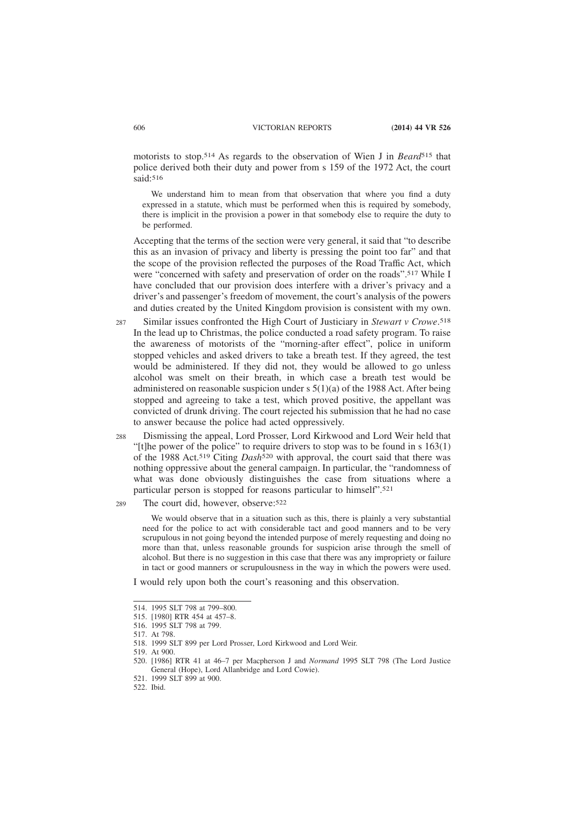motorists to stop.514 As regards to the observation of Wien J in *Beard*515 that police derived both their duty and power from s 159 of the 1972 Act, the court said:516

We understand him to mean from that observation that where you find a duty expressed in a statute, which must be performed when this is required by somebody, there is implicit in the provision a power in that somebody else to require the duty to be performed.

Accepting that the terms of the section were very general, it said that "to describe this as an invasion of privacy and liberty is pressing the point too far" and that the scope of the provision reflected the purposes of the Road Traffic Act, which were "concerned with safety and preservation of order on the roads".517 While I have concluded that our provision does interfere with a driver's privacy and a driver's and passenger's freedom of movement, the court's analysis of the powers and duties created by the United Kingdom provision is consistent with my own.

Similar issues confronted the High Court of Justiciary in *Stewart v Crowe*. 518 In the lead up to Christmas, the police conducted a road safety program. To raise the awareness of motorists of the "morning-after effect", police in uniform stopped vehicles and asked drivers to take a breath test. If they agreed, the test would be administered. If they did not, they would be allowed to go unless alcohol was smelt on their breath, in which case a breath test would be administered on reasonable suspicion under  $s \frac{5(1)}{a}$  of the 1988 Act. After being stopped and agreeing to take a test, which proved positive, the appellant was convicted of drunk driving. The court rejected his submission that he had no case to answer because the police had acted oppressively. 287

Dismissing the appeal, Lord Prosser, Lord Kirkwood and Lord Weir held that "[t]he power of the police" to require drivers to stop was to be found in s 163(1) of the 1988 Act.519 Citing *Dash*520 with approval, the court said that there was nothing oppressive about the general campaign. In particular, the "randomness of what was done obviously distinguishes the case from situations where a particular person is stopped for reasons particular to himself".521 288

The court did, however, observe:522 289

> We would observe that in a situation such as this, there is plainly a very substantial need for the police to act with considerable tact and good manners and to be very scrupulous in not going beyond the intended purpose of merely requesting and doing no more than that, unless reasonable grounds for suspicion arise through the smell of alcohol. But there is no suggestion in this case that there was any impropriety or failure in tact or good manners or scrupulousness in the way in which the powers were used.

I would rely upon both the court's reasoning and this observation.

<sup>514. 1995</sup> SLT 798 at 799–800.

<sup>515. [1980]</sup> RTR 454 at 457–8.

<sup>516. 1995</sup> SLT 798 at 799.

<sup>517.</sup> At 798.

<sup>518. 1999</sup> SLT 899 per Lord Prosser, Lord Kirkwood and Lord Weir.

<sup>519.</sup> At 900.

<sup>520. [1986]</sup> RTR 41 at 46–7 per Macpherson J and *Normand* 1995 SLT 798 (The Lord Justice General (Hope), Lord Allanbridge and Lord Cowie).

<sup>521. 1999</sup> SLT 899 at 900.

<sup>522.</sup> Ibid.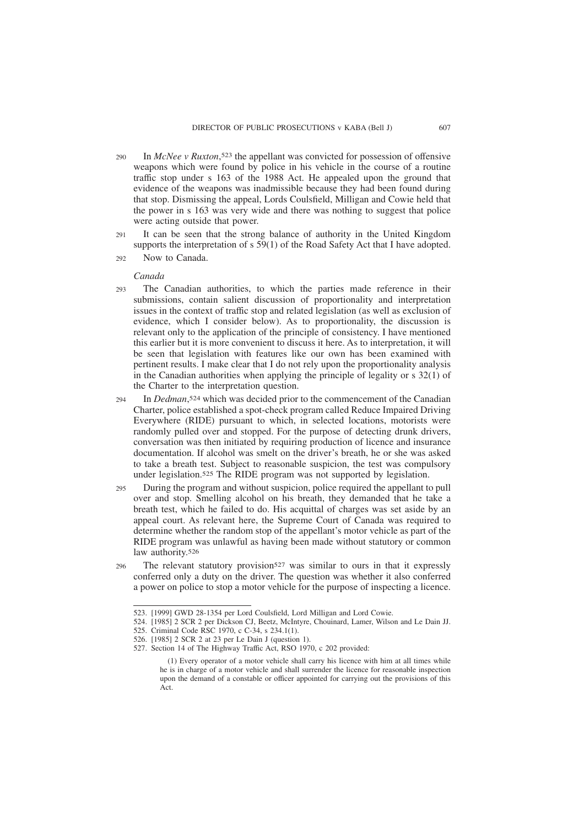- In *McNee v Ruxton*, 523 the appellant was convicted for possession of offensive weapons which were found by police in his vehicle in the course of a routine traffic stop under s 163 of the 1988 Act. He appealed upon the ground that evidence of the weapons was inadmissible because they had been found during that stop. Dismissing the appeal, Lords Coulsfield, Milligan and Cowie held that the power in s 163 was very wide and there was nothing to suggest that police were acting outside that power. 290
- It can be seen that the strong balance of authority in the United Kingdom supports the interpretation of s 59(1) of the Road Safety Act that I have adopted.  $291$
- Now to Canada. 292

#### *Canada*

- The Canadian authorities, to which the parties made reference in their submissions, contain salient discussion of proportionality and interpretation issues in the context of traffic stop and related legislation (as well as exclusion of evidence, which I consider below). As to proportionality, the discussion is relevant only to the application of the principle of consistency. I have mentioned this earlier but it is more convenient to discuss it here. As to interpretation, it will be seen that legislation with features like our own has been examined with pertinent results. I make clear that I do not rely upon the proportionality analysis in the Canadian authorities when applying the principle of legality or s 32(1) of the Charter to the interpretation question.  $293$
- In *Dedman*, 524 which was decided prior to the commencement of the Canadian Charter, police established a spot-check program called Reduce Impaired Driving Everywhere (RIDE) pursuant to which, in selected locations, motorists were randomly pulled over and stopped. For the purpose of detecting drunk drivers, conversation was then initiated by requiring production of licence and insurance documentation. If alcohol was smelt on the driver's breath, he or she was asked to take a breath test. Subject to reasonable suspicion, the test was compulsory under legislation.525 The RIDE program was not supported by legislation.  $294$
- During the program and without suspicion, police required the appellant to pull over and stop. Smelling alcohol on his breath, they demanded that he take a breath test, which he failed to do. His acquittal of charges was set aside by an appeal court. As relevant here, the Supreme Court of Canada was required to determine whether the random stop of the appellant's motor vehicle as part of the RIDE program was unlawful as having been made without statutory or common law authority.<sup>526</sup> 295
- The relevant statutory provision<sup>527</sup> was similar to ours in that it expressly conferred only a duty on the driver. The question was whether it also conferred a power on police to stop a motor vehicle for the purpose of inspecting a licence. 296

524. [1985] 2 SCR 2 per Dickson CJ, Beetz, McIntyre, Chouinard, Lamer, Wilson and Le Dain JJ.

<sup>523. [1999]</sup> GWD 28-1354 per Lord Coulsfield, Lord Milligan and Lord Cowie.

<sup>525.</sup> Criminal Code RSC 1970, c C-34, s 234.1(1).

<sup>526. [1985] 2</sup> SCR 2 at 23 per Le Dain J (question 1).

<sup>527.</sup> Section 14 of The Highway Traffic Act, RSO 1970, c 202 provided:

<sup>(1)</sup> Every operator of a motor vehicle shall carry his licence with him at all times while he is in charge of a motor vehicle and shall surrender the licence for reasonable inspection upon the demand of a constable or officer appointed for carrying out the provisions of this Act.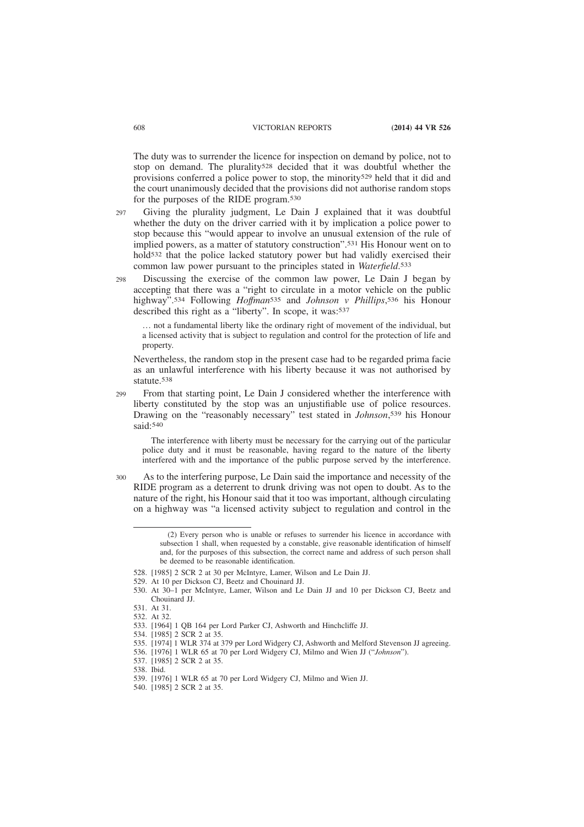The duty was to surrender the licence for inspection on demand by police, not to stop on demand. The plurality528 decided that it was doubtful whether the provisions conferred a police power to stop, the minority<sup>529</sup> held that it did and the court unanimously decided that the provisions did not authorise random stops for the purposes of the RIDE program.530

Giving the plurality judgment, Le Dain J explained that it was doubtful whether the duty on the driver carried with it by implication a police power to stop because this "would appear to involve an unusual extension of the rule of implied powers, as a matter of statutory construction".531 His Honour went on to hold532 that the police lacked statutory power but had validly exercised their common law power pursuant to the principles stated in *Waterfield*. 533  $297$ 

Discussing the exercise of the common law power, Le Dain J began by accepting that there was a "right to circulate in a motor vehicle on the public highway".534 Following *Hoffman*535 and *Johnson v Phillips*, 536 his Honour described this right as a "liberty". In scope, it was: 537 298

… not a fundamental liberty like the ordinary right of movement of the individual, but a licensed activity that is subject to regulation and control for the protection of life and property.

Nevertheless, the random stop in the present case had to be regarded prima facie as an unlawful interference with his liberty because it was not authorised by statute.538

From that starting point, Le Dain J considered whether the interference with liberty constituted by the stop was an unjustifiable use of police resources. Drawing on the "reasonably necessary" test stated in *Johnson*, 539 his Honour said:540 299

The interference with liberty must be necessary for the carrying out of the particular police duty and it must be reasonable, having regard to the nature of the liberty interfered with and the importance of the public purpose served by the interference.

As to the interfering purpose, Le Dain said the importance and necessity of the RIDE program as a deterrent to drunk driving was not open to doubt. As to the nature of the right, his Honour said that it too was important, although circulating on a highway was "a licensed activity subject to regulation and control in the 300

<sup>(2)</sup> Every person who is unable or refuses to surrender his licence in accordance with subsection 1 shall, when requested by a constable, give reasonable identification of himself and, for the purposes of this subsection, the correct name and address of such person shall be deemed to be reasonable identification.

<sup>528. [1985] 2</sup> SCR 2 at 30 per McIntyre, Lamer, Wilson and Le Dain JJ.

<sup>529.</sup> At 10 per Dickson CJ, Beetz and Chouinard JJ.

<sup>530.</sup> At 30–1 per McIntyre, Lamer, Wilson and Le Dain JJ and 10 per Dickson CJ, Beetz and Chouinard II

<sup>531.</sup> At 31.

<sup>532.</sup> At 32.

<sup>533. [1964] 1</sup> QB 164 per Lord Parker CJ, Ashworth and Hinchcliffe JJ.

<sup>534. [1985] 2</sup> SCR 2 at 35.

<sup>535. [1974] 1</sup> WLR 374 at 379 per Lord Widgery CJ, Ashworth and Melford Stevenson JJ agreeing.

<sup>536. [1976] 1</sup> WLR 65 at 70 per Lord Widgery CJ, Milmo and Wien JJ ("*Johnson*").

<sup>537. [1985] 2</sup> SCR 2 at 35.

<sup>538.</sup> Ibid.

<sup>539. [1976] 1</sup> WLR 65 at 70 per Lord Widgery CJ, Milmo and Wien JJ.

<sup>540. [1985] 2</sup> SCR 2 at 35.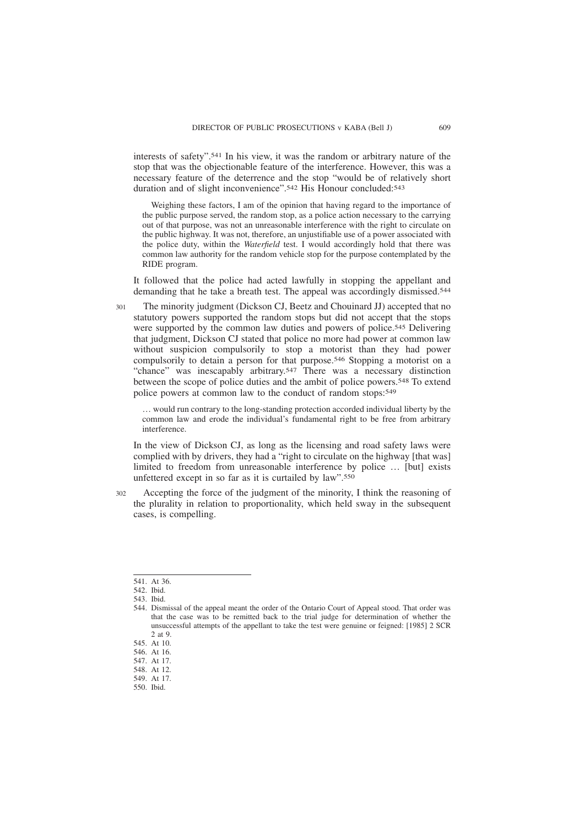interests of safety".541 In his view, it was the random or arbitrary nature of the stop that was the objectionable feature of the interference. However, this was a necessary feature of the deterrence and the stop "would be of relatively short duration and of slight inconvenience".542 His Honour concluded:543

Weighing these factors, I am of the opinion that having regard to the importance of the public purpose served, the random stop, as a police action necessary to the carrying out of that purpose, was not an unreasonable interference with the right to circulate on the public highway. It was not, therefore, an unjustifiable use of a power associated with the police duty, within the *Waterfield* test. I would accordingly hold that there was common law authority for the random vehicle stop for the purpose contemplated by the RIDE program.

It followed that the police had acted lawfully in stopping the appellant and demanding that he take a breath test. The appeal was accordingly dismissed.544

- The minority judgment (Dickson CJ, Beetz and Chouinard JJ) accepted that no statutory powers supported the random stops but did not accept that the stops were supported by the common law duties and powers of police.545 Delivering that judgment, Dickson CJ stated that police no more had power at common law without suspicion compulsorily to stop a motorist than they had power compulsorily to detain a person for that purpose.546 Stopping a motorist on a "chance" was inescapably arbitrary.547 There was a necessary distinction between the scope of police duties and the ambit of police powers.548 To extend police powers at common law to the conduct of random stops:549 301
	- … would run contrary to the long-standing protection accorded individual liberty by the common law and erode the individual's fundamental right to be free from arbitrary interference.

In the view of Dickson CJ, as long as the licensing and road safety laws were complied with by drivers, they had a "right to circulate on the highway [that was] limited to freedom from unreasonable interference by police … [but] exists unfettered except in so far as it is curtailed by law".550

Accepting the force of the judgment of the minority, I think the reasoning of the plurality in relation to proportionality, which held sway in the subsequent cases, is compelling. 302

550. Ibid.

<sup>541.</sup> At 36.

<sup>542.</sup> Ibid.

<sup>543.</sup> Ibid.

<sup>544.</sup> Dismissal of the appeal meant the order of the Ontario Court of Appeal stood. That order was that the case was to be remitted back to the trial judge for determination of whether the unsuccessful attempts of the appellant to take the test were genuine or feigned: [1985] 2 SCR 2 at 9.

<sup>545.</sup> At 10.

<sup>546.</sup> At 16.

<sup>547.</sup> At 17.

<sup>548.</sup> At 12.

<sup>549.</sup> At 17.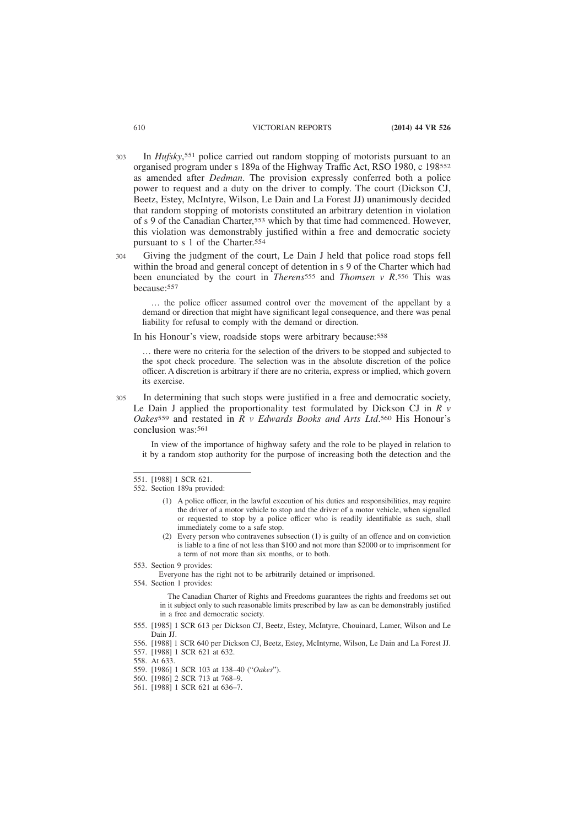- In *Hufsky*, 551 police carried out random stopping of motorists pursuant to an organised program under s 189a of the Highway Traffic Act, RSO 1980, c 198552 as amended after *Dedman*. The provision expressly conferred both a police power to request and a duty on the driver to comply. The court (Dickson CJ, Beetz, Estey, McIntyre, Wilson, Le Dain and La Forest JJ) unanimously decided that random stopping of motorists constituted an arbitrary detention in violation of s 9 of the Canadian Charter,553 which by that time had commenced. However, this violation was demonstrably justified within a free and democratic society pursuant to s 1 of the Charter.554 303
- Giving the judgment of the court, Le Dain J held that police road stops fell within the broad and general concept of detention in s 9 of the Charter which had been enunciated by the court in *Therens*555 and *Thomsen v R*. 556 This was because:557 304

… the police officer assumed control over the movement of the appellant by a demand or direction that might have significant legal consequence, and there was penal liability for refusal to comply with the demand or direction.

In his Honour's view, roadside stops were arbitrary because:558

… there were no criteria for the selection of the drivers to be stopped and subjected to the spot check procedure. The selection was in the absolute discretion of the police officer. A discretion is arbitrary if there are no criteria, express or implied, which govern its exercise.

In determining that such stops were justified in a free and democratic society, Le Dain J applied the proportionality test formulated by Dickson CJ in *R v Oakes*559 and restated in *R v Edwards Books and Arts Ltd*. 560 His Honour's conclusion was:561 305

In view of the importance of highway safety and the role to be played in relation to it by a random stop authority for the purpose of increasing both the detection and the

- (1) A police officer, in the lawful execution of his duties and responsibilities, may require the driver of a motor vehicle to stop and the driver of a motor vehicle, when signalled or requested to stop by a police officer who is readily identifiable as such, shall immediately come to a safe stop.
- (2) Every person who contravenes subsection (1) is guilty of an offence and on conviction is liable to a fine of not less than \$100 and not more than \$2000 or to imprisonment for a term of not more than six months, or to both.
- 553. Section 9 provides:

Everyone has the right not to be arbitrarily detained or imprisoned.

554. Section 1 provides:

The Canadian Charter of Rights and Freedoms guarantees the rights and freedoms set out in it subject only to such reasonable limits prescribed by law as can be demonstrably justified in a free and democratic society.

555. [1985] 1 SCR 613 per Dickson CJ, Beetz, Estey, McIntyre, Chouinard, Lamer, Wilson and Le Dain JJ.

<sup>551. [1988] 1</sup> SCR 621.

<sup>552.</sup> Section 189a provided:

<sup>556. [1988] 1</sup> SCR 640 per Dickson CJ, Beetz, Estey, McIntyrne, Wilson, Le Dain and La Forest JJ. 557. [1988] 1 SCR 621 at 632.

<sup>558.</sup> At 633.

<sup>559. [1986] 1</sup> SCR 103 at 138–40 ("*Oakes*").

<sup>560. [1986] 2</sup> SCR 713 at 768–9.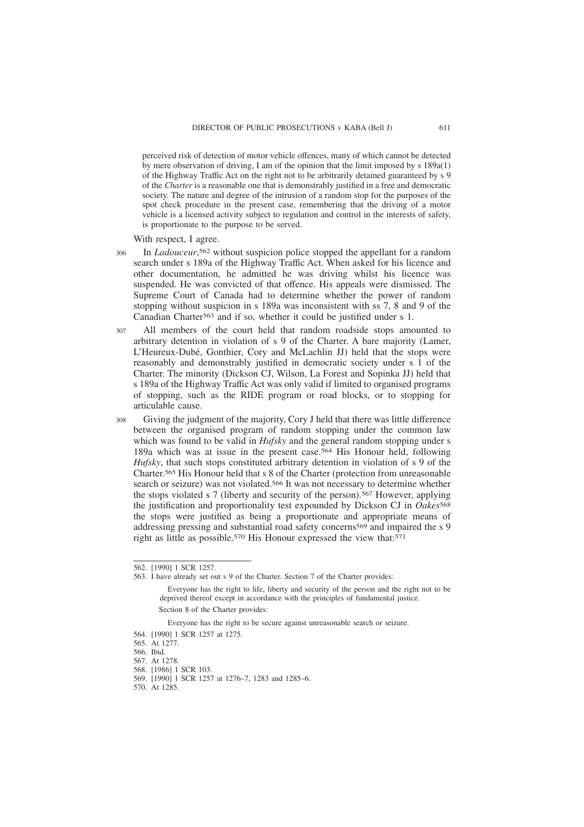perceived risk of detection of motor vehicle offences, many of which cannot be detected by mere observation of driving, I am of the opinion that the limit imposed by s 189a(1) of the Highway Traffic Act on the right not to be arbitrarily detained guaranteed by s 9 of the *Charter* is a reasonable one that is demonstrably justified in a free and democratic society. The nature and degree of the intrusion of a random stop for the purposes of the spot check procedure in the present case, remembering that the driving of a motor vehicle is a licensed activity subject to regulation and control in the interests of safety, is proportionate to the purpose to be served.

With respect, I agree.

- In *Ladouceur*, 562 without suspicion police stopped the appellant for a random search under s 189a of the Highway Traffic Act. When asked for his licence and other documentation, he admitted he was driving whilst his licence was suspended. He was convicted of that offence. His appeals were dismissed. The Supreme Court of Canada had to determine whether the power of random stopping without suspicion in s 189a was inconsistent with ss 7, 8 and 9 of the Canadian Charter563 and if so, whether it could be justified under s 1. 306
- All members of the court held that random roadside stops amounted to arbitrary detention in violation of s 9 of the Charter. A bare majority (Lamer, L'Heureux-Dubé, Gonthier, Cory and McLachlin JJ) held that the stops were reasonably and demonstrably justified in democratic society under s 1 of the Charter. The minority (Dickson CJ, Wilson, La Forest and Sopinka JJ) held that s 189a of the Highway Traffic Act was only valid if limited to organised programs of stopping, such as the RIDE program or road blocks, or to stopping for articulable cause. 307
- Giving the judgment of the majority, Cory J held that there was little difference between the organised program of random stopping under the common law which was found to be valid in *Hufsky* and the general random stopping under s 189a which was at issue in the present case.564 His Honour held, following *Hufsky*, that such stops constituted arbitrary detention in violation of s 9 of the Charter.565 His Honour held that s 8 of the Charter (protection from unreasonable search or seizure) was not violated.566 It was not necessary to determine whether the stops violated s 7 (liberty and security of the person).567 However, applying the justification and proportionality test expounded by Dickson CJ in *Oakes*568 the stops were justified as being a proportionate and appropriate means of addressing pressing and substantial road safety concerns569 and impaired the s 9 right as little as possible.570 His Honour expressed the view that:571 308

Everyone has the right to be secure against unreasonable search or seizure.

570. At 1285.

<sup>562. [1990] 1</sup> SCR 1257.

<sup>563.</sup> I have already set out s 9 of the Charter. Section 7 of the Charter provides:

Everyone has the right to life, liberty and security of the person and the right not to be deprived thereof except in accordance with the principles of fundamental justice. Section 8 of the Charter provides:

<sup>564. [1990] 1</sup> SCR 1257 at 1275.

<sup>565.</sup> At 1277.

<sup>566.</sup> Ibid.

<sup>567.</sup> At 1278.

<sup>568. [1986] 1</sup> SCR 103.

<sup>569. [1990] 1</sup> SCR 1257 at 1276–7, 1283 and 1285–6.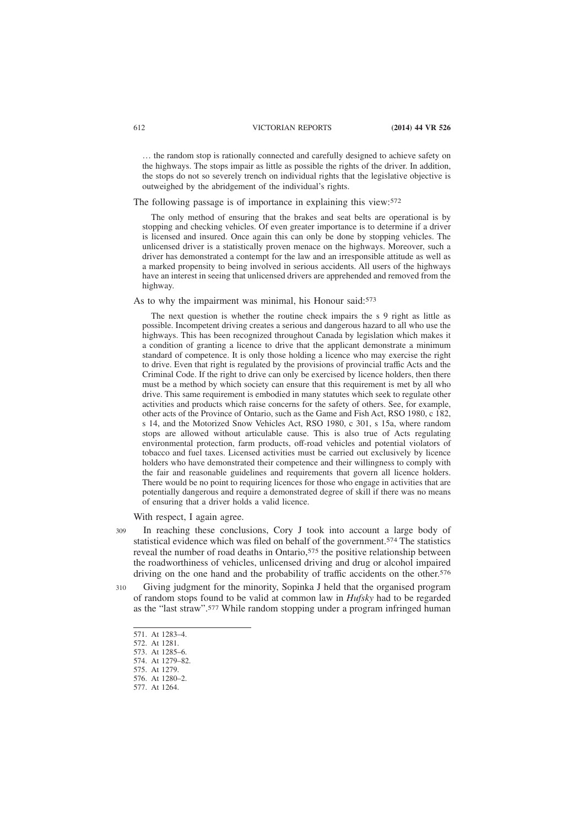… the random stop is rationally connected and carefully designed to achieve safety on the highways. The stops impair as little as possible the rights of the driver. In addition, the stops do not so severely trench on individual rights that the legislative objective is outweighed by the abridgement of the individual's rights.

# The following passage is of importance in explaining this view:572

The only method of ensuring that the brakes and seat belts are operational is by stopping and checking vehicles. Of even greater importance is to determine if a driver is licensed and insured. Once again this can only be done by stopping vehicles. The unlicensed driver is a statistically proven menace on the highways. Moreover, such a driver has demonstrated a contempt for the law and an irresponsible attitude as well as a marked propensity to being involved in serious accidents. All users of the highways have an interest in seeing that unlicensed drivers are apprehended and removed from the highway.

As to why the impairment was minimal, his Honour said:573

The next question is whether the routine check impairs the s 9 right as little as possible. Incompetent driving creates a serious and dangerous hazard to all who use the highways. This has been recognized throughout Canada by legislation which makes it a condition of granting a licence to drive that the applicant demonstrate a minimum standard of competence. It is only those holding a licence who may exercise the right to drive. Even that right is regulated by the provisions of provincial traffic Acts and the Criminal Code. If the right to drive can only be exercised by licence holders, then there must be a method by which society can ensure that this requirement is met by all who drive. This same requirement is embodied in many statutes which seek to regulate other activities and products which raise concerns for the safety of others. See, for example, other acts of the Province of Ontario, such as the Game and Fish Act, RSO 1980, c 182, s 14, and the Motorized Snow Vehicles Act, RSO 1980, c 301, s 15a, where random stops are allowed without articulable cause. This is also true of Acts regulating environmental protection, farm products, off-road vehicles and potential violators of tobacco and fuel taxes. Licensed activities must be carried out exclusively by licence holders who have demonstrated their competence and their willingness to comply with the fair and reasonable guidelines and requirements that govern all licence holders. There would be no point to requiring licences for those who engage in activities that are potentially dangerous and require a demonstrated degree of skill if there was no means of ensuring that a driver holds a valid licence.

With respect, I again agree.

- In reaching these conclusions, Cory J took into account a large body of statistical evidence which was filed on behalf of the government.574 The statistics reveal the number of road deaths in Ontario,575 the positive relationship between the roadworthiness of vehicles, unlicensed driving and drug or alcohol impaired driving on the one hand and the probability of traffic accidents on the other.<sup>576</sup> 309
- Giving judgment for the minority, Sopinka J held that the organised program of random stops found to be valid at common law in *Hufsky* had to be regarded as the "last straw".577 While random stopping under a program infringed human 310

<sup>571.</sup> At 1283–4.

<sup>572.</sup> At 1281.

<sup>573.</sup> At 1285–6.

<sup>574.</sup> At 1279–82.

<sup>575.</sup> At 1279. 576. At 1280–2.

<sup>577.</sup> At 1264.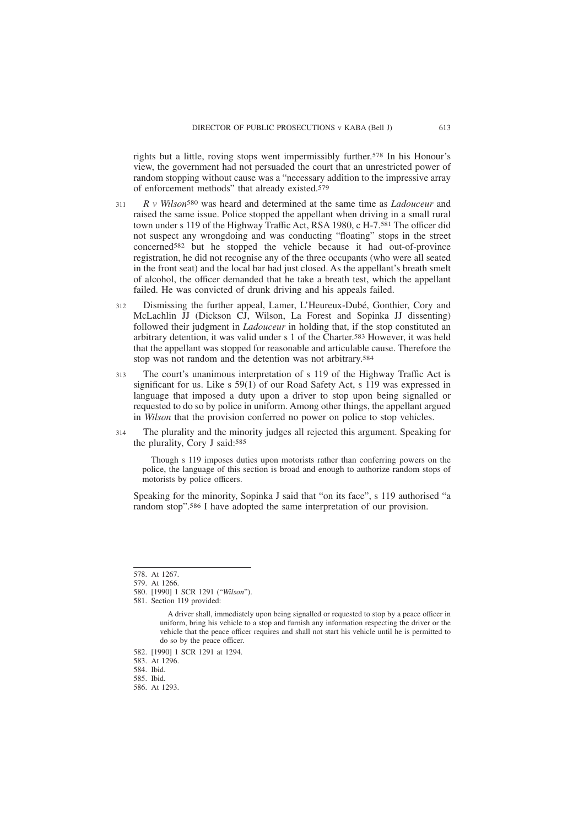rights but a little, roving stops went impermissibly further.578 In his Honour's view, the government had not persuaded the court that an unrestricted power of random stopping without cause was a "necessary addition to the impressive array of enforcement methods" that already existed.579

- *R v Wilson*580 was heard and determined at the same time as *Ladouceur* and raised the same issue. Police stopped the appellant when driving in a small rural town under s 119 of the Highway Traffic Act, RSA 1980, c H-7.581 The officer did not suspect any wrongdoing and was conducting "floating" stops in the street concerned582 but he stopped the vehicle because it had out-of-province registration, he did not recognise any of the three occupants (who were all seated in the front seat) and the local bar had just closed. As the appellant's breath smelt of alcohol, the officer demanded that he take a breath test, which the appellant failed. He was convicted of drunk driving and his appeals failed. 311
- Dismissing the further appeal, Lamer, L'Heureux-Dubé, Gonthier, Cory and McLachlin JJ (Dickson CJ, Wilson, La Forest and Sopinka JJ dissenting) followed their judgment in *Ladouceur* in holding that, if the stop constituted an arbitrary detention, it was valid under s 1 of the Charter.583 However, it was held that the appellant was stopped for reasonable and articulable cause. Therefore the stop was not random and the detention was not arbitrary.584 312
- The court's unanimous interpretation of s 119 of the Highway Traffic Act is significant for us. Like s 59(1) of our Road Safety Act, s 119 was expressed in language that imposed a duty upon a driver to stop upon being signalled or requested to do so by police in uniform. Among other things, the appellant argued in *Wilson* that the provision conferred no power on police to stop vehicles. 313
- The plurality and the minority judges all rejected this argument. Speaking for the plurality, Cory J said:585 314

Though s 119 imposes duties upon motorists rather than conferring powers on the police, the language of this section is broad and enough to authorize random stops of motorists by police officers.

Speaking for the minority, Sopinka J said that "on its face", s 119 authorised "a random stop".586 I have adopted the same interpretation of our provision.

581. Section 119 provided:

<sup>578.</sup> At 1267.

<sup>579.</sup> At 1266.

<sup>580. [1990] 1</sup> SCR 1291 ("*Wilson*").

A driver shall, immediately upon being signalled or requested to stop by a peace officer in uniform, bring his vehicle to a stop and furnish any information respecting the driver or the vehicle that the peace officer requires and shall not start his vehicle until he is permitted to do so by the peace officer.

<sup>582. [1990] 1</sup> SCR 1291 at 1294.

<sup>583.</sup> At 1296.

<sup>584.</sup> Ibid.

<sup>585.</sup> Ibid.

<sup>586.</sup> At 1293.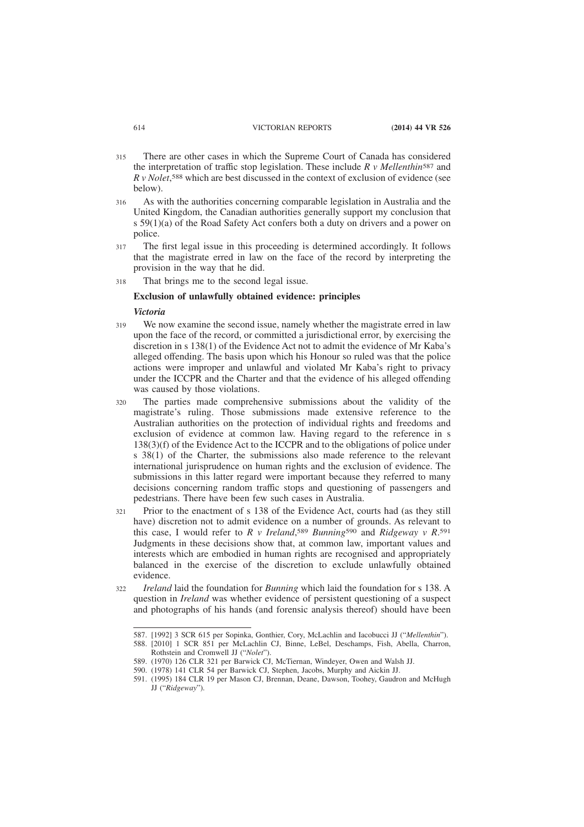- There are other cases in which the Supreme Court of Canada has considered the interpretation of traffic stop legislation. These include *R v Mellenthin*587 and *R v Nolet*, 588 which are best discussed in the context of exclusion of evidence (see below). 315
- As with the authorities concerning comparable legislation in Australia and the United Kingdom, the Canadian authorities generally support my conclusion that s 59(1)(a) of the Road Safety Act confers both a duty on drivers and a power on police. 316
- The first legal issue in this proceeding is determined accordingly. It follows that the magistrate erred in law on the face of the record by interpreting the provision in the way that he did. 317
- That brings me to the second legal issue. 318

## **Exclusion of unlawfully obtained evidence: principles**

#### *Victoria*

- We now examine the second issue, namely whether the magistrate erred in law upon the face of the record, or committed a jurisdictional error, by exercising the discretion in s 138(1) of the Evidence Act not to admit the evidence of Mr Kaba's alleged offending. The basis upon which his Honour so ruled was that the police actions were improper and unlawful and violated Mr Kaba's right to privacy under the ICCPR and the Charter and that the evidence of his alleged offending was caused by those violations. 319
- The parties made comprehensive submissions about the validity of the magistrate's ruling. Those submissions made extensive reference to the Australian authorities on the protection of individual rights and freedoms and exclusion of evidence at common law. Having regard to the reference in s 138(3)(f) of the Evidence Act to the ICCPR and to the obligations of police under s 38(1) of the Charter, the submissions also made reference to the relevant international jurisprudence on human rights and the exclusion of evidence. The submissions in this latter regard were important because they referred to many decisions concerning random traffic stops and questioning of passengers and pedestrians. There have been few such cases in Australia. 320
- Prior to the enactment of s 138 of the Evidence Act, courts had (as they still have) discretion not to admit evidence on a number of grounds. As relevant to this case, I would refer to *R v Ireland*, 589 *Bunning*590 and *Ridgeway v R*. 591 Judgments in these decisions show that, at common law, important values and interests which are embodied in human rights are recognised and appropriately balanced in the exercise of the discretion to exclude unlawfully obtained evidence. 321
- *Ireland* laid the foundation for *Bunning* which laid the foundation for s 138. A question in *Ireland* was whether evidence of persistent questioning of a suspect and photographs of his hands (and forensic analysis thereof) should have been 322

<sup>587. [1992] 3</sup> SCR 615 per Sopinka, Gonthier, Cory, McLachlin and Iacobucci JJ ("*Mellenthin*"). 588. [2010] 1 SCR 851 per McLachlin CJ, Binne, LeBel, Deschamps, Fish, Abella, Charron,

Rothstein and Cromwell JJ ("*Nolet*").

<sup>589. (1970) 126</sup> CLR 321 per Barwick CJ, McTiernan, Windeyer, Owen and Walsh JJ.

<sup>590. (1978) 141</sup> CLR 54 per Barwick CJ, Stephen, Jacobs, Murphy and Aickin JJ.

<sup>591. (1995) 184</sup> CLR 19 per Mason CJ, Brennan, Deane, Dawson, Toohey, Gaudron and McHugh JJ ("*Ridgeway*").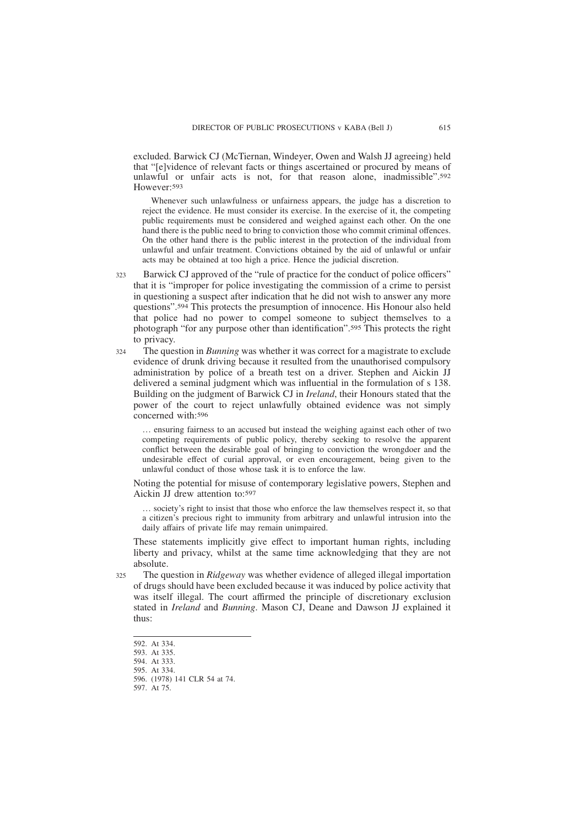excluded. Barwick CJ (McTiernan, Windeyer, Owen and Walsh JJ agreeing) held that "[e]vidence of relevant facts or things ascertained or procured by means of unlawful or unfair acts is not, for that reason alone, inadmissible".<sup>592</sup> However:593

Whenever such unlawfulness or unfairness appears, the judge has a discretion to reject the evidence. He must consider its exercise. In the exercise of it, the competing public requirements must be considered and weighed against each other. On the one hand there is the public need to bring to conviction those who commit criminal offences. On the other hand there is the public interest in the protection of the individual from unlawful and unfair treatment. Convictions obtained by the aid of unlawful or unfair acts may be obtained at too high a price. Hence the judicial discretion.

- Barwick CJ approved of the "rule of practice for the conduct of police officers" that it is "improper for police investigating the commission of a crime to persist in questioning a suspect after indication that he did not wish to answer any more questions".594 This protects the presumption of innocence. His Honour also held that police had no power to compel someone to subject themselves to a photograph "for any purpose other than identification".595 This protects the right to privacy. 323
- The question in *Bunning* was whether it was correct for a magistrate to exclude evidence of drunk driving because it resulted from the unauthorised compulsory administration by police of a breath test on a driver. Stephen and Aickin JJ delivered a seminal judgment which was influential in the formulation of s 138. Building on the judgment of Barwick CJ in *Ireland*, their Honours stated that the power of the court to reject unlawfully obtained evidence was not simply concerned with:596 324

… ensuring fairness to an accused but instead the weighing against each other of two competing requirements of public policy, thereby seeking to resolve the apparent conflict between the desirable goal of bringing to conviction the wrongdoer and the undesirable effect of curial approval, or even encouragement, being given to the unlawful conduct of those whose task it is to enforce the law.

Noting the potential for misuse of contemporary legislative powers, Stephen and Aickin JJ drew attention to:597

… society's right to insist that those who enforce the law themselves respect it, so that a citizen's precious right to immunity from arbitrary and unlawful intrusion into the daily affairs of private life may remain unimpaired.

These statements implicitly give effect to important human rights, including liberty and privacy, whilst at the same time acknowledging that they are not absolute.

The question in *Ridgeway* was whether evidence of alleged illegal importation of drugs should have been excluded because it was induced by police activity that was itself illegal. The court affirmed the principle of discretionary exclusion stated in *Ireland* and *Bunning*. Mason CJ, Deane and Dawson JJ explained it thus: 325

<sup>592.</sup> At 334.

<sup>593.</sup> At 335.

<sup>594.</sup> At 333.

<sup>595.</sup> At 334.

<sup>596. (1978) 141</sup> CLR 54 at 74. 597. At 75.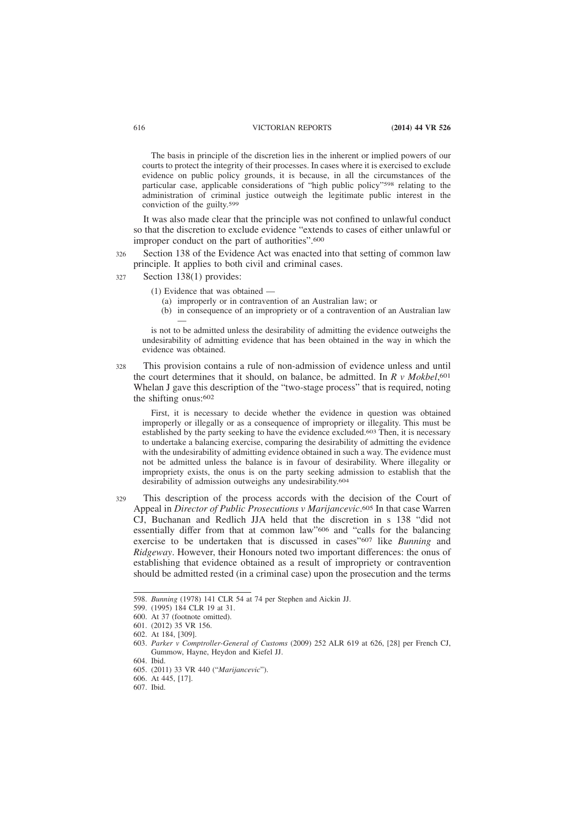The basis in principle of the discretion lies in the inherent or implied powers of our courts to protect the integrity of their processes. In cases where it is exercised to exclude evidence on public policy grounds, it is because, in all the circumstances of the particular case, applicable considerations of "high public policy"598 relating to the administration of criminal justice outweigh the legitimate public interest in the conviction of the guilty.599

It was also made clear that the principle was not confined to unlawful conduct so that the discretion to exclude evidence "extends to cases of either unlawful or improper conduct on the part of authorities".600

Section 138 of the Evidence Act was enacted into that setting of common law principle. It applies to both civil and criminal cases. 326

Section 138(1) provides: 327

- (1) Evidence that was obtained
	- (a) improperly or in contravention of an Australian law; or
	- (b) in consequence of an impropriety or of a contravention of an Australian law —

is not to be admitted unless the desirability of admitting the evidence outweighs the undesirability of admitting evidence that has been obtained in the way in which the evidence was obtained.

This provision contains a rule of non-admission of evidence unless and until the court determines that it should, on balance, be admitted. In *R v Mokbel*, 601 Whelan J gave this description of the "two-stage process" that is required, noting the shifting onus:602 328

First, it is necessary to decide whether the evidence in question was obtained improperly or illegally or as a consequence of impropriety or illegality. This must be established by the party seeking to have the evidence excluded.603 Then, it is necessary to undertake a balancing exercise, comparing the desirability of admitting the evidence with the undesirability of admitting evidence obtained in such a way. The evidence must not be admitted unless the balance is in favour of desirability. Where illegality or impropriety exists, the onus is on the party seeking admission to establish that the desirability of admission outweighs any undesirability.604

This description of the process accords with the decision of the Court of Appeal in *Director of Public Prosecutions v Marijancevic*. 605 In that case Warren CJ, Buchanan and Redlich JJA held that the discretion in s 138 "did not essentially differ from that at common law"606 and "calls for the balancing exercise to be undertaken that is discussed in cases"607 like *Bunning* and *Ridgeway*. However, their Honours noted two important differences: the onus of establishing that evidence obtained as a result of impropriety or contravention should be admitted rested (in a criminal case) upon the prosecution and the terms 329

<sup>598.</sup> *Bunning* (1978) 141 CLR 54 at 74 per Stephen and Aickin JJ.

<sup>599. (1995) 184</sup> CLR 19 at 31.

<sup>600.</sup> At 37 (footnote omitted).

<sup>601. (2012) 35</sup> VR 156.

<sup>602.</sup> At 184, [309].

<sup>603.</sup> *Parker v Comptroller-General of Customs* (2009) 252 ALR 619 at 626, [28] per French CJ, Gummow, Hayne, Heydon and Kiefel JJ.

<sup>604.</sup> Ibid.

<sup>605. (2011) 33</sup> VR 440 ("*Marijancevic*").

<sup>606.</sup> At 445, [17].

<sup>607.</sup> Ibid.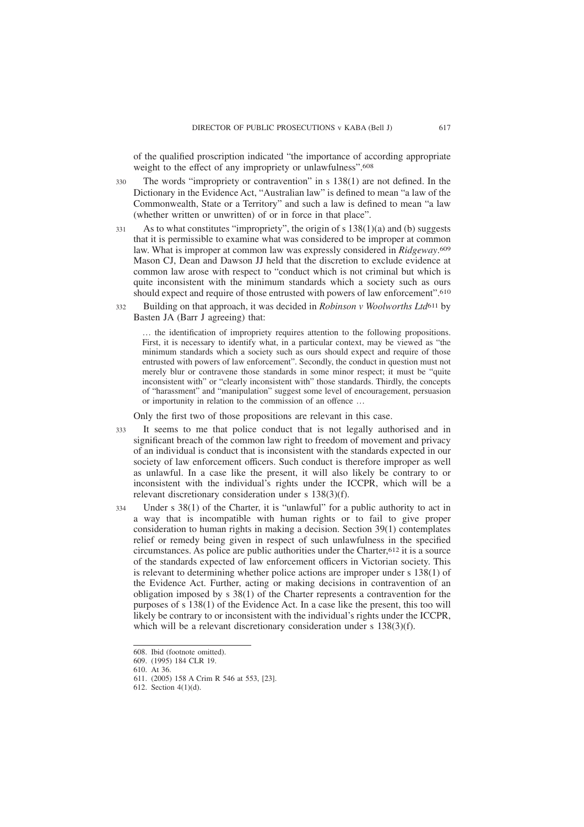of the qualified proscription indicated "the importance of according appropriate weight to the effect of any impropriety or unlawfulness".608

- The words "impropriety or contravention" in s 138(1) are not defined. In the Dictionary in the Evidence Act, "Australian law" is defined to mean "a law of the Commonwealth, State or a Territory" and such a law is defined to mean "a law (whether written or unwritten) of or in force in that place". 330
- As to what constitutes "impropriety", the origin of s 138(1)(a) and (b) suggests that it is permissible to examine what was considered to be improper at common law. What is improper at common law was expressly considered in *Ridgeway*. 609 Mason CJ, Dean and Dawson JJ held that the discretion to exclude evidence at common law arose with respect to "conduct which is not criminal but which is quite inconsistent with the minimum standards which a society such as ours should expect and require of those entrusted with powers of law enforcement".610 331
- Building on that approach, it was decided in *Robinson v Woolworths Ltd*611 by Basten JA (Barr J agreeing) that: 332

… the identification of impropriety requires attention to the following propositions. First, it is necessary to identify what, in a particular context, may be viewed as "the minimum standards which a society such as ours should expect and require of those entrusted with powers of law enforcement". Secondly, the conduct in question must not merely blur or contravene those standards in some minor respect; it must be "quite inconsistent with" or "clearly inconsistent with" those standards. Thirdly, the concepts of "harassment" and "manipulation" suggest some level of encouragement, persuasion or importunity in relation to the commission of an offence …

Only the first two of those propositions are relevant in this case.

- It seems to me that police conduct that is not legally authorised and in significant breach of the common law right to freedom of movement and privacy of an individual is conduct that is inconsistent with the standards expected in our society of law enforcement officers. Such conduct is therefore improper as well as unlawful. In a case like the present, it will also likely be contrary to or inconsistent with the individual's rights under the ICCPR, which will be a relevant discretionary consideration under s 138(3)(f). 333
- Under s 38(1) of the Charter, it is "unlawful" for a public authority to act in a way that is incompatible with human rights or to fail to give proper consideration to human rights in making a decision. Section 39(1) contemplates relief or remedy being given in respect of such unlawfulness in the specified circumstances. As police are public authorities under the Charter,  $612$  it is a source of the standards expected of law enforcement officers in Victorian society. This is relevant to determining whether police actions are improper under s 138(1) of the Evidence Act. Further, acting or making decisions in contravention of an obligation imposed by s 38(1) of the Charter represents a contravention for the purposes of s 138(1) of the Evidence Act. In a case like the present, this too will likely be contrary to or inconsistent with the individual's rights under the ICCPR, which will be a relevant discretionary consideration under s  $138(3)(f)$ . 334

609. (1995) 184 CLR 19.

<sup>608.</sup> Ibid (footnote omitted).

<sup>610.</sup> At 36.

<sup>611. (2005) 158</sup> A Crim R 546 at 553, [23].

<sup>612.</sup> Section 4(1)(d).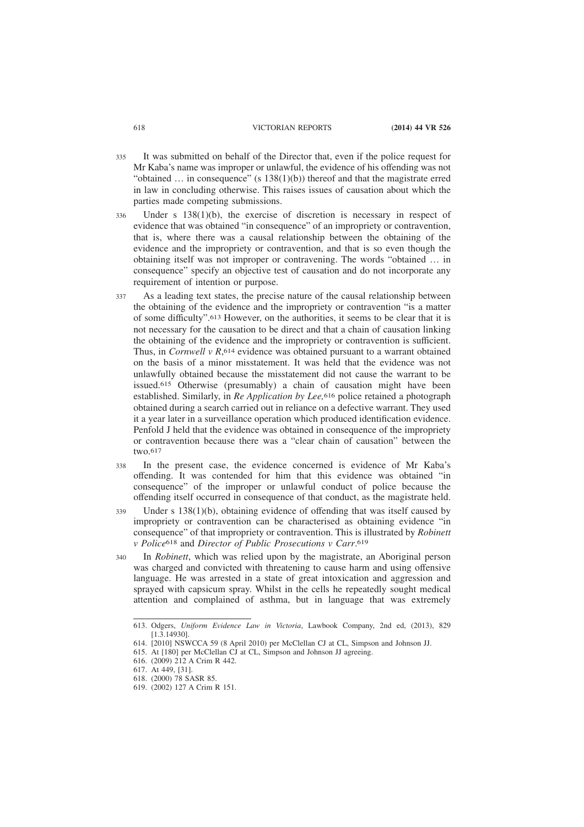- It was submitted on behalf of the Director that, even if the police request for Mr Kaba's name was improper or unlawful, the evidence of his offending was not "obtained  $\ldots$  in consequence" (s 138(1)(b)) thereof and that the magistrate erred in law in concluding otherwise. This raises issues of causation about which the parties made competing submissions. 335
- Under s  $138(1)(b)$ , the exercise of discretion is necessary in respect of evidence that was obtained "in consequence" of an impropriety or contravention, that is, where there was a causal relationship between the obtaining of the evidence and the impropriety or contravention, and that is so even though the obtaining itself was not improper or contravening. The words "obtained … in consequence" specify an objective test of causation and do not incorporate any requirement of intention or purpose. 336
- As a leading text states, the precise nature of the causal relationship between the obtaining of the evidence and the impropriety or contravention "is a matter of some difficulty".613 However, on the authorities, it seems to be clear that it is not necessary for the causation to be direct and that a chain of causation linking the obtaining of the evidence and the impropriety or contravention is sufficient. Thus, in *Cornwell v R*,<sup>614</sup> evidence was obtained pursuant to a warrant obtained on the basis of a minor misstatement. It was held that the evidence was not unlawfully obtained because the misstatement did not cause the warrant to be issued.615 Otherwise (presumably) a chain of causation might have been established. Similarly, in *Re Application by Lee,*616 police retained a photograph obtained during a search carried out in reliance on a defective warrant. They used it a year later in a surveillance operation which produced identification evidence. Penfold J held that the evidence was obtained in consequence of the impropriety or contravention because there was a "clear chain of causation" between the two.617 337
- In the present case, the evidence concerned is evidence of Mr Kaba's offending. It was contended for him that this evidence was obtained "in consequence" of the improper or unlawful conduct of police because the offending itself occurred in consequence of that conduct, as the magistrate held. 338
- Under s 138(1)(b), obtaining evidence of offending that was itself caused by impropriety or contravention can be characterised as obtaining evidence "in consequence" of that impropriety or contravention. This is illustrated by *Robinett v Police*618 and *Director of Public Prosecutions v Carr*. 619 339
- In *Robinett*, which was relied upon by the magistrate, an Aboriginal person was charged and convicted with threatening to cause harm and using offensive language. He was arrested in a state of great intoxication and aggression and sprayed with capsicum spray. Whilst in the cells he repeatedly sought medical attention and complained of asthma, but in language that was extremely 340

<sup>613.</sup> Odgers, *Uniform Evidence Law in Victoria*, Lawbook Company, 2nd ed, (2013), 829 [1.3.14930].

<sup>614. [2010]</sup> NSWCCA 59 (8 April 2010) per McClellan CJ at CL, Simpson and Johnson JJ.

<sup>615.</sup> At [180] per McClellan CJ at CL, Simpson and Johnson JJ agreeing.

<sup>616. (2009) 212</sup> A Crim R 442.

<sup>617.</sup> At 449, [31].

<sup>618. (2000) 78</sup> SASR 85.

<sup>619. (2002) 127</sup> A Crim R 151.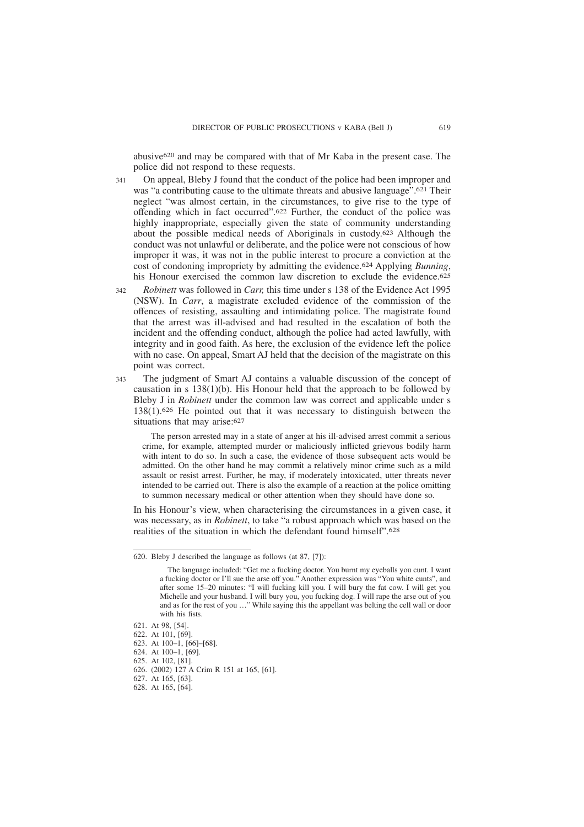abusive620 and may be compared with that of Mr Kaba in the present case. The police did not respond to these requests.

- On appeal, Bleby J found that the conduct of the police had been improper and was "a contributing cause to the ultimate threats and abusive language".621 Their neglect "was almost certain, in the circumstances, to give rise to the type of offending which in fact occurred".622 Further, the conduct of the police was highly inappropriate, especially given the state of community understanding about the possible medical needs of Aboriginals in custody.623 Although the conduct was not unlawful or deliberate, and the police were not conscious of how improper it was, it was not in the public interest to procure a conviction at the cost of condoning impropriety by admitting the evidence.624 Applying *Bunning*, his Honour exercised the common law discretion to exclude the evidence.<sup>625</sup> 341
- *Robinett* was followed in *Carr,* this time under s 138 of the Evidence Act 1995 (NSW). In *Carr*, a magistrate excluded evidence of the commission of the offences of resisting, assaulting and intimidating police. The magistrate found that the arrest was ill-advised and had resulted in the escalation of both the incident and the offending conduct, although the police had acted lawfully, with integrity and in good faith. As here, the exclusion of the evidence left the police with no case. On appeal, Smart AJ held that the decision of the magistrate on this point was correct.  $342$
- The judgment of Smart AJ contains a valuable discussion of the concept of causation in s 138(1)(b). His Honour held that the approach to be followed by Bleby J in *Robinett* under the common law was correct and applicable under s 138(1).626 He pointed out that it was necessary to distinguish between the situations that may arise:<sup>627</sup> 343

The person arrested may in a state of anger at his ill-advised arrest commit a serious crime, for example, attempted murder or maliciously inflicted grievous bodily harm with intent to do so. In such a case, the evidence of those subsequent acts would be admitted. On the other hand he may commit a relatively minor crime such as a mild assault or resist arrest. Further, he may, if moderately intoxicated, utter threats never intended to be carried out. There is also the example of a reaction at the police omitting to summon necessary medical or other attention when they should have done so.

In his Honour's view, when characterising the circumstances in a given case, it was necessary, as in *Robinett*, to take "a robust approach which was based on the realities of the situation in which the defendant found himself".628

<sup>620.</sup> Bleby J described the language as follows (at 87, [7]):

The language included: "Get me a fucking doctor. You burnt my eyeballs you cunt. I want a fucking doctor or I'll sue the arse off you." Another expression was "You white cunts", and after some 15–20 minutes: "I will fucking kill you. I will bury the fat cow. I will get you Michelle and your husband. I will bury you, you fucking dog. I will rape the arse out of you and as for the rest of you …" While saying this the appellant was belting the cell wall or door with his fists.

<sup>621.</sup> At 98, [54].

<sup>622.</sup> At 101, [69].

<sup>623.</sup> At 100–1, [66]–[68].

<sup>624.</sup> At 100–1, [69].

<sup>625.</sup> At 102, [81].

<sup>626. (2002) 127</sup> A Crim R 151 at 165, [61].

<sup>627.</sup> At 165, [63].

<sup>628.</sup> At 165, [64].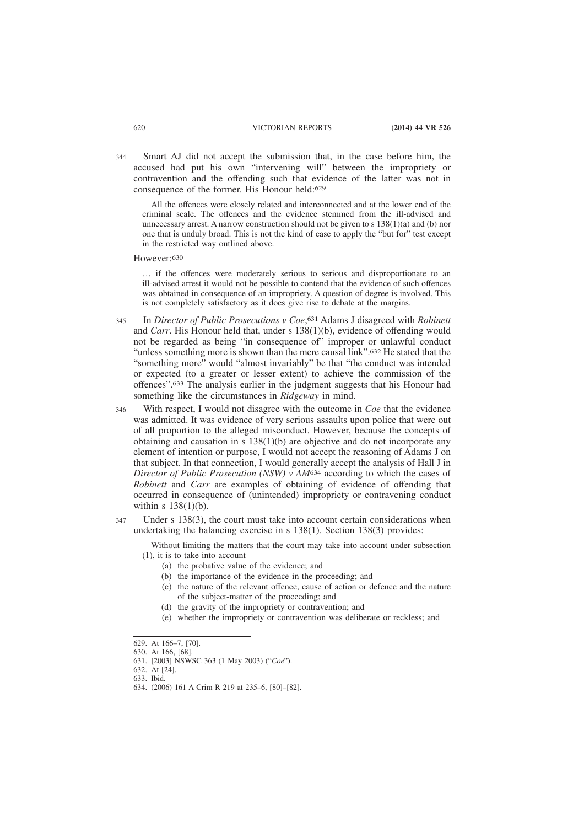Smart AJ did not accept the submission that, in the case before him, the accused had put his own "intervening will" between the impropriety or contravention and the offending such that evidence of the latter was not in consequence of the former. His Honour held:629 344

All the offences were closely related and interconnected and at the lower end of the criminal scale. The offences and the evidence stemmed from the ill-advised and unnecessary arrest. A narrow construction should not be given to  $s$  138(1)(a) and (b) nor one that is unduly broad. This is not the kind of case to apply the "but for" test except in the restricted way outlined above.

However:630

… if the offences were moderately serious to serious and disproportionate to an ill-advised arrest it would not be possible to contend that the evidence of such offences was obtained in consequence of an impropriety. A question of degree is involved. This is not completely satisfactory as it does give rise to debate at the margins.

- In *Director of Public Prosecutions v Coe*, 631 Adams J disagreed with *Robinett* and *Carr*. His Honour held that, under s 138(1)(b), evidence of offending would not be regarded as being "in consequence of" improper or unlawful conduct "unless something more is shown than the mere causal link".632 He stated that the "something more" would "almost invariably" be that "the conduct was intended or expected (to a greater or lesser extent) to achieve the commission of the offences".633 The analysis earlier in the judgment suggests that his Honour had something like the circumstances in *Ridgeway* in mind. 345
- With respect, I would not disagree with the outcome in *Coe* that the evidence was admitted. It was evidence of very serious assaults upon police that were out of all proportion to the alleged misconduct. However, because the concepts of obtaining and causation in s  $138(1)(b)$  are objective and do not incorporate any element of intention or purpose, I would not accept the reasoning of Adams J on that subject. In that connection, I would generally accept the analysis of Hall J in *Director of Public Prosecution (NSW) v AM*634 according to which the cases of *Robinett* and *Carr* are examples of obtaining of evidence of offending that occurred in consequence of (unintended) impropriety or contravening conduct within s 138(1)(b). 346
- Under s 138(3), the court must take into account certain considerations when undertaking the balancing exercise in s 138(1). Section 138(3) provides: 347

Without limiting the matters that the court may take into account under subsection (1), it is to take into account —

- (a) the probative value of the evidence; and
- (b) the importance of the evidence in the proceeding; and
- (c) the nature of the relevant offence, cause of action or defence and the nature of the subject-matter of the proceeding; and
- (d) the gravity of the impropriety or contravention; and
- (e) whether the impropriety or contravention was deliberate or reckless; and

632. At [24].

<sup>629.</sup> At 166–7, [70].

<sup>630.</sup> At 166, [68]. 631. [2003] NSWSC 363 (1 May 2003) ("*Coe*").

<sup>633.</sup> Ibid.

<sup>634. (2006) 161</sup> A Crim R 219 at 235–6, [80]–[82].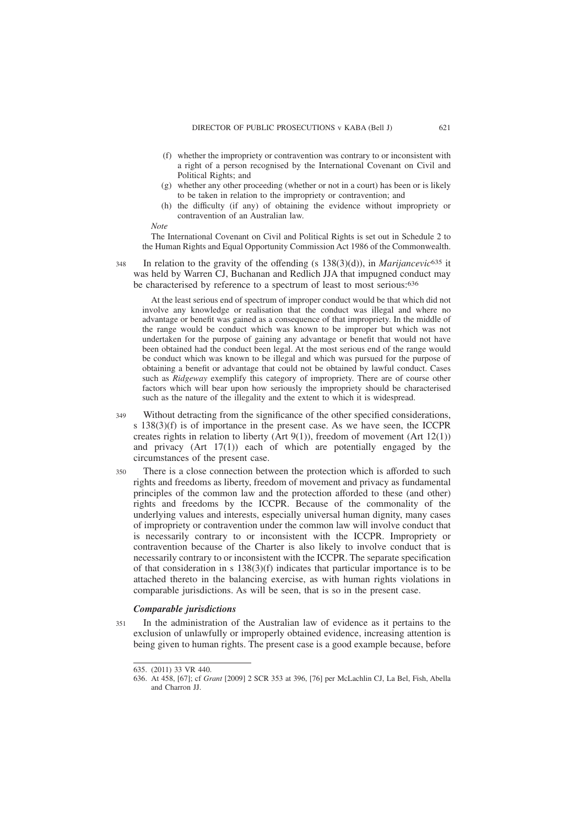- (f) whether the impropriety or contravention was contrary to or inconsistent with a right of a person recognised by the International Covenant on Civil and Political Rights; and
- (g) whether any other proceeding (whether or not in a court) has been or is likely to be taken in relation to the impropriety or contravention; and
- (h) the difficulty (if any) of obtaining the evidence without impropriety or contravention of an Australian law.

*Note*

The International Covenant on Civil and Political Rights is set out in Schedule 2 to the Human Rights and Equal Opportunity Commission Act 1986 of the Commonwealth.

In relation to the gravity of the offending (s 138(3)(d)), in *Marijancevic*635 it was held by Warren CJ, Buchanan and Redlich JJA that impugned conduct may be characterised by reference to a spectrum of least to most serious:636 348

At the least serious end of spectrum of improper conduct would be that which did not involve any knowledge or realisation that the conduct was illegal and where no advantage or benefit was gained as a consequence of that impropriety. In the middle of the range would be conduct which was known to be improper but which was not undertaken for the purpose of gaining any advantage or benefit that would not have been obtained had the conduct been legal. At the most serious end of the range would be conduct which was known to be illegal and which was pursued for the purpose of obtaining a benefit or advantage that could not be obtained by lawful conduct. Cases such as *Ridgeway* exemplify this category of impropriety. There are of course other factors which will bear upon how seriously the impropriety should be characterised such as the nature of the illegality and the extent to which it is widespread.

- Without detracting from the significance of the other specified considerations, s 138(3)(f) is of importance in the present case. As we have seen, the ICCPR creates rights in relation to liberty (Art 9(1)), freedom of movement (Art 12(1)) and privacy (Art 17(1)) each of which are potentially engaged by the circumstances of the present case. 349
- There is a close connection between the protection which is afforded to such rights and freedoms as liberty, freedom of movement and privacy as fundamental principles of the common law and the protection afforded to these (and other) rights and freedoms by the ICCPR. Because of the commonality of the underlying values and interests, especially universal human dignity, many cases of impropriety or contravention under the common law will involve conduct that is necessarily contrary to or inconsistent with the ICCPR. Impropriety or contravention because of the Charter is also likely to involve conduct that is necessarily contrary to or inconsistent with the ICCPR. The separate specification of that consideration in s 138(3)(f) indicates that particular importance is to be attached thereto in the balancing exercise, as with human rights violations in comparable jurisdictions. As will be seen, that is so in the present case. 350

## *Comparable jurisdictions*

In the administration of the Australian law of evidence as it pertains to the exclusion of unlawfully or improperly obtained evidence, increasing attention is being given to human rights. The present case is a good example because, before 351

<sup>635. (2011) 33</sup> VR 440.

<sup>636.</sup> At 458, [67]; cf *Grant* [2009] 2 SCR 353 at 396, [76] per McLachlin CJ, La Bel, Fish, Abella and Charron II.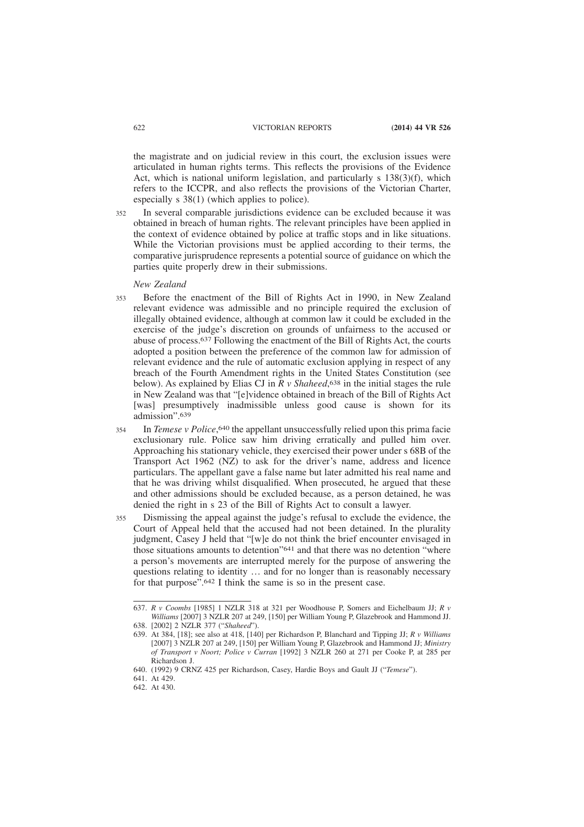the magistrate and on judicial review in this court, the exclusion issues were articulated in human rights terms. This reflects the provisions of the Evidence Act, which is national uniform legislation, and particularly  $s$  138(3)(f), which refers to the ICCPR, and also reflects the provisions of the Victorian Charter, especially s 38(1) (which applies to police).

In several comparable jurisdictions evidence can be excluded because it was obtained in breach of human rights. The relevant principles have been applied in the context of evidence obtained by police at traffic stops and in like situations. While the Victorian provisions must be applied according to their terms, the comparative jurisprudence represents a potential source of guidance on which the parties quite properly drew in their submissions. 352

## *New Zealand*

- Before the enactment of the Bill of Rights Act in 1990, in New Zealand relevant evidence was admissible and no principle required the exclusion of illegally obtained evidence, although at common law it could be excluded in the exercise of the judge's discretion on grounds of unfairness to the accused or abuse of process.637 Following the enactment of the Bill of Rights Act, the courts adopted a position between the preference of the common law for admission of relevant evidence and the rule of automatic exclusion applying in respect of any breach of the Fourth Amendment rights in the United States Constitution (see below). As explained by Elias CJ in *R v Shaheed*, 638 in the initial stages the rule in New Zealand was that "[e]vidence obtained in breach of the Bill of Rights Act [was] presumptively inadmissible unless good cause is shown for its admission".639 353
- In *Temese v Police*, 640 the appellant unsuccessfully relied upon this prima facie exclusionary rule. Police saw him driving erratically and pulled him over. Approaching his stationary vehicle, they exercised their power under s 68B of the Transport Act 1962 (NZ) to ask for the driver's name, address and licence particulars. The appellant gave a false name but later admitted his real name and that he was driving whilst disqualified. When prosecuted, he argued that these and other admissions should be excluded because, as a person detained, he was denied the right in s 23 of the Bill of Rights Act to consult a lawyer. 354
- Dismissing the appeal against the judge's refusal to exclude the evidence, the Court of Appeal held that the accused had not been detained. In the plurality judgment, Casey J held that "[w]e do not think the brief encounter envisaged in those situations amounts to detention"641 and that there was no detention "where a person's movements are interrupted merely for the purpose of answering the questions relating to identity … and for no longer than is reasonably necessary for that purpose".642 I think the same is so in the present case. 355

<sup>637.</sup> *R v Coombs* [1985] 1 NZLR 318 at 321 per Woodhouse P, Somers and Eichelbaum JJ; *R v Williams* [2007] 3 NZLR 207 at 249, [150] per William Young P, Glazebrook and Hammond JJ.

<sup>638. [2002] 2</sup> NZLR 377 ("*Shaheed*").

<sup>639.</sup> At 384, [18]; see also at 418, [140] per Richardson P, Blanchard and Tipping JJ; *R v Williams* [2007] 3 NZLR 207 at 249, [150] per William Young P, Glazebrook and Hammond JJ; *Ministry of Transport v Noort; Police v Curran* [1992] 3 NZLR 260 at 271 per Cooke P, at 285 per Richardson J.

<sup>640. (1992) 9</sup> CRNZ 425 per Richardson, Casey, Hardie Boys and Gault JJ ("*Temese*").

<sup>641.</sup> At 429.

<sup>642.</sup> At 430.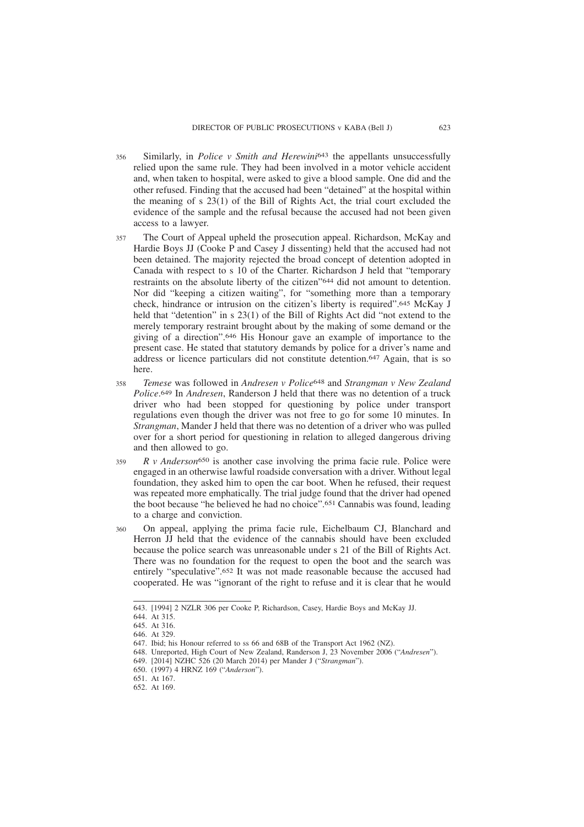- Similarly, in *Police v Smith and Herewini*643 the appellants unsuccessfully relied upon the same rule. They had been involved in a motor vehicle accident and, when taken to hospital, were asked to give a blood sample. One did and the other refused. Finding that the accused had been "detained" at the hospital within the meaning of s 23(1) of the Bill of Rights Act, the trial court excluded the evidence of the sample and the refusal because the accused had not been given access to a lawyer. 356
- The Court of Appeal upheld the prosecution appeal. Richardson, McKay and Hardie Boys JJ (Cooke P and Casey J dissenting) held that the accused had not been detained. The majority rejected the broad concept of detention adopted in Canada with respect to s 10 of the Charter. Richardson J held that "temporary restraints on the absolute liberty of the citizen"644 did not amount to detention. Nor did "keeping a citizen waiting", for "something more than a temporary check, hindrance or intrusion on the citizen's liberty is required".645 McKay J held that "detention" in s 23(1) of the Bill of Rights Act did "not extend to the merely temporary restraint brought about by the making of some demand or the giving of a direction".646 His Honour gave an example of importance to the present case. He stated that statutory demands by police for a driver's name and address or licence particulars did not constitute detention.647 Again, that is so here. 357
- *Temese* was followed in *Andresen v Police*648 and *Strangman v New Zealand Police*. 649 In *Andresen*, Randerson J held that there was no detention of a truck driver who had been stopped for questioning by police under transport regulations even though the driver was not free to go for some 10 minutes. In *Strangman*, Mander J held that there was no detention of a driver who was pulled over for a short period for questioning in relation to alleged dangerous driving and then allowed to go. 358
- *R v Anderson*650 is another case involving the prima facie rule. Police were engaged in an otherwise lawful roadside conversation with a driver. Without legal foundation, they asked him to open the car boot. When he refused, their request was repeated more emphatically. The trial judge found that the driver had opened the boot because "he believed he had no choice".651 Cannabis was found, leading to a charge and conviction. 350
- On appeal, applying the prima facie rule, Eichelbaum CJ, Blanchard and Herron JJ held that the evidence of the cannabis should have been excluded because the police search was unreasonable under s 21 of the Bill of Rights Act. There was no foundation for the request to open the boot and the search was entirely "speculative".652 It was not made reasonable because the accused had cooperated. He was "ignorant of the right to refuse and it is clear that he would 360

<sup>643. [1994] 2</sup> NZLR 306 per Cooke P, Richardson, Casey, Hardie Boys and McKay JJ.

<sup>644.</sup> At 315.

<sup>645.</sup> At 316.

<sup>646.</sup> At 329.

<sup>647.</sup> Ibid; his Honour referred to ss 66 and 68B of the Transport Act 1962 (NZ).

<sup>648.</sup> Unreported, High Court of New Zealand, Randerson J, 23 November 2006 ("*Andresen*").

<sup>649. [2014]</sup> NZHC 526 (20 March 2014) per Mander J ("*Strangman*").

<sup>650. (1997) 4</sup> HRNZ 169 ("*Anderson*").

<sup>651.</sup> At 167.

<sup>652.</sup> At 169.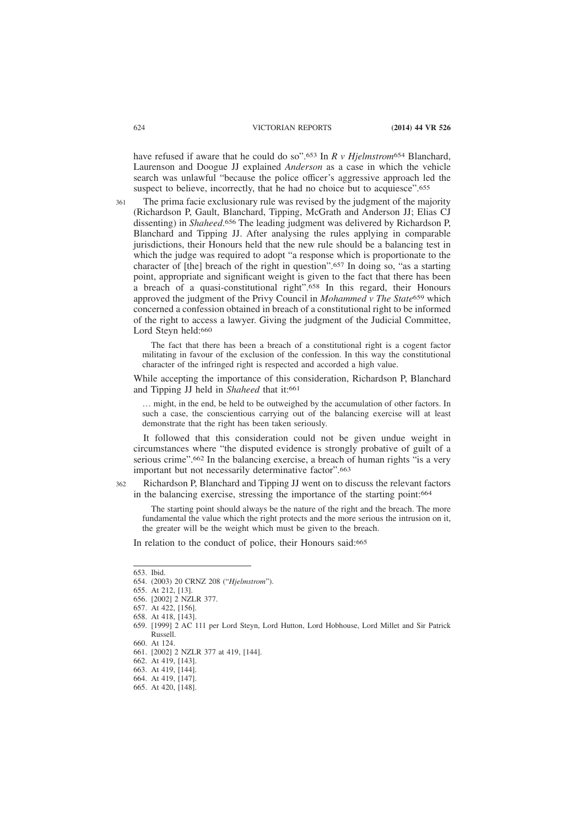have refused if aware that he could do so".653 In *R v Hjelmstrom*654 Blanchard, Laurenson and Doogue JJ explained *Anderson* as a case in which the vehicle search was unlawful "because the police officer's aggressive approach led the suspect to believe, incorrectly, that he had no choice but to acquiesce".<sup>655</sup>

The prima facie exclusionary rule was revised by the judgment of the majority (Richardson P, Gault, Blanchard, Tipping, McGrath and Anderson JJ; Elias CJ dissenting) in *Shaheed*. 656 The leading judgment was delivered by Richardson P, Blanchard and Tipping JJ. After analysing the rules applying in comparable jurisdictions, their Honours held that the new rule should be a balancing test in which the judge was required to adopt "a response which is proportionate to the character of [the] breach of the right in question".657 In doing so, "as a starting point, appropriate and significant weight is given to the fact that there has been a breach of a quasi-constitutional right".658 In this regard, their Honours approved the judgment of the Privy Council in *Mohammed v The State*659 which concerned a confession obtained in breach of a constitutional right to be informed of the right to access a lawyer. Giving the judgment of the Judicial Committee, Lord Steyn held:660 361

The fact that there has been a breach of a constitutional right is a cogent factor militating in favour of the exclusion of the confession. In this way the constitutional character of the infringed right is respected and accorded a high value.

While accepting the importance of this consideration, Richardson P, Blanchard and Tipping JJ held in *Shaheed* that it:<sup>661</sup>

… might, in the end, be held to be outweighed by the accumulation of other factors. In such a case, the conscientious carrying out of the balancing exercise will at least demonstrate that the right has been taken seriously.

It followed that this consideration could not be given undue weight in circumstances where "the disputed evidence is strongly probative of guilt of a serious crime".662 In the balancing exercise, a breach of human rights "is a very important but not necessarily determinative factor".663

Richardson P, Blanchard and Tipping JJ went on to discuss the relevant factors in the balancing exercise, stressing the importance of the starting point:664 362

The starting point should always be the nature of the right and the breach. The more fundamental the value which the right protects and the more serious the intrusion on it, the greater will be the weight which must be given to the breach.

In relation to the conduct of police, their Honours said:665

655. At 212, [13].

<sup>653.</sup> Ibid.

<sup>654. (2003) 20</sup> CRNZ 208 ("*Hjelmstrom*").

<sup>656. [2002] 2</sup> NZLR 377.

<sup>657.</sup> At 422, [156].

<sup>658.</sup> At 418, [143].

<sup>659. [1999] 2</sup> AC 111 per Lord Steyn, Lord Hutton, Lord Hobhouse, Lord Millet and Sir Patrick Russell.

<sup>660.</sup> At 124.

<sup>661. [2002] 2</sup> NZLR 377 at 419, [144].

<sup>662.</sup> At 419, [143].

<sup>663.</sup> At 419, [144].

<sup>664.</sup> At 419, [147].

<sup>665.</sup> At 420, [148].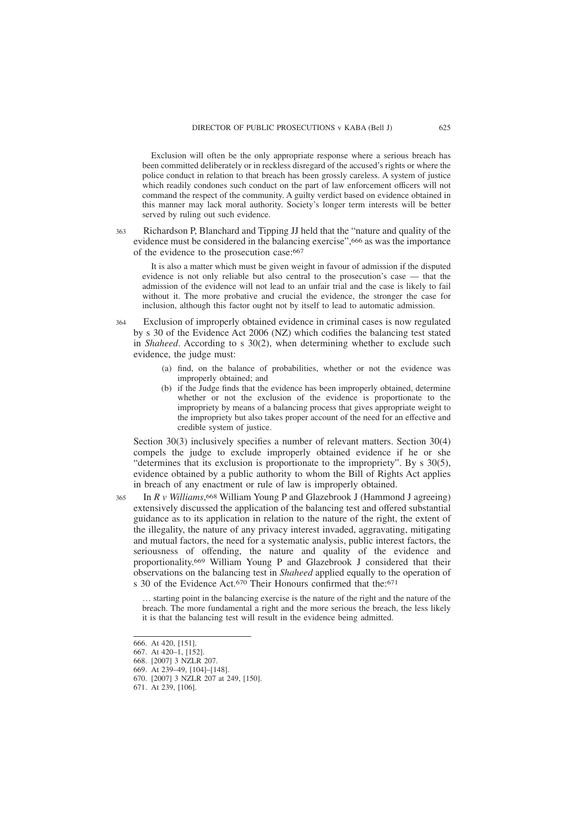Exclusion will often be the only appropriate response where a serious breach has been committed deliberately or in reckless disregard of the accused's rights or where the police conduct in relation to that breach has been grossly careless. A system of justice which readily condones such conduct on the part of law enforcement officers will not command the respect of the community. A guilty verdict based on evidence obtained in this manner may lack moral authority. Society's longer term interests will be better served by ruling out such evidence.

363

Richardson P, Blanchard and Tipping JJ held that the "nature and quality of the evidence must be considered in the balancing exercise",<sup>666</sup> as was the importance of the evidence to the prosecution case:667

It is also a matter which must be given weight in favour of admission if the disputed evidence is not only reliable but also central to the prosecution's case — that the admission of the evidence will not lead to an unfair trial and the case is likely to fail without it. The more probative and crucial the evidence, the stronger the case for inclusion, although this factor ought not by itself to lead to automatic admission.

Exclusion of improperly obtained evidence in criminal cases is now regulated by s 30 of the Evidence Act 2006 (NZ) which codifies the balancing test stated in *Shaheed*. According to s 30(2), when determining whether to exclude such evidence, the judge must: 364

- (a) find, on the balance of probabilities, whether or not the evidence was improperly obtained; and
- (b) if the Judge finds that the evidence has been improperly obtained, determine whether or not the exclusion of the evidence is proportionate to the impropriety by means of a balancing process that gives appropriate weight to the impropriety but also takes proper account of the need for an effective and credible system of justice.

Section 30(3) inclusively specifies a number of relevant matters. Section 30(4) compels the judge to exclude improperly obtained evidence if he or she "determines that its exclusion is proportionate to the impropriety". By s 30(5), evidence obtained by a public authority to whom the Bill of Rights Act applies in breach of any enactment or rule of law is improperly obtained.

In *R v Williams*, 668 William Young P and Glazebrook J (Hammond J agreeing) extensively discussed the application of the balancing test and offered substantial guidance as to its application in relation to the nature of the right, the extent of the illegality, the nature of any privacy interest invaded, aggravating, mitigating and mutual factors, the need for a systematic analysis, public interest factors, the seriousness of offending, the nature and quality of the evidence and proportionality.669 William Young P and Glazebrook J considered that their observations on the balancing test in *Shaheed* applied equally to the operation of s 30 of the Evidence Act.<sup>670</sup> Their Honours confirmed that the:<sup>671</sup> 365

… starting point in the balancing exercise is the nature of the right and the nature of the breach. The more fundamental a right and the more serious the breach, the less likely it is that the balancing test will result in the evidence being admitted.

<sup>666.</sup> At 420, [151].

<sup>667.</sup> At 420–1, [152].

<sup>668. [2007] 3</sup> NZLR 207.

<sup>669.</sup> At 239–49, [104]–[148].

<sup>670. [2007] 3</sup> NZLR 207 at 249, [150].

<sup>671.</sup> At 239, [106].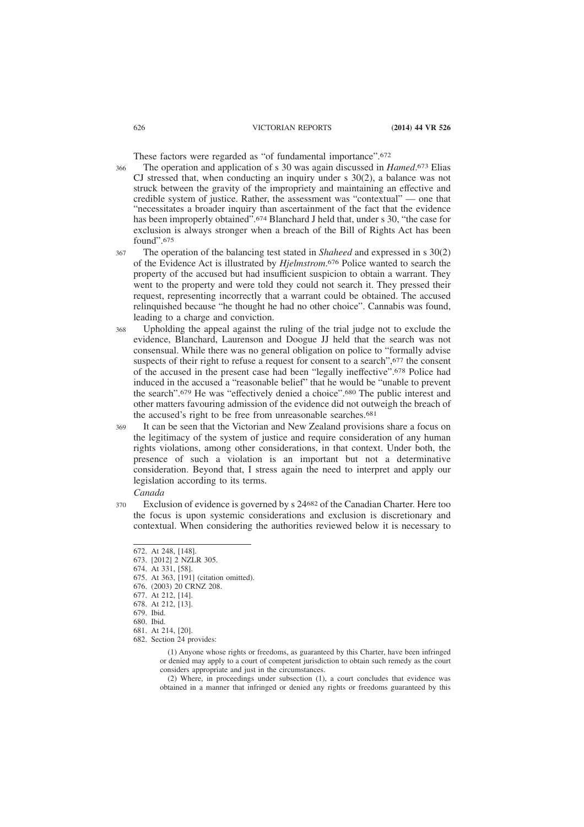These factors were regarded as "of fundamental importance".672

- The operation and application of s 30 was again discussed in *Hamed*. 673 Elias CJ stressed that, when conducting an inquiry under s 30(2), a balance was not struck between the gravity of the impropriety and maintaining an effective and credible system of justice. Rather, the assessment was "contextual" — one that "necessitates a broader inquiry than ascertainment of the fact that the evidence has been improperly obtained".<sup>674</sup> Blanchard J held that, under s 30, "the case for exclusion is always stronger when a breach of the Bill of Rights Act has been found".675 366
- The operation of the balancing test stated in *Shaheed* and expressed in s 30(2) of the Evidence Act is illustrated by *Hjelmstrom*. 676 Police wanted to search the property of the accused but had insufficient suspicion to obtain a warrant. They went to the property and were told they could not search it. They pressed their request, representing incorrectly that a warrant could be obtained. The accused relinquished because "he thought he had no other choice". Cannabis was found, leading to a charge and conviction. 367
- Upholding the appeal against the ruling of the trial judge not to exclude the evidence, Blanchard, Laurenson and Doogue JJ held that the search was not consensual. While there was no general obligation on police to "formally advise suspects of their right to refuse a request for consent to a search",677 the consent of the accused in the present case had been "legally ineffective".678 Police had induced in the accused a "reasonable belief" that he would be "unable to prevent the search".679 He was "effectively denied a choice".680 The public interest and other matters favouring admission of the evidence did not outweigh the breach of the accused's right to be free from unreasonable searches.<sup>681</sup> 368
- It can be seen that the Victorian and New Zealand provisions share a focus on the legitimacy of the system of justice and require consideration of any human rights violations, among other considerations, in that context. Under both, the presence of such a violation is an important but not a determinative consideration. Beyond that, I stress again the need to interpret and apply our legislation according to its terms. 369

#### *Canada*

Exclusion of evidence is governed by s 24682 of the Canadian Charter. Here too the focus is upon systemic considerations and exclusion is discretionary and contextual. When considering the authorities reviewed below it is necessary to 370

<sup>672.</sup> At 248, [148].

<sup>673. [2012] 2</sup> NZLR 305.

<sup>674.</sup> At 331, [58].

<sup>675.</sup> At 363, [191] (citation omitted).

<sup>676. (2003) 20</sup> CRNZ 208.

<sup>677.</sup> At 212, [14].

<sup>678.</sup> At 212, [13].

<sup>679.</sup> Ibid.

<sup>680.</sup> Ibid.

<sup>681.</sup> At 214, [20].

<sup>682.</sup> Section 24 provides:

<sup>(1)</sup> Anyone whose rights or freedoms, as guaranteed by this Charter, have been infringed or denied may apply to a court of competent jurisdiction to obtain such remedy as the court considers appropriate and just in the circumstances.

<sup>(2)</sup> Where, in proceedings under subsection (1), a court concludes that evidence was obtained in a manner that infringed or denied any rights or freedoms guaranteed by this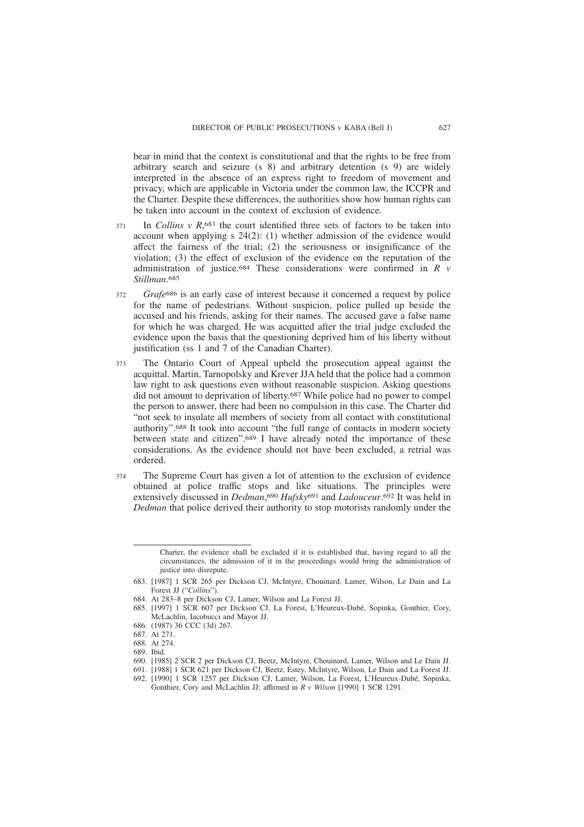bear in mind that the context is constitutional and that the rights to be free from arbitrary search and seizure (s 8) and arbitrary detention (s 9) are widely interpreted in the absence of an express right to freedom of movement and privacy, which are applicable in Victoria under the common law, the ICCPR and the Charter. Despite these differences, the authorities show how human rights can be taken into account in the context of exclusion of evidence.

- In *Collins v R*,<sup>683</sup> the court identified three sets of factors to be taken into account when applying s 24(2): (1) whether admission of the evidence would affect the fairness of the trial; (2) the seriousness or insignificance of the violation; (3) the effect of exclusion of the evidence on the reputation of the administration of justice.684 These considerations were confirmed in *R v Stillman*. 685 371
- *Grafe*686 is an early case of interest because it concerned a request by police for the name of pedestrians. Without suspicion, police pulled up beside the accused and his friends, asking for their names. The accused gave a false name for which he was charged. He was acquitted after the trial judge excluded the evidence upon the basis that the questioning deprived him of his liberty without justification (ss 1 and 7 of the Canadian Charter). 372
- The Ontario Court of Appeal upheld the prosecution appeal against the acquittal. Martin, Tarnopolsky and Krever JJA held that the police had a common law right to ask questions even without reasonable suspicion. Asking questions did not amount to deprivation of liberty.687 While police had no power to compel the person to answer, there had been no compulsion in this case. The Charter did "not seek to insulate all members of society from all contact with constitutional authority".688 It took into account "the full range of contacts in modern society between state and citizen".689 I have already noted the importance of these considerations. As the evidence should not have been excluded, a retrial was ordered. 373
- The Supreme Court has given a lot of attention to the exclusion of evidence obtained at police traffic stops and like situations. The principles were extensively discussed in *Dedman*, 690 *Hufsky*691 and *Ladouceur*. 692 It was held in *Dedman* that police derived their authority to stop motorists randomly under the 374

686. (1987) 36 CCC (3d) 267.

Charter, the evidence shall be excluded if it is established that, having regard to all the circumstances, the admission of it in the proceedings would bring the administration of justice into disrepute.

<sup>683. [1987] 1</sup> SCR 265 per Dickson CJ, McIntyre, Chouinard, Lamer, Wilson, Le Dain and La Forest JJ ("*Collins*").

<sup>684.</sup> At 283–8 per Dickson CJ, Lamer, Wilson and La Forest JJ.

<sup>685. [1997] 1</sup> SCR 607 per Dickson CJ, La Forest, L'Heureux-Dubé, Sopinka, Gonthier, Cory, McLachlin, Iacobucci and Mayor JJ.

<sup>687.</sup> At 271.

<sup>688.</sup> At 274.

<sup>689.</sup> Ibid.

<sup>690. [1985] 2</sup> SCR 2 per Dickson CJ, Beetz, McIntyre, Chouinard, Lamer, Wilson and Le Dain JJ.

<sup>691. [1988] 1</sup> SCR 621 per Dickson CJ, Beetz, Estey, McIntyre, Wilson, Le Dain and La Forest JJ.

<sup>692. [1990] 1</sup> SCR 1257 per Dickson CJ, Lamer, Wilson, La Forest, L'Heureux-Dubé, Sopinka, Gonthier, Cory and McLachlin JJ; affirmed in *R v Wilson* [1990] 1 SCR 1291.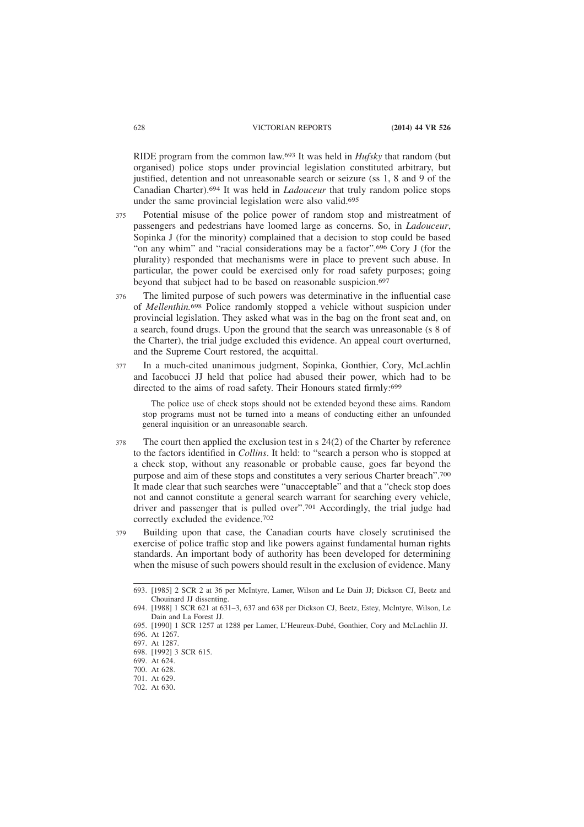RIDE program from the common law.693 It was held in *Hufsky* that random (but organised) police stops under provincial legislation constituted arbitrary, but justified, detention and not unreasonable search or seizure (ss 1, 8 and 9 of the Canadian Charter).694 It was held in *Ladouceur* that truly random police stops under the same provincial legislation were also valid.695

- Potential misuse of the police power of random stop and mistreatment of passengers and pedestrians have loomed large as concerns. So, in *Ladouceur*, Sopinka J (for the minority) complained that a decision to stop could be based "on any whim" and "racial considerations may be a factor".696 Cory J (for the plurality) responded that mechanisms were in place to prevent such abuse. In particular, the power could be exercised only for road safety purposes; going beyond that subject had to be based on reasonable suspicion.<sup>697</sup> 375
- The limited purpose of such powers was determinative in the influential case of *Mellenthin.*698 Police randomly stopped a vehicle without suspicion under provincial legislation. They asked what was in the bag on the front seat and, on a search, found drugs. Upon the ground that the search was unreasonable (s 8 of the Charter), the trial judge excluded this evidence. An appeal court overturned, and the Supreme Court restored, the acquittal. 376
- In a much-cited unanimous judgment, Sopinka, Gonthier, Cory, McLachlin and Iacobucci JJ held that police had abused their power, which had to be directed to the aims of road safety. Their Honours stated firmly:699 377

The police use of check stops should not be extended beyond these aims. Random stop programs must not be turned into a means of conducting either an unfounded general inquisition or an unreasonable search.

- The court then applied the exclusion test in s 24(2) of the Charter by reference to the factors identified in *Collins*. It held: to "search a person who is stopped at a check stop, without any reasonable or probable cause, goes far beyond the purpose and aim of these stops and constitutes a very serious Charter breach".700 It made clear that such searches were "unacceptable" and that a "check stop does not and cannot constitute a general search warrant for searching every vehicle, driver and passenger that is pulled over".701 Accordingly, the trial judge had correctly excluded the evidence.702 378
- Building upon that case, the Canadian courts have closely scrutinised the exercise of police traffic stop and like powers against fundamental human rights standards. An important body of authority has been developed for determining when the misuse of such powers should result in the exclusion of evidence. Many 379

<sup>693. [1985] 2</sup> SCR 2 at 36 per McIntyre, Lamer, Wilson and Le Dain JJ; Dickson CJ, Beetz and Chouinard II dissenting.

<sup>694. [1988] 1</sup> SCR 621 at 631–3, 637 and 638 per Dickson CJ, Beetz, Estey, McIntyre, Wilson, Le Dain and La Forest JJ.

<sup>695. [1990] 1</sup> SCR 1257 at 1288 per Lamer, L'Heureux-Dubé, Gonthier, Cory and McLachlin JJ. 696. At 1267.

<sup>697.</sup> At 1287.

<sup>698. [1992] 3</sup> SCR 615.

<sup>699.</sup> At 624.

<sup>700.</sup> At 628.

<sup>701.</sup> At 629.

<sup>702.</sup> At 630.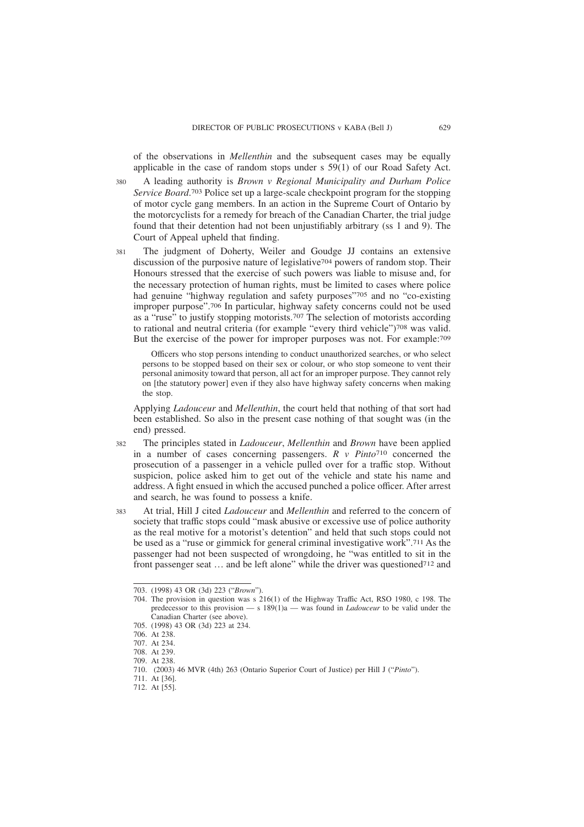of the observations in *Mellenthin* and the subsequent cases may be equally applicable in the case of random stops under s 59(1) of our Road Safety Act.

A leading authority is *Brown v Regional Municipality and Durham Police Service Board*. 703 Police set up a large-scale checkpoint program for the stopping of motor cycle gang members. In an action in the Supreme Court of Ontario by the motorcyclists for a remedy for breach of the Canadian Charter, the trial judge found that their detention had not been unjustifiably arbitrary (ss 1 and 9). The Court of Appeal upheld that finding. 380

The judgment of Doherty, Weiler and Goudge JJ contains an extensive discussion of the purposive nature of legislative704 powers of random stop. Their Honours stressed that the exercise of such powers was liable to misuse and, for the necessary protection of human rights, must be limited to cases where police had genuine "highway regulation and safety purposes"705 and no "co-existing improper purpose".706 In particular, highway safety concerns could not be used as a "ruse" to justify stopping motorists.707 The selection of motorists according to rational and neutral criteria (for example "every third vehicle")708 was valid. But the exercise of the power for improper purposes was not. For example:709 381

Officers who stop persons intending to conduct unauthorized searches, or who select persons to be stopped based on their sex or colour, or who stop someone to vent their personal animosity toward that person, all act for an improper purpose. They cannot rely on [the statutory power] even if they also have highway safety concerns when making the stop.

Applying *Ladouceur* and *Mellenthin*, the court held that nothing of that sort had been established. So also in the present case nothing of that sought was (in the end) pressed.

- The principles stated in *Ladouceur*, *Mellenthin* and *Brown* have been applied in a number of cases concerning passengers. *R v Pinto*710 concerned the prosecution of a passenger in a vehicle pulled over for a traffic stop. Without suspicion, police asked him to get out of the vehicle and state his name and address. A fight ensued in which the accused punched a police officer. After arrest and search, he was found to possess a knife. 382
- At trial, Hill J cited *Ladouceur* and *Mellenthin* and referred to the concern of society that traffic stops could "mask abusive or excessive use of police authority as the real motive for a motorist's detention" and held that such stops could not be used as a "ruse or gimmick for general criminal investigative work".711 As the passenger had not been suspected of wrongdoing, he "was entitled to sit in the front passenger seat … and be left alone" while the driver was questioned712 and 383

<sup>703. (1998) 43</sup> OR (3d) 223 ("*Brown*").

<sup>704.</sup> The provision in question was s 216(1) of the Highway Traffic Act, RSO 1980, c 198. The predecessor to this provision — s 189(1)a — was found in *Ladouceur* to be valid under the Canadian Charter (see above).

<sup>705. (1998) 43</sup> OR (3d) 223 at 234.

<sup>706.</sup> At 238.

<sup>707.</sup> At 234.

<sup>708.</sup> At 239.

<sup>709.</sup> At 238.

<sup>710. (2003) 46</sup> MVR (4th) 263 (Ontario Superior Court of Justice) per Hill J ("*Pinto*").

<sup>711.</sup> At [36].

<sup>712.</sup> At [55].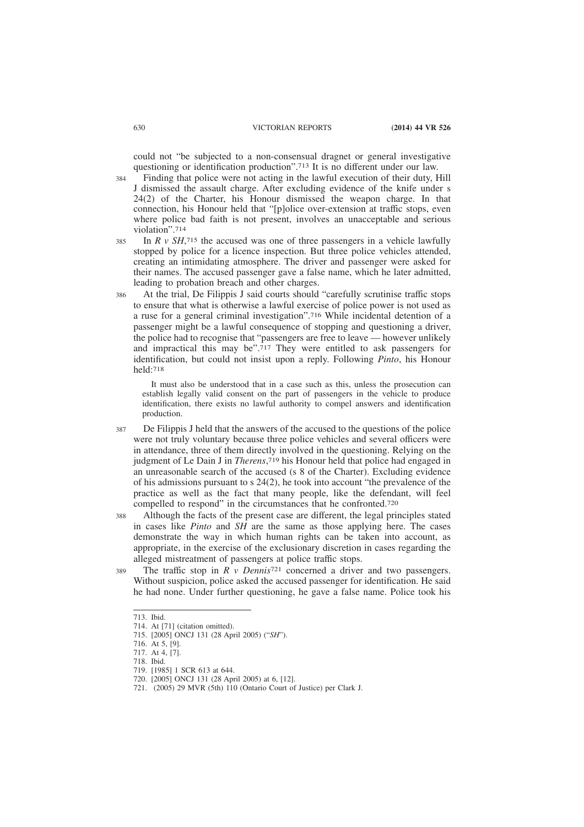could not "be subjected to a non-consensual dragnet or general investigative questioning or identification production".713 It is no different under our law.

- Finding that police were not acting in the lawful execution of their duty, Hill J dismissed the assault charge. After excluding evidence of the knife under s 24(2) of the Charter, his Honour dismissed the weapon charge. In that connection, his Honour held that "[p]olice over-extension at traffic stops, even where police bad faith is not present, involves an unacceptable and serious violation".714 384
- In  $R \, v \, SH$ ,<sup>715</sup> the accused was one of three passengers in a vehicle lawfully stopped by police for a licence inspection. But three police vehicles attended, creating an intimidating atmosphere. The driver and passenger were asked for their names. The accused passenger gave a false name, which he later admitted, leading to probation breach and other charges. 385
- At the trial, De Filippis J said courts should "carefully scrutinise traffic stops to ensure that what is otherwise a lawful exercise of police power is not used as a ruse for a general criminal investigation".716 While incidental detention of a passenger might be a lawful consequence of stopping and questioning a driver, the police had to recognise that "passengers are free to leave — however unlikely and impractical this may be".717 They were entitled to ask passengers for identification, but could not insist upon a reply. Following *Pinto*, his Honour held:718 386

It must also be understood that in a case such as this, unless the prosecution can establish legally valid consent on the part of passengers in the vehicle to produce identification, there exists no lawful authority to compel answers and identification production.

- De Filippis J held that the answers of the accused to the questions of the police were not truly voluntary because three police vehicles and several officers were in attendance, three of them directly involved in the questioning. Relying on the judgment of Le Dain J in *Therens*, 719 his Honour held that police had engaged in an unreasonable search of the accused (s 8 of the Charter). Excluding evidence of his admissions pursuant to s 24(2), he took into account "the prevalence of the practice as well as the fact that many people, like the defendant, will feel compelled to respond" in the circumstances that he confronted.720 387
- Although the facts of the present case are different, the legal principles stated in cases like *Pinto* and *SH* are the same as those applying here. The cases demonstrate the way in which human rights can be taken into account, as appropriate, in the exercise of the exclusionary discretion in cases regarding the alleged mistreatment of passengers at police traffic stops. 388
- The traffic stop in *R v Dennis*<sup>721</sup> concerned a driver and two passengers. Without suspicion, police asked the accused passenger for identification. He said he had none. Under further questioning, he gave a false name. Police took his 389

<sup>713.</sup> Ibid.

<sup>714.</sup> At [71] (citation omitted).

<sup>715. [2005]</sup> ONCJ 131 (28 April 2005) ("*SH*").

<sup>716.</sup> At 5, [9].

<sup>717.</sup> At 4, [7].

<sup>718.</sup> Ibid.

<sup>719. [1985] 1</sup> SCR 613 at 644.

<sup>720. [2005]</sup> ONCJ 131 (28 April 2005) at 6, [12].

<sup>721. (2005) 29</sup> MVR (5th) 110 (Ontario Court of Justice) per Clark J.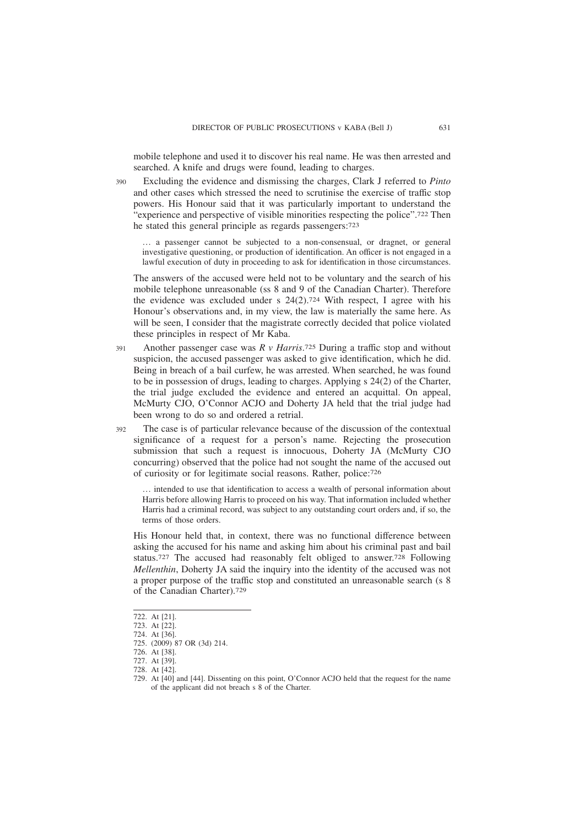mobile telephone and used it to discover his real name. He was then arrested and searched. A knife and drugs were found, leading to charges.

Excluding the evidence and dismissing the charges, Clark J referred to *Pinto* and other cases which stressed the need to scrutinise the exercise of traffic stop powers. His Honour said that it was particularly important to understand the "experience and perspective of visible minorities respecting the police".722 Then he stated this general principle as regards passengers:723

… a passenger cannot be subjected to a non-consensual, or dragnet, or general investigative questioning, or production of identification. An officer is not engaged in a lawful execution of duty in proceeding to ask for identification in those circumstances.

The answers of the accused were held not to be voluntary and the search of his mobile telephone unreasonable (ss 8 and 9 of the Canadian Charter). Therefore the evidence was excluded under s  $24(2)$ .<sup>724</sup> With respect, I agree with his Honour's observations and, in my view, the law is materially the same here. As will be seen, I consider that the magistrate correctly decided that police violated these principles in respect of Mr Kaba.

- Another passenger case was *R v Harris*. 725 During a traffic stop and without suspicion, the accused passenger was asked to give identification, which he did. Being in breach of a bail curfew, he was arrested. When searched, he was found to be in possession of drugs, leading to charges. Applying s 24(2) of the Charter, the trial judge excluded the evidence and entered an acquittal. On appeal, McMurty CJO, O'Connor ACJO and Doherty JA held that the trial judge had been wrong to do so and ordered a retrial. 391
- The case is of particular relevance because of the discussion of the contextual significance of a request for a person's name. Rejecting the prosecution submission that such a request is innocuous, Doherty JA (McMurty CJO concurring) observed that the police had not sought the name of the accused out of curiosity or for legitimate social reasons. Rather, police:726 392

… intended to use that identification to access a wealth of personal information about Harris before allowing Harris to proceed on his way. That information included whether Harris had a criminal record, was subject to any outstanding court orders and, if so, the terms of those orders.

His Honour held that, in context, there was no functional difference between asking the accused for his name and asking him about his criminal past and bail status.727 The accused had reasonably felt obliged to answer.728 Following *Mellenthin*, Doherty JA said the inquiry into the identity of the accused was not a proper purpose of the traffic stop and constituted an unreasonable search (s 8 of the Canadian Charter).729

390

<sup>722.</sup> At [21].

<sup>723.</sup> At [22].

<sup>724.</sup> At [36].

<sup>725. (2009) 87</sup> OR (3d) 214.

<sup>726.</sup> At [38].

<sup>727.</sup> At [39].

<sup>728.</sup> At [42].

<sup>729.</sup> At [40] and [44]. Dissenting on this point, O'Connor ACJO held that the request for the name of the applicant did not breach s 8 of the Charter.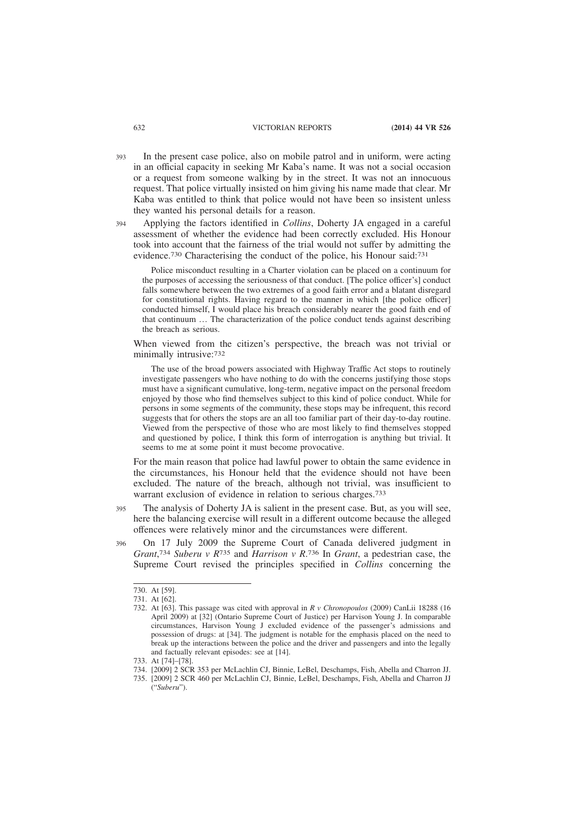- In the present case police, also on mobile patrol and in uniform, were acting in an official capacity in seeking Mr Kaba's name. It was not a social occasion or a request from someone walking by in the street. It was not an innocuous request. That police virtually insisted on him giving his name made that clear. Mr Kaba was entitled to think that police would not have been so insistent unless they wanted his personal details for a reason. 393
- Applying the factors identified in *Collins*, Doherty JA engaged in a careful assessment of whether the evidence had been correctly excluded. His Honour took into account that the fairness of the trial would not suffer by admitting the evidence.730 Characterising the conduct of the police, his Honour said:731 394

Police misconduct resulting in a Charter violation can be placed on a continuum for the purposes of accessing the seriousness of that conduct. [The police officer's] conduct falls somewhere between the two extremes of a good faith error and a blatant disregard for constitutional rights. Having regard to the manner in which [the police officer] conducted himself, I would place his breach considerably nearer the good faith end of that continuum … The characterization of the police conduct tends against describing the breach as serious.

When viewed from the citizen's perspective, the breach was not trivial or minimally intrusive:732

The use of the broad powers associated with Highway Traffic Act stops to routinely investigate passengers who have nothing to do with the concerns justifying those stops must have a significant cumulative, long-term, negative impact on the personal freedom enjoyed by those who find themselves subject to this kind of police conduct. While for persons in some segments of the community, these stops may be infrequent, this record suggests that for others the stops are an all too familiar part of their day-to-day routine. Viewed from the perspective of those who are most likely to find themselves stopped and questioned by police, I think this form of interrogation is anything but trivial. It seems to me at some point it must become provocative.

For the main reason that police had lawful power to obtain the same evidence in the circumstances, his Honour held that the evidence should not have been excluded. The nature of the breach, although not trivial, was insufficient to warrant exclusion of evidence in relation to serious charges.733

The analysis of Doherty JA is salient in the present case. But, as you will see, here the balancing exercise will result in a different outcome because the alleged offences were relatively minor and the circumstances were different. 395

On 17 July 2009 the Supreme Court of Canada delivered judgment in *Grant*, 734 *Suberu v R*735 and *Harrison v R*. 736 In *Grant*, a pedestrian case, the Supreme Court revised the principles specified in *Collins* concerning the 396

<sup>730.</sup> At [59].

<sup>731.</sup> At [62].

<sup>732.</sup> At [63]. This passage was cited with approval in *R v Chronopoulos* (2009) CanLii 18288 (16 April 2009) at [32] (Ontario Supreme Court of Justice) per Harvison Young J. In comparable circumstances, Harvison Young J excluded evidence of the passenger's admissions and possession of drugs: at [34]. The judgment is notable for the emphasis placed on the need to break up the interactions between the police and the driver and passengers and into the legally and factually relevant episodes: see at [14].

<sup>733.</sup> At [74]–[78].

<sup>734. [2009] 2</sup> SCR 353 per McLachlin CJ, Binnie, LeBel, Deschamps, Fish, Abella and Charron JJ.

<sup>735. [2009] 2</sup> SCR 460 per McLachlin CJ, Binnie, LeBel, Deschamps, Fish, Abella and Charron JJ ("*Suberu*").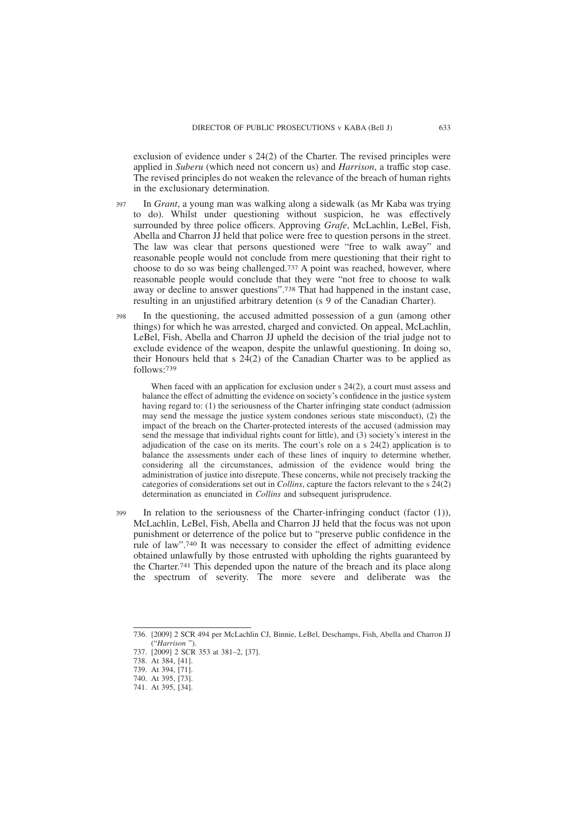exclusion of evidence under s 24(2) of the Charter. The revised principles were applied in *Suberu* (which need not concern us) and *Harrison*, a traffic stop case. The revised principles do not weaken the relevance of the breach of human rights in the exclusionary determination.

- In *Grant*, a young man was walking along a sidewalk (as Mr Kaba was trying to do). Whilst under questioning without suspicion, he was effectively surrounded by three police officers. Approving *Grafe*, McLachlin, LeBel, Fish, Abella and Charron JJ held that police were free to question persons in the street. The law was clear that persons questioned were "free to walk away" and reasonable people would not conclude from mere questioning that their right to choose to do so was being challenged.737 A point was reached, however, where reasonable people would conclude that they were "not free to choose to walk away or decline to answer questions".738 That had happened in the instant case, resulting in an unjustified arbitrary detention (s 9 of the Canadian Charter). 397
- In the questioning, the accused admitted possession of a gun (among other things) for which he was arrested, charged and convicted. On appeal, McLachlin, LeBel, Fish, Abella and Charron JJ upheld the decision of the trial judge not to exclude evidence of the weapon, despite the unlawful questioning. In doing so, their Honours held that s 24(2) of the Canadian Charter was to be applied as follows:739 398

When faced with an application for exclusion under s 24(2), a court must assess and balance the effect of admitting the evidence on society's confidence in the justice system having regard to: (1) the seriousness of the Charter infringing state conduct (admission may send the message the justice system condones serious state misconduct), (2) the impact of the breach on the Charter-protected interests of the accused (admission may send the message that individual rights count for little), and (3) society's interest in the adjudication of the case on its merits. The court's role on a s 24(2) application is to balance the assessments under each of these lines of inquiry to determine whether, considering all the circumstances, admission of the evidence would bring the administration of justice into disrepute. These concerns, while not precisely tracking the categories of considerations set out in *Collins*, capture the factors relevant to the s 24(2) determination as enunciated in *Collins* and subsequent jurisprudence.

In relation to the seriousness of the Charter-infringing conduct (factor  $(1)$ ), McLachlin, LeBel, Fish, Abella and Charron JJ held that the focus was not upon punishment or deterrence of the police but to "preserve public confidence in the rule of law".740 It was necessary to consider the effect of admitting evidence obtained unlawfully by those entrusted with upholding the rights guaranteed by the Charter.741 This depended upon the nature of the breach and its place along the spectrum of severity. The more severe and deliberate was the 399

<sup>736. [2009] 2</sup> SCR 494 per McLachlin CJ, Binnie, LeBel, Deschamps, Fish, Abella and Charron JJ ("*Harrison* ").

<sup>737. [2009] 2</sup> SCR 353 at 381–2, [37].

<sup>738.</sup> At 384, [41].

<sup>739.</sup> At 394, [71].

<sup>740.</sup> At 395, [73].

<sup>741.</sup> At 395, [34].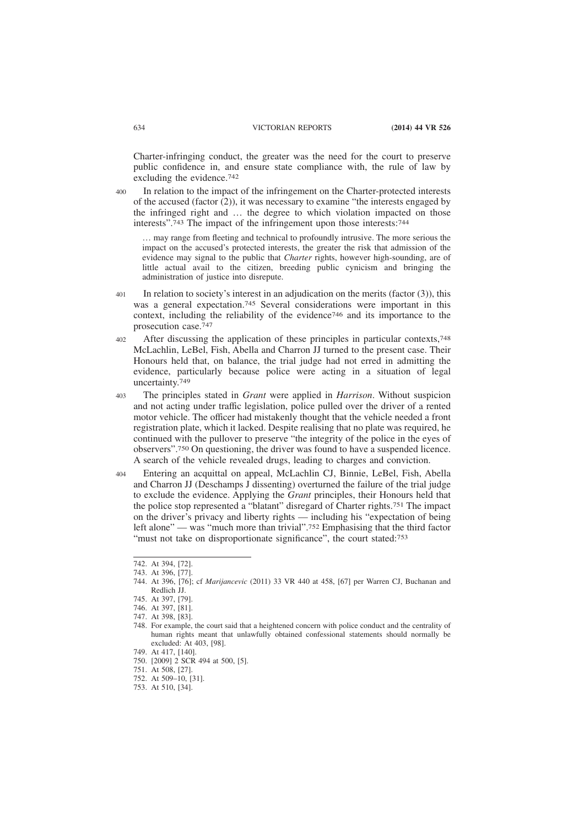Charter-infringing conduct, the greater was the need for the court to preserve public confidence in, and ensure state compliance with, the rule of law by excluding the evidence.742

In relation to the impact of the infringement on the Charter-protected interests of the accused (factor (2)), it was necessary to examine "the interests engaged by the infringed right and … the degree to which violation impacted on those interests".743 The impact of the infringement upon those interests:744 400

… may range from fleeting and technical to profoundly intrusive. The more serious the impact on the accused's protected interests, the greater the risk that admission of the evidence may signal to the public that *Charter* rights, however high-sounding, are of little actual avail to the citizen, breeding public cynicism and bringing the administration of justice into disrepute.

- In relation to society's interest in an adjudication on the merits (factor  $(3)$ ), this was a general expectation.<sup>745</sup> Several considerations were important in this context, including the reliability of the evidence746 and its importance to the prosecution case.747 401
- After discussing the application of these principles in particular contexts,<sup>748</sup> McLachlin, LeBel, Fish, Abella and Charron JJ turned to the present case. Their Honours held that, on balance, the trial judge had not erred in admitting the evidence, particularly because police were acting in a situation of legal uncertainty.749 402

The principles stated in *Grant* were applied in *Harrison*. Without suspicion and not acting under traffic legislation, police pulled over the driver of a rented motor vehicle. The officer had mistakenly thought that the vehicle needed a front registration plate, which it lacked. Despite realising that no plate was required, he continued with the pullover to preserve "the integrity of the police in the eyes of observers".750 On questioning, the driver was found to have a suspended licence. A search of the vehicle revealed drugs, leading to charges and conviction. 403

Entering an acquittal on appeal, McLachlin CJ, Binnie, LeBel, Fish, Abella and Charron JJ (Deschamps J dissenting) overturned the failure of the trial judge to exclude the evidence. Applying the *Grant* principles, their Honours held that the police stop represented a "blatant" disregard of Charter rights.751 The impact on the driver's privacy and liberty rights — including his "expectation of being left alone" — was "much more than trivial".<sup>752</sup> Emphasising that the third factor "must not take on disproportionate significance", the court stated:<sup>753</sup> 404

<sup>742.</sup> At 394, [72].

<sup>743.</sup> At 396, [77].

<sup>744.</sup> At 396, [76]; cf *Marijancevic* (2011) 33 VR 440 at 458, [67] per Warren CJ, Buchanan and Redlich JJ.

<sup>745.</sup> At 397, [79].

<sup>746.</sup> At 397, [81].

<sup>747.</sup> At 398, [83].

<sup>748.</sup> For example, the court said that a heightened concern with police conduct and the centrality of human rights meant that unlawfully obtained confessional statements should normally be excluded: At 403, [98].

<sup>749.</sup> At 417, [140].

<sup>750. [2009] 2</sup> SCR 494 at 500, [5].

<sup>751.</sup> At 508, [27].

<sup>752.</sup> At 509–10, [31].

<sup>753.</sup> At 510, [34].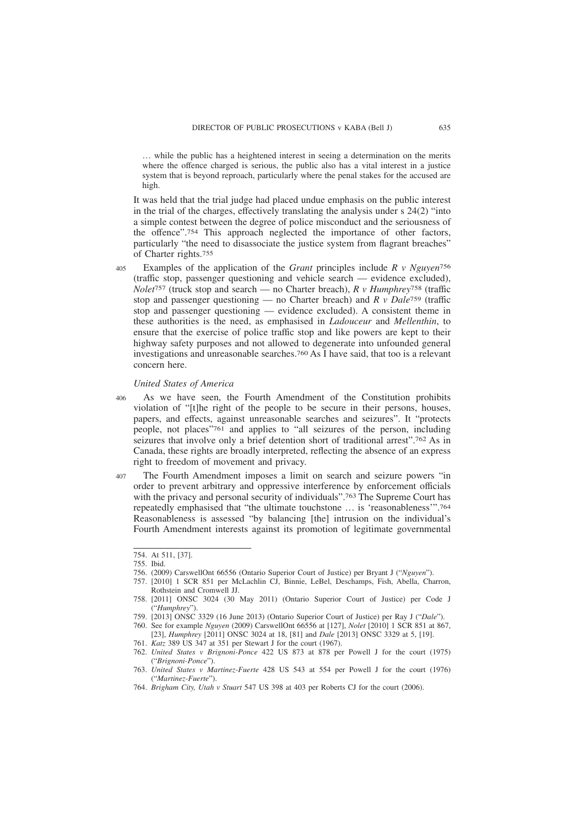… while the public has a heightened interest in seeing a determination on the merits where the offence charged is serious, the public also has a vital interest in a justice system that is beyond reproach, particularly where the penal stakes for the accused are high.

It was held that the trial judge had placed undue emphasis on the public interest in the trial of the charges, effectively translating the analysis under s 24(2) "into a simple contest between the degree of police misconduct and the seriousness of the offence".754 This approach neglected the importance of other factors, particularly "the need to disassociate the justice system from flagrant breaches" of Charter rights.755

Examples of the application of the *Grant* principles include *R v Nguyen*756 (traffic stop, passenger questioning and vehicle search — evidence excluded), *Nolet*757 (truck stop and search — no Charter breach), *R v Humphrey*758 (traffic stop and passenger questioning — no Charter breach) and *R v Dale*759 (traffic stop and passenger questioning — evidence excluded). A consistent theme in these authorities is the need, as emphasised in *Ladouceur* and *Mellenthin*, to ensure that the exercise of police traffic stop and like powers are kept to their highway safety purposes and not allowed to degenerate into unfounded general investigations and unreasonable searches.760 As I have said, that too is a relevant concern here. 405

#### *United States of America*

As we have seen, the Fourth Amendment of the Constitution prohibits violation of "[t]he right of the people to be secure in their persons, houses, papers, and effects, against unreasonable searches and seizures". It "protects people, not places"761 and applies to "all seizures of the person, including seizures that involve only a brief detention short of traditional arrest".762 As in Canada, these rights are broadly interpreted, reflecting the absence of an express right to freedom of movement and privacy. 406

The Fourth Amendment imposes a limit on search and seizure powers "in order to prevent arbitrary and oppressive interference by enforcement officials with the privacy and personal security of individuals".<sup>763</sup> The Supreme Court has repeatedly emphasised that "the ultimate touchstone … is 'reasonableness'".764 Reasonableness is assessed "by balancing [the] intrusion on the individual's Fourth Amendment interests against its promotion of legitimate governmental 407

<sup>754.</sup> At 511, [37].

<sup>755.</sup> Ibid.

<sup>756. (2009)</sup> CarswellOnt 66556 (Ontario Superior Court of Justice) per Bryant J ("*Nguyen*").

<sup>757. [2010] 1</sup> SCR 851 per McLachlin CJ, Binnie, LeBel, Deschamps, Fish, Abella, Charron, Rothstein and Cromwell JJ.

<sup>758. [2011]</sup> ONSC 3024 (30 May 2011) (Ontario Superior Court of Justice) per Code J ("*Humphrey*").

<sup>759. [2013]</sup> ONSC 3329 (16 June 2013) (Ontario Superior Court of Justice) per Ray J ("*Dale*").

<sup>760.</sup> See for example *Nguyen* (2009) CarswellOnt 66556 at [127], *Nolet* [2010] 1 SCR 851 at 867, [23], *Humphrey* [2011] ONSC 3024 at 18, [81] and *Dale* [2013] ONSC 3329 at 5, [19].

<sup>761.</sup> *Katz* 389 US 347 at 351 per Stewart J for the court (1967).

<sup>762.</sup> *United States v Brignoni-Ponce* 422 US 873 at 878 per Powell J for the court (1975) ("*Brignoni-Ponce*").

<sup>763.</sup> *United States v Martinez-Fuerte* 428 US 543 at 554 per Powell J for the court (1976) ("*Martinez-Fuerte*").

<sup>764.</sup> *Brigham City, Utah v Stuart* 547 US 398 at 403 per Roberts CJ for the court (2006).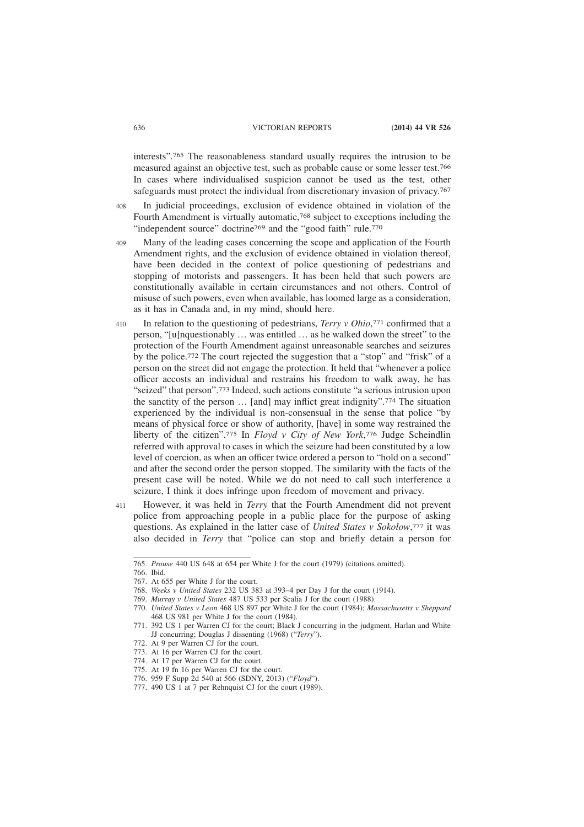interests".765 The reasonableness standard usually requires the intrusion to be measured against an objective test, such as probable cause or some lesser test.766 In cases where individualised suspicion cannot be used as the test, other safeguards must protect the individual from discretionary invasion of privacy.<sup>767</sup>

- In judicial proceedings, exclusion of evidence obtained in violation of the Fourth Amendment is virtually automatic,768 subject to exceptions including the "independent source" doctrine<sup>769</sup> and the "good faith" rule.<sup>770</sup> 408
- Many of the leading cases concerning the scope and application of the Fourth Amendment rights, and the exclusion of evidence obtained in violation thereof, have been decided in the context of police questioning of pedestrians and stopping of motorists and passengers. It has been held that such powers are constitutionally available in certain circumstances and not others. Control of misuse of such powers, even when available, has loomed large as a consideration, as it has in Canada and, in my mind, should here. 409
- In relation to the questioning of pedestrians, *Terry v Ohio*, 771 confirmed that a person, "[u]nquestionably … was entitled … as he walked down the street" to the protection of the Fourth Amendment against unreasonable searches and seizures by the police.772 The court rejected the suggestion that a "stop" and "frisk" of a person on the street did not engage the protection. It held that "whenever a police officer accosts an individual and restrains his freedom to walk away, he has "seized" that person".773 Indeed, such actions constitute "a serious intrusion upon the sanctity of the person … [and] may inflict great indignity".774 The situation experienced by the individual is non-consensual in the sense that police "by means of physical force or show of authority, [have] in some way restrained the liberty of the citizen".775 In *Floyd v City of New York*, 776 Judge Scheindlin referred with approval to cases in which the seizure had been constituted by a low level of coercion, as when an officer twice ordered a person to "hold on a second" and after the second order the person stopped. The similarity with the facts of the present case will be noted. While we do not need to call such interference a seizure, I think it does infringe upon freedom of movement and privacy. 410
- However, it was held in *Terry* that the Fourth Amendment did not prevent police from approaching people in a public place for the purpose of asking questions. As explained in the latter case of *United States v Sokolow*, 777 it was also decided in *Terry* that "police can stop and briefly detain a person for 411

<sup>765.</sup> *Prouse* 440 US 648 at 654 per White J for the court (1979) (citations omitted).

<sup>766.</sup> Ibid.

<sup>767.</sup> At 655 per White J for the court.

<sup>768.</sup> *Weeks v United States* 232 US 383 at 393–4 per Day J for the court (1914).

<sup>769.</sup> *Murray v United States* 487 US 533 per Scalia J for the court (1988).

<sup>770.</sup> *United States v Leon* 468 US 897 per White J for the court (1984); *Massachusetts v Sheppard* 468 US 981 per White J for the court (1984).

<sup>771. 392</sup> US 1 per Warren CJ for the court; Black J concurring in the judgment, Harlan and White JJ concurring; Douglas J dissenting (1968) ("*Terry*").

<sup>772.</sup> At 9 per Warren CJ for the court.

<sup>773.</sup> At 16 per Warren CJ for the court.

<sup>774.</sup> At 17 per Warren CJ for the court.

<sup>775.</sup> At 19 fn 16 per Warren CJ for the court.

<sup>776. 959</sup> F Supp 2d 540 at 566 (SDNY, 2013) ("*Floyd*").

<sup>777. 490</sup> US 1 at 7 per Rehnquist CJ for the court (1989).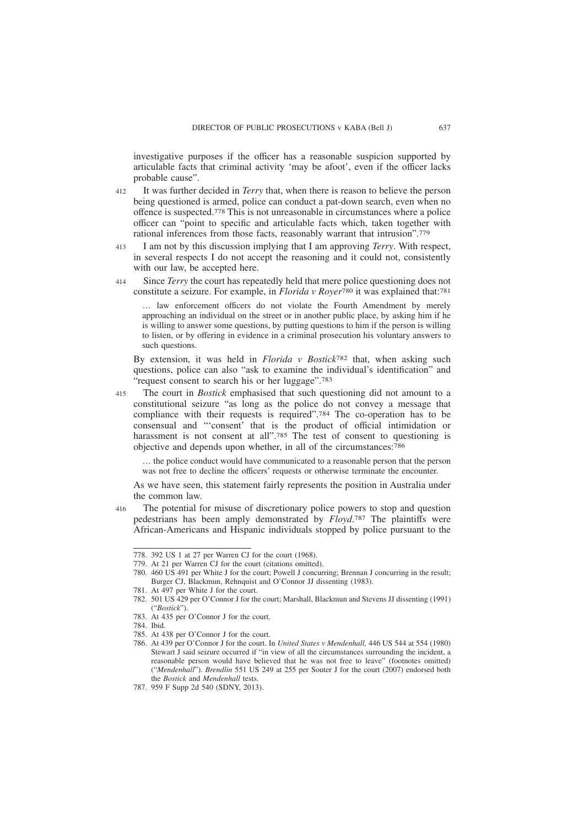investigative purposes if the officer has a reasonable suspicion supported by articulable facts that criminal activity 'may be afoot', even if the officer lacks probable cause".

- It was further decided in *Terry* that, when there is reason to believe the person being questioned is armed, police can conduct a pat-down search, even when no offence is suspected.778 This is not unreasonable in circumstances where a police officer can "point to specific and articulable facts which, taken together with rational inferences from those facts, reasonably warrant that intrusion".779 412
- I am not by this discussion implying that I am approving *Terry*. With respect, in several respects I do not accept the reasoning and it could not, consistently with our law, be accepted here. 413
- Since *Terry* the court has repeatedly held that mere police questioning does not constitute a seizure. For example, in *Florida v Royer*780 it was explained that:781 414

… law enforcement officers do not violate the Fourth Amendment by merely approaching an individual on the street or in another public place, by asking him if he is willing to answer some questions, by putting questions to him if the person is willing to listen, or by offering in evidence in a criminal prosecution his voluntary answers to such questions.

By extension, it was held in *Florida v Bostick*782 that, when asking such questions, police can also "ask to examine the individual's identification" and request consent to search his or her luggage".<sup>783</sup>

The court in *Bostick* emphasised that such questioning did not amount to a constitutional seizure "as long as the police do not convey a message that compliance with their requests is required".784 The co-operation has to be consensual and "'consent' that is the product of official intimidation or harassment is not consent at all".<sup>785</sup> The test of consent to questioning is objective and depends upon whether, in all of the circumstances:786 415

… the police conduct would have communicated to a reasonable person that the person was not free to decline the officers' requests or otherwise terminate the encounter.

As we have seen, this statement fairly represents the position in Australia under the common law.

The potential for misuse of discretionary police powers to stop and question pedestrians has been amply demonstrated by *Floyd*. 787 The plaintiffs were African-Americans and Hispanic individuals stopped by police pursuant to the 416

785. At 438 per O'Connor J for the court.

<sup>778. 392</sup> US 1 at 27 per Warren CJ for the court (1968).

<sup>779.</sup> At 21 per Warren CJ for the court (citations omitted).

<sup>780. 460</sup> US 491 per White J for the court; Powell J concurring; Brennan J concurring in the result; Burger CJ, Blackmun, Rehnquist and O'Connor JJ dissenting (1983).

<sup>781.</sup> At 497 per White J for the court.

<sup>782. 501</sup> US 429 per O'Connor J for the court; Marshall, Blackmun and Stevens JJ dissenting (1991) ("*Bostick*").

<sup>783.</sup> At 435 per O'Connor J for the court.

<sup>784.</sup> Ibid.

<sup>786.</sup> At 439 per O'Connor J for the court. In *United States v Mendenhall,* 446 US 544 at 554 (1980) Stewart J said seizure occurred if "in view of all the circumstances surrounding the incident, a reasonable person would have believed that he was not free to leave" (footnotes omitted) ("*Mendenhall*"). *Brendlin* 551 US 249 at 255 per Souter J for the court (2007) endorsed both the *Bostick* and *Mendenhall* tests.

<sup>787. 959</sup> F Supp 2d 540 (SDNY, 2013).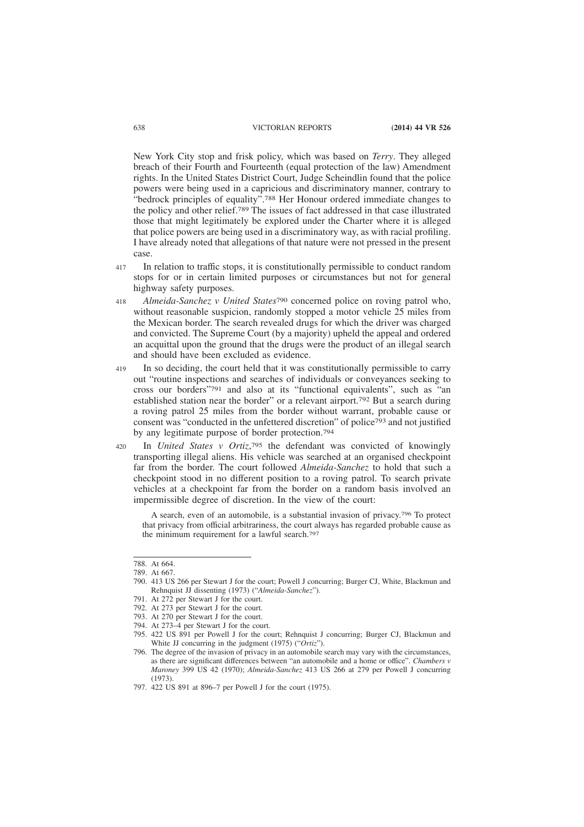New York City stop and frisk policy, which was based on *Terry*. They alleged breach of their Fourth and Fourteenth (equal protection of the law) Amendment rights. In the United States District Court, Judge Scheindlin found that the police powers were being used in a capricious and discriminatory manner, contrary to "bedrock principles of equality".788 Her Honour ordered immediate changes to the policy and other relief.789 The issues of fact addressed in that case illustrated those that might legitimately be explored under the Charter where it is alleged that police powers are being used in a discriminatory way, as with racial profiling. I have already noted that allegations of that nature were not pressed in the present case.

- In relation to traffic stops, it is constitutionally permissible to conduct random stops for or in certain limited purposes or circumstances but not for general highway safety purposes. 417
- *Almeida-Sanchez v United States*790 concerned police on roving patrol who, without reasonable suspicion, randomly stopped a motor vehicle 25 miles from the Mexican border. The search revealed drugs for which the driver was charged and convicted. The Supreme Court (by a majority) upheld the appeal and ordered an acquittal upon the ground that the drugs were the product of an illegal search and should have been excluded as evidence. 418
- In so deciding, the court held that it was constitutionally permissible to carry out "routine inspections and searches of individuals or conveyances seeking to cross our borders"791 and also at its "functional equivalents", such as "an established station near the border" or a relevant airport.792 But a search during a roving patrol 25 miles from the border without warrant, probable cause or consent was "conducted in the unfettered discretion" of police793 and not justified by any legitimate purpose of border protection.794 419
- In *United States v Ortiz*, 795 the defendant was convicted of knowingly transporting illegal aliens. His vehicle was searched at an organised checkpoint far from the border. The court followed *Almeida-Sanchez* to hold that such a checkpoint stood in no different position to a roving patrol. To search private vehicles at a checkpoint far from the border on a random basis involved an impermissible degree of discretion. In the view of the court: 420

A search, even of an automobile, is a substantial invasion of privacy.796 To protect that privacy from official arbitrariness, the court always has regarded probable cause as the minimum requirement for a lawful search.797

<sup>788.</sup> At 664.

<sup>789.</sup> At 667.

<sup>790. 413</sup> US 266 per Stewart J for the court; Powell J concurring; Burger CJ, White, Blackmun and Rehnquist JJ dissenting (1973) ("*Almeida-Sanchez*").

<sup>791.</sup> At 272 per Stewart J for the court.

<sup>792.</sup> At 273 per Stewart J for the court.

<sup>793.</sup> At 270 per Stewart J for the court.

<sup>794.</sup> At 273–4 per Stewart J for the court.

<sup>795. 422</sup> US 891 per Powell J for the court; Rehnquist J concurring; Burger CJ, Blackmun and White JJ concurring in the judgment (1975) ("*Ortiz*").

<sup>796.</sup> The degree of the invasion of privacy in an automobile search may vary with the circumstances, as there are significant differences between "an automobile and a home or office". *Chambers v Maroney* 399 US 42 (1970); *Almeida-Sanchez* 413 US 266 at 279 per Powell J concurring (1973).

<sup>797. 422</sup> US 891 at 896–7 per Powell J for the court (1975).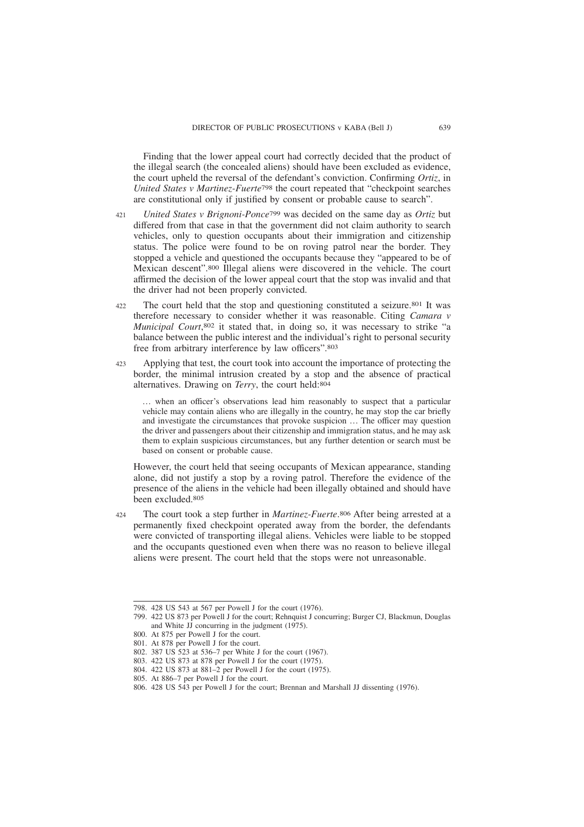Finding that the lower appeal court had correctly decided that the product of the illegal search (the concealed aliens) should have been excluded as evidence, the court upheld the reversal of the defendant's conviction. Confirming *Ortiz*, in *United States v Martinez-Fuerte*798 the court repeated that "checkpoint searches are constitutional only if justified by consent or probable cause to search".

- *United States v Brignoni-Ponce*799 was decided on the same day as *Ortiz* but differed from that case in that the government did not claim authority to search vehicles, only to question occupants about their immigration and citizenship status. The police were found to be on roving patrol near the border. They stopped a vehicle and questioned the occupants because they "appeared to be of Mexican descent".800 Illegal aliens were discovered in the vehicle. The court affirmed the decision of the lower appeal court that the stop was invalid and that the driver had not been properly convicted. 421
- The court held that the stop and questioning constituted a seizure.801 It was therefore necessary to consider whether it was reasonable. Citing *Camara v Municipal Court*, 802 it stated that, in doing so, it was necessary to strike "a balance between the public interest and the individual's right to personal security free from arbitrary interference by law officers".803 422
- Applying that test, the court took into account the importance of protecting the border, the minimal intrusion created by a stop and the absence of practical alternatives. Drawing on *Terry*, the court held:804 423

… when an officer's observations lead him reasonably to suspect that a particular vehicle may contain aliens who are illegally in the country, he may stop the car briefly and investigate the circumstances that provoke suspicion … The officer may question the driver and passengers about their citizenship and immigration status, and he may ask them to explain suspicious circumstances, but any further detention or search must be based on consent or probable cause.

However, the court held that seeing occupants of Mexican appearance, standing alone, did not justify a stop by a roving patrol. Therefore the evidence of the presence of the aliens in the vehicle had been illegally obtained and should have been excluded.805

The court took a step further in *Martinez-Fuerte*. 806 After being arrested at a permanently fixed checkpoint operated away from the border, the defendants were convicted of transporting illegal aliens. Vehicles were liable to be stopped and the occupants questioned even when there was no reason to believe illegal aliens were present. The court held that the stops were not unreasonable.  $424$ 

<sup>798. 428</sup> US 543 at 567 per Powell J for the court (1976).

<sup>799. 422</sup> US 873 per Powell J for the court; Rehnquist J concurring; Burger CJ, Blackmun, Douglas and White JJ concurring in the judgment (1975).

<sup>800.</sup> At 875 per Powell J for the court.

<sup>801.</sup> At 878 per Powell J for the court.

<sup>802. 387</sup> US 523 at 536–7 per White J for the court (1967).

<sup>803. 422</sup> US 873 at 878 per Powell J for the court (1975).

<sup>804. 422</sup> US 873 at 881–2 per Powell J for the court (1975).

<sup>805.</sup> At 886–7 per Powell J for the court.

<sup>806. 428</sup> US 543 per Powell J for the court; Brennan and Marshall JJ dissenting (1976).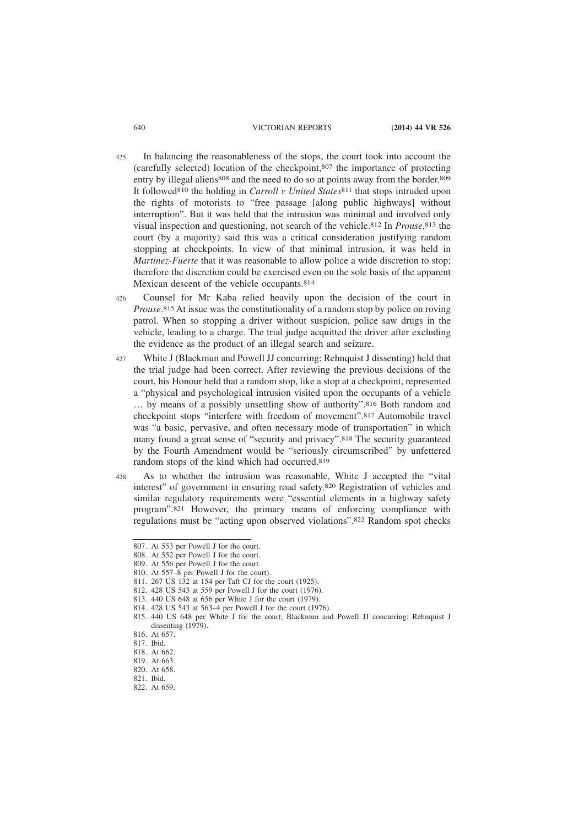- In balancing the reasonableness of the stops, the court took into account the (carefully selected) location of the checkpoint,807 the importance of protecting entry by illegal aliens<sup>808</sup> and the need to do so at points away from the border.<sup>809</sup> It followed810 the holding in *Carroll v United States*811 that stops intruded upon the rights of motorists to "free passage [along public highways] without interruption". But it was held that the intrusion was minimal and involved only visual inspection and questioning, not search of the vehicle.812 In *Prouse*, 813 the court (by a majority) said this was a critical consideration justifying random stopping at checkpoints. In view of that minimal intrusion, it was held in *Martinez-Fuerte* that it was reasonable to allow police a wide discretion to stop; therefore the discretion could be exercised even on the sole basis of the apparent Mexican descent of the vehicle occupants.814 425
- Counsel for Mr Kaba relied heavily upon the decision of the court in *Prouse*. 815 At issue was the constitutionality of a random stop by police on roving patrol. When so stopping a driver without suspicion, police saw drugs in the vehicle, leading to a charge. The trial judge acquitted the driver after excluding the evidence as the product of an illegal search and seizure. 426
- White J (Blackmun and Powell JJ concurring; Rehnquist J dissenting) held that the trial judge had been correct. After reviewing the previous decisions of the court, his Honour held that a random stop, like a stop at a checkpoint, represented a "physical and psychological intrusion visited upon the occupants of a vehicle … by means of a possibly unsettling show of authority".816 Both random and checkpoint stops "interfere with freedom of movement".817 Automobile travel was "a basic, pervasive, and often necessary mode of transportation" in which many found a great sense of "security and privacy".818 The security guaranteed by the Fourth Amendment would be "seriously circumscribed" by unfettered random stops of the kind which had occurred.819 427
- As to whether the intrusion was reasonable, White J accepted the "vital interest" of government in ensuring road safety.820 Registration of vehicles and similar regulatory requirements were "essential elements in a highway safety program".821 However, the primary means of enforcing compliance with regulations must be "acting upon observed violations".822 Random spot checks 428

<sup>807.</sup> At 553 per Powell J for the court.

<sup>808.</sup> At 552 per Powell J for the court.

<sup>809.</sup> At 556 per Powell J for the court.

<sup>810.</sup> At 557–8 per Powell J for the court).

<sup>811. 267</sup> US 132 at 154 per Taft CJ for the court (1925).

<sup>812. 428</sup> US 543 at 559 per Powell J for the court (1976).

<sup>813. 440</sup> US 648 at 656 per White J for the court (1979).

<sup>814. 428</sup> US 543 at 563–4 per Powell J for the court (1976).

<sup>815. 440</sup> US 648 per White J for the court; Blackmun and Powell JJ concurring; Rehnquist J dissenting (1979).

<sup>816.</sup> At 657.

<sup>817.</sup> Ibid.

<sup>818.</sup> At 662.

<sup>819.</sup> At 663.

<sup>820.</sup> At 658.

<sup>821.</sup> Ibid.

<sup>822.</sup> At 659.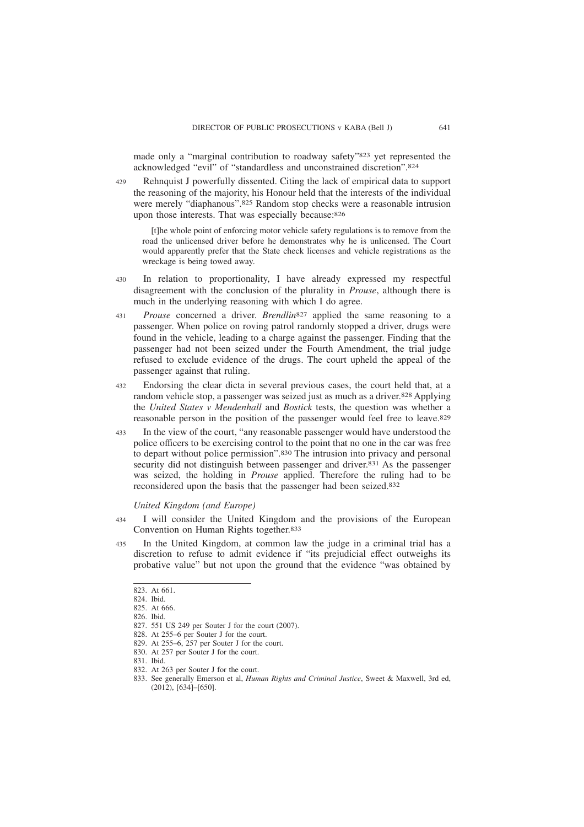made only a "marginal contribution to roadway safety"823 yet represented the acknowledged "evil" of "standardless and unconstrained discretion".824

Rehnquist J powerfully dissented. Citing the lack of empirical data to support the reasoning of the majority, his Honour held that the interests of the individual were merely "diaphanous".825 Random stop checks were a reasonable intrusion upon those interests. That was especially because:826 429

[t]he whole point of enforcing motor vehicle safety regulations is to remove from the road the unlicensed driver before he demonstrates why he is unlicensed. The Court would apparently prefer that the State check licenses and vehicle registrations as the wreckage is being towed away.

- In relation to proportionality, I have already expressed my respectful disagreement with the conclusion of the plurality in *Prouse*, although there is much in the underlying reasoning with which I do agree. 430
- *Prouse* concerned a driver. *Brendlin*827 applied the same reasoning to a passenger. When police on roving patrol randomly stopped a driver, drugs were found in the vehicle, leading to a charge against the passenger. Finding that the passenger had not been seized under the Fourth Amendment, the trial judge refused to exclude evidence of the drugs. The court upheld the appeal of the passenger against that ruling. 431
- Endorsing the clear dicta in several previous cases, the court held that, at a random vehicle stop, a passenger was seized just as much as a driver.828 Applying the *United States v Mendenhall* and *Bostick* tests, the question was whether a reasonable person in the position of the passenger would feel free to leave.829 432
- In the view of the court, "any reasonable passenger would have understood the police officers to be exercising control to the point that no one in the car was free to depart without police permission".830 The intrusion into privacy and personal security did not distinguish between passenger and driver.<sup>831</sup> As the passenger was seized, the holding in *Prouse* applied. Therefore the ruling had to be reconsidered upon the basis that the passenger had been seized.832 433

*United Kingdom (and Europe)*

- I will consider the United Kingdom and the provisions of the European Convention on Human Rights together.833 434
- In the United Kingdom, at common law the judge in a criminal trial has a discretion to refuse to admit evidence if "its prejudicial effect outweighs its probative value" but not upon the ground that the evidence "was obtained by 435

<sup>823.</sup> At 661.

<sup>824.</sup> Ibid.

<sup>825.</sup> At 666.

<sup>826.</sup> Ibid.

<sup>827. 551</sup> US 249 per Souter J for the court (2007).

<sup>828.</sup> At 255–6 per Souter J for the court.

<sup>829.</sup> At 255–6, 257 per Souter J for the court.

<sup>830.</sup> At 257 per Souter J for the court.

<sup>831.</sup> Ibid.

<sup>832.</sup> At 263 per Souter J for the court.

<sup>833.</sup> See generally Emerson et al, *Human Rights and Criminal Justice*, Sweet & Maxwell, 3rd ed, (2012), [634]–[650].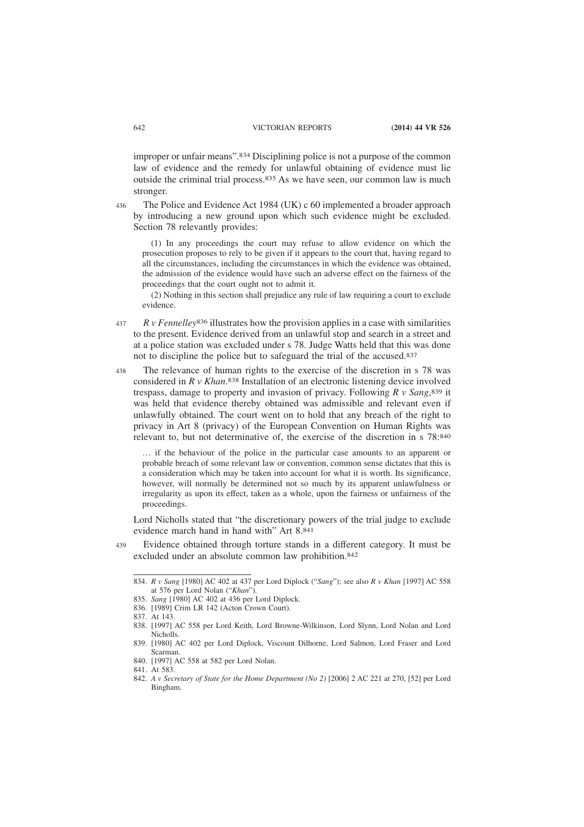improper or unfair means".834 Disciplining police is not a purpose of the common law of evidence and the remedy for unlawful obtaining of evidence must lie outside the criminal trial process.835 As we have seen, our common law is much stronger.

436

The Police and Evidence Act 1984 (UK) c 60 implemented a broader approach by introducing a new ground upon which such evidence might be excluded. Section 78 relevantly provides:

(1) In any proceedings the court may refuse to allow evidence on which the prosecution proposes to rely to be given if it appears to the court that, having regard to all the circumstances, including the circumstances in which the evidence was obtained, the admission of the evidence would have such an adverse effect on the fairness of the proceedings that the court ought not to admit it.

(2) Nothing in this section shall prejudice any rule of law requiring a court to exclude evidence.

- *R v Fennelley*836 illustrates how the provision applies in a case with similarities to the present. Evidence derived from an unlawful stop and search in a street and at a police station was excluded under s 78. Judge Watts held that this was done not to discipline the police but to safeguard the trial of the accused.837 437
- The relevance of human rights to the exercise of the discretion in s 78 was considered in *R v Khan*. 838 Installation of an electronic listening device involved trespass, damage to property and invasion of privacy. Following *R v Sang*, 839 it was held that evidence thereby obtained was admissible and relevant even if unlawfully obtained. The court went on to hold that any breach of the right to privacy in Art 8 (privacy) of the European Convention on Human Rights was relevant to, but not determinative of, the exercise of the discretion in s 78:840 438

… if the behaviour of the police in the particular case amounts to an apparent or probable breach of some relevant law or convention, common sense dictates that this is a consideration which may be taken into account for what it is worth. Its significance, however, will normally be determined not so much by its apparent unlawfulness or irregularity as upon its effect, taken as a whole, upon the fairness or unfairness of the proceedings.

Lord Nicholls stated that "the discretionary powers of the trial judge to exclude evidence march hand in hand with" Art 8.841

Evidence obtained through torture stands in a different category. It must be excluded under an absolute common law prohibition.842 439

<sup>834.</sup> *R v Sang* [1980] AC 402 at 437 per Lord Diplock ("*Sang*"); see also *R v Khan* [1997] AC 558 at 576 per Lord Nolan ("*Khan*").

<sup>835.</sup> *Sang* [1980] AC 402 at 436 per Lord Diplock.

<sup>836. [1989]</sup> Crim LR 142 (Acton Crown Court).

<sup>837.</sup> At 143.

<sup>838. [1997]</sup> AC 558 per Lord Keith, Lord Browne-Wilkinson, Lord Slynn, Lord Nolan and Lord Nicholls.

<sup>839. [1980]</sup> AC 402 per Lord Diplock, Viscount Dilhorne, Lord Salmon, Lord Fraser and Lord Scarman.

<sup>840. [1997]</sup> AC 558 at 582 per Lord Nolan.

<sup>841.</sup> At 583.

<sup>842.</sup> *A v Secretary of State for the Home Department (No 2)* [2006] 2 AC 221 at 270, [52] per Lord Bingham.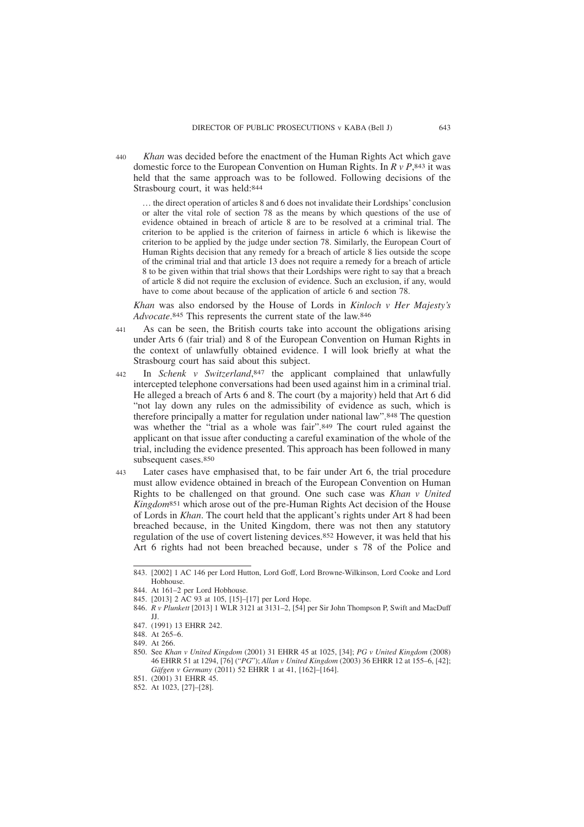*Khan* was decided before the enactment of the Human Rights Act which gave domestic force to the European Convention on Human Rights. In *R v P*, 843 it was held that the same approach was to be followed. Following decisions of the Strasbourg court, it was held:844 440

… the direct operation of articles 8 and 6 does not invalidate their Lordships' conclusion or alter the vital role of section 78 as the means by which questions of the use of evidence obtained in breach of article 8 are to be resolved at a criminal trial. The criterion to be applied is the criterion of fairness in article 6 which is likewise the criterion to be applied by the judge under section 78. Similarly, the European Court of Human Rights decision that any remedy for a breach of article 8 lies outside the scope of the criminal trial and that article 13 does not require a remedy for a breach of article 8 to be given within that trial shows that their Lordships were right to say that a breach of article 8 did not require the exclusion of evidence. Such an exclusion, if any, would have to come about because of the application of article 6 and section 78.

*Khan* was also endorsed by the House of Lords in *Kinloch v Her Majesty's Advocate*. 845 This represents the current state of the law.846

- As can be seen, the British courts take into account the obligations arising under Arts 6 (fair trial) and 8 of the European Convention on Human Rights in the context of unlawfully obtained evidence. I will look briefly at what the Strasbourg court has said about this subject. 441
- In *Schenk v Switzerland*, 847 the applicant complained that unlawfully intercepted telephone conversations had been used against him in a criminal trial. He alleged a breach of Arts 6 and 8. The court (by a majority) held that Art 6 did "not lay down any rules on the admissibility of evidence as such, which is therefore principally a matter for regulation under national law".848 The question was whether the "trial as a whole was fair".849 The court ruled against the applicant on that issue after conducting a careful examination of the whole of the trial, including the evidence presented. This approach has been followed in many subsequent cases.850 442
- Later cases have emphasised that, to be fair under Art 6, the trial procedure must allow evidence obtained in breach of the European Convention on Human Rights to be challenged on that ground. One such case was *Khan v United Kingdom*851 which arose out of the pre-Human Rights Act decision of the House of Lords in *Khan*. The court held that the applicant's rights under Art 8 had been breached because, in the United Kingdom, there was not then any statutory regulation of the use of covert listening devices.852 However, it was held that his Art 6 rights had not been breached because, under s 78 of the Police and  $443$

<sup>843. [2002] 1</sup> AC 146 per Lord Hutton, Lord Goff, Lord Browne-Wilkinson, Lord Cooke and Lord Hobhouse.

<sup>844.</sup> At 161–2 per Lord Hobhouse.

<sup>845. [2013] 2</sup> AC 93 at 105, [15]–[17] per Lord Hope.

<sup>846.</sup> *R v Plunkett* [2013] 1 WLR 3121 at 3131–2, [54] per Sir John Thompson P, Swift and MacDuff JJ.

<sup>847. (1991) 13</sup> EHRR 242.

<sup>848.</sup> At 265–6.

<sup>849.</sup> At 266.

<sup>850.</sup> See *Khan v United Kingdom* (2001) 31 EHRR 45 at 1025, [34]; *PG v United Kingdom* (2008) 46 EHRR 51 at 1294, [76] ("*PG*"); *Allan v United Kingdom* (2003) 36 EHRR 12 at 155–6, [42]; *Gäfgen v Germany* (2011) 52 EHRR 1 at 41, [162]–[164].

<sup>851. (2001) 31</sup> EHRR 45.

<sup>852.</sup> At 1023, [27]–[28].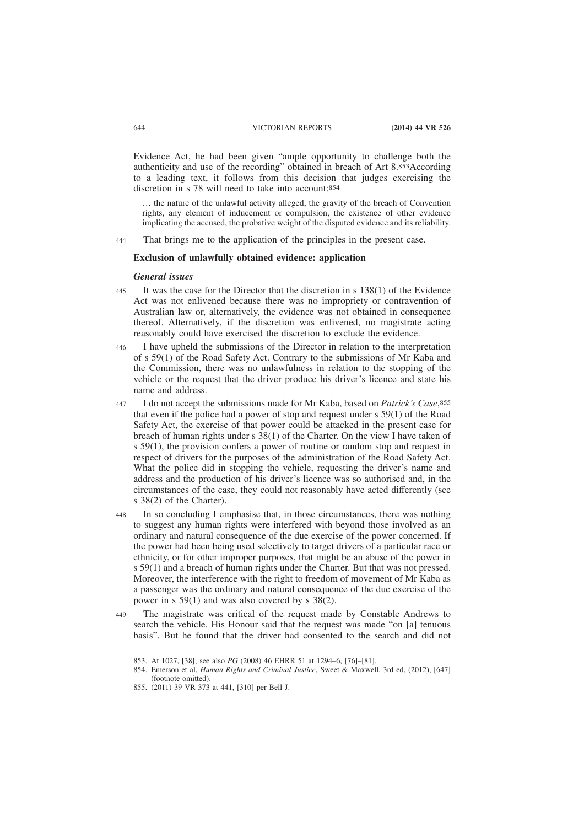Evidence Act, he had been given "ample opportunity to challenge both the authenticity and use of the recording" obtained in breach of Art 8.853According to a leading text, it follows from this decision that judges exercising the discretion in s 78 will need to take into account:854

… the nature of the unlawful activity alleged, the gravity of the breach of Convention rights, any element of inducement or compulsion, the existence of other evidence implicating the accused, the probative weight of the disputed evidence and its reliability.

That brings me to the application of the principles in the present case. 444

#### **Exclusion of unlawfully obtained evidence: application**

### *General issues*

- It was the case for the Director that the discretion in s 138(1) of the Evidence Act was not enlivened because there was no impropriety or contravention of Australian law or, alternatively, the evidence was not obtained in consequence thereof. Alternatively, if the discretion was enlivened, no magistrate acting reasonably could have exercised the discretion to exclude the evidence.  $445$
- I have upheld the submissions of the Director in relation to the interpretation of s 59(1) of the Road Safety Act. Contrary to the submissions of Mr Kaba and the Commission, there was no unlawfulness in relation to the stopping of the vehicle or the request that the driver produce his driver's licence and state his name and address. 446
- I do not accept the submissions made for Mr Kaba, based on *Patrick's Case*, 855 that even if the police had a power of stop and request under s 59(1) of the Road Safety Act, the exercise of that power could be attacked in the present case for breach of human rights under s  $38(1)$  of the Charter. On the view I have taken of s 59(1), the provision confers a power of routine or random stop and request in respect of drivers for the purposes of the administration of the Road Safety Act. What the police did in stopping the vehicle, requesting the driver's name and address and the production of his driver's licence was so authorised and, in the circumstances of the case, they could not reasonably have acted differently (see s 38(2) of the Charter). 447
- In so concluding I emphasise that, in those circumstances, there was nothing to suggest any human rights were interfered with beyond those involved as an ordinary and natural consequence of the due exercise of the power concerned. If the power had been being used selectively to target drivers of a particular race or ethnicity, or for other improper purposes, that might be an abuse of the power in s 59(1) and a breach of human rights under the Charter. But that was not pressed. Moreover, the interference with the right to freedom of movement of Mr Kaba as a passenger was the ordinary and natural consequence of the due exercise of the power in s 59(1) and was also covered by s 38(2). 448
- The magistrate was critical of the request made by Constable Andrews to search the vehicle. His Honour said that the request was made "on [a] tenuous basis". But he found that the driver had consented to the search and did not 449

<sup>853.</sup> At 1027, [38]; see also *PG* (2008) 46 EHRR 51 at 1294–6, [76]–[81].

<sup>854.</sup> Emerson et al, *Human Rights and Criminal Justice*, Sweet & Maxwell, 3rd ed, (2012), [647] (footnote omitted).

<sup>855. (2011) 39</sup> VR 373 at 441, [310] per Bell J.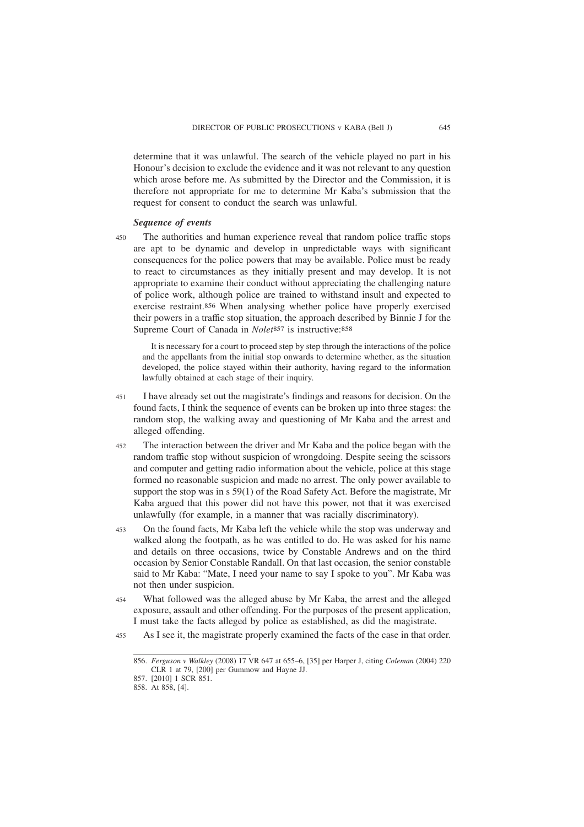determine that it was unlawful. The search of the vehicle played no part in his Honour's decision to exclude the evidence and it was not relevant to any question which arose before me. As submitted by the Director and the Commission, it is therefore not appropriate for me to determine Mr Kaba's submission that the request for consent to conduct the search was unlawful.

## *Sequence of events*

The authorities and human experience reveal that random police traffic stops are apt to be dynamic and develop in unpredictable ways with significant consequences for the police powers that may be available. Police must be ready to react to circumstances as they initially present and may develop. It is not appropriate to examine their conduct without appreciating the challenging nature of police work, although police are trained to withstand insult and expected to exercise restraint.856 When analysing whether police have properly exercised their powers in a traffic stop situation, the approach described by Binnie J for the Supreme Court of Canada in *Nolet*<sup>857</sup> is instructive:<sup>858</sup> 450

It is necessary for a court to proceed step by step through the interactions of the police and the appellants from the initial stop onwards to determine whether, as the situation developed, the police stayed within their authority, having regard to the information lawfully obtained at each stage of their inquiry.

- I have already set out the magistrate's findings and reasons for decision. On the found facts, I think the sequence of events can be broken up into three stages: the random stop, the walking away and questioning of Mr Kaba and the arrest and alleged offending. 451
- The interaction between the driver and Mr Kaba and the police began with the random traffic stop without suspicion of wrongdoing. Despite seeing the scissors and computer and getting radio information about the vehicle, police at this stage formed no reasonable suspicion and made no arrest. The only power available to support the stop was in s 59(1) of the Road Safety Act. Before the magistrate, Mr Kaba argued that this power did not have this power, not that it was exercised unlawfully (for example, in a manner that was racially discriminatory). 452
- On the found facts, Mr Kaba left the vehicle while the stop was underway and walked along the footpath, as he was entitled to do. He was asked for his name and details on three occasions, twice by Constable Andrews and on the third occasion by Senior Constable Randall. On that last occasion, the senior constable said to Mr Kaba: "Mate, I need your name to say I spoke to you". Mr Kaba was not then under suspicion. 453
- What followed was the alleged abuse by Mr Kaba, the arrest and the alleged exposure, assault and other offending. For the purposes of the present application, I must take the facts alleged by police as established, as did the magistrate. 454
- As I see it, the magistrate properly examined the facts of the case in that order. 455

<sup>856.</sup> *Ferguson v Walkley* (2008) 17 VR 647 at 655–6, [35] per Harper J, citing *Coleman* (2004) 220 CLR 1 at 79, [200] per Gummow and Hayne JJ.

<sup>857. [2010] 1</sup> SCR 851.

<sup>858.</sup> At 858, [4].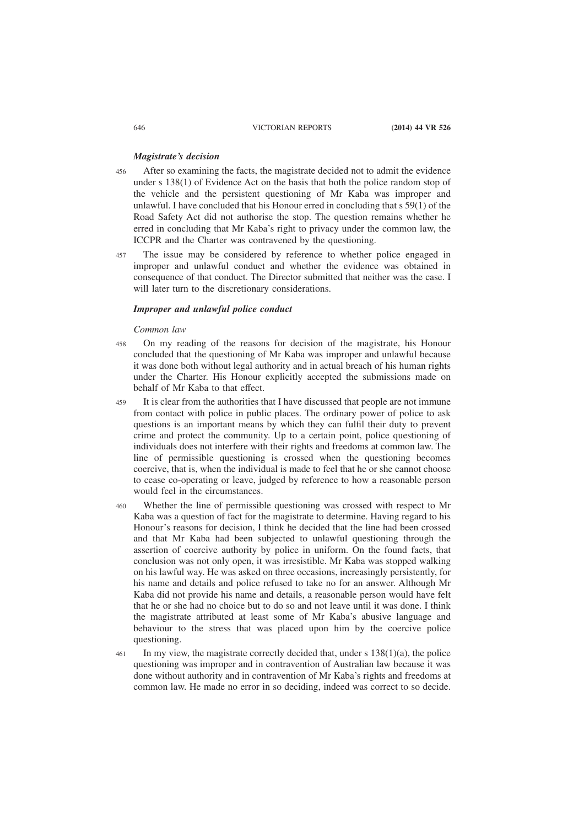## *Magistrate's decision*

- After so examining the facts, the magistrate decided not to admit the evidence under s 138(1) of Evidence Act on the basis that both the police random stop of the vehicle and the persistent questioning of Mr Kaba was improper and unlawful. I have concluded that his Honour erred in concluding that s 59(1) of the Road Safety Act did not authorise the stop. The question remains whether he erred in concluding that Mr Kaba's right to privacy under the common law, the ICCPR and the Charter was contravened by the questioning. 456
- The issue may be considered by reference to whether police engaged in improper and unlawful conduct and whether the evidence was obtained in consequence of that conduct. The Director submitted that neither was the case. I will later turn to the discretionary considerations. 457

# *Improper and unlawful police conduct*

#### *Common law*

- On my reading of the reasons for decision of the magistrate, his Honour concluded that the questioning of Mr Kaba was improper and unlawful because it was done both without legal authority and in actual breach of his human rights under the Charter. His Honour explicitly accepted the submissions made on behalf of Mr Kaba to that effect. 458
- It is clear from the authorities that I have discussed that people are not immune from contact with police in public places. The ordinary power of police to ask questions is an important means by which they can fulfil their duty to prevent crime and protect the community. Up to a certain point, police questioning of individuals does not interfere with their rights and freedoms at common law. The line of permissible questioning is crossed when the questioning becomes coercive, that is, when the individual is made to feel that he or she cannot choose to cease co-operating or leave, judged by reference to how a reasonable person would feel in the circumstances. 459
- Whether the line of permissible questioning was crossed with respect to Mr Kaba was a question of fact for the magistrate to determine. Having regard to his Honour's reasons for decision, I think he decided that the line had been crossed and that Mr Kaba had been subjected to unlawful questioning through the assertion of coercive authority by police in uniform. On the found facts, that conclusion was not only open, it was irresistible. Mr Kaba was stopped walking on his lawful way. He was asked on three occasions, increasingly persistently, for his name and details and police refused to take no for an answer. Although Mr Kaba did not provide his name and details, a reasonable person would have felt that he or she had no choice but to do so and not leave until it was done. I think the magistrate attributed at least some of Mr Kaba's abusive language and behaviour to the stress that was placed upon him by the coercive police questioning. 460
- In my view, the magistrate correctly decided that, under s 138(1)(a), the police questioning was improper and in contravention of Australian law because it was done without authority and in contravention of Mr Kaba's rights and freedoms at common law. He made no error in so deciding, indeed was correct to so decide. 461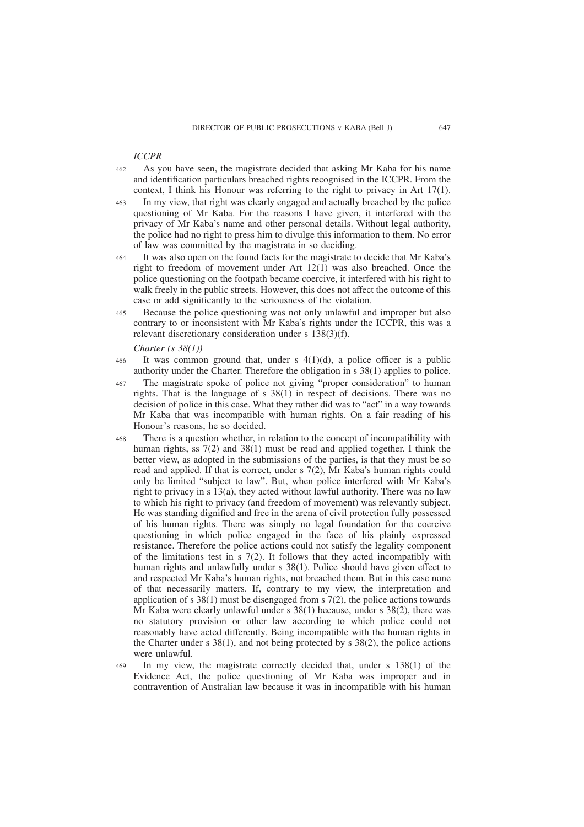#### *ICCPR*

- As you have seen, the magistrate decided that asking Mr Kaba for his name and identification particulars breached rights recognised in the ICCPR. From the context, I think his Honour was referring to the right to privacy in Art 17(1). 462
- In my view, that right was clearly engaged and actually breached by the police questioning of Mr Kaba. For the reasons I have given, it interfered with the privacy of Mr Kaba's name and other personal details. Without legal authority, the police had no right to press him to divulge this information to them. No error of law was committed by the magistrate in so deciding. 463
- It was also open on the found facts for the magistrate to decide that Mr Kaba's right to freedom of movement under Art 12(1) was also breached. Once the police questioning on the footpath became coercive, it interfered with his right to walk freely in the public streets. However, this does not affect the outcome of this case or add significantly to the seriousness of the violation. 464
- Because the police questioning was not only unlawful and improper but also contrary to or inconsistent with Mr Kaba's rights under the ICCPR, this was a relevant discretionary consideration under s 138(3)(f). 465

#### *Charter (s 38(1))*

- It was common ground that, under s  $4(1)(d)$ , a police officer is a public authority under the Charter. Therefore the obligation in s 38(1) applies to police. 466
- The magistrate spoke of police not giving "proper consideration" to human rights. That is the language of s 38(1) in respect of decisions. There was no decision of police in this case. What they rather did was to "act" in a way towards Mr Kaba that was incompatible with human rights. On a fair reading of his Honour's reasons, he so decided. 467
- There is a question whether, in relation to the concept of incompatibility with human rights, ss 7(2) and 38(1) must be read and applied together. I think the better view, as adopted in the submissions of the parties, is that they must be so read and applied. If that is correct, under s 7(2), Mr Kaba's human rights could only be limited "subject to law". But, when police interfered with Mr Kaba's right to privacy in s 13(a), they acted without lawful authority. There was no law to which his right to privacy (and freedom of movement) was relevantly subject. He was standing dignified and free in the arena of civil protection fully possessed of his human rights. There was simply no legal foundation for the coercive questioning in which police engaged in the face of his plainly expressed resistance. Therefore the police actions could not satisfy the legality component of the limitations test in  $\frac{s}{2}$ . It follows that they acted incompatibly with human rights and unlawfully under s 38(1). Police should have given effect to and respected Mr Kaba's human rights, not breached them. But in this case none of that necessarily matters. If, contrary to my view, the interpretation and application of s  $38(1)$  must be disengaged from s  $7(2)$ , the police actions towards Mr Kaba were clearly unlawful under s 38(1) because, under s 38(2), there was no statutory provision or other law according to which police could not reasonably have acted differently. Being incompatible with the human rights in the Charter under s  $38(1)$ , and not being protected by s  $38(2)$ , the police actions were unlawful. 468
- In my view, the magistrate correctly decided that, under s 138(1) of the Evidence Act, the police questioning of Mr Kaba was improper and in contravention of Australian law because it was in incompatible with his human 469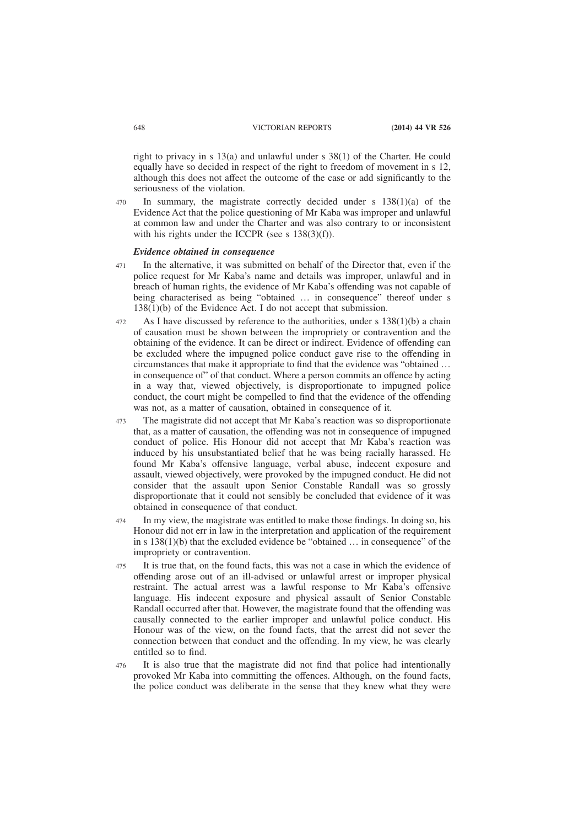right to privacy in s 13(a) and unlawful under s 38(1) of the Charter. He could equally have so decided in respect of the right to freedom of movement in s 12, although this does not affect the outcome of the case or add significantly to the seriousness of the violation.

In summary, the magistrate correctly decided under s 138(1)(a) of the Evidence Act that the police questioning of Mr Kaba was improper and unlawful at common law and under the Charter and was also contrary to or inconsistent with his rights under the ICCPR (see s 138(3)(f)). 470

# *Evidence obtained in consequence*

- In the alternative, it was submitted on behalf of the Director that, even if the police request for Mr Kaba's name and details was improper, unlawful and in breach of human rights, the evidence of Mr Kaba's offending was not capable of being characterised as being "obtained … in consequence" thereof under s 138(1)(b) of the Evidence Act. I do not accept that submission. 471
- As I have discussed by reference to the authorities, under s 138(1)(b) a chain of causation must be shown between the impropriety or contravention and the obtaining of the evidence. It can be direct or indirect. Evidence of offending can be excluded where the impugned police conduct gave rise to the offending in circumstances that make it appropriate to find that the evidence was "obtained … in consequence of" of that conduct. Where a person commits an offence by acting in a way that, viewed objectively, is disproportionate to impugned police conduct, the court might be compelled to find that the evidence of the offending was not, as a matter of causation, obtained in consequence of it. 472
- The magistrate did not accept that Mr Kaba's reaction was so disproportionate that, as a matter of causation, the offending was not in consequence of impugned conduct of police. His Honour did not accept that Mr Kaba's reaction was induced by his unsubstantiated belief that he was being racially harassed. He found Mr Kaba's offensive language, verbal abuse, indecent exposure and assault, viewed objectively, were provoked by the impugned conduct. He did not consider that the assault upon Senior Constable Randall was so grossly disproportionate that it could not sensibly be concluded that evidence of it was obtained in consequence of that conduct. 473
- In my view, the magistrate was entitled to make those findings. In doing so, his Honour did not err in law in the interpretation and application of the requirement in s 138(1)(b) that the excluded evidence be "obtained … in consequence" of the impropriety or contravention. 474
- It is true that, on the found facts, this was not a case in which the evidence of offending arose out of an ill-advised or unlawful arrest or improper physical restraint. The actual arrest was a lawful response to Mr Kaba's offensive language. His indecent exposure and physical assault of Senior Constable Randall occurred after that. However, the magistrate found that the offending was causally connected to the earlier improper and unlawful police conduct. His Honour was of the view, on the found facts, that the arrest did not sever the connection between that conduct and the offending. In my view, he was clearly entitled so to find. 475
- It is also true that the magistrate did not find that police had intentionally provoked Mr Kaba into committing the offences. Although, on the found facts, the police conduct was deliberate in the sense that they knew what they were 476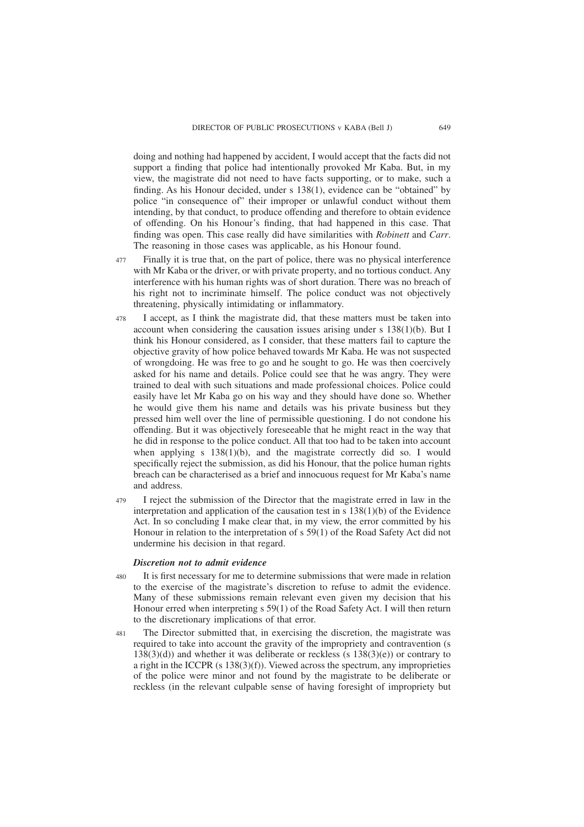doing and nothing had happened by accident, I would accept that the facts did not support a finding that police had intentionally provoked Mr Kaba. But, in my view, the magistrate did not need to have facts supporting, or to make, such a finding. As his Honour decided, under s 138(1), evidence can be "obtained" by police "in consequence of" their improper or unlawful conduct without them intending, by that conduct, to produce offending and therefore to obtain evidence of offending. On his Honour's finding, that had happened in this case. That finding was open. This case really did have similarities with *Robinett* and *Carr*. The reasoning in those cases was applicable, as his Honour found.

- Finally it is true that, on the part of police, there was no physical interference with Mr Kaba or the driver, or with private property, and no tortious conduct. Any interference with his human rights was of short duration. There was no breach of his right not to incriminate himself. The police conduct was not objectively threatening, physically intimidating or inflammatory. 477
- I accept, as I think the magistrate did, that these matters must be taken into account when considering the causation issues arising under s 138(1)(b). But I think his Honour considered, as I consider, that these matters fail to capture the objective gravity of how police behaved towards Mr Kaba. He was not suspected of wrongdoing. He was free to go and he sought to go. He was then coercively asked for his name and details. Police could see that he was angry. They were trained to deal with such situations and made professional choices. Police could easily have let Mr Kaba go on his way and they should have done so. Whether he would give them his name and details was his private business but they pressed him well over the line of permissible questioning. I do not condone his offending. But it was objectively foreseeable that he might react in the way that he did in response to the police conduct. All that too had to be taken into account when applying s  $138(1)(b)$ , and the magistrate correctly did so. I would specifically reject the submission, as did his Honour, that the police human rights breach can be characterised as a brief and innocuous request for Mr Kaba's name and address. 478
- I reject the submission of the Director that the magistrate erred in law in the interpretation and application of the causation test in s 138(1)(b) of the Evidence Act. In so concluding I make clear that, in my view, the error committed by his Honour in relation to the interpretation of s 59(1) of the Road Safety Act did not undermine his decision in that regard. 479

#### *Discretion not to admit evidence*

- It is first necessary for me to determine submissions that were made in relation to the exercise of the magistrate's discretion to refuse to admit the evidence. Many of these submissions remain relevant even given my decision that his Honour erred when interpreting s 59(1) of the Road Safety Act. I will then return to the discretionary implications of that error. 480
- The Director submitted that, in exercising the discretion, the magistrate was required to take into account the gravity of the impropriety and contravention (s  $138(3)(d)$ ) and whether it was deliberate or reckless (s  $138(3)(e)$ ) or contrary to a right in the ICCPR  $(s\ 138(3)(f))$ . Viewed across the spectrum, any improprieties of the police were minor and not found by the magistrate to be deliberate or reckless (in the relevant culpable sense of having foresight of impropriety but 481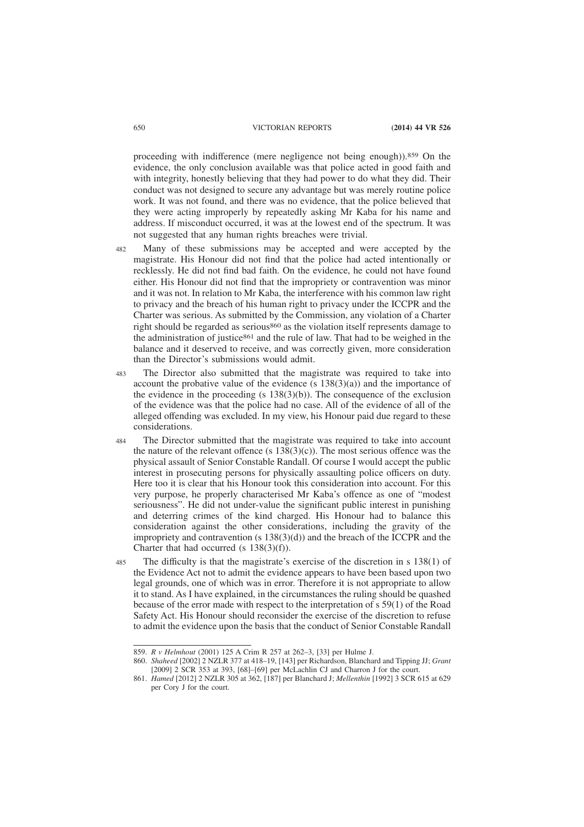proceeding with indifference (mere negligence not being enough)).859 On the evidence, the only conclusion available was that police acted in good faith and with integrity, honestly believing that they had power to do what they did. Their conduct was not designed to secure any advantage but was merely routine police work. It was not found, and there was no evidence, that the police believed that they were acting improperly by repeatedly asking Mr Kaba for his name and address. If misconduct occurred, it was at the lowest end of the spectrum. It was not suggested that any human rights breaches were trivial.

- Many of these submissions may be accepted and were accepted by the magistrate. His Honour did not find that the police had acted intentionally or recklessly. He did not find bad faith. On the evidence, he could not have found either. His Honour did not find that the impropriety or contravention was minor and it was not. In relation to Mr Kaba, the interference with his common law right to privacy and the breach of his human right to privacy under the ICCPR and the Charter was serious. As submitted by the Commission, any violation of a Charter right should be regarded as serious860 as the violation itself represents damage to the administration of justice861 and the rule of law. That had to be weighed in the balance and it deserved to receive, and was correctly given, more consideration than the Director's submissions would admit. 482
- The Director also submitted that the magistrate was required to take into account the probative value of the evidence  $(s\ 138(3)(a))$  and the importance of the evidence in the proceeding (s  $138(3)(b)$ ). The consequence of the exclusion of the evidence was that the police had no case. All of the evidence of all of the alleged offending was excluded. In my view, his Honour paid due regard to these considerations. 483
- The Director submitted that the magistrate was required to take into account the nature of the relevant offence (s  $138(3)(c)$ ). The most serious offence was the physical assault of Senior Constable Randall. Of course I would accept the public interest in prosecuting persons for physically assaulting police officers on duty. Here too it is clear that his Honour took this consideration into account. For this very purpose, he properly characterised Mr Kaba's offence as one of "modest seriousness". He did not under-value the significant public interest in punishing and deterring crimes of the kind charged. His Honour had to balance this consideration against the other considerations, including the gravity of the impropriety and contravention  $(s 138(3)(d))$  and the breach of the ICCPR and the Charter that had occurred (s 138(3)(f)). 484
- The difficulty is that the magistrate's exercise of the discretion in s 138(1) of the Evidence Act not to admit the evidence appears to have been based upon two legal grounds, one of which was in error. Therefore it is not appropriate to allow it to stand. As I have explained, in the circumstances the ruling should be quashed because of the error made with respect to the interpretation of s 59(1) of the Road Safety Act. His Honour should reconsider the exercise of the discretion to refuse to admit the evidence upon the basis that the conduct of Senior Constable Randall 485

<sup>859.</sup> *R v Helmhout* (2001) 125 A Crim R 257 at 262–3, [33] per Hulme J.

<sup>860.</sup> *Shaheed* [2002] 2 NZLR 377 at 418–19, [143] per Richardson, Blanchard and Tipping JJ; *Grant* [2009] 2 SCR 353 at 393, [68]-[69] per McLachlin CJ and Charron J for the court.

<sup>861.</sup> *Hamed* [2012] 2 NZLR 305 at 362, [187] per Blanchard J; *Mellenthin* [1992] 3 SCR 615 at 629 per Cory J for the court.